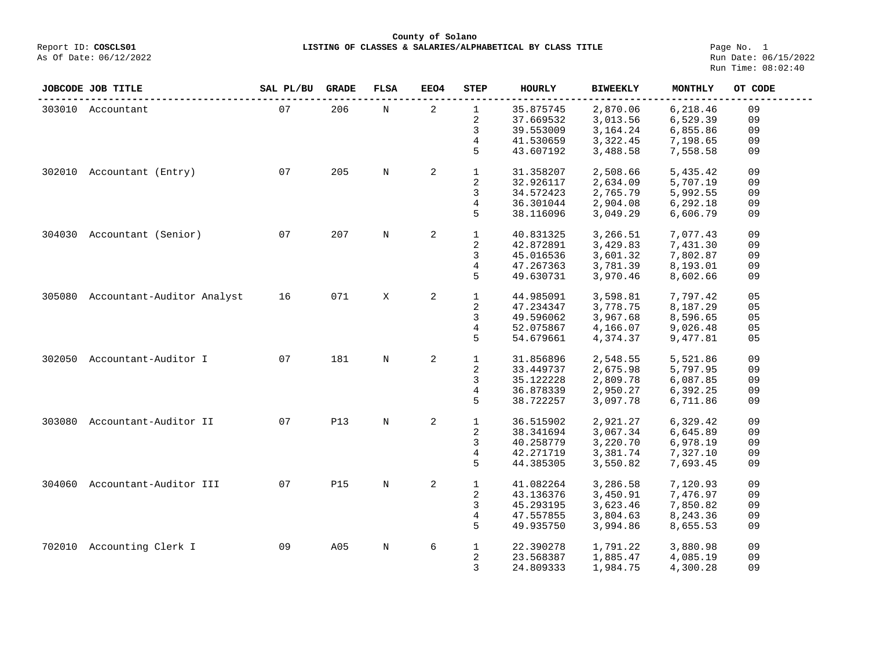**County of Solano**<br>Exercis LISTING OF CLASSES & SALARIES/ALPH COSCLS01

Page No. 1<br>Run Date: 06/15/2022 Run Time: 08:02:40

|        | JOBCODE JOB TITLE          | SAL PL/BU | <b>GRADE</b> | <b>FLSA</b> | EEO4           | <b>STEP</b>  | <b>HOURLY</b> | <b>BIWEEKLY</b> | <b>MONTHLY</b> | OT CODE |
|--------|----------------------------|-----------|--------------|-------------|----------------|--------------|---------------|-----------------|----------------|---------|
| 303010 | Accountant                 | 07        | 206          | N           | $\overline{a}$ | $\mathbf{1}$ | 35.875745     | 2,870.06        | 6,218.46       | 09      |
|        |                            |           |              |             |                | 2            | 37.669532     | 3,013.56        | 6,529.39       | 09      |
|        |                            |           |              |             |                | 3            | 39.553009     | 3,164.24        | 6,855.86       | 09      |
|        |                            |           |              |             |                | 4            | 41.530659     | 3,322.45        | 7,198.65       | 09      |
|        |                            |           |              |             |                | 5            | 43.607192     | 3,488.58        | 7,558.58       | 09      |
| 302010 | Accountant (Entry)         | 07        | 205          | N           | 2              | $\mathbf{1}$ | 31.358207     | 2,508.66        | 5,435.42       | 09      |
|        |                            |           |              |             |                | 2            | 32.926117     | 2,634.09        | 5,707.19       | 09      |
|        |                            |           |              |             |                | 3            | 34.572423     | 2,765.79        | 5,992.55       | 09      |
|        |                            |           |              |             |                | 4            | 36.301044     | 2,904.08        | 6,292.18       | 09      |
|        |                            |           |              |             |                | 5            | 38.116096     | 3,049.29        | 6,606.79       | 09      |
| 304030 | Accountant (Senior)        | 07        | 207          | N           | 2              | $\mathbf{1}$ | 40.831325     | 3,266.51        | 7,077.43       | 09      |
|        |                            |           |              |             |                | 2            | 42.872891     | 3,429.83        | 7,431.30       | 09      |
|        |                            |           |              |             |                | 3            | 45.016536     | 3,601.32        | 7,802.87       | 09      |
|        |                            |           |              |             |                | 4            | 47.267363     |                 |                | 09      |
|        |                            |           |              |             |                |              |               | 3,781.39        | 8,193.01       |         |
|        |                            |           |              |             |                | 5            | 49.630731     | 3,970.46        | 8,602.66       | 09      |
| 305080 | Accountant-Auditor Analyst | 16        | 071          | X           | 2              | $\mathbf{1}$ | 44.985091     | 3,598.81        | 7,797.42       | 05      |
|        |                            |           |              |             |                | 2            | 47.234347     | 3,778.75        | 8,187.29       | 05      |
|        |                            |           |              |             |                | 3            | 49.596062     | 3,967.68        | 8,596.65       | 05      |
|        |                            |           |              |             |                | 4            | 52.075867     | 4,166.07        | 9,026.48       | 05      |
|        |                            |           |              |             |                | 5            | 54.679661     | 4,374.37        | 9,477.81       | 05      |
|        |                            |           |              |             |                |              |               |                 |                |         |
| 302050 | Accountant-Auditor I       | 07        | 181          | N           | $\mathbf{2}$   | $\mathbf{1}$ | 31.856896     | 2,548.55        | 5,521.86       | 09      |
|        |                            |           |              |             |                | 2            | 33.449737     | 2,675.98        | 5,797.95       | 09      |
|        |                            |           |              |             |                | 3            | 35.122228     | 2,809.78        | 6,087.85       | 09      |
|        |                            |           |              |             |                | 4            | 36.878339     | 2,950.27        | 6,392.25       | 09      |
|        |                            |           |              |             |                | 5            | 38.722257     | 3,097.78        | 6,711.86       | 09      |
| 303080 | Accountant-Auditor II      | 07        | <b>P13</b>   | N           | $\overline{a}$ | $\mathbf{1}$ | 36.515902     | 2,921.27        | 6,329.42       | 09      |
|        |                            |           |              |             |                | 2            | 38.341694     | 3,067.34        | 6,645.89       | 09      |
|        |                            |           |              |             |                | 3            | 40.258779     | 3,220.70        | 6,978.19       | 09      |
|        |                            |           |              |             |                | 4            | 42.271719     | 3,381.74        | 7,327.10       | 09      |
|        |                            |           |              |             |                | 5            | 44.385305     | 3,550.82        | 7,693.45       | 09      |
| 304060 | Accountant-Auditor III     | 07        | <b>P15</b>   | N           | 2              | $\mathbf 1$  | 41.082264     |                 | 7,120.93       | 09      |
|        |                            |           |              |             |                |              |               | 3,286.58        |                |         |
|        |                            |           |              |             |                | 2            | 43.136376     | 3,450.91        | 7,476.97       | 09      |
|        |                            |           |              |             |                | 3            | 45.293195     | 3,623.46        | 7,850.82       | 09      |
|        |                            |           |              |             |                | 4            | 47.557855     | 3,804.63        | 8,243.36       | 09      |
|        |                            |           |              |             |                | 5            | 49.935750     | 3,994.86        | 8,655.53       | 09      |
|        | 702010 Accounting Clerk I  | 09        | A05          | N           | 6              | $\mathbf{1}$ | 22.390278     | 1,791.22        | 3,880.98       | 09      |
|        |                            |           |              |             |                | 2            | 23.568387     | 1,885.47        | 4,085.19       | 09      |
|        |                            |           |              |             |                | 3            | 24.809333     | 1,984.75        | 4,300.28       | 09      |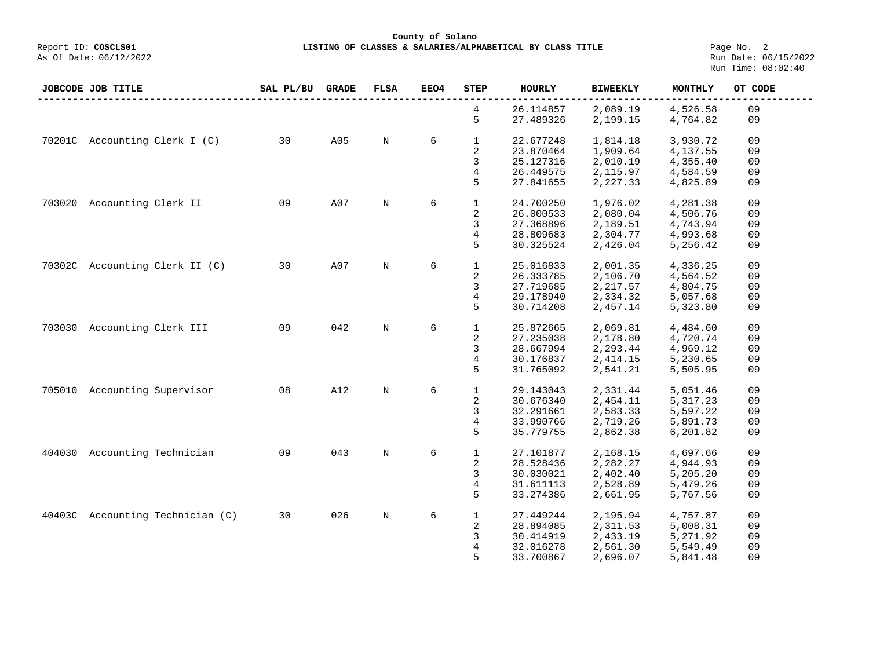**LISTING OF CLASSES & SALARIES/ALPHABETICAL BY CLASS TITLE Page No. 2**<br>Run Date: 06/15/2022 Run Time: 08:02:40

|        | <b>JOBCODE JOB TITLE</b>         | SAL PL/BU | GRADE | <b>FLSA</b> | EEO4 | <b>STEP</b>  | HOURLY                 | <b>BIWEEKLY</b>      | MONTHLY              | OT CODE  |
|--------|----------------------------------|-----------|-------|-------------|------|--------------|------------------------|----------------------|----------------------|----------|
|        |                                  |           |       |             |      | 4<br>5       | 26.114857<br>27.489326 | 2,089.19<br>2,199.15 | 4,526.58<br>4,764.82 | 09<br>09 |
|        | 70201C Accounting Clerk I (C)    | 30        | A05   | $\mathbf N$ | 6    | $\mathbf 1$  | 22.677248              | 1,814.18             | 3,930.72             | 09       |
|        |                                  |           |       |             |      | 2            | 23.870464              | 1,909.64             | 4,137.55             | 09       |
|        |                                  |           |       |             |      | 3            | 25.127316              | 2,010.19             | 4,355.40             | 09       |
|        |                                  |           |       |             |      | 4            | 26.449575              | 2,115.97             | 4,584.59             | 09       |
|        |                                  |           |       |             |      | 5            | 27.841655              | 2,227.33             | 4,825.89             | 09       |
|        | 703020 Accounting Clerk II       | 09        | A07   | N           | 6    | $\mathbf{1}$ | 24.700250              | 1,976.02             | 4,281.38             | 09       |
|        |                                  |           |       |             |      | 2            | 26.000533              | 2,080.04             | 4,506.76             | 09       |
|        |                                  |           |       |             |      | 3            | 27.368896              | 2,189.51             | 4,743.94             | 09       |
|        |                                  |           |       |             |      | 4            | 28.809683              | 2,304.77             | 4,993.68             | 09       |
|        |                                  |           |       |             |      | 5            | 30.325524              | 2,426.04             | 5,256.42             | 09       |
|        | 70302C Accounting Clerk II (C)   | 30        | A07   | N           | 6    | $\mathbf{1}$ | 25.016833              | 2,001.35             | 4,336.25             | 09       |
|        |                                  |           |       |             |      | 2            | 26.333785              | 2,106.70             | 4,564.52             | 09       |
|        |                                  |           |       |             |      | 3            | 27.719685              | 2,217.57             | 4,804.75             | 09       |
|        |                                  |           |       |             |      | 4            | 29.178940              | 2,334.32             | 5,057.68             | 09       |
|        |                                  |           |       |             |      | 5            | 30.714208              | 2,457.14             | 5,323.80             | 09       |
| 703030 | Accounting Clerk III             | 09        | 042   | $\mathbb N$ | 6    | $\mathbf{1}$ | 25.872665              | 2,069.81             | 4,484.60             | 09       |
|        |                                  |           |       |             |      | 2            | 27.235038              | 2,178.80             | 4,720.74             | 09       |
|        |                                  |           |       |             |      | 3            | 28.667994              | 2,293.44             | 4,969.12             | 09       |
|        |                                  |           |       |             |      | 4            | 30.176837              | 2,414.15             | 5,230.65             | 09       |
|        |                                  |           |       |             |      | 5            | 31.765092              | 2,541.21             | 5,505.95             | 09       |
|        | 705010 Accounting Supervisor     | 08        | A12   | N           | 6    | $\mathbf{1}$ | 29.143043              | 2,331.44             | 5,051.46             | 09       |
|        |                                  |           |       |             |      | 2            | 30.676340              | 2,454.11             | 5,317.23             | 09       |
|        |                                  |           |       |             |      | 3            | 32.291661              | 2,583.33             | 5,597.22             | 09       |
|        |                                  |           |       |             |      | 4            | 33.990766              | 2,719.26             | 5,891.73             | 09       |
|        |                                  |           |       |             |      | 5            | 35.779755              | 2,862.38             | 6,201.82             | 09       |
|        | 404030 Accounting Technician     | 09        | 043   | $\mathbf N$ | 6    | $\mathbf{1}$ | 27.101877              | 2,168.15             | 4,697.66             | 09       |
|        |                                  |           |       |             |      | 2            | 28.528436              | 2,282.27             | 4,944.93             | 09       |
|        |                                  |           |       |             |      | 3            | 30.030021              | 2,402.40             | 5,205.20             | 09       |
|        |                                  |           |       |             |      | 4            | 31.611113              | 2,528.89             | 5,479.26             | 09       |
|        |                                  |           |       |             |      | 5            | 33.274386              | 2,661.95             | 5,767.56             | 09       |
|        | 40403C Accounting Technician (C) | 30        | 026   | $\mathbf N$ | 6    | $\mathbf 1$  | 27.449244              | 2,195.94             | 4,757.87             | 09       |
|        |                                  |           |       |             |      | 2            | 28.894085              | 2,311.53             | 5,008.31             | 09       |
|        |                                  |           |       |             |      | 3            | 30.414919              | 2,433.19             | 5,271.92             | 09       |
|        |                                  |           |       |             |      | 4            | 32.016278              | 2,561.30             | 5,549.49             | 09       |
|        |                                  |           |       |             |      | 5            | 33.700867              | 2,696.07             | 5,841.48             | 09       |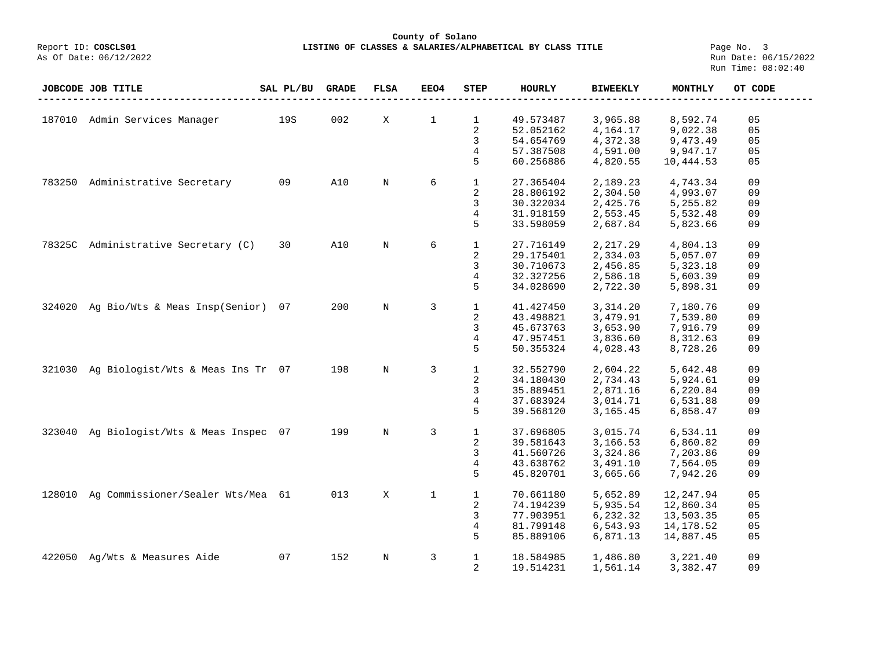**County of Solano** LISTING OF CLASSES & SALARIES/ALPHABETICAL BY CLASS TITLE **Page No. 3**<br>Run Date: 06/15/2022

|        | JOBCODE JOB TITLE                 | SAL PL/BU | <b>GRADE</b> | <b>FLSA</b> | EEO4         | <b>STEP</b>  | <b>HOURLY</b> | <b>BIWEEKLY</b> | <b>MONTHLY</b> | OT CODE        |
|--------|-----------------------------------|-----------|--------------|-------------|--------------|--------------|---------------|-----------------|----------------|----------------|
|        |                                   |           |              |             |              |              |               |                 |                |                |
|        | 187010 Admin Services Manager     | 19S       | 002          | X           | $\mathbf 1$  | $\mathbf{1}$ | 49.573487     | 3,965.88        | 8,592.74       | 05             |
|        |                                   |           |              |             |              | 2            | 52.052162     | 4,164.17        | 9,022.38       | 05             |
|        |                                   |           |              |             |              | 3            | 54.654769     | 4,372.38        | 9,473.49       | 05             |
|        |                                   |           |              |             |              | 4            | 57.387508     | 4,591.00        | 9,947.17       | 05             |
|        |                                   |           |              |             |              | 5            | 60.256886     | 4,820.55        | 10,444.53      | 05             |
|        |                                   |           |              |             |              |              |               |                 |                |                |
| 783250 | Administrative Secretary          | 09        | A10          | $\mathbf N$ | 6            | $\mathbf 1$  | 27.365404     | 2,189.23        | 4,743.34       | 09             |
|        |                                   |           |              |             |              | 2            | 28.806192     | 2,304.50        | 4,993.07       | 09             |
|        |                                   |           |              |             |              | 3            | 30.322034     | 2,425.76        | 5,255.82       | 09             |
|        |                                   |           |              |             |              | 4            | 31.918159     | 2,553.45        | 5,532.48       | 09             |
|        |                                   |           |              |             |              | 5            | 33.598059     | 2,687.84        | 5,823.66       | 09             |
|        |                                   |           |              |             |              |              |               |                 |                |                |
| 78325C | Administrative Secretary (C)      | 30        | A10          | $\rm N$     | 6            | $\mathbf{1}$ | 27.716149     | 2,217.29        | 4,804.13       | 09             |
|        |                                   |           |              |             |              | 2            | 29.175401     | 2,334.03        | 5,057.07       | 09             |
|        |                                   |           |              |             |              | 3            | 30.710673     | 2,456.85        | 5,323.18       | 09             |
|        |                                   |           |              |             |              | 4            | 32.327256     | 2,586.18        | 5,603.39       | 09             |
|        |                                   |           |              |             |              | 5            | 34.028690     | 2,722.30        | 5,898.31       | 09             |
|        |                                   |           |              |             |              |              |               |                 |                |                |
| 324020 | Ag Bio/Wts & Meas Insp(Senior)    | 07        | 200          | $\rm N$     | 3            | $\mathbf{1}$ | 41.427450     | 3,314.20        | 7,180.76       | 09             |
|        |                                   |           |              |             |              | 2            | 43.498821     | 3,479.91        | 7,539.80       | 09<br>09       |
|        |                                   |           |              |             |              | 3            | 45.673763     | 3,653.90        | 7,916.79       | 09             |
|        |                                   |           |              |             |              | 4<br>5       | 47.957451     | 3,836.60        | 8,312.63       |                |
|        |                                   |           |              |             |              |              | 50.355324     | 4,028.43        | 8,728.26       | 09             |
| 321030 | Ag Biologist/Wts & Meas Ins Tr 07 |           | 198          | $\mathbf N$ | 3            | $\mathbf{1}$ | 32.552790     | 2,604.22        | 5,642.48       | 09             |
|        |                                   |           |              |             |              | 2            | 34.180430     | 2,734.43        | 5,924.61       | 09             |
|        |                                   |           |              |             |              | 3            | 35.889451     | 2,871.16        | 6,220.84       | 09             |
|        |                                   |           |              |             |              | 4            | 37.683924     | 3,014.71        | 6,531.88       | 09             |
|        |                                   |           |              |             |              | 5            | 39.568120     | 3,165.45        | 6,858.47       | 09             |
|        |                                   |           |              |             |              |              |               |                 |                |                |
| 323040 | Ag Biologist/Wts & Meas Inspec 07 |           | 199          | $\mathbf N$ | 3            | $\mathbf{1}$ | 37.696805     | 3,015.74        | 6,534.11       | 09             |
|        |                                   |           |              |             |              | 2            | 39.581643     | 3,166.53        | 6,860.82       | 09             |
|        |                                   |           |              |             |              | 3            | 41.560726     | 3,324.86        | 7,203.86       | 09             |
|        |                                   |           |              |             |              | 4            | 43.638762     | 3,491.10        | 7,564.05       | 09             |
|        |                                   |           |              |             |              | 5            | 45.820701     | 3,665.66        | 7,942.26       | 09             |
|        |                                   |           |              |             |              |              |               |                 |                |                |
| 128010 | Ag Commissioner/Sealer Wts/Mea 61 |           | 013          | X           | $\mathbf{1}$ | $\mathbf{1}$ | 70.661180     | 5,652.89        | 12,247.94      | 05             |
|        |                                   |           |              |             |              | 2            | 74.194239     | 5,935.54        | 12,860.34      | 05             |
|        |                                   |           |              |             |              | 3            | 77.903951     | 6,232.32        | 13,503.35      | 05             |
|        |                                   |           |              |             |              | 4            | 81.799148     | 6,543.93        | 14,178.52      | 0 <sub>5</sub> |
|        |                                   |           |              |             |              | 5            | 85.889106     | 6,871.13        | 14,887.45      | 05             |
| 422050 | Ag/Wts & Measures Aide            | 07        | 152          | $\rm N$     | 3            | $\mathbf{1}$ | 18.584985     | 1,486.80        | 3,221.40       | 09             |
|        |                                   |           |              |             |              | 2            | 19.514231     | 1,561.14        | 3,382.47       | 09             |
|        |                                   |           |              |             |              |              |               |                 |                |                |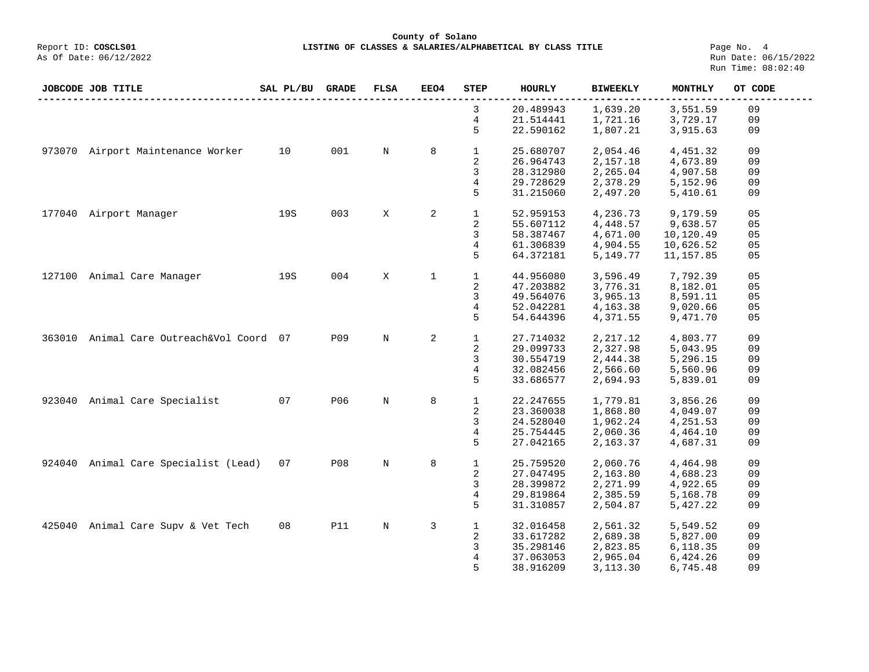## **County of Solano**<br>Exercis LISTING OF CLASSES & SALARIES/ALPH COSCLS01 Report ID: **COSCLS01 LISTING OF CLASSES & SALARIES/ALPHABETICAL BY CLASS TITLE**<br>As Of Date: 06/12/2022

Page No. 4<br>Run Date: 06/15/2022 Run Time: 08:02:40

|        | JOBCODE JOB TITLE                 | SAL PL/BU | <b>GRADE</b> | <b>FLSA</b> | <b>EEO4</b> | <b>STEP</b>  | <b>HOURLY</b> | <b>BIWEEKLY</b> | MONTHLY    | OT CODE |
|--------|-----------------------------------|-----------|--------------|-------------|-------------|--------------|---------------|-----------------|------------|---------|
|        |                                   |           |              |             |             | 3            | 20.489943     | 1,639.20        | 3,551.59   | 09      |
|        |                                   |           |              |             |             | 4            | 21.514441     | 1,721.16        | 3,729.17   | 09      |
|        |                                   |           |              |             |             | 5            | 22.590162     | 1,807.21        | 3,915.63   | 09      |
| 973070 | Airport Maintenance Worker        | 10        | 001          | N           | 8           | 1            | 25.680707     | 2,054.46        | 4,451.32   | 09      |
|        |                                   |           |              |             |             | 2            | 26.964743     | 2,157.18        | 4,673.89   | 09      |
|        |                                   |           |              |             |             |              | 28.312980     |                 |            | 09      |
|        |                                   |           |              |             |             | 3            |               | 2,265.04        | 4,907.58   |         |
|        |                                   |           |              |             |             | 4            | 29.728629     | 2,378.29        | 5,152.96   | 09      |
|        |                                   |           |              |             |             | 5            | 31.215060     | 2,497.20        | 5,410.61   | 09      |
| 177040 | Airport Manager                   | 19S       | 003          | Χ           | 2           | $\mathbf{1}$ | 52.959153     | 4,236.73        | 9,179.59   | 05      |
|        |                                   |           |              |             |             | 2            | 55.607112     | 4,448.57        | 9,638.57   | 05      |
|        |                                   |           |              |             |             | 3            | 58.387467     | 4,671.00        | 10,120.49  | 05      |
|        |                                   |           |              |             |             | 4            | 61.306839     | 4,904.55        | 10,626.52  | 05      |
|        |                                   |           |              |             |             | 5            | 64.372181     | 5,149.77        | 11, 157.85 | 05      |
|        |                                   |           |              |             |             |              |               |                 |            |         |
|        | 127100 Animal Care Manager        | 19S       | 004          | Χ           | $\mathbf 1$ | $\mathbf{1}$ | 44.956080     | 3,596.49        | 7,792.39   | 05      |
|        |                                   |           |              |             |             | 2            | 47.203882     | 3,776.31        | 8,182.01   | 05      |
|        |                                   |           |              |             |             | 3            | 49.564076     | 3,965.13        | 8,591.11   | 05      |
|        |                                   |           |              |             |             | 4            | 52.042281     | 4,163.38        | 9,020.66   | 05      |
|        |                                   |           |              |             |             | 5            | 54.644396     | 4,371.55        | 9,471.70   | 05      |
|        |                                   |           |              |             |             |              |               |                 |            |         |
| 363010 | Animal Care Outreach&Vol Coord 07 |           | P09          | $\mathbb N$ | 2           | $\mathbf{1}$ | 27.714032     | 2, 217.12       | 4,803.77   | 09      |
|        |                                   |           |              |             |             | 2            | 29.099733     | 2,327.98        | 5,043.95   | 09      |
|        |                                   |           |              |             |             | 3            | 30.554719     | 2,444.38        | 5,296.15   | 09      |
|        |                                   |           |              |             |             | 4            | 32.082456     | 2,566.60        | 5,560.96   | 09      |
|        |                                   |           |              |             |             | 5            | 33.686577     | 2,694.93        | 5,839.01   | 09      |
|        |                                   |           |              |             |             |              |               |                 |            |         |
| 923040 | Animal Care Specialist            | 07        | <b>P06</b>   | $\rm N$     | 8           | $\mathbf{1}$ | 22.247655     | 1,779.81        | 3,856.26   | 09      |
|        |                                   |           |              |             |             | 2            | 23.360038     | 1,868.80        | 4,049.07   | 09      |
|        |                                   |           |              |             |             | 3            | 24.528040     | 1,962.24        | 4,251.53   | 09      |
|        |                                   |           |              |             |             | 4            | 25.754445     | 2,060.36        | 4,464.10   | 09      |
|        |                                   |           |              |             |             | 5            | 27.042165     | 2,163.37        | 4,687.31   | 09      |
| 924040 | Animal Care Specialist (Lead)     | 07        | <b>P08</b>   | $\rm N$     | 8           | $\mathbf{1}$ | 25.759520     | 2,060.76        | 4,464.98   | 09      |
|        |                                   |           |              |             |             | 2            | 27.047495     | 2,163.80        | 4,688.23   | 09      |
|        |                                   |           |              |             |             | 3            | 28.399872     | 2,271.99        | 4,922.65   | 09      |
|        |                                   |           |              |             |             | 4            | 29.819864     | 2,385.59        | 5,168.78   | 09      |
|        |                                   |           |              |             |             | 5            |               |                 |            |         |
|        |                                   |           |              |             |             |              | 31.310857     | 2,504.87        | 5,427.22   | 09      |
| 425040 | Animal Care Supv & Vet Tech       | 08        | <b>P11</b>   | $\rm N$     | 3           | $\mathbf{1}$ | 32.016458     | 2,561.32        | 5,549.52   | 09      |
|        |                                   |           |              |             |             | 2            | 33.617282     | 2,689.38        | 5,827.00   | 09      |
|        |                                   |           |              |             |             | 3            | 35.298146     | 2,823.85        | 6,118.35   | 09      |
|        |                                   |           |              |             |             | 4            | 37.063053     | 2,965.04        | 6,424.26   | 09      |
|        |                                   |           |              |             |             | 5            | 38.916209     | 3,113.30        | 6,745.48   | 09      |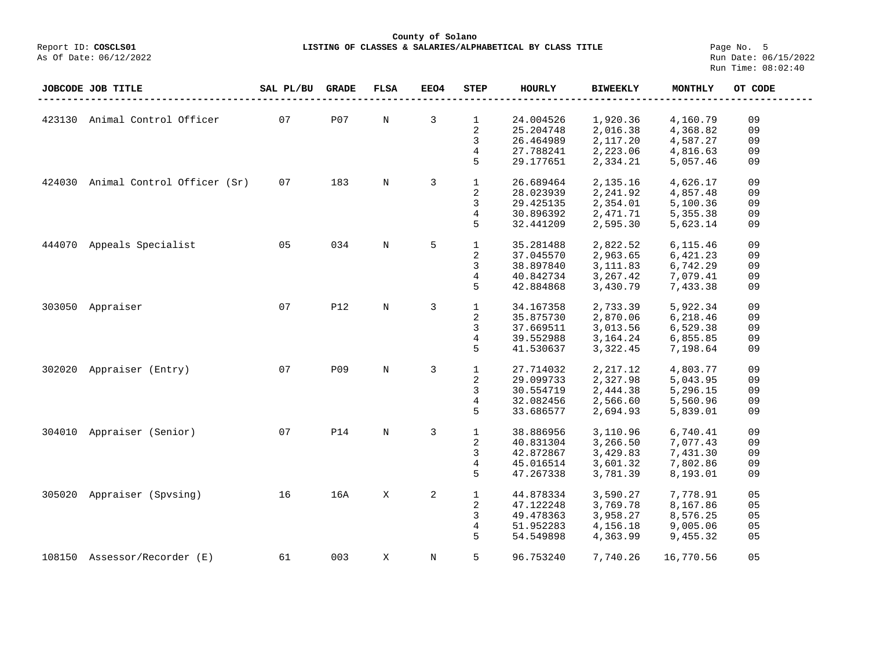# **County of Solano LISTING OF CLASSES & SALARIES/ALPHABETICAL BY CLASS TITLE** Page No. 5<br>Run Date: 06/15/2022

|        | JOBCODE JOB TITLE             | SAL PL/BU | <b>GRADE</b> | <b>FLSA</b> | EEO4 | STEP         | <b>HOURLY</b> | <b>BIWEEKLY</b> | MONTHLY   | OT CODE |
|--------|-------------------------------|-----------|--------------|-------------|------|--------------|---------------|-----------------|-----------|---------|
|        |                               |           |              |             |      |              |               |                 |           |         |
|        | 423130 Animal Control Officer | 07        | P07          | N           | 3    | $\mathbf{1}$ | 24.004526     | 1,920.36        | 4,160.79  | 09      |
|        |                               |           |              |             |      | 2            | 25.204748     | 2,016.38        | 4,368.82  | 09      |
|        |                               |           |              |             |      | 3            | 26.464989     | 2,117.20        | 4,587.27  | 09      |
|        |                               |           |              |             |      | 4            | 27.788241     | 2,223.06        | 4,816.63  | 09      |
|        |                               |           |              |             |      | 5            | 29.177651     | 2,334.21        | 5,057.46  | 09      |
| 424030 | Animal Control Officer (Sr)   | 07        | 183          | N           | 3    | $\mathbf{1}$ | 26.689464     | 2,135.16        | 4,626.17  | 09      |
|        |                               |           |              |             |      | 2            | 28.023939     | 2,241.92        | 4,857.48  | 09      |
|        |                               |           |              |             |      | 3            | 29.425135     | 2,354.01        | 5,100.36  | 09      |
|        |                               |           |              |             |      | 4            | 30.896392     | 2,471.71        | 5,355.38  | 09      |
|        |                               |           |              |             |      | 5            | 32.441209     | 2,595.30        | 5,623.14  | 09      |
|        |                               |           |              |             |      |              |               |                 |           |         |
| 444070 | Appeals Specialist            | 05        | 034          | $\mathbf N$ | 5    | $\mathbf 1$  | 35.281488     | 2,822.52        | 6,115.46  | 09      |
|        |                               |           |              |             |      | 2            | 37.045570     | 2,963.65        | 6,421.23  | 09      |
|        |                               |           |              |             |      | 3            | 38.897840     | 3, 111.83       | 6,742.29  | 09      |
|        |                               |           |              |             |      | 4            | 40.842734     | 3, 267.42       | 7,079.41  | 09      |
|        |                               |           |              |             |      | 5            | 42.884868     | 3,430.79        | 7,433.38  | 09      |
| 303050 | Appraiser                     | 07        | <b>P12</b>   | N           | 3    | $\mathbf{1}$ | 34.167358     | 2,733.39        | 5,922.34  | 09      |
|        |                               |           |              |             |      | 2            | 35.875730     | 2,870.06        | 6,218.46  | 09      |
|        |                               |           |              |             |      | 3            | 37.669511     | 3,013.56        | 6,529.38  | 09      |
|        |                               |           |              |             |      | 4            | 39.552988     | 3, 164. 24      | 6,855.85  | 09      |
|        |                               |           |              |             |      | 5            | 41.530637     | 3,322.45        | 7,198.64  | 09      |
| 302020 | Appraiser (Entry)             | 07        | P09          | $\mathbf N$ | 3    | $\mathbf{1}$ | 27.714032     | 2,217.12        | 4,803.77  | 09      |
|        |                               |           |              |             |      | 2            | 29.099733     | 2,327.98        | 5,043.95  | 09      |
|        |                               |           |              |             |      | 3            | 30.554719     | 2,444.38        | 5,296.15  | 09      |
|        |                               |           |              |             |      | 4            | 32.082456     | 2,566.60        | 5,560.96  | 09      |
|        |                               |           |              |             |      | 5            | 33.686577     | 2,694.93        | 5,839.01  | 09      |
|        |                               |           |              |             |      |              |               |                 |           |         |
|        | 304010 Appraiser (Senior)     | 07        | <b>P14</b>   | N           | 3    | $\mathbf{1}$ | 38.886956     | 3,110.96        | 6,740.41  | 09      |
|        |                               |           |              |             |      | 2            | 40.831304     | 3,266.50        | 7,077.43  | 09      |
|        |                               |           |              |             |      | 3            | 42.872867     | 3,429.83        | 7,431.30  | 09      |
|        |                               |           |              |             |      | 4            | 45.016514     | 3,601.32        | 7,802.86  | 09      |
|        |                               |           |              |             |      | 5            | 47.267338     | 3,781.39        | 8,193.01  | 09      |
| 305020 | Appraiser (Spvsing)           | 16        | 16A          | X           | 2    | $\mathbf 1$  | 44.878334     | 3,590.27        | 7,778.91  | 05      |
|        |                               |           |              |             |      | 2            | 47.122248     | 3,769.78        | 8,167.86  | 05      |
|        |                               |           |              |             |      | 3            | 49.478363     | 3,958.27        | 8,576.25  | 05      |
|        |                               |           |              |             |      | 4            | 51.952283     | 4,156.18        | 9,005.06  | 05      |
|        |                               |           |              |             |      | 5            | 54.549898     | 4,363.99        | 9,455.32  | 05      |
|        | 108150 Assessor/Recorder (E)  | 61        | 003          | X           | N    | 5            | 96.753240     | 7,740.26        | 16,770.56 | 05      |
|        |                               |           |              |             |      |              |               |                 |           |         |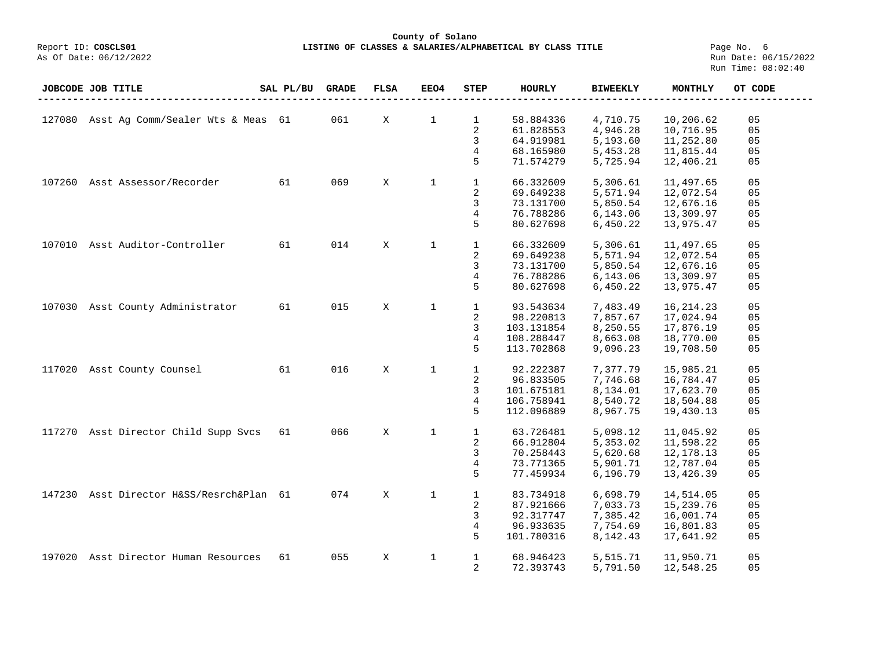# **County of Solano** LISTING OF CLASSES & SALARIES/ALPHABETICAL BY CLASS TITLE **Page No. 6**<br>Run Date: 06/15/2022

|        | JOBCODE JOB TITLE                    | SAL PL/BU | <b>GRADE</b> | <b>FLSA</b> | EEO4         | <b>STEP</b>    | <b>HOURLY</b> | <b>BIWEEKLY</b> | <b>MONTHLY</b> | OT CODE        |
|--------|--------------------------------------|-----------|--------------|-------------|--------------|----------------|---------------|-----------------|----------------|----------------|
|        |                                      |           |              |             |              |                |               |                 |                |                |
| 127080 | Asst Ag Comm/Sealer Wts & Meas 61    |           | 061          | X           | $\mathbf{1}$ | $\mathbf{1}$   | 58.884336     | 4,710.75        | 10,206.62      | 05             |
|        |                                      |           |              |             |              | $\sqrt{2}$     | 61.828553     | 4,946.28        | 10,716.95      | 05             |
|        |                                      |           |              |             |              | 3              | 64.919981     | 5,193.60        | 11,252.80      | 05             |
|        |                                      |           |              |             |              | 4              | 68.165980     | 5,453.28        | 11,815.44      | 05             |
|        |                                      |           |              |             |              | 5              | 71.574279     | 5,725.94        | 12,406.21      | 05             |
|        |                                      |           |              |             |              |                |               |                 |                |                |
| 107260 | Asst Assessor/Recorder               | 61        | 069          | X           | $\mathbf{1}$ | $\mathbf{1}$   | 66.332609     | 5,306.61        | 11,497.65      | 05             |
|        |                                      |           |              |             |              | 2              | 69.649238     | 5,571.94        | 12,072.54      | 05             |
|        |                                      |           |              |             |              | 3              | 73.131700     | 5,850.54        | 12,676.16      | 0 <sub>5</sub> |
|        |                                      |           |              |             |              | 4              | 76.788286     | 6,143.06        | 13,309.97      | 05             |
|        |                                      |           |              |             |              | 5              | 80.627698     | 6,450.22        | 13,975.47      | 05             |
|        |                                      |           |              |             |              |                |               |                 |                |                |
| 107010 | Asst Auditor-Controller              | 61        | 014          | X           | $\mathbf{1}$ | $\mathbf{1}$   | 66.332609     | 5,306.61        | 11,497.65      | 05             |
|        |                                      |           |              |             |              | 2              | 69.649238     | 5,571.94        | 12,072.54      | 05             |
|        |                                      |           |              |             |              | 3              | 73.131700     | 5,850.54        | 12,676.16      | 05             |
|        |                                      |           |              |             |              | 4              | 76.788286     | 6,143.06        | 13,309.97      | 05             |
|        |                                      |           |              |             |              | 5              | 80.627698     | 6,450.22        | 13,975.47      | 05             |
|        |                                      |           |              |             |              |                |               |                 |                |                |
| 107030 | Asst County Administrator            | 61        | 015          | X           | $\mathbf{1}$ | $\mathbf{1}$   | 93.543634     | 7,483.49        | 16, 214. 23    | 05             |
|        |                                      |           |              |             |              | 2              | 98.220813     | 7,857.67        | 17,024.94      | 05             |
|        |                                      |           |              |             |              | 3              | 103.131854    | 8,250.55        | 17,876.19      | 05             |
|        |                                      |           |              |             |              | $\overline{4}$ | 108.288447    | 8,663.08        | 18,770.00      | 05             |
|        |                                      |           |              |             |              | 5              | 113.702868    | 9,096.23        | 19,708.50      | 05             |
|        |                                      |           |              |             |              |                |               |                 |                |                |
| 117020 | Asst County Counsel                  | 61        | 016          | X           | $\mathbf{1}$ | $\mathbf{1}$   | 92.222387     | 7,377.79        | 15,985.21      | 05             |
|        |                                      |           |              |             |              | 2              | 96.833505     | 7,746.68        | 16,784.47      | 05             |
|        |                                      |           |              |             |              | 3              | 101.675181    | 8,134.01        | 17,623.70      | 05             |
|        |                                      |           |              |             |              | $\overline{4}$ | 106.758941    | 8,540.72        | 18,504.88      | 05             |
|        |                                      |           |              |             |              | 5              | 112.096889    | 8,967.75        | 19,430.13      | 05             |
|        |                                      |           |              |             |              |                |               |                 |                |                |
|        | 117270 Asst Director Child Supp Svcs | 61        | 066          | X           | $\mathbf 1$  | $\mathbf{1}$   | 63.726481     | 5,098.12        | 11,045.92      | 05             |
|        |                                      |           |              |             |              | 2              | 66.912804     | 5,353.02        | 11,598.22      | 05             |
|        |                                      |           |              |             |              | 3              | 70.258443     | 5,620.68        | 12,178.13      | 05             |
|        |                                      |           |              |             |              | 4              | 73.771365     | 5,901.71        | 12,787.04      | 05             |
|        |                                      |           |              |             |              | 5              | 77.459934     | 6,196.79        | 13,426.39      | 05             |
|        |                                      |           |              |             |              |                |               |                 |                |                |
| 147230 | Asst Director H&SS/Resrch&Plan 61    |           | 074          | X           | $\mathbf{1}$ | $\mathbf{1}$   | 83.734918     | 6,698.79        | 14,514.05      | 05             |
|        |                                      |           |              |             |              | 2              | 87.921666     | 7,033.73        | 15,239.76      | 05             |
|        |                                      |           |              |             |              | 3              | 92.317747     | 7,385.42        | 16,001.74      | 05             |
|        |                                      |           |              |             |              | 4              | 96.933635     | 7,754.69        | 16,801.83      | 05             |
|        |                                      |           |              |             |              | 5              | 101.780316    | 8,142.43        | 17,641.92      | 05             |
|        |                                      |           |              |             |              |                |               |                 |                |                |
| 197020 | Asst Director Human Resources        | 61        | 055          | X           | 1            | $\mathbf{1}$   | 68.946423     | 5,515.71        | 11,950.71      | 05             |
|        |                                      |           |              |             |              | 2              | 72.393743     | 5,791.50        | 12,548.25      | 05             |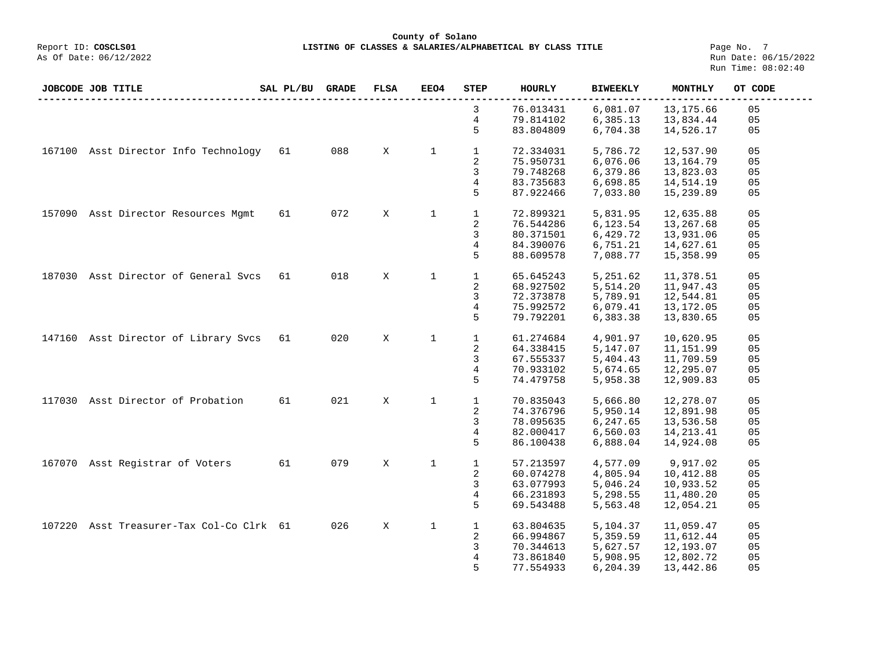**County of Solano LISTING OF CLASSES & SALARIES/ALPHABETICAL BY CLASS TITLE** Page No. 7<br>Run Date: 06/15/2022

| JOBCODE JOB TITLE |  |                                      | SAL PL/BU | <b>GRADE</b> | <b>FLSA</b> | <b>EEO4</b>  | <b>STEP</b>             | <b>HOURLY</b> | <b>BIWEEKLY</b> | MONTHLY     | OT CODE |
|-------------------|--|--------------------------------------|-----------|--------------|-------------|--------------|-------------------------|---------------|-----------------|-------------|---------|
|                   |  |                                      |           |              |             |              | 3                       | 76.013431     | 6,081.07        | 13, 175.66  | 05      |
|                   |  |                                      |           |              |             |              | 4                       | 79.814102     | 6,385.13        | 13,834.44   | 05      |
|                   |  |                                      |           |              |             |              | 5                       | 83.804809     | 6,704.38        | 14,526.17   | 05      |
|                   |  |                                      |           |              |             |              |                         |               |                 |             |         |
|                   |  | 167100 Asst Director Info Technology | 61        | 088          | X           | $\mathbf{1}$ | $\mathbf{1}$            | 72.334031     | 5,786.72        | 12,537.90   | 05      |
|                   |  |                                      |           |              |             |              | $\overline{\mathbf{c}}$ | 75.950731     | 6,076.06        | 13,164.79   | 05      |
|                   |  |                                      |           |              |             |              | 3                       | 79.748268     | 6,379.86        | 13,823.03   | 05      |
|                   |  |                                      |           |              |             |              | 4                       | 83.735683     | 6,698.85        | 14,514.19   | 05      |
|                   |  |                                      |           |              |             |              | 5                       | 87.922466     | 7,033.80        | 15,239.89   | 05      |
|                   |  |                                      |           |              |             |              |                         |               |                 |             |         |
| 157090            |  | Asst Director Resources Mgmt         | 61        | 072          | X           | $\mathbf 1$  | $\mathbf{1}$            | 72.899321     | 5,831.95        | 12,635.88   | 05      |
|                   |  |                                      |           |              |             |              | 2                       | 76.544286     | 6,123.54        | 13,267.68   | 05      |
|                   |  |                                      |           |              |             |              | 3                       | 80.371501     | 6,429.72        | 13,931.06   | 05      |
|                   |  |                                      |           |              |             |              | 4                       | 84.390076     | 6,751.21        | 14,627.61   | 05      |
|                   |  |                                      |           |              |             |              | 5                       | 88.609578     | 7,088.77        | 15,358.99   | 05      |
|                   |  |                                      |           |              |             |              |                         |               |                 |             |         |
|                   |  | 187030 Asst Director of General Svcs | 61        | 018          | X           | $\mathbf 1$  | $\mathbf{1}$            | 65.645243     | 5,251.62        | 11,378.51   | 05      |
|                   |  |                                      |           |              |             |              | 2                       | 68.927502     | 5,514.20        | 11,947.43   | 05      |
|                   |  |                                      |           |              |             |              | 3                       | 72.373878     | 5,789.91        | 12,544.81   | 05      |
|                   |  |                                      |           |              |             |              | 4                       | 75.992572     | 6,079.41        | 13,172.05   | 05      |
|                   |  |                                      |           |              |             |              | 5                       | 79.792201     | 6,383.38        | 13,830.65   | 05      |
|                   |  |                                      |           |              |             |              |                         |               |                 |             |         |
|                   |  | 147160 Asst Director of Library Svcs | 61        | 020          | X           | $\mathbf{1}$ | $\mathbf{1}$            | 61.274684     | 4,901.97        | 10,620.95   | 05      |
|                   |  |                                      |           |              |             |              | 2                       | 64.338415     | 5,147.07        | 11,151.99   | 05      |
|                   |  |                                      |           |              |             |              | 3                       | 67.555337     | 5,404.43        | 11,709.59   | 05      |
|                   |  |                                      |           |              |             |              | 4                       | 70.933102     | 5,674.65        | 12,295.07   | 05      |
|                   |  |                                      |           |              |             |              | 5                       | 74.479758     | 5,958.38        | 12,909.83   | 05      |
|                   |  |                                      |           |              |             |              |                         |               |                 |             |         |
| 117030            |  | Asst Director of Probation           | 61        | 021          | X           | $\mathbf{1}$ | $\mathbf{1}$            | 70.835043     | 5,666.80        | 12,278.07   | 05      |
|                   |  |                                      |           |              |             |              | 2                       | 74.376796     | 5,950.14        | 12,891.98   | 05      |
|                   |  |                                      |           |              |             |              | 3                       | 78.095635     | 6,247.65        | 13,536.58   | 05      |
|                   |  |                                      |           |              |             |              | 4                       | 82.000417     | 6,560.03        | 14, 213. 41 | 05      |
|                   |  |                                      |           |              |             |              | 5                       | 86.100438     | 6,888.04        | 14,924.08   | 05      |
|                   |  |                                      |           |              |             |              |                         |               |                 |             |         |
| 167070            |  | Asst Registrar of Voters             | 61        | 079          | X           | $\mathbf 1$  | $\mathbf 1$             | 57.213597     | 4,577.09        | 9,917.02    | 05      |
|                   |  |                                      |           |              |             |              | 2                       | 60.074278     | 4,805.94        | 10,412.88   | 05      |
|                   |  |                                      |           |              |             |              | 3                       | 63.077993     | 5,046.24        | 10,933.52   | 05      |
|                   |  |                                      |           |              |             |              | $\overline{4}$          | 66.231893     | 5,298.55        | 11,480.20   | 05      |
|                   |  |                                      |           |              |             |              | 5                       | 69.543488     | 5,563.48        | 12,054.21   | 05      |
|                   |  |                                      |           |              |             |              |                         |               |                 |             |         |
| 107220            |  | Asst Treasurer-Tax Col-Co Clrk 61    |           | 026          | X           | $\mathbf 1$  | 1                       | 63.804635     | 5,104.37        | 11,059.47   | 05      |
|                   |  |                                      |           |              |             |              | 2                       | 66.994867     | 5,359.59        | 11,612.44   | 05      |
|                   |  |                                      |           |              |             |              | 3                       | 70.344613     | 5,627.57        | 12,193.07   | 05      |
|                   |  |                                      |           |              |             |              | 4                       | 73.861840     | 5,908.95        | 12,802.72   | 05      |
|                   |  |                                      |           |              |             |              | 5                       | 77.554933     | 6,204.39        | 13,442.86   | 05      |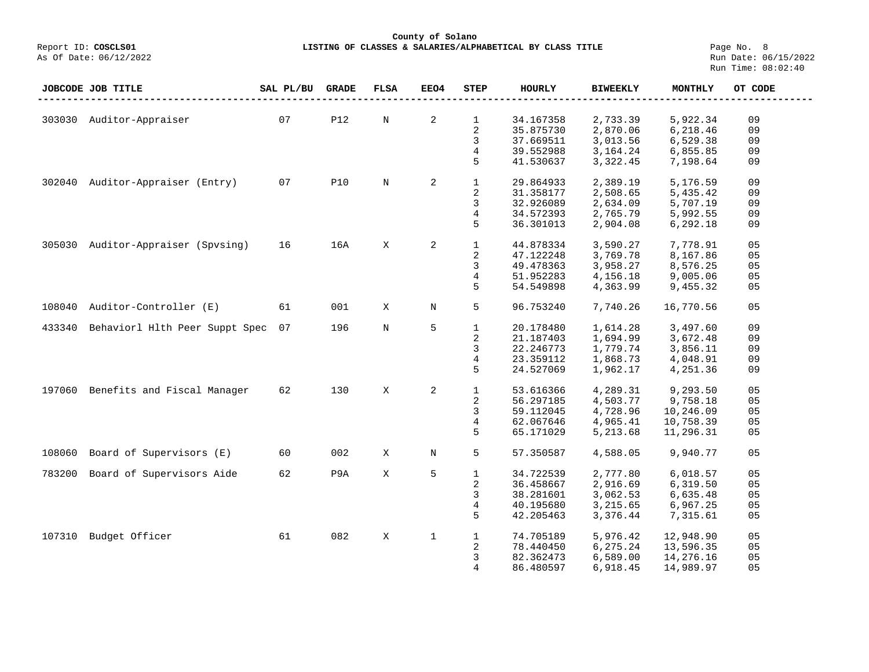**County of Solano**<br>Exercis LISTING OF CLASSES & SALARIES/ALPH COSCLS01 Report ID: **COSCLS01 LISTING OF CLASSES & SALARIES/ALPHABETICAL BY CLASS TITLE**<br>As Of Date: 06/12/2022

Page No. 8<br>Run Date: 06/15/2022 Run Time: 08:02:40

|        | JOBCODE JOB TITLE              | SAL PL/BU | <b>GRADE</b> | <b>FLSA</b> | EEO4    | STEP         | <b>HOURLY</b> | <b>BIWEEKLY</b>      | MONTHLY   | OT CODE |
|--------|--------------------------------|-----------|--------------|-------------|---------|--------------|---------------|----------------------|-----------|---------|
|        |                                |           |              |             |         |              |               |                      |           |         |
|        | 303030 Auditor-Appraiser       | 07        | <b>P12</b>   | N           | 2       | $\mathbf 1$  | 34.167358     | 2,733.39             | 5,922.34  | 09      |
|        |                                |           |              |             |         | 2            | 35.875730     | 2,870.06             | 6,218.46  | 09      |
|        |                                |           |              |             |         | 3            | 37.669511     | 3,013.56             | 6,529.38  | 09      |
|        |                                |           |              |             |         | 4            | 39.552988     | 3,164.24             | 6,855.85  | 09      |
|        |                                |           |              |             |         | 5            | 41.530637     | 3,322.45             | 7,198.64  | 09      |
| 302040 | Auditor-Appraiser (Entry)      | 07        | <b>P10</b>   | N           | 2       | 1            | 29.864933     | 2,389.19             | 5,176.59  | 09      |
|        |                                |           |              |             |         | 2            | 31.358177     | 2,508.65             | 5,435.42  | 09      |
|        |                                |           |              |             |         | 3            | 32.926089     | 2,634.09             | 5,707.19  | 09      |
|        |                                |           |              |             |         | 4            | 34.572393     | 2,765.79             | 5,992.55  | 09      |
|        |                                |           |              |             |         | 5            | 36.301013     |                      |           | 09      |
|        |                                |           |              |             |         |              |               | 2,904.08             | 6,292.18  |         |
| 305030 | Auditor-Appraiser (Spysing)    | 16        | 16A          | X           | 2       | $\mathbf{1}$ | 44.878334     | 3,590.27             | 7,778.91  | 05      |
|        |                                |           |              |             |         | 2            | 47.122248     | 3,769.78             | 8,167.86  | 05      |
|        |                                |           |              |             |         | 3            | 49.478363     | 3,958.27             | 8,576.25  | 05      |
|        |                                |           |              |             |         | 4            | 51.952283     | 4,156.18             | 9,005.06  | 05      |
|        |                                |           |              |             |         | 5            | 54.549898     | 4,363.99             | 9,455.32  | 05      |
|        |                                |           |              |             |         |              |               |                      |           |         |
| 108040 | Auditor-Controller (E)         | 61        | 001          | X           | $\rm N$ | 5            | 96.753240     | 7,740.26             | 16,770.56 | 05      |
| 433340 | Behaviorl Hlth Peer Suppt Spec | 07        | 196          | N           | 5       | $\mathbf{1}$ | 20.178480     | 1,614.28             | 3,497.60  | 09      |
|        |                                |           |              |             |         | 2            | 21.187403     | 1,694.99             | 3,672.48  | 09      |
|        |                                |           |              |             |         | 3            | 22.246773     | 1,779.74             | 3,856.11  | 09      |
|        |                                |           |              |             |         | 4            | 23.359112     | 1,868.73             | 4,048.91  | 09      |
|        |                                |           |              |             |         | 5            | 24.527069     | 1,962.17             | 4,251.36  | 09      |
|        |                                |           |              |             |         |              |               |                      |           |         |
| 197060 | Benefits and Fiscal Manager    | 62        | 130          | X           | 2       | $\mathbf 1$  | 53.616366     | 4,289.31             | 9,293.50  | 05      |
|        |                                |           |              |             |         | 2            | 56.297185     | 4,503.77             | 9,758.18  | 05      |
|        |                                |           |              |             |         | 3            | 59.112045     | 4,728.96             | 10,246.09 | 05      |
|        |                                |           |              |             |         | 4            | 62.067646     | 4,965.41             | 10,758.39 | 05      |
|        |                                |           |              |             |         | 5            | 65.171029     | 5,213.68             | 11,296.31 | 05      |
| 108060 | Board of Supervisors (E)       | 60        | 002          | X           | Ν       | 5            | 57.350587     | 4,588.05             | 9,940.77  | 05      |
| 783200 | Board of Supervisors Aide      | 62        | P9A          | Χ           | 5       | 1            | 34.722539     | 2,777.80             | 6,018.57  | 05      |
|        |                                |           |              |             |         | 2            | 36.458667     |                      | 6,319.50  | 05      |
|        |                                |           |              |             |         | 3            | 38.281601     | 2,916.69<br>3,062.53 | 6,635.48  | 05      |
|        |                                |           |              |             |         |              |               |                      |           |         |
|        |                                |           |              |             |         | 4<br>5       | 40.195680     | 3,215.65             | 6,967.25  | 05      |
|        |                                |           |              |             |         |              | 42.205463     | 3,376.44             | 7,315.61  | 05      |
| 107310 | Budget Officer                 | 61        | 082          | $\mathbf X$ | 1       | $\mathbf 1$  | 74.705189     | 5,976.42             | 12,948.90 | 05      |
|        |                                |           |              |             |         | 2            | 78.440450     | 6,275.24             | 13,596.35 | 05      |
|        |                                |           |              |             |         | 3            | 82.362473     | 6,589.00             | 14,276.16 | 05      |
|        |                                |           |              |             |         | 4            | 86.480597     | 6,918.45             | 14,989.97 | 05      |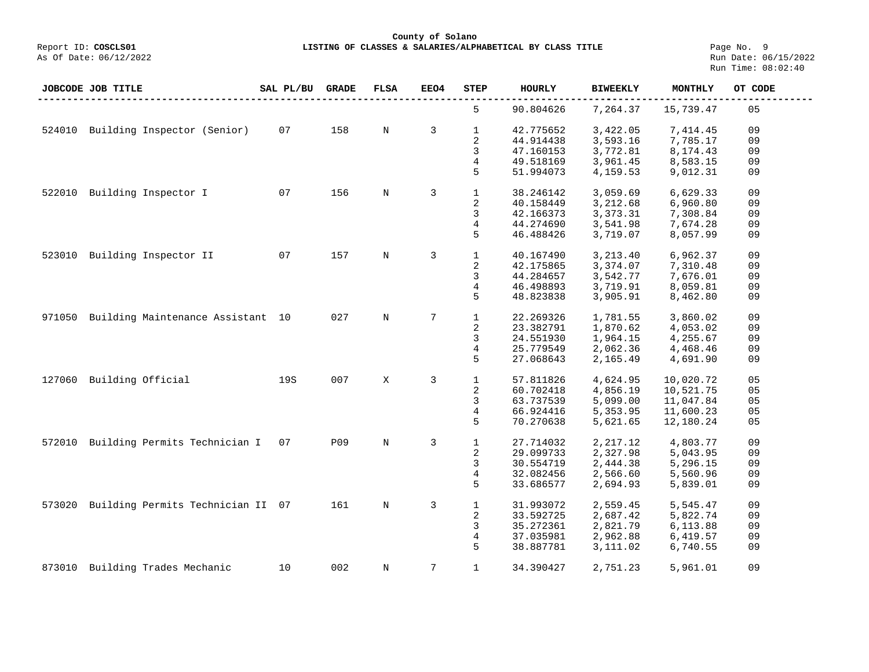**County of Solano**

**LISTING OF CLASSES & SALARIES/ALPHABETICAL BY CLASS TITLE** Page No. 9<br>Run Date: 06/15/2022 Run Time: 08:02:40

|        | JOBCODE JOB TITLE                 | SAL PL/BU | <b>GRADE</b> | FLSA        | <b>EEO4</b>     | <b>STEP</b>             | <b>HOURLY</b> | <b>BIWEEKLY</b> | MONTHLY   | OT CODE |
|--------|-----------------------------------|-----------|--------------|-------------|-----------------|-------------------------|---------------|-----------------|-----------|---------|
|        |                                   |           |              |             |                 | 5                       | 90.804626     | 7,264.37        | 15,739.47 | 05      |
| 524010 | Building Inspector (Senior)       | 07        | 158          | N           | 3               | $\mathbf{1}$            | 42.775652     | 3,422.05        | 7,414.45  | 09      |
|        |                                   |           |              |             |                 | 2                       | 44.914438     | 3,593.16        | 7,785.17  | 09      |
|        |                                   |           |              |             |                 | 3                       | 47.160153     | 3,772.81        | 8,174.43  | 09      |
|        |                                   |           |              |             |                 | 4                       | 49.518169     | 3,961.45        | 8,583.15  | 09      |
|        |                                   |           |              |             |                 | 5                       | 51.994073     | 4,159.53        | 9,012.31  | 09      |
|        |                                   |           |              |             |                 |                         |               |                 |           |         |
| 522010 | Building Inspector I              | 07        | 156          | N           | 3               | $\mathbf{1}$            | 38.246142     | 3,059.69        | 6,629.33  | 09      |
|        |                                   |           |              |             |                 | $\overline{\mathbf{c}}$ | 40.158449     | 3,212.68        | 6,960.80  | 09      |
|        |                                   |           |              |             |                 | 3                       | 42.166373     | 3,373.31        | 7,308.84  | 09      |
|        |                                   |           |              |             |                 | 4                       | 44.274690     | 3,541.98        | 7,674.28  | 09      |
|        |                                   |           |              |             |                 | 5                       | 46.488426     | 3,719.07        | 8,057.99  | 09      |
|        |                                   |           |              |             |                 |                         |               |                 |           |         |
| 523010 | Building Inspector II             | 07        | 157          | $\mathbb N$ | 3               | $\mathbf{1}$            | 40.167490     | 3,213.40        | 6,962.37  | 09      |
|        |                                   |           |              |             |                 | 2                       | 42.175865     | 3,374.07        | 7,310.48  | 09      |
|        |                                   |           |              |             |                 | 3                       | 44.284657     | 3,542.77        | 7,676.01  | 09      |
|        |                                   |           |              |             |                 | 4                       | 46.498893     | 3,719.91        | 8,059.81  | 09      |
|        |                                   |           |              |             |                 | 5                       | 48.823838     | 3,905.91        | 8,462.80  | 09      |
|        |                                   |           |              |             |                 |                         |               |                 |           |         |
| 971050 | Building Maintenance Assistant 10 |           | 027          | N           | 7               | $\mathbf{1}$            | 22.269326     | 1,781.55        | 3,860.02  | 09      |
|        |                                   |           |              |             |                 | 2                       | 23.382791     | 1,870.62        | 4,053.02  | 09      |
|        |                                   |           |              |             |                 | 3                       | 24.551930     | 1,964.15        | 4,255.67  | 09      |
|        |                                   |           |              |             |                 | 4                       | 25.779549     | 2,062.36        | 4,468.46  | 09      |
|        |                                   |           |              |             |                 | 5                       | 27.068643     | 2,165.49        | 4,691.90  | 09      |
|        |                                   |           |              |             |                 |                         |               |                 |           |         |
| 127060 | Building Official                 | 19S       | 007          | X           | 3               | $\mathbf{1}$            | 57.811826     | 4,624.95        | 10,020.72 | 05      |
|        |                                   |           |              |             |                 | 2                       | 60.702418     | 4,856.19        | 10,521.75 | 05      |
|        |                                   |           |              |             |                 | 3                       | 63.737539     | 5,099.00        | 11,047.84 | 05      |
|        |                                   |           |              |             |                 | 4                       | 66.924416     | 5,353.95        | 11,600.23 | 05      |
|        |                                   |           |              |             |                 | 5                       | 70.270638     | 5,621.65        | 12,180.24 | 05      |
|        |                                   |           |              |             |                 |                         |               |                 |           |         |
| 572010 | Building Permits Technician I     | 07        | P09          | $\mathbf N$ | 3               | $\mathbf{1}$            | 27.714032     | 2, 217.12       | 4,803.77  | 09      |
|        |                                   |           |              |             |                 | $\overline{\mathbf{c}}$ | 29.099733     | 2,327.98        | 5,043.95  | 09      |
|        |                                   |           |              |             |                 | 3                       | 30.554719     | 2,444.38        | 5,296.15  | 09      |
|        |                                   |           |              |             |                 | 4                       | 32.082456     | 2,566.60        | 5,560.96  | 09      |
|        |                                   |           |              |             |                 | 5                       | 33.686577     | 2,694.93        | 5,839.01  | 09      |
|        |                                   |           |              |             |                 |                         |               |                 |           |         |
| 573020 | Building Permits Technician II 07 |           | 161          | $\mathbb N$ | 3               | $\mathbf{1}$            | 31.993072     | 2,559.45        | 5,545.47  | 09      |
|        |                                   |           |              |             |                 | 2                       | 33.592725     | 2,687.42        | 5,822.74  | 09      |
|        |                                   |           |              |             |                 | 3                       | 35.272361     | 2,821.79        | 6,113.88  | 09      |
|        |                                   |           |              |             |                 | 4                       | 37.035981     | 2,962.88        | 6,419.57  | 09      |
|        |                                   |           |              |             |                 | 5                       | 38.887781     | 3,111.02        | 6,740.55  | 09      |
|        |                                   |           |              |             |                 |                         |               |                 |           |         |
| 873010 | Building Trades Mechanic          | 10        | 002          | N           | $7\overline{ }$ | $\mathbf{1}$            | 34.390427     | 2,751.23        | 5,961.01  | 09      |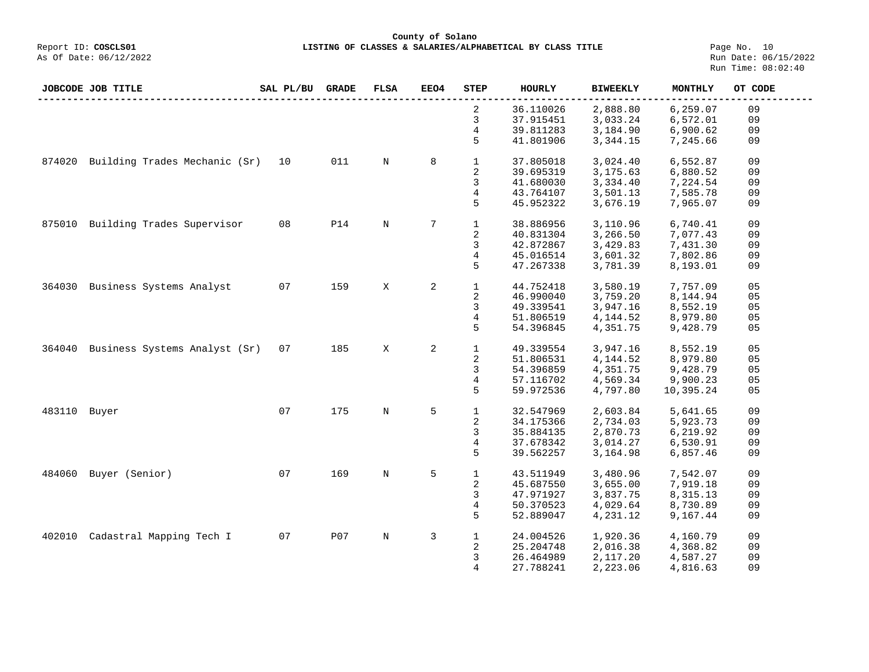**County of Solano**<br>Exercis LISTING OF CLASSES & SALARIES/ALPH COSCLS01 **LISTING OF CLASSES & SALARIES/ALPHABETICAL BY CLASS TITLE** Page No. 10<br>Run Date: 06/15/2022

| JOBCODE JOB TITLE                       | SAL PL/BU | <b>GRADE</b> | FLSA        | EEO4 | <b>STEP</b>    | <b>HOURLY</b> | <b>BIWEEKLY</b> | MONTHLY   | OT CODE |
|-----------------------------------------|-----------|--------------|-------------|------|----------------|---------------|-----------------|-----------|---------|
|                                         |           |              |             |      | 2              | 36.110026     | 2,888.80        | 6,259.07  | 09      |
|                                         |           |              |             |      | 3              | 37.915451     | 3,033.24        | 6,572.01  | 09      |
|                                         |           |              |             |      | 4              | 39.811283     | 3,184.90        | 6,900.62  | 09      |
|                                         |           |              |             |      | 5              | 41.801906     | 3,344.15        | 7,245.66  | 09      |
| Building Trades Mechanic (Sr)<br>874020 | 10        | 011          | $\mathbf N$ | 8    | $\mathbf{1}$   | 37.805018     | 3,024.40        | 6,552.87  | 09      |
|                                         |           |              |             |      | 2              | 39.695319     | 3,175.63        | 6,880.52  | 09      |
|                                         |           |              |             |      | 3              | 41.680030     | 3,334.40        | 7,224.54  | 09      |
|                                         |           |              |             |      | 4              | 43.764107     | 3,501.13        | 7,585.78  | 09      |
|                                         |           |              |             |      | 5              | 45.952322     | 3,676.19        | 7,965.07  | 09      |
| Building Trades Supervisor<br>875010    | 08        | <b>P14</b>   | $\mathbb N$ | 7    | $\mathbf{1}$   | 38.886956     | 3,110.96        | 6,740.41  | 09      |
|                                         |           |              |             |      | 2              | 40.831304     | 3,266.50        | 7,077.43  | 09      |
|                                         |           |              |             |      | 3              |               | 3,429.83        |           | 09      |
|                                         |           |              |             |      |                | 42.872867     |                 | 7,431.30  |         |
|                                         |           |              |             |      | 4              | 45.016514     | 3,601.32        | 7,802.86  | 09      |
|                                         |           |              |             |      | 5              | 47.267338     | 3,781.39        | 8,193.01  | 09      |
| Business Systems Analyst<br>364030      | 07        | 159          | X           | 2    | $\mathbf{1}$   | 44.752418     | 3,580.19        | 7,757.09  | 05      |
|                                         |           |              |             |      | 2              | 46.990040     | 3,759.20        | 8,144.94  | 05      |
|                                         |           |              |             |      | 3              | 49.339541     | 3,947.16        | 8,552.19  | 05      |
|                                         |           |              |             |      | 4              | 51.806519     | 4,144.52        | 8,979.80  | 05      |
|                                         |           |              |             |      | 5              | 54.396845     | 4,351.75        |           | 05      |
|                                         |           |              |             |      |                |               |                 | 9,428.79  |         |
| Business Systems Analyst (Sr)<br>364040 | 07        | 185          | X           | 2    | $\mathbf{1}$   | 49.339554     | 3,947.16        | 8,552.19  | 05      |
|                                         |           |              |             |      | 2              | 51.806531     | 4,144.52        | 8,979.80  | 05      |
|                                         |           |              |             |      | 3              | 54.396859     | 4,351.75        | 9,428.79  | 05      |
|                                         |           |              |             |      | 4              | 57.116702     | 4,569.34        | 9,900.23  | 05      |
|                                         |           |              |             |      | 5              | 59.972536     | 4,797.80        | 10,395.24 | 05      |
|                                         |           |              |             |      |                |               |                 |           |         |
| 483110 Buyer                            | 07        | 175          | $\mathbf N$ | 5    | $\mathbf{1}$   | 32.547969     | 2,603.84        | 5,641.65  | 09      |
|                                         |           |              |             |      | 2              | 34.175366     | 2,734.03        | 5,923.73  | 09      |
|                                         |           |              |             |      | 3              | 35.884135     | 2,870.73        | 6,219.92  | 09      |
|                                         |           |              |             |      | $\overline{4}$ | 37.678342     | 3,014.27        | 6,530.91  | 09      |
|                                         |           |              |             |      | 5              | 39.562257     | 3,164.98        | 6,857.46  | 09      |
|                                         |           |              |             |      |                |               |                 |           |         |
| Buyer (Senior)<br>484060                | 07        | 169          | N           | 5    | $\mathbf{1}$   | 43.511949     | 3,480.96        | 7,542.07  | 09      |
|                                         |           |              |             |      | 2              | 45.687550     | 3,655.00        | 7,919.18  | 09      |
|                                         |           |              |             |      | 3              | 47.971927     | 3,837.75        | 8,315.13  | 09      |
|                                         |           |              |             |      | 4              | 50.370523     | 4,029.64        | 8,730.89  | 09      |
|                                         |           |              |             |      | 5              | 52.889047     | 4,231.12        | 9,167.44  | 09      |
| Cadastral Mapping Tech I<br>402010      | 07        | P07          | N           | 3    | $\mathbf{1}$   | 24.004526     | 1,920.36        | 4,160.79  | 09      |
|                                         |           |              |             |      | 2              | 25.204748     | 2,016.38        | 4,368.82  | 09      |
|                                         |           |              |             |      | 3              | 26.464989     | 2,117.20        | 4,587.27  | 09      |
|                                         |           |              |             |      | 4              | 27.788241     | 2,223.06        | 4,816.63  | 09      |
|                                         |           |              |             |      |                |               |                 |           |         |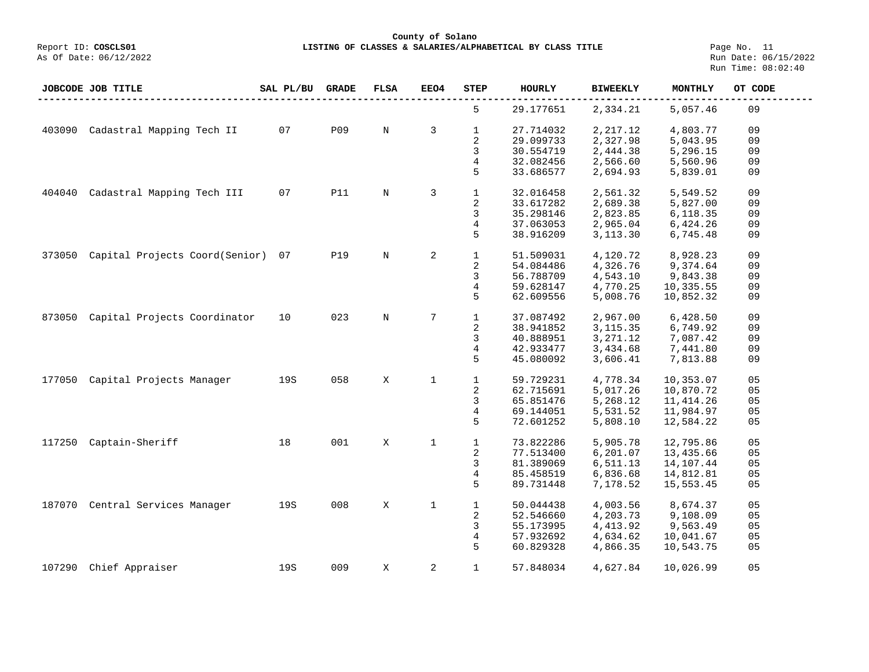**County of Solano**

**LISTING OF CLASSES & SALARIES/ALPHABETICAL BY CLASS TITLE** Page No. 11<br>Run Date: 06/15/2022 Run Time: 08:02:40

|        | JOBCODE JOB TITLE              | SAL PL/BU | <b>GRADE</b> | <b>FLSA</b> | EEO4         | STEP              | <b>HOURLY</b>          | <b>BIWEEKLY</b>      | MONTHLY              | OT CODE  |
|--------|--------------------------------|-----------|--------------|-------------|--------------|-------------------|------------------------|----------------------|----------------------|----------|
|        |                                |           |              |             |              | 5                 | 29.177651              | 2,334.21             | 5,057.46             | 09       |
| 403090 | Cadastral Mapping Tech II      | 07        | P09          | $\mathbf N$ | 3            | $\mathbf{1}$<br>2 | 27.714032<br>29.099733 | 2,217.12<br>2,327.98 | 4,803.77<br>5,043.95 | 09<br>09 |
|        |                                |           |              |             |              | 3                 | 30.554719              | 2,444.38             | 5,296.15             | 09       |
|        |                                |           |              |             |              | 4                 | 32.082456              | 2,566.60             | 5,560.96             | 09       |
|        |                                |           |              |             |              | 5                 | 33.686577              | 2,694.93             | 5,839.01             | 09       |
|        |                                |           |              |             |              |                   |                        |                      |                      |          |
| 404040 | Cadastral Mapping Tech III     | 07        | <b>P11</b>   | $\rm N$     | 3            | $\mathbf{1}$      | 32.016458              | 2,561.32             | 5,549.52             | 09       |
|        |                                |           |              |             |              | 2                 | 33.617282              | 2,689.38             | 5,827.00             | 09       |
|        |                                |           |              |             |              | 3                 | 35.298146              | 2,823.85             | 6,118.35             | 09       |
|        |                                |           |              |             |              | 4                 | 37.063053              | 2,965.04             | 6,424.26             | 09       |
|        |                                |           |              |             |              | 5                 | 38.916209              | 3,113.30             | 6,745.48             | 09       |
| 373050 | Capital Projects Coord(Senior) | 07        | <b>P19</b>   | $\mathbf N$ | 2            | $\mathbf{1}$      | 51.509031              | 4,120.72             | 8,928.23             | 09       |
|        |                                |           |              |             |              | 2                 | 54.084486              | 4,326.76             | 9,374.64             | 09       |
|        |                                |           |              |             |              | 3                 | 56.788709              | 4,543.10             | 9,843.38             | 09       |
|        |                                |           |              |             |              | 4                 | 59.628147              | 4,770.25             | 10,335.55            | 09       |
|        |                                |           |              |             |              | 5                 | 62.609556              | 5,008.76             | 10,852.32            | 09       |
|        |                                |           |              |             |              |                   |                        |                      |                      |          |
| 873050 | Capital Projects Coordinator   | 10        | 023          | $\mathbf N$ | 7            | $\mathbf{1}$      | 37.087492              | 2,967.00             | 6,428.50             | 09       |
|        |                                |           |              |             |              | $\sqrt{2}$        | 38.941852              | 3, 115.35            | 6,749.92             | 09       |
|        |                                |           |              |             |              | 3                 | 40.888951              | 3,271.12             | 7,087.42             | 09       |
|        |                                |           |              |             |              | 4                 | 42.933477              | 3,434.68             | 7,441.80             | 09       |
|        |                                |           |              |             |              | 5                 | 45.080092              | 3,606.41             | 7,813.88             | 09       |
| 177050 | Capital Projects Manager       | 19S       | 058          | X           | $\mathbf{1}$ | $\mathbf{1}$      | 59.729231              | 4,778.34             | 10,353.07            | 05       |
|        |                                |           |              |             |              | 2                 | 62.715691              | 5,017.26             | 10,870.72            | 05       |
|        |                                |           |              |             |              | 3                 | 65.851476              | 5,268.12             | 11, 414.26           | 05       |
|        |                                |           |              |             |              | 4                 | 69.144051              | 5,531.52             | 11,984.97            | 05       |
|        |                                |           |              |             |              | 5                 | 72.601252              | 5,808.10             | 12,584.22            | 05       |
| 117250 | Captain-Sheriff                | 18        | 001          | X           | $\mathbf 1$  | $\mathbf{1}$      | 73.822286              | 5,905.78             | 12,795.86            | 05       |
|        |                                |           |              |             |              | 2                 | 77.513400              | 6,201.07             | 13,435.66            | 05       |
|        |                                |           |              |             |              | 3                 | 81.389069              | 6,511.13             | 14,107.44            | 05       |
|        |                                |           |              |             |              | 4                 | 85.458519              | 6,836.68             | 14,812.81            | 05       |
|        |                                |           |              |             |              | 5                 | 89.731448              | 7,178.52             | 15,553.45            | 05       |
|        |                                |           |              |             |              |                   |                        |                      |                      |          |
| 187070 | Central Services Manager       | 19S       | 008          | X           | $\mathbf 1$  | $1\,$             | 50.044438              | 4,003.56             | 8,674.37             | 05       |
|        |                                |           |              |             |              | 2                 | 52.546660              | 4,203.73             | 9,108.09             | 05       |
|        |                                |           |              |             |              | 3                 | 55.173995              | 4,413.92             | 9,563.49             | 05       |
|        |                                |           |              |             |              | 4                 | 57.932692              | 4,634.62             | 10,041.67            | 05       |
|        |                                |           |              |             |              | 5                 | 60.829328              | 4,866.35             | 10,543.75            | 05       |
| 107290 | Chief Appraiser                | 19S       | 009          | X           | 2            | $\mathbf{1}$      | 57.848034              | 4,627.84             | 10,026.99            | 05       |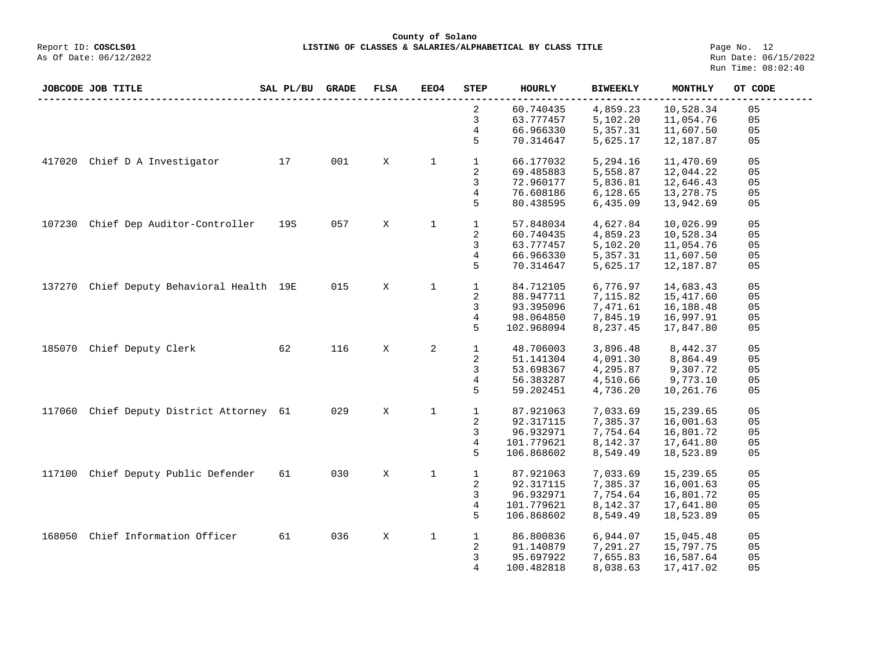**LISTING OF CLASSES & SALARIES/ALPHABETICAL BY CLASS TITLE** Page No. 12<br>Run Date: 06/15/2022 Run Time: 08:02:40

|        | JOBCODE JOB TITLE                  | SAL PL/BU | <b>GRADE</b> | <b>FLSA</b> | EEO4         | <b>STEP</b>  | <b>HOURLY</b> | <b>BIWEEKLY</b> | MONTHLY   | OT CODE        |
|--------|------------------------------------|-----------|--------------|-------------|--------------|--------------|---------------|-----------------|-----------|----------------|
|        |                                    |           |              |             |              | 2            | 60.740435     | 4,859.23        | 10,528.34 | 05             |
|        |                                    |           |              |             |              | 3            | 63.777457     | 5,102.20        | 11,054.76 | 05             |
|        |                                    |           |              |             |              | 4            | 66.966330     | 5,357.31        | 11,607.50 | 05             |
|        |                                    |           |              |             |              | 5            | 70.314647     | 5,625.17        | 12,187.87 | 05             |
| 417020 | Chief D A Investigator             | 17        | 001          | X           | 1            | $\mathbf{1}$ | 66.177032     | 5,294.16        | 11,470.69 | 05             |
|        |                                    |           |              |             |              | 2            | 69.485883     | 5,558.87        | 12,044.22 | 05             |
|        |                                    |           |              |             |              | 3            | 72.960177     | 5,836.81        | 12,646.43 | 05             |
|        |                                    |           |              |             |              | 4            | 76.608186     | 6,128.65        | 13,278.75 | 05             |
|        |                                    |           |              |             |              | 5            | 80.438595     | 6,435.09        | 13,942.69 | 05             |
| 107230 | Chief Dep Auditor-Controller       | 19S       | 057          | X           | $\mathbf 1$  | $\mathbf{1}$ | 57.848034     | 4,627.84        | 10,026.99 | 05             |
|        |                                    |           |              |             |              | 2            | 60.740435     | 4,859.23        | 10,528.34 | 05             |
|        |                                    |           |              |             |              | 3            | 63.777457     | 5,102.20        | 11,054.76 | 05             |
|        |                                    |           |              |             |              | 4            | 66.966330     | 5,357.31        | 11,607.50 | 05             |
|        |                                    |           |              |             |              | 5            | 70.314647     | 5,625.17        | 12,187.87 | 05             |
| 137270 | Chief Deputy Behavioral Health 19E |           | 015          | X           | 1            | $\mathbf{1}$ | 84.712105     | 6,776.97        | 14,683.43 | 05             |
|        |                                    |           |              |             |              | $\sqrt{2}$   | 88.947711     | 7,115.82        | 15,417.60 | 0 <sub>5</sub> |
|        |                                    |           |              |             |              | 3            | 93.395096     | 7,471.61        | 16,188.48 | 05             |
|        |                                    |           |              |             |              | 4            | 98.064850     | 7,845.19        | 16,997.91 | 05             |
|        |                                    |           |              |             |              | 5            | 102.968094    | 8,237.45        | 17,847.80 | 05             |
| 185070 | Chief Deputy Clerk                 | 62        | 116          | X           | 2            | $\mathbf{1}$ | 48.706003     | 3,896.48        | 8,442.37  | 05             |
|        |                                    |           |              |             |              | 2            | 51.141304     | 4,091.30        | 8,864.49  | 05             |
|        |                                    |           |              |             |              | 3            | 53.698367     | 4,295.87        | 9,307.72  | 05             |
|        |                                    |           |              |             |              | 4            | 56.383287     | 4,510.66        | 9,773.10  | 05             |
|        |                                    |           |              |             |              | 5            | 59.202451     | 4,736.20        | 10,261.76 | 05             |
| 117060 | Chief Deputy District Attorney     | 61        | 029          | X           | $\mathbf{1}$ | $\mathbf{1}$ | 87.921063     | 7,033.69        | 15,239.65 | 05             |
|        |                                    |           |              |             |              | 2            | 92.317115     | 7,385.37        | 16,001.63 | 05             |
|        |                                    |           |              |             |              | 3            | 96.932971     | 7,754.64        | 16,801.72 | 05             |
|        |                                    |           |              |             |              | 4            | 101.779621    | 8,142.37        | 17,641.80 | 05             |
|        |                                    |           |              |             |              | 5            | 106.868602    | 8,549.49        | 18,523.89 | 05             |
| 117100 | Chief Deputy Public Defender       | 61        | 030          | Χ           | $\mathbf 1$  | $\mathbf{1}$ | 87.921063     | 7,033.69        | 15,239.65 | 05             |
|        |                                    |           |              |             |              | 2            | 92.317115     | 7,385.37        | 16,001.63 | 05             |
|        |                                    |           |              |             |              | 3            | 96.932971     | 7,754.64        | 16,801.72 | 05             |
|        |                                    |           |              |             |              | 4            | 101.779621    | 8,142.37        | 17,641.80 | 05             |
|        |                                    |           |              |             |              | 5            | 106.868602    | 8,549.49        | 18,523.89 | 05             |
| 168050 | Chief Information Officer          | 61        | 036          | X           | $\mathbf 1$  | $\mathbf{1}$ | 86.800836     | 6,944.07        | 15,045.48 | 05             |
|        |                                    |           |              |             |              | 2            | 91.140879     | 7,291.27        | 15,797.75 | 05             |
|        |                                    |           |              |             |              | 3            | 95.697922     | 7,655.83        | 16,587.64 | 05             |
|        |                                    |           |              |             |              | 4            | 100.482818    | 8,038.63        | 17,417.02 | 05             |
|        |                                    |           |              |             |              |              |               |                 |           |                |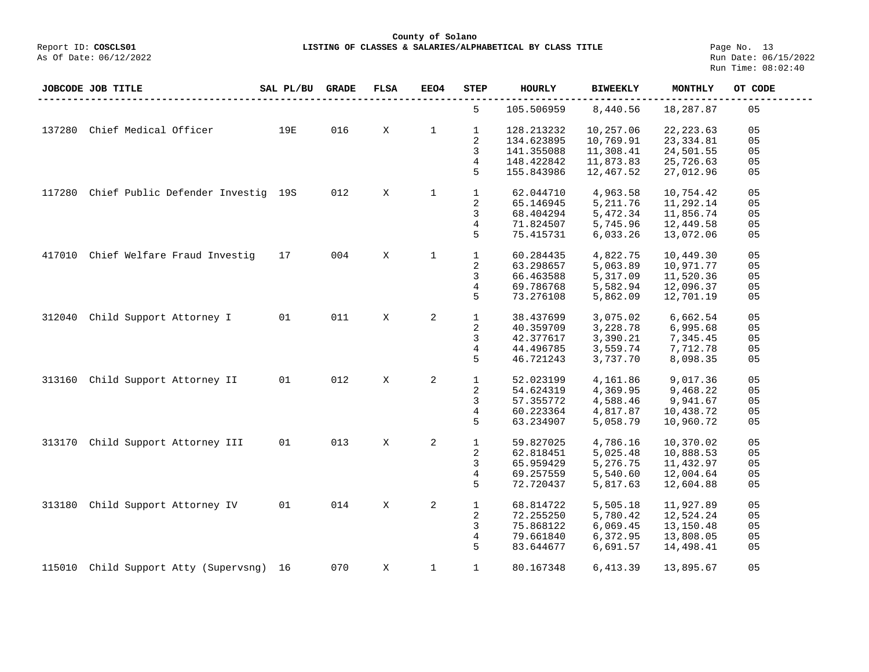**LISTING OF CLASSES & SALARIES/ALPHABETICAL BY CLASS TITLE** Page No. 13<br>Run Date: 06/15/2022 Run Time: 08:02:40

|        | JOBCODE JOB TITLE                  | SAL PL/BU | <b>GRADE</b> | <b>FLSA</b> | <b>EEO4</b>  | <b>STEP</b>  | <b>HOURLY</b> | <b>BIWEEKLY</b>      | MONTHLY    | OT CODE        |
|--------|------------------------------------|-----------|--------------|-------------|--------------|--------------|---------------|----------------------|------------|----------------|
|        |                                    |           |              |             |              | 5            | 105.506959    | 8,440.56             | 18,287.87  | 05             |
| 137280 | Chief Medical Officer              | 19E       | 016          | X           | $\mathbf{1}$ | $\mathbf{1}$ | 128.213232    | 10,257.06            | 22, 223.63 | 05             |
|        |                                    |           |              |             |              | 2            | 134.623895    | 10,769.91            | 23, 334.81 | 05             |
|        |                                    |           |              |             |              | 3            | 141.355088    | 11,308.41            | 24,501.55  | 05             |
|        |                                    |           |              |             |              | 4            | 148.422842    | 11,873.83            | 25,726.63  | 05             |
|        |                                    |           |              |             |              | 5            | 155.843986    | 12,467.52            | 27,012.96  | 05             |
| 117280 | Chief Public Defender Investig 19S |           | 012          | X           | $\mathbf{1}$ | $\mathbf{1}$ | 62.044710     | 4,963.58             | 10,754.42  | 05             |
|        |                                    |           |              |             |              | 2            | 65.146945     | 5, 211.76            | 11,292.14  | 05             |
|        |                                    |           |              |             |              | 3            | 68.404294     | 5,472.34             | 11,856.74  | 05             |
|        |                                    |           |              |             |              | 4            | 71.824507     | 5,745.96             | 12,449.58  | 05             |
|        |                                    |           |              |             |              | 5            | 75.415731     | 6,033.26             | 13,072.06  | 05             |
| 417010 | Chief Welfare Fraud Investig       | 17        | 004          | X           | $\mathbf{1}$ | $\mathbf{1}$ | 60.284435     | 4,822.75             | 10,449.30  | 05             |
|        |                                    |           |              |             |              | 2            | 63.298657     | 5,063.89             | 10,971.77  | 05             |
|        |                                    |           |              |             |              | 3            | 66.463588     | 5,317.09             | 11,520.36  | 05             |
|        |                                    |           |              |             |              | 4            | 69.786768     | 5,582.94             | 12,096.37  | 05             |
|        |                                    |           |              |             |              | 5            | 73.276108     | 5,862.09             |            | 05             |
|        |                                    |           |              |             |              |              |               |                      | 12,701.19  |                |
| 312040 | Child Support Attorney I           | 01        | 011          | X           | 2            | $\mathbf{1}$ | 38.437699     | 3,075.02             | 6,662.54   | 05             |
|        |                                    |           |              |             |              | 2            | 40.359709     | 3,228.78             | 6,995.68   | 05             |
|        |                                    |           |              |             |              | 3            | 42.377617     | 3,390.21             | 7,345.45   | 05             |
|        |                                    |           |              |             |              | 4            | 44.496785     | 3,559.74             | 7,712.78   | 05             |
|        |                                    |           |              |             |              | 5            | 46.721243     | 3,737.70             | 8,098.35   | 05             |
| 313160 | Child Support Attorney II          | 01        | 012          | X           | 2            | $\mathbf{1}$ | 52.023199     | 4,161.86             | 9,017.36   | 05             |
|        |                                    |           |              |             |              | 2            | 54.624319     | 4,369.95             | 9,468.22   | 05             |
|        |                                    |           |              |             |              | 3            | 57.355772     | 4,588.46             | 9,941.67   | 05             |
|        |                                    |           |              |             |              |              | 60.223364     |                      | 10,438.72  | 05             |
|        |                                    |           |              |             |              | 4<br>5       | 63.234907     | 4,817.87<br>5,058.79 | 10,960.72  | 05             |
|        | Child Support Attorney III         | 01        | 013          | X           | 2            | $\mathbf{1}$ |               |                      |            | 05             |
| 313170 |                                    |           |              |             |              |              | 59.827025     | 4,786.16             | 10,370.02  |                |
|        |                                    |           |              |             |              | 2            | 62.818451     | 5,025.48             | 10,888.53  | 05             |
|        |                                    |           |              |             |              | 3            | 65.959429     | 5,276.75             | 11,432.97  | 05             |
|        |                                    |           |              |             |              | 4            | 69.257559     | 5,540.60             | 12,004.64  | 05             |
|        |                                    |           |              |             |              | 5            | 72.720437     | 5,817.63             | 12,604.88  | 05             |
| 313180 | Child Support Attorney IV          | 01        | 014          | X           | 2            | $\mathbf{1}$ | 68.814722     | 5,505.18             | 11,927.89  | 05             |
|        |                                    |           |              |             |              | 2            | 72.255250     | 5,780.42             | 12,524.24  | 05             |
|        |                                    |           |              |             |              | 3            | 75.868122     | 6,069.45             | 13,150.48  | 0 <sub>5</sub> |
|        |                                    |           |              |             |              | 4            | 79.661840     | 6,372.95             | 13,808.05  | 05             |
|        |                                    |           |              |             |              | 5            | 83.644677     | 6,691.57             | 14,498.41  | 05             |
| 115010 | Child Support Atty (Supervsng) 16  |           | 070          | X           | $\mathbf 1$  | $\mathbf{1}$ | 80.167348     | 6,413.39             | 13,895.67  | 05             |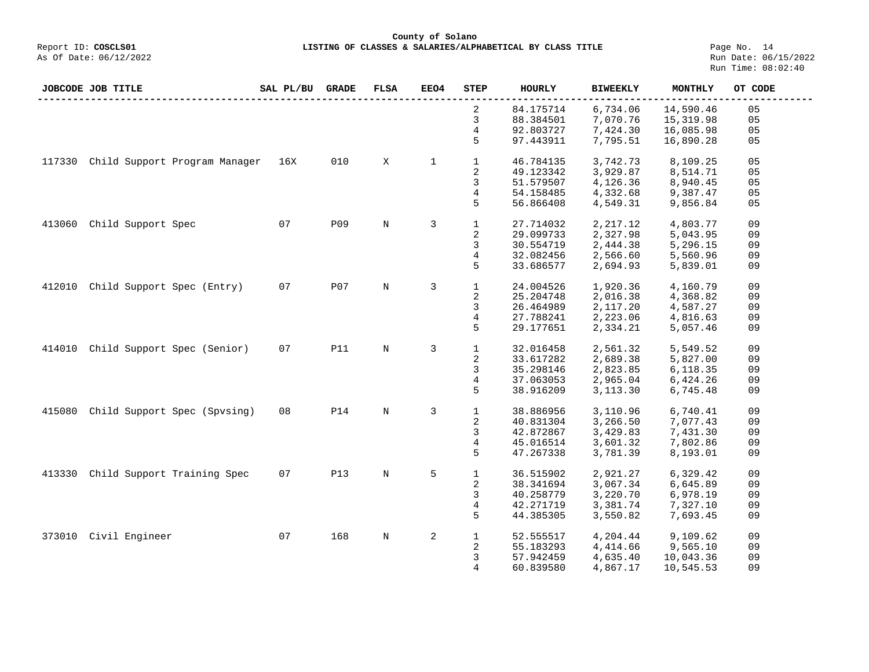**County of Solano LISTING OF CLASSES & SALARIES/ALPHABETICAL BY CLASS TITLE** Page No. 14<br>Run Date: 06/15/2022

|        | JOBCODE JOB TITLE             | SAL PL/BU | <b>GRADE</b> | FLSA        | <b>EEO4</b>  | <b>STEP</b>  | <b>HOURLY</b> | <b>BIWEEKLY</b> | MONTHLY   | OT CODE |
|--------|-------------------------------|-----------|--------------|-------------|--------------|--------------|---------------|-----------------|-----------|---------|
|        |                               |           |              |             |              | 2            | 84.175714     | 6,734.06        | 14,590.46 | 05      |
|        |                               |           |              |             |              | 3            | 88.384501     | 7,070.76        | 15,319.98 | 05      |
|        |                               |           |              |             |              | 4            | 92.803727     | 7,424.30        | 16,085.98 | 05      |
|        |                               |           |              |             |              | 5            | 97.443911     | 7,795.51        | 16,890.28 | 05      |
|        |                               |           |              |             |              |              |               |                 |           |         |
| 117330 | Child Support Program Manager | 16X       | $010$        | Χ           | $\mathbf{1}$ | $\mathbf{1}$ | 46.784135     | 3,742.73        | 8,109.25  | 05      |
|        |                               |           |              |             |              | 2            | 49.123342     | 3,929.87        | 8,514.71  | 05      |
|        |                               |           |              |             |              | 3            | 51.579507     | 4,126.36        | 8,940.45  | 05      |
|        |                               |           |              |             |              | 4            | 54.158485     | 4,332.68        | 9,387.47  | 05      |
|        |                               |           |              |             |              | 5            | 56.866408     | 4,549.31        | 9,856.84  | 05      |
|        |                               |           |              |             |              |              |               |                 |           |         |
| 413060 | Child Support Spec            | 07        | <b>P09</b>   | N           | 3            | $\mathbf{1}$ | 27.714032     | 2,217.12        | 4,803.77  | 09      |
|        |                               |           |              |             |              | 2            | 29.099733     | 2,327.98        | 5,043.95  | 09      |
|        |                               |           |              |             |              | 3            | 30.554719     | 2,444.38        | 5,296.15  | 09      |
|        |                               |           |              |             |              | 4            | 32.082456     | 2,566.60        | 5,560.96  | 09      |
|        |                               |           |              |             |              | 5            | 33.686577     |                 |           | 09      |
|        |                               |           |              |             |              |              |               | 2,694.93        | 5,839.01  |         |
| 412010 | Child Support Spec (Entry)    | 07        | <b>P07</b>   | $\mathbb N$ | 3            | $\mathbf{1}$ | 24.004526     | 1,920.36        | 4,160.79  | 09      |
|        |                               |           |              |             |              | 2            | 25.204748     | 2,016.38        | 4,368.82  | 09      |
|        |                               |           |              |             |              | 3            | 26.464989     | 2,117.20        | 4,587.27  | 09      |
|        |                               |           |              |             |              | 4            | 27.788241     | 2,223.06        | 4,816.63  | 09      |
|        |                               |           |              |             |              |              |               |                 |           |         |
|        |                               |           |              |             |              | 5            | 29.177651     | 2,334.21        | 5,057.46  | 09      |
| 414010 | Child Support Spec (Senior)   | 07        | <b>P11</b>   | $\mathbb N$ | 3            | $\mathbf{1}$ | 32.016458     | 2,561.32        | 5,549.52  | 09      |
|        |                               |           |              |             |              | 2            | 33.617282     | 2,689.38        | 5,827.00  | 09      |
|        |                               |           |              |             |              | 3            | 35.298146     | 2,823.85        | 6,118.35  | 09      |
|        |                               |           |              |             |              | 4            | 37.063053     | 2,965.04        | 6,424.26  | 09      |
|        |                               |           |              |             |              | 5            |               |                 |           | 09      |
|        |                               |           |              |             |              |              | 38.916209     | 3,113.30        | 6,745.48  |         |
| 415080 | Child Support Spec (Spvsing)  | 08        | <b>P14</b>   | $\mathbf N$ | 3            | $\mathbf{1}$ | 38.886956     | 3,110.96        | 6,740.41  | 09      |
|        |                               |           |              |             |              | 2            | 40.831304     | 3,266.50        | 7,077.43  | 09      |
|        |                               |           |              |             |              | 3            | 42.872867     | 3,429.83        | 7,431.30  | 09      |
|        |                               |           |              |             |              | 4            | 45.016514     |                 | 7,802.86  | 09      |
|        |                               |           |              |             |              |              |               | 3,601.32        |           |         |
|        |                               |           |              |             |              | 5            | 47.267338     | 3,781.39        | 8,193.01  | 09      |
| 413330 | Child Support Training Spec   | 07        | <b>P13</b>   | N           | 5            | $\mathbf{1}$ | 36.515902     | 2,921.27        | 6,329.42  | 09      |
|        |                               |           |              |             |              | 2            | 38.341694     | 3,067.34        | 6,645.89  | 09      |
|        |                               |           |              |             |              |              |               |                 |           |         |
|        |                               |           |              |             |              | 3            | 40.258779     | 3,220.70        | 6,978.19  | 09      |
|        |                               |           |              |             |              | 4            | 42.271719     | 3,381.74        | 7,327.10  | 09      |
|        |                               |           |              |             |              | 5            | 44.385305     | 3,550.82        | 7,693.45  | 09      |
| 373010 | Civil Engineer                | 07        | 168          | $\rm N$     | 2            | $\mathbf{1}$ | 52.555517     | 4,204.44        | 9,109.62  | 09      |
|        |                               |           |              |             |              | 2            | 55.183293     | 4,414.66        | 9,565.10  | 09      |
|        |                               |           |              |             |              |              |               |                 |           | 09      |
|        |                               |           |              |             |              | 3            | 57.942459     | 4,635.40        | 10,043.36 |         |
|        |                               |           |              |             |              | 4            | 60.839580     | 4,867.17        | 10,545.53 | 09      |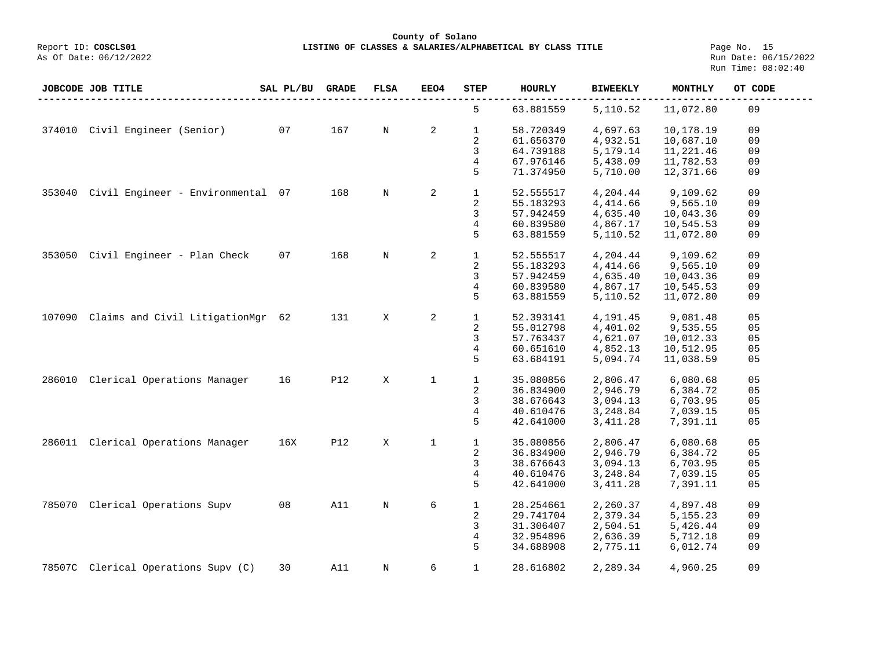**County of Solano**

**LISTING OF CLASSES & SALARIES/ALPHABETICAL BY CLASS TITLE** Page No. 15<br>Run Date: 06/15/2022 Run Time: 08:02:40

|        | <b>JOBCODE JOB TITLE</b>            | SAL PL/BU | <b>GRADE</b> | <b>FLSA</b> | EEO4        | <b>STEP</b>  | <b>HOURLY</b> | <b>BIWEEKLY</b> | MONTHLY   | OT CODE |
|--------|-------------------------------------|-----------|--------------|-------------|-------------|--------------|---------------|-----------------|-----------|---------|
|        |                                     |           |              |             |             | 5            | 63.881559     | 5,110.52        | 11,072.80 | 09      |
| 374010 | Civil Engineer (Senior)             | 07        | 167          | N           | 2           | $\mathbf 1$  | 58.720349     | 4,697.63        | 10,178.19 | 09      |
|        |                                     |           |              |             |             | 2            | 61.656370     | 4,932.51        | 10,687.10 | 09      |
|        |                                     |           |              |             |             | 3            | 64.739188     | 5,179.14        | 11,221.46 | 09      |
|        |                                     |           |              |             |             | 4            | 67.976146     | 5,438.09        | 11,782.53 | 09      |
|        |                                     |           |              |             |             | 5            | 71.374950     | 5,710.00        | 12,371.66 | 09      |
|        |                                     |           |              |             |             |              |               |                 |           |         |
| 353040 | Civil Engineer - Environmental 07   |           | 168          | $\mathbf N$ | 2           | $\mathbf{1}$ | 52.555517     | 4,204.44        | 9,109.62  | 09      |
|        |                                     |           |              |             |             | 2            | 55.183293     | 4,414.66        | 9,565.10  | 09      |
|        |                                     |           |              |             |             | 3            | 57.942459     | 4,635.40        | 10,043.36 | 09      |
|        |                                     |           |              |             |             | 4            | 60.839580     | 4,867.17        | 10,545.53 | 09      |
|        |                                     |           |              |             |             | 5            | 63.881559     | 5,110.52        | 11,072.80 | 09      |
|        |                                     |           |              |             |             |              |               |                 |           |         |
| 353050 | Civil Engineer - Plan Check         | 07        | 168          | $\mathbf N$ | 2           | $\mathbf{1}$ | 52.555517     | 4,204.44        | 9,109.62  | 09      |
|        |                                     |           |              |             |             | 2            | 55.183293     | 4, 414.66       | 9,565.10  | 09      |
|        |                                     |           |              |             |             | 3            | 57.942459     | 4,635.40        | 10,043.36 | 09      |
|        |                                     |           |              |             |             | 4            | 60.839580     | 4,867.17        | 10,545.53 | 09      |
|        |                                     |           |              |             |             | 5            | 63.881559     | 5,110.52        | 11,072.80 | 09      |
|        |                                     |           |              |             |             |              |               |                 |           |         |
| 107090 | Claims and Civil LitigationMgr      | - 62      | 131          | X           | 2           | $\mathbf{1}$ | 52.393141     | 4,191.45        | 9,081.48  | 05      |
|        |                                     |           |              |             |             | 2            | 55.012798     | 4,401.02        | 9,535.55  | 05      |
|        |                                     |           |              |             |             | 3            | 57.763437     | 4,621.07        | 10,012.33 | 05      |
|        |                                     |           |              |             |             | 4            | 60.651610     | 4,852.13        | 10,512.95 | 05      |
|        |                                     |           |              |             |             | 5            | 63.684191     | 5,094.74        | 11,038.59 | 05      |
|        |                                     |           |              |             |             |              |               |                 |           |         |
| 286010 | Clerical Operations Manager         | 16        | <b>P12</b>   | X           | $\mathbf 1$ | $\mathbf{1}$ | 35.080856     | 2,806.47        | 6,080.68  | 05      |
|        |                                     |           |              |             |             | 2            | 36.834900     | 2,946.79        | 6,384.72  | 05      |
|        |                                     |           |              |             |             | 3            | 38.676643     | 3,094.13        | 6,703.95  | 05      |
|        |                                     |           |              |             |             | 4            | 40.610476     | 3,248.84        | 7,039.15  | 05      |
|        |                                     |           |              |             |             | 5            | 42.641000     | 3, 411.28       | 7,391.11  | 05      |
|        |                                     |           |              |             |             |              |               |                 |           |         |
| 286011 | Clerical Operations Manager         | 16X       | <b>P12</b>   | X           | $\mathbf 1$ | $\mathbf{1}$ | 35.080856     | 2,806.47        | 6,080.68  | 05      |
|        |                                     |           |              |             |             | 2            | 36.834900     | 2,946.79        | 6,384.72  | 05      |
|        |                                     |           |              |             |             | 3            | 38.676643     | 3,094.13        | 6,703.95  | 05      |
|        |                                     |           |              |             |             | 4            | 40.610476     | 3,248.84        | 7,039.15  | 05      |
|        |                                     |           |              |             |             | 5            | 42.641000     | 3, 411.28       | 7,391.11  | 05      |
|        |                                     |           |              |             |             |              |               |                 |           |         |
| 785070 | Clerical Operations Supv            | 08        | A11          | $\mathbf N$ | 6           | $\mathbf 1$  | 28.254661     | 2,260.37        | 4,897.48  | 09      |
|        |                                     |           |              |             |             | 2            | 29.741704     | 2,379.34        | 5,155.23  | 09      |
|        |                                     |           |              |             |             | 3            | 31.306407     | 2,504.51        | 5,426.44  | 09      |
|        |                                     |           |              |             |             | 4            | 32.954896     | 2,636.39        | 5,712.18  | 09      |
|        |                                     |           |              |             |             | 5            | 34.688908     | 2,775.11        | 6,012.74  | 09      |
|        |                                     |           |              |             |             |              |               |                 |           |         |
|        | 78507C Clerical Operations Supv (C) | 30        | A11          | $\mathbf N$ | 6           | $\mathbf{1}$ | 28.616802     | 2,289.34        | 4,960.25  | 09      |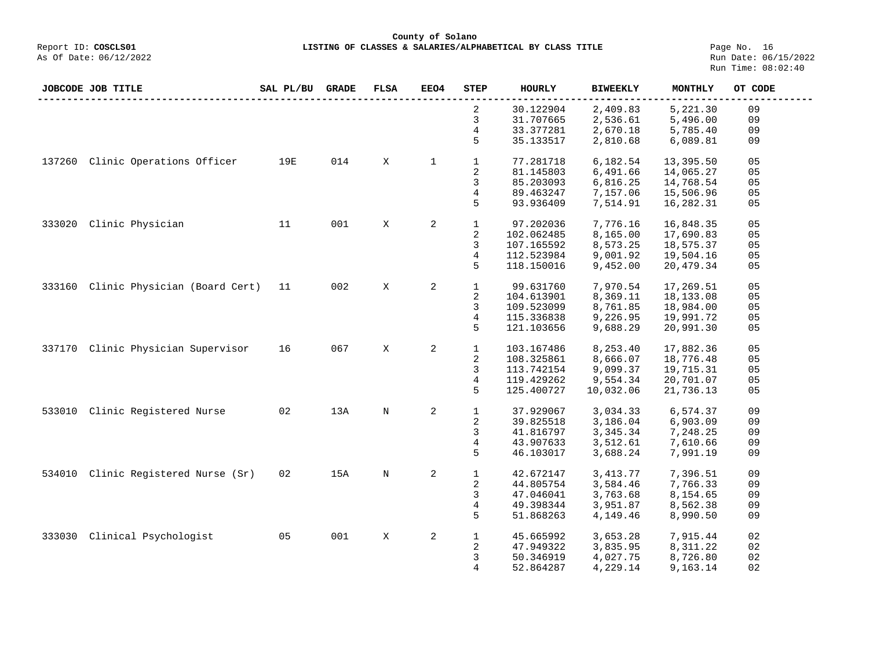#### **County of Solano**<br>Exercis LISTING OF CLASSES & SALARIES/ALPH (Report ID: COSCLS01 **LISTING OF CLASSES & SALARIES/ALPHABETICAL BY CLASS TITLE** Page No. 16<br>Run Date: 06/15/2022

|        | JOBCODE JOB TITLE             | SAL PL/BU | <b>GRADE</b> | <b>FLSA</b> | <b>EEO4</b>  | <b>STEP</b>    | <b>HOURLY</b> | <b>BIWEEKLY</b> | MONTHLY    | OT CODE |
|--------|-------------------------------|-----------|--------------|-------------|--------------|----------------|---------------|-----------------|------------|---------|
|        |                               |           |              |             |              | 2              | 30.122904     | 2,409.83        | 5,221.30   | 09      |
|        |                               |           |              |             |              | 3              | 31.707665     | 2,536.61        | 5,496.00   | 09      |
|        |                               |           |              |             |              | 4              | 33.377281     | 2,670.18        | 5,785.40   | 09      |
|        |                               |           |              |             |              | 5              | 35.133517     | 2,810.68        | 6,089.81   | 09      |
| 137260 | Clinic Operations Officer     | 19E       | 014          | X           | $\mathbf{1}$ | $\mathbf{1}$   | 77.281718     | 6,182.54        | 13,395.50  | 05      |
|        |                               |           |              |             |              | $\overline{2}$ | 81.145803     | 6,491.66        | 14,065.27  | 05      |
|        |                               |           |              |             |              | 3              | 85.203093     | 6,816.25        | 14,768.54  | 05      |
|        |                               |           |              |             |              | 4              | 89.463247     | 7,157.06        | 15,506.96  | 05      |
|        |                               |           |              |             |              | 5              | 93.936409     | 7,514.91        | 16,282.31  | 05      |
| 333020 | Clinic Physician              | 11        | 001          | X           | 2            | $\mathbf{1}$   | 97.202036     | 7,776.16        | 16,848.35  | 05      |
|        |                               |           |              |             |              | $\sqrt{2}$     | 102.062485    | 8,165.00        | 17,690.83  | 05      |
|        |                               |           |              |             |              | 3              | 107.165592    | 8,573.25        | 18,575.37  | 05      |
|        |                               |           |              |             |              | $\overline{4}$ | 112.523984    | 9,001.92        | 19,504.16  | 05      |
|        |                               |           |              |             |              | 5              | 118.150016    | 9,452.00        | 20,479.34  | 05      |
|        |                               |           |              |             |              |                |               |                 |            |         |
| 333160 | Clinic Physician (Board Cert) | 11        | 002          | X           | 2            | $\mathbf{1}$   | 99.631760     | 7,970.54        | 17,269.51  | 05      |
|        |                               |           |              |             |              | 2              | 104.613901    | 8,369.11        | 18, 133.08 | 05      |
|        |                               |           |              |             |              | 3              | 109.523099    | 8,761.85        | 18,984.00  | 05      |
|        |                               |           |              |             |              | 4              | 115.336838    | 9,226.95        | 19,991.72  | 05      |
|        |                               |           |              |             |              | 5              | 121.103656    | 9,688.29        | 20,991.30  | 05      |
| 337170 | Clinic Physician Supervisor   | 16        | 067          | X           | 2            | $\mathbf{1}$   | 103.167486    | 8,253.40        | 17,882.36  | 05      |
|        |                               |           |              |             |              | 2              | 108.325861    | 8,666.07        | 18,776.48  | 05      |
|        |                               |           |              |             |              | 3              | 113.742154    | 9,099.37        | 19,715.31  | 05      |
|        |                               |           |              |             |              | 4              | 119.429262    | 9,554.34        | 20,701.07  | 05      |
|        |                               |           |              |             |              | 5              | 125.400727    | 10,032.06       | 21,736.13  | 05      |
| 533010 | Clinic Registered Nurse       | 02        | 13A          | $\mathbf N$ | 2            | $\mathbf{1}$   | 37.929067     | 3,034.33        | 6,574.37   | 09      |
|        |                               |           |              |             |              | 2              | 39.825518     | 3,186.04        | 6,903.09   | 09      |
|        |                               |           |              |             |              | 3              | 41.816797     | 3,345.34        | 7,248.25   | 09      |
|        |                               |           |              |             |              | 4              | 43.907633     | 3,512.61        | 7,610.66   | 09      |
|        |                               |           |              |             |              | 5              | 46.103017     | 3,688.24        | 7,991.19   | 09      |
|        |                               |           |              |             |              |                |               |                 |            |         |
| 534010 | Clinic Registered Nurse (Sr)  | 02        | 15A          | $\rm N$     | $\mathbf{2}$ | $1\,$          | 42.672147     | 3, 413.77       | 7,396.51   | 09      |
|        |                               |           |              |             |              | 2              | 44.805754     | 3,584.46        | 7,766.33   | 09      |
|        |                               |           |              |             |              | 3              | 47.046041     | 3,763.68        | 8,154.65   | 09      |
|        |                               |           |              |             |              | 4              | 49.398344     | 3,951.87        | 8,562.38   | 09      |
|        |                               |           |              |             |              | 5              | 51.868263     | 4,149.46        | 8,990.50   | 09      |
|        |                               |           |              |             |              |                |               |                 |            |         |
| 333030 | Clinical Psychologist         | 05        | 001          | X           | 2            | $\mathbf{1}$   | 45.665992     | 3,653.28        | 7,915.44   | 02      |
|        |                               |           |              |             |              | 2              | 47.949322     | 3,835.95        | 8,311.22   | 02      |
|        |                               |           |              |             |              | 3              | 50.346919     | 4,027.75        | 8,726.80   | 02      |
|        |                               |           |              |             |              | 4              | 52.864287     | 4,229.14        | 9,163.14   | 02      |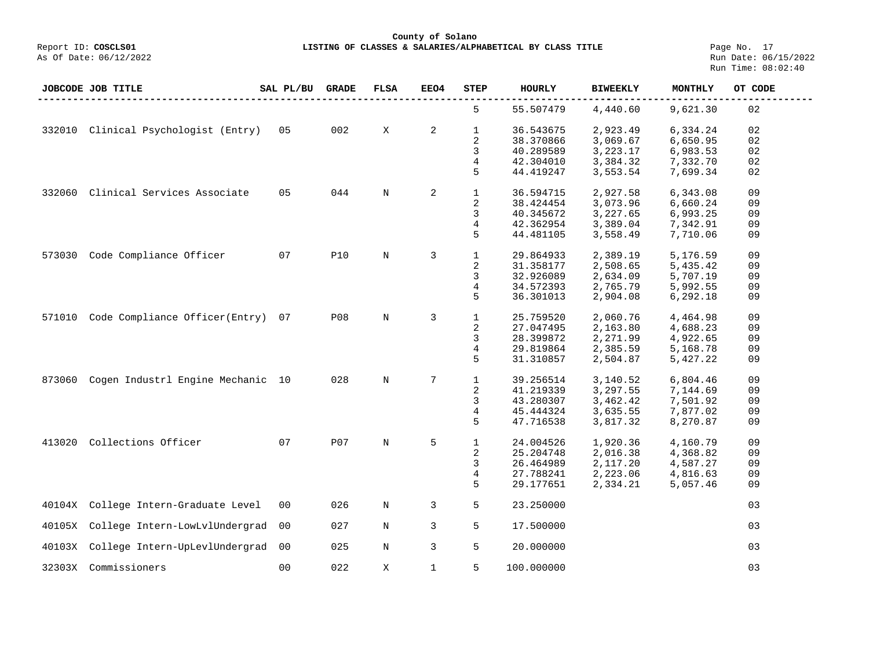**County of Solano**

**LISTING OF CLASSES & SALARIES/ALPHABETICAL BY CLASS TITLE** Page No. 17<br>Run Date: 06/15/2022 Run Time: 08:02:40

|        | <b>JOBCODE JOB TITLE</b>          | SAL PL/BU      | <b>GRADE</b> | <b>FLSA</b> | EEO4           | <b>STEP</b>  | <b>HOURLY</b> | <b>BIWEEKLY</b> | MONTHLY  | OT CODE |
|--------|-----------------------------------|----------------|--------------|-------------|----------------|--------------|---------------|-----------------|----------|---------|
|        |                                   |                |              |             |                | 5            | 55.507479     | 4,440.60        | 9,621.30 | 02      |
| 332010 | Clinical Psychologist (Entry)     | 05             | 002          | X           | $\overline{a}$ | $\mathbf{1}$ | 36.543675     | 2,923.49        | 6,334.24 | 02      |
|        |                                   |                |              |             |                | 2            | 38.370866     | 3,069.67        | 6,650.95 | 02      |
|        |                                   |                |              |             |                | 3            | 40.289589     | 3,223.17        | 6,983.53 | 02      |
|        |                                   |                |              |             |                | 4            | 42.304010     | 3,384.32        | 7,332.70 | 02      |
|        |                                   |                |              |             |                | 5            | 44.419247     | 3,553.54        | 7,699.34 | 02      |
| 332060 | Clinical Services Associate       | 05             | 044          | N           | 2              | $\mathbf{1}$ | 36.594715     | 2,927.58        | 6,343.08 | 09      |
|        |                                   |                |              |             |                | 2            | 38.424454     | 3,073.96        | 6,660.24 | 09      |
|        |                                   |                |              |             |                | 3            | 40.345672     | 3,227.65        | 6,993.25 | 09      |
|        |                                   |                |              |             |                | 4            | 42.362954     | 3,389.04        | 7,342.91 | 09      |
|        |                                   |                |              |             |                | 5            | 44.481105     | 3,558.49        | 7,710.06 | 09      |
| 573030 | Code Compliance Officer           | 07             | <b>P10</b>   | $\rm N$     | 3              | $\mathbf{1}$ | 29.864933     | 2,389.19        | 5,176.59 | 09      |
|        |                                   |                |              |             |                | 2            | 31.358177     | 2,508.65        | 5,435.42 | 09      |
|        |                                   |                |              |             |                | 3            | 32.926089     | 2,634.09        | 5,707.19 | 09      |
|        |                                   |                |              |             |                |              |               |                 |          |         |
|        |                                   |                |              |             |                | 4            | 34.572393     | 2,765.79        | 5,992.55 | 09      |
|        |                                   |                |              |             |                | 5            | 36.301013     | 2,904.08        | 6,292.18 | 09      |
| 571010 | Code Compliance Officer(Entry)    | 07             | <b>P08</b>   | $\rm N$     | 3              | $\mathbf 1$  | 25.759520     | 2,060.76        | 4,464.98 | 09      |
|        |                                   |                |              |             |                | 2            | 27.047495     | 2,163.80        | 4,688.23 | 09      |
|        |                                   |                |              |             |                | 3            | 28.399872     | 2,271.99        | 4,922.65 | 09      |
|        |                                   |                |              |             |                | 4            | 29.819864     | 2,385.59        | 5,168.78 | 09      |
|        |                                   |                |              |             |                | 5            | 31.310857     | 2,504.87        | 5,427.22 | 09      |
| 873060 | Cogen Industrl Engine Mechanic 10 |                | 028          | $\rm N$     | 7              | $\mathbf{1}$ | 39.256514     | 3,140.52        | 6,804.46 | 09      |
|        |                                   |                |              |             |                | 2            | 41.219339     | 3,297.55        | 7,144.69 | 09      |
|        |                                   |                |              |             |                | 3            | 43.280307     | 3,462.42        | 7,501.92 | 09      |
|        |                                   |                |              |             |                | 4            | 45.444324     | 3,635.55        | 7,877.02 | 09      |
|        |                                   |                |              |             |                | 5            | 47.716538     | 3,817.32        | 8,270.87 | 09      |
| 413020 | Collections Officer               | 07             | <b>P07</b>   | N           | 5              | $\mathbf{1}$ | 24.004526     | 1,920.36        | 4,160.79 | 09      |
|        |                                   |                |              |             |                | 2            | 25.204748     | 2,016.38        | 4,368.82 | 09      |
|        |                                   |                |              |             |                | 3            | 26.464989     | 2,117.20        | 4,587.27 | 09      |
|        |                                   |                |              |             |                | 4            | 27.788241     | 2,223.06        |          | 09      |
|        |                                   |                |              |             |                |              |               |                 | 4,816.63 |         |
|        |                                   |                |              |             |                | 5            | 29.177651     | 2,334.21        | 5,057.46 | 09      |
| 40104X | College Intern-Graduate Level     | 0 <sub>0</sub> | 026          | $\mathbb N$ | 3              | 5            | 23.250000     |                 |          | 03      |
| 40105X | College Intern-LowLvlUndergrad    | 0 <sub>0</sub> | 027          | $\rm N$     | 3              | 5            | 17.500000     |                 |          | 03      |
| 40103X | College Intern-UpLevlUndergrad    | 0 <sup>0</sup> | 025          | N           | 3              | 5            | 20.000000     |                 |          | 03      |
| 32303X | Commissioners                     | 0 <sub>0</sub> | 022          | X           | $\mathbf 1$    | 5            | 100.000000    |                 |          | 03      |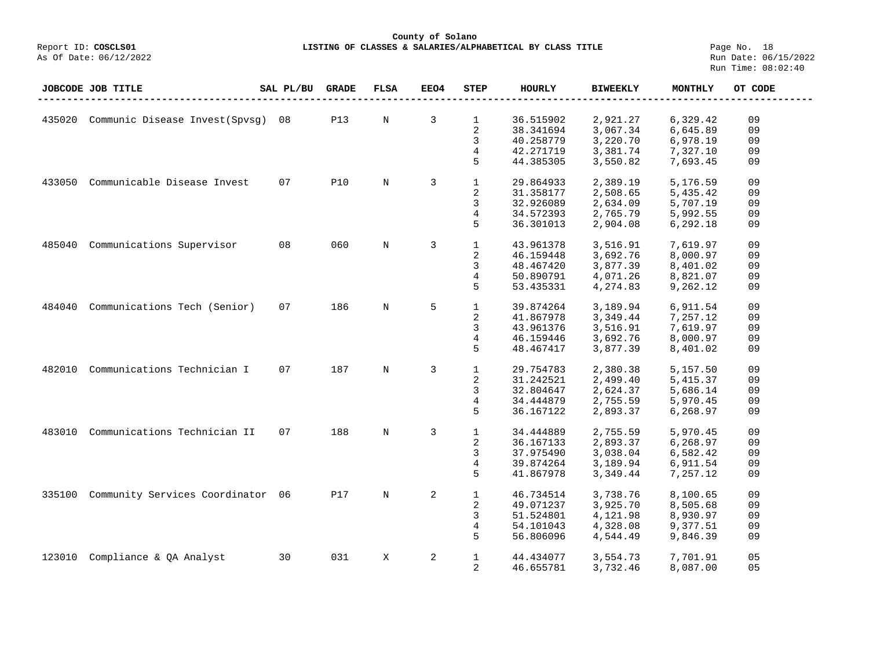## **County of Solano LISTING OF CLASSES & SALARIES/ALPHABETICAL BY CLASS TITLE** Page No. 18<br>Run Date: 06/15/2022

|        | <b>JOBCODE JOB TITLE</b>          | SAL PL/BU | <b>GRADE</b> | <b>FLSA</b> | EEO4 | <b>STEP</b>  | HOURLY    | <b>BIWEEKLY</b> | MONTHLY  | OT CODE |
|--------|-----------------------------------|-----------|--------------|-------------|------|--------------|-----------|-----------------|----------|---------|
|        |                                   |           |              |             |      |              |           |                 |          |         |
| 435020 | Communic Disease Invest (Spysq)   | 08        | <b>P13</b>   | N           | 3    | 1            | 36.515902 | 2,921.27        | 6,329.42 | 09      |
|        |                                   |           |              |             |      | 2            | 38.341694 | 3,067.34        | 6,645.89 | 09      |
|        |                                   |           |              |             |      | 3            | 40.258779 | 3,220.70        | 6,978.19 | 09      |
|        |                                   |           |              |             |      | 4            | 42.271719 | 3,381.74        | 7,327.10 | 09      |
|        |                                   |           |              |             |      | 5            | 44.385305 | 3,550.82        | 7,693.45 | 09      |
|        |                                   |           |              |             |      |              |           |                 |          |         |
| 433050 | Communicable Disease Invest       | 07        | <b>P10</b>   | $\mathbf N$ | 3    | $\mathbf{1}$ | 29.864933 | 2,389.19        | 5,176.59 | 09      |
|        |                                   |           |              |             |      | 2            | 31.358177 | 2,508.65        | 5,435.42 | 09      |
|        |                                   |           |              |             |      | 3            | 32.926089 | 2,634.09        | 5,707.19 | 09      |
|        |                                   |           |              |             |      | 4            | 34.572393 | 2,765.79        | 5,992.55 | 09      |
|        |                                   |           |              |             |      | 5            | 36.301013 | 2,904.08        | 6,292.18 | 09      |
|        |                                   |           |              |             |      |              |           |                 |          |         |
| 485040 | Communications Supervisor         | 08        | 060          | N           | 3    | $\mathbf{1}$ | 43.961378 | 3,516.91        | 7,619.97 | 09      |
|        |                                   |           |              |             |      | 2            | 46.159448 | 3,692.76        | 8,000.97 | 09      |
|        |                                   |           |              |             |      | 3            | 48.467420 | 3,877.39        | 8,401.02 | 09      |
|        |                                   |           |              |             |      | 4            | 50.890791 | 4,071.26        | 8,821.07 | 09      |
|        |                                   |           |              |             |      | 5            | 53.435331 | 4,274.83        | 9,262.12 | 09      |
|        |                                   |           |              |             |      |              |           |                 |          |         |
| 484040 | Communications Tech (Senior)      | 07        | 186          | $\rm N$     | 5    | $\mathbf{1}$ | 39.874264 | 3,189.94        | 6,911.54 | 09      |
|        |                                   |           |              |             |      | 2            | 41.867978 | 3,349.44        | 7,257.12 | 09      |
|        |                                   |           |              |             |      | 3            | 43.961376 | 3,516.91        | 7,619.97 | 09      |
|        |                                   |           |              |             |      | 4            | 46.159446 | 3,692.76        | 8,000.97 | 09      |
|        |                                   |           |              |             |      | 5            | 48.467417 | 3,877.39        | 8,401.02 | 09      |
|        |                                   |           |              |             |      |              |           |                 |          |         |
| 482010 | Communications Technician I       | 07        | 187          | $\rm N$     | 3    | $\mathbf{1}$ | 29.754783 | 2,380.38        | 5,157.50 | 09      |
|        |                                   |           |              |             |      | 2            | 31.242521 | 2,499.40        | 5,415.37 | 09      |
|        |                                   |           |              |             |      | 3            | 32.804647 | 2,624.37        | 5,686.14 | 09      |
|        |                                   |           |              |             |      | 4            | 34.444879 | 2,755.59        | 5,970.45 | 09      |
|        |                                   |           |              |             |      | 5            | 36.167122 | 2,893.37        | 6,268.97 | 09      |
|        |                                   |           |              |             |      |              |           |                 |          |         |
| 483010 | Communications Technician II      | 07        | 188          | $\mathbf N$ | 3    | $\mathbf{1}$ | 34.444889 | 2,755.59        | 5,970.45 | 09      |
|        |                                   |           |              |             |      | 2            | 36.167133 | 2,893.37        | 6,268.97 | 09      |
|        |                                   |           |              |             |      | 3            | 37.975490 | 3,038.04        | 6,582.42 | 09      |
|        |                                   |           |              |             |      | 4            | 39.874264 | 3,189.94        | 6,911.54 | 09      |
|        |                                   |           |              |             |      | 5            | 41.867978 | 3,349.44        | 7,257.12 | 09      |
|        |                                   |           |              |             |      |              |           |                 |          |         |
| 335100 | Community Services Coordinator 06 |           | P17          | $\mathbf N$ | 2    | $\mathbf{1}$ | 46.734514 | 3,738.76        | 8,100.65 | 09      |
|        |                                   |           |              |             |      | 2            | 49.071237 | 3,925.70        | 8,505.68 | 09      |
|        |                                   |           |              |             |      | 3            | 51.524801 | 4,121.98        | 8,930.97 | 09      |
|        |                                   |           |              |             |      | 4            | 54.101043 | 4,328.08        | 9,377.51 | 09      |
|        |                                   |           |              |             |      | 5            | 56.806096 | 4,544.49        | 9,846.39 | 09      |
|        |                                   |           |              |             |      |              |           |                 |          |         |
| 123010 | Compliance & QA Analyst           | 30        | 031          | X           | 2    | $\mathbf{1}$ | 44.434077 | 3,554.73        | 7,701.91 | 05      |
|        |                                   |           |              |             |      | 2            | 46.655781 | 3,732.46        | 8,087.00 | 05      |
|        |                                   |           |              |             |      |              |           |                 |          |         |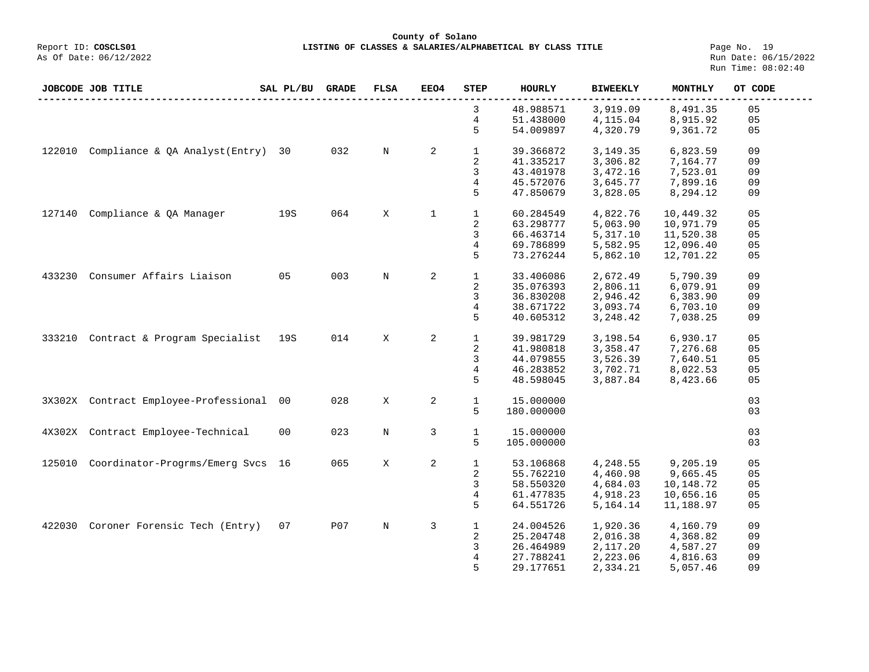**County of Solano**<br>Exercis LISTING OF CLASSES & SALARIES/ALPH COSCLS01 **LISTING OF CLASSES & SALARIES/ALPHABETICAL BY CLASS TITLE** Page No. 19<br>Run Date: 06/15/2022

| JOBCODE JOB TITLE |                                       | SAL PL/BU | <b>GRADE</b> | <b>FLSA</b> | EEO4        | STEP         | <b>HOURLY</b> | <b>BIWEEKLY</b> | MONTHLY   | OT CODE |
|-------------------|---------------------------------------|-----------|--------------|-------------|-------------|--------------|---------------|-----------------|-----------|---------|
|                   |                                       |           |              |             |             | 3            | 48.988571     | 3,919.09        | 8,491.35  | 05      |
|                   |                                       |           |              |             |             | 4            | 51.438000     | 4,115.04        | 8,915.92  | 05      |
|                   |                                       |           |              |             |             | 5            | 54.009897     | 4,320.79        | 9,361.72  | 05      |
| 122010            | Compliance & QA Analyst (Entry)       | 30        | 032          | N           | 2           | $\mathbf 1$  | 39.366872     | 3,149.35        | 6,823.59  | 09      |
|                   |                                       |           |              |             |             | 2            | 41.335217     | 3,306.82        | 7,164.77  | 09      |
|                   |                                       |           |              |             |             | 3            | 43.401978     | 3,472.16        | 7,523.01  | 09      |
|                   |                                       |           |              |             |             | 4            | 45.572076     | 3,645.77        | 7,899.16  | 09      |
|                   |                                       |           |              |             |             | 5            | 47.850679     | 3,828.05        | 8,294.12  | 09      |
| 127140            | Compliance & QA Manager               | 19S       | 064          | X           | $\mathbf 1$ | $\mathbf{1}$ | 60.284549     | 4,822.76        | 10,449.32 | 05      |
|                   |                                       |           |              |             |             | 2            | 63.298777     | 5,063.90        | 10,971.79 | 05      |
|                   |                                       |           |              |             |             | 3            | 66.463714     | 5,317.10        | 11,520.38 | 05      |
|                   |                                       |           |              |             |             | 4            | 69.786899     | 5,582.95        | 12,096.40 | 05      |
|                   |                                       |           |              |             |             | 5            | 73.276244     | 5,862.10        | 12,701.22 | 05      |
|                   |                                       |           |              |             |             |              |               |                 |           |         |
| 433230            | Consumer Affairs Liaison              | 05        | 003          | N           | 2           | $\mathbf{1}$ | 33.406086     | 2,672.49        | 5,790.39  | 09      |
|                   |                                       |           |              |             |             | 2            | 35.076393     | 2,806.11        | 6,079.91  | 09      |
|                   |                                       |           |              |             |             | 3            | 36.830208     | 2,946.42        | 6,383.90  | 09      |
|                   |                                       |           |              |             |             | 4            | 38.671722     | 3,093.74        | 6,703.10  | 09      |
|                   |                                       |           |              |             |             | 5            | 40.605312     | 3,248.42        | 7,038.25  | 09      |
|                   |                                       |           |              |             |             |              |               |                 |           |         |
| 333210            | Contract & Program Specialist         | 19S       | 014          | X           | 2           | $\mathbf 1$  | 39.981729     | 3,198.54        | 6,930.17  | 05      |
|                   |                                       |           |              |             |             | 2            | 41.980818     | 3,358.47        | 7,276.68  | 05      |
|                   |                                       |           |              |             |             | 3            | 44.079855     | 3,526.39        | 7,640.51  | 05      |
|                   |                                       |           |              |             |             | 4            | 46.283852     | 3,702.71        | 8,022.53  | 05      |
|                   |                                       |           |              |             |             | 5            | 48.598045     | 3,887.84        | 8,423.66  | 05      |
|                   | 3X302X Contract Employee-Professional | 00        | 028          | X           | 2           | $\mathbf{1}$ | 15.000000     |                 |           | 03      |
|                   |                                       |           |              |             |             | 5            | 180.000000    |                 |           | 03      |
|                   |                                       |           |              |             |             |              |               |                 |           |         |
|                   | 4X302X Contract Employee-Technical    | 00        | 023          | N           | 3           | $\mathbf 1$  | 15.000000     |                 |           | 03      |
|                   |                                       |           |              |             |             | 5            | 105.000000    |                 |           | 03      |
| 125010            | Coordinator-Progrms/Emerg Svcs        | 16        | 065          | Χ           | 2           | $\mathbf 1$  | 53.106868     | 4,248.55        | 9,205.19  | 05      |
|                   |                                       |           |              |             |             | 2            | 55.762210     | 4,460.98        | 9,665.45  | 05      |
|                   |                                       |           |              |             |             | 3            | 58.550320     | 4,684.03        | 10,148.72 | 05      |
|                   |                                       |           |              |             |             | 4            | 61.477835     | 4,918.23        | 10,656.16 | 05      |
|                   |                                       |           |              |             |             | 5            | 64.551726     | 5,164.14        | 11,188.97 | 05      |
|                   |                                       |           |              |             |             |              |               |                 |           |         |
| 422030            | Coroner Forensic Tech (Entry)         | 07        | <b>P07</b>   | N           | 3           | $\mathbf{1}$ | 24.004526     | 1,920.36        | 4,160.79  | 09      |
|                   |                                       |           |              |             |             | 2            | 25.204748     | 2,016.38        | 4,368.82  | 09      |
|                   |                                       |           |              |             |             | 3            | 26.464989     | 2,117.20        | 4,587.27  | 09      |
|                   |                                       |           |              |             |             | 4            | 27.788241     | 2,223.06        | 4,816.63  | 09      |
|                   |                                       |           |              |             |             | 5            | 29.177651     | 2,334.21        | 5,057.46  | 09      |
|                   |                                       |           |              |             |             |              |               |                 |           |         |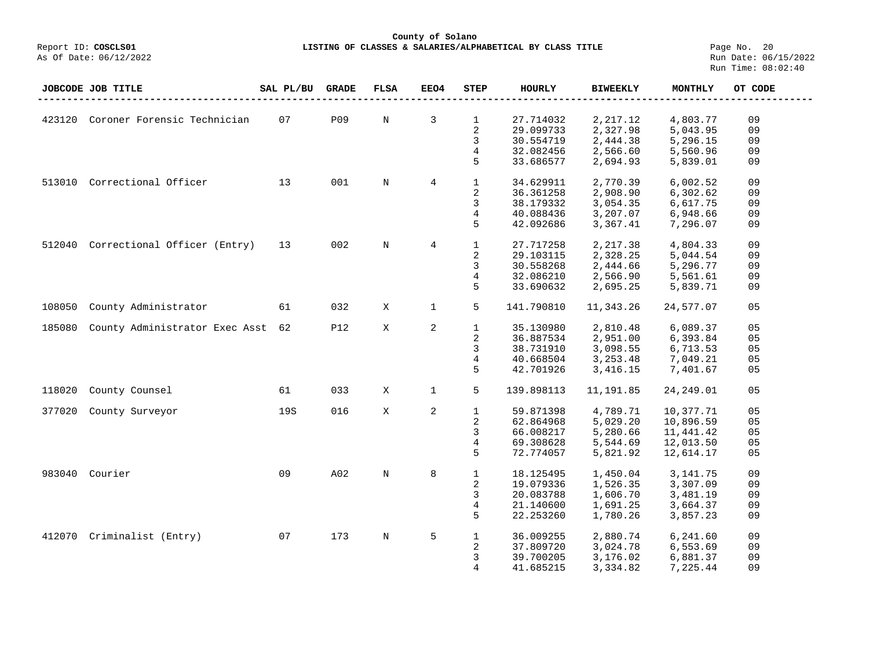#### **County of Solano**<br>Exercis LISTING OF CLASSES & SALARIES/ALPH (Report ID: COSCLS01 **LISTING OF CLASSES & SALARIES/ALPHABETICAL BY CLASS TITLE Page No. 20**<br>Run Date: 06/15/2022

|        | JOBCODE JOB TITLE                 | SAL PL/BU | <b>GRADE</b> | <b>FLSA</b> | EEO4           | <b>STEP</b>                                           | <b>HOURLY</b>                                                 | <b>BIWEEKLY</b>                                           | <b>MONTHLY</b>                                                | OT CODE                    |
|--------|-----------------------------------|-----------|--------------|-------------|----------------|-------------------------------------------------------|---------------------------------------------------------------|-----------------------------------------------------------|---------------------------------------------------------------|----------------------------|
| 423120 | Coroner Forensic Technician       | 07        | <b>P09</b>   | $\mathbf N$ | 3              | $\mathbf{1}$<br>$\overline{c}$                        | 27.714032<br>29.099733                                        | 2,217.12<br>2,327.98                                      | 4,803.77<br>5,043.95                                          | 09<br>09                   |
|        |                                   |           |              |             |                | 3<br>4<br>5                                           | 30.554719<br>32.082456<br>33.686577                           | 2,444.38<br>2,566.60<br>2,694.93                          | 5,296.15<br>5,560.96<br>5,839.01                              | 09<br>09<br>09             |
| 513010 | Correctional Officer              | 13        | 001          | $\mathbf N$ | $\overline{4}$ | $\mathbf{1}$<br>2<br>3<br>4<br>5                      | 34.629911<br>36.361258<br>38.179332<br>40.088436<br>42.092686 | 2,770.39<br>2,908.90<br>3,054.35<br>3,207.07<br>3,367.41  | 6,002.52<br>6,302.62<br>6,617.75<br>6,948.66<br>7,296.07      | 09<br>09<br>09<br>09<br>09 |
| 512040 | Correctional Officer (Entry)      | 13        | 002          | $\rm N$     | $\overline{4}$ | $\mathbf 1$<br>$\overline{\mathbf{c}}$<br>3<br>4<br>5 | 27.717258<br>29.103115<br>30.558268<br>32.086210<br>33.690632 | 2,217.38<br>2,328.25<br>2,444.66<br>2,566.90<br>2,695.25  | 4,804.33<br>5,044.54<br>5,296.77<br>5,561.61<br>5,839.71      | 09<br>09<br>09<br>09<br>09 |
| 108050 | County Administrator              | 61        | 032          | X           | 1              | 5                                                     | 141.790810                                                    | 11,343.26                                                 | 24,577.07                                                     | 0 <sub>5</sub>             |
| 185080 | County Administrator Exec Asst 62 |           | <b>P12</b>   | X           | 2              | $\mathbf 1$<br>2<br>3<br>4<br>5                       | 35.130980<br>36.887534<br>38.731910<br>40.668504<br>42.701926 | 2,810.48<br>2,951.00<br>3,098.55<br>3, 253.48<br>3,416.15 | 6,089.37<br>6,393.84<br>6,713.53<br>7,049.21<br>7,401.67      | 05<br>05<br>05<br>05<br>05 |
| 118020 | County Counsel                    | 61        | 033          | X           | 1              | 5                                                     | 139.898113                                                    | 11,191.85                                                 | 24, 249.01                                                    | 05                         |
| 377020 | County Surveyor                   | 19S       | 016          | X           | 2              | $\mathbf{1}$<br>2<br>3<br>4<br>5                      | 59.871398<br>62.864968<br>66.008217<br>69.308628<br>72.774057 | 4,789.71<br>5,029.20<br>5,280.66<br>5,544.69<br>5,821.92  | 10,377.71<br>10,896.59<br>11,441.42<br>12,013.50<br>12,614.17 | 05<br>05<br>05<br>05<br>05 |
| 983040 | Courier                           | 09        | A02          | $\rm N$     | 8              | $\mathbf 1$<br>2<br>3<br>4<br>5                       | 18.125495<br>19.079336<br>20.083788<br>21.140600<br>22.253260 | 1,450.04<br>1,526.35<br>1,606.70<br>1,691.25<br>1,780.26  | 3, 141.75<br>3,307.09<br>3,481.19<br>3,664.37<br>3,857.23     | 09<br>09<br>09<br>09<br>09 |
| 412070 | Criminalist (Entry)               | 07        | 173          | $\rm N$     | 5              | $\mathbf{1}$<br>2<br>3<br>4                           | 36.009255<br>37.809720<br>39.700205<br>41.685215              | 2,880.74<br>3,024.78<br>3,176.02<br>3,334.82              | 6,241.60<br>6,553.69<br>6,881.37<br>7,225.44                  | 09<br>09<br>09<br>09       |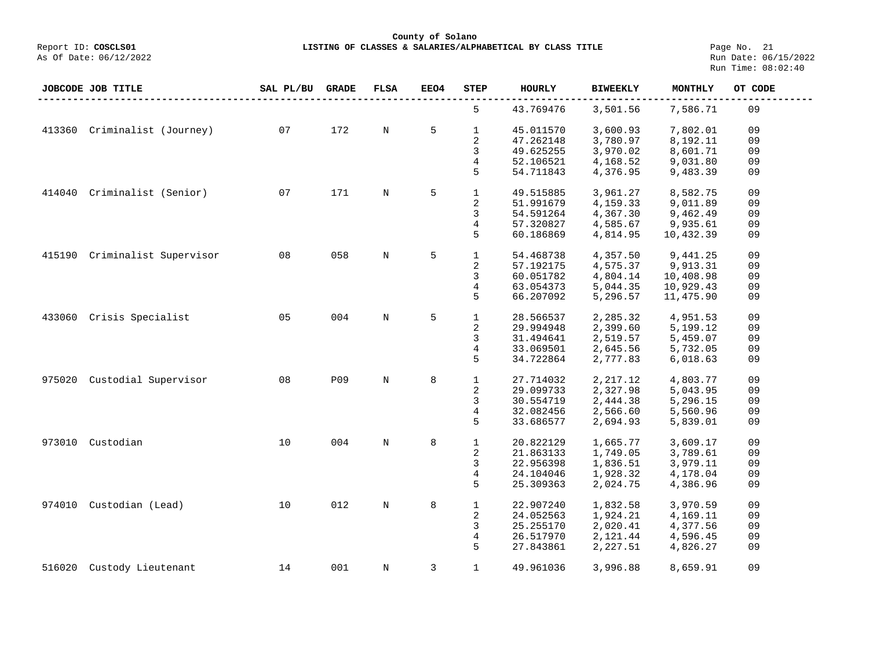**County of Solano**

**LISTING OF CLASSES & SALARIES/ALPHABETICAL BY CLASS TITLE** Page No. 21<br>Run Date: 06/15/2022 Run Time: 08:02:40

|        | JOBCODE JOB TITLE      | SAL PL/BU | <b>GRADE</b> | <b>FLSA</b> | <b>EEO4</b> | <b>STEP</b>    | <b>HOURLY</b> | <b>BIWEEKLY</b> | <b>MONTHLY</b> | OT CODE |
|--------|------------------------|-----------|--------------|-------------|-------------|----------------|---------------|-----------------|----------------|---------|
|        |                        |           |              |             |             | 5              | 43.769476     | 3,501.56        | 7,586.71       | 09      |
| 413360 | Criminalist (Journey)  | 07        | 172          | $\mathbf N$ | 5           | $\mathbf{1}$   | 45.011570     | 3,600.93        | 7,802.01       | 09      |
|        |                        |           |              |             |             | 2              | 47.262148     | 3,780.97        | 8,192.11       | 09      |
|        |                        |           |              |             |             | 3              | 49.625255     | 3,970.02        | 8,601.71       | 09      |
|        |                        |           |              |             |             | 4              | 52.106521     | 4,168.52        | 9,031.80       | 09      |
|        |                        |           |              |             |             | 5              | 54.711843     | 4,376.95        | 9,483.39       | 09      |
| 414040 | Criminalist (Senior)   | 07        | 171          | $\rm N$     | 5           | $\mathbf{1}$   | 49.515885     | 3,961.27        | 8,582.75       | 09      |
|        |                        |           |              |             |             | 2              | 51.991679     | 4,159.33        | 9,011.89       | 09      |
|        |                        |           |              |             |             | 3              | 54.591264     | 4,367.30        | 9,462.49       | 09      |
|        |                        |           |              |             |             | 4              | 57.320827     | 4,585.67        | 9,935.61       | 09      |
|        |                        |           |              |             |             | 5              |               |                 |                |         |
|        |                        |           |              |             |             |                | 60.186869     | 4,814.95        | 10,432.39      | 09      |
| 415190 | Criminalist Supervisor | 08        | 058          | $\rm N$     | 5           | $\mathbf{1}$   | 54.468738     | 4,357.50        | 9,441.25       | 09      |
|        |                        |           |              |             |             | 2              | 57.192175     | 4,575.37        | 9,913.31       | 09      |
|        |                        |           |              |             |             | 3              | 60.051782     | 4,804.14        | 10,408.98      | 09      |
|        |                        |           |              |             |             | 4              | 63.054373     | 5,044.35        | 10,929.43      | 09      |
|        |                        |           |              |             |             | 5              | 66.207092     | 5,296.57        | 11,475.90      | 09      |
|        |                        |           |              |             |             |                |               |                 |                |         |
| 433060 | Crisis Specialist      | 05        | 004          | $\mathbf N$ | 5           | $\mathbf{1}$   | 28.566537     | 2,285.32        | 4,951.53       | 09      |
|        |                        |           |              |             |             | 2              | 29.994948     | 2,399.60        | 5,199.12       | 09      |
|        |                        |           |              |             |             | 3              | 31.494641     | 2,519.57        | 5,459.07       | 09      |
|        |                        |           |              |             |             | 4              | 33.069501     | 2,645.56        | 5,732.05       | 09      |
|        |                        |           |              |             |             | 5              | 34.722864     | 2,777.83        | 6,018.63       | 09      |
|        |                        |           | P09          |             |             |                |               |                 |                |         |
| 975020 | Custodial Supervisor   | 08        |              | $\mathbf N$ | 8           | $\mathbf{1}$   | 27.714032     | 2, 217.12       | 4,803.77       | 09      |
|        |                        |           |              |             |             | 2              | 29.099733     | 2,327.98        | 5,043.95       | 09      |
|        |                        |           |              |             |             | 3              | 30.554719     | 2,444.38        | 5,296.15       | 09      |
|        |                        |           |              |             |             | 4              | 32.082456     | 2,566.60        | 5,560.96       | 09      |
|        |                        |           |              |             |             | 5              | 33.686577     | 2,694.93        | 5,839.01       | 09      |
| 973010 | Custodian              | 10        | 004          | $_{\rm N}$  | 8           | $\mathbf{1}$   | 20.822129     | 1,665.77        | 3,609.17       | 09      |
|        |                        |           |              |             |             | 2              | 21.863133     | 1,749.05        | 3,789.61       | 09      |
|        |                        |           |              |             |             | 3              | 22.956398     | 1,836.51        | 3,979.11       | 09      |
|        |                        |           |              |             |             | $\overline{4}$ | 24.104046     | 1,928.32        | 4,178.04       | 09      |
|        |                        |           |              |             |             | 5              | 25.309363     | 2,024.75        | 4,386.96       | 09      |
|        |                        |           |              |             |             |                |               |                 |                |         |
| 974010 | Custodian (Lead)       | 10        | 012          | $\rm N$     | 8           | $\mathbf{1}$   | 22.907240     | 1,832.58        | 3,970.59       | 09      |
|        |                        |           |              |             |             | 2              | 24.052563     | 1,924.21        | 4,169.11       | 09      |
|        |                        |           |              |             |             | 3              | 25.255170     | 2,020.41        | 4,377.56       | 09      |
|        |                        |           |              |             |             | 4              | 26.517970     | 2,121.44        | 4,596.45       | 09      |
|        |                        |           |              |             |             | 5              | 27.843861     | 2,227.51        | 4,826.27       | 09      |
| 516020 | Custody Lieutenant     | 14        | 001          | $_{\rm N}$  | 3           | $\mathbf 1$    | 49.961036     | 3,996.88        | 8,659.91       | 09      |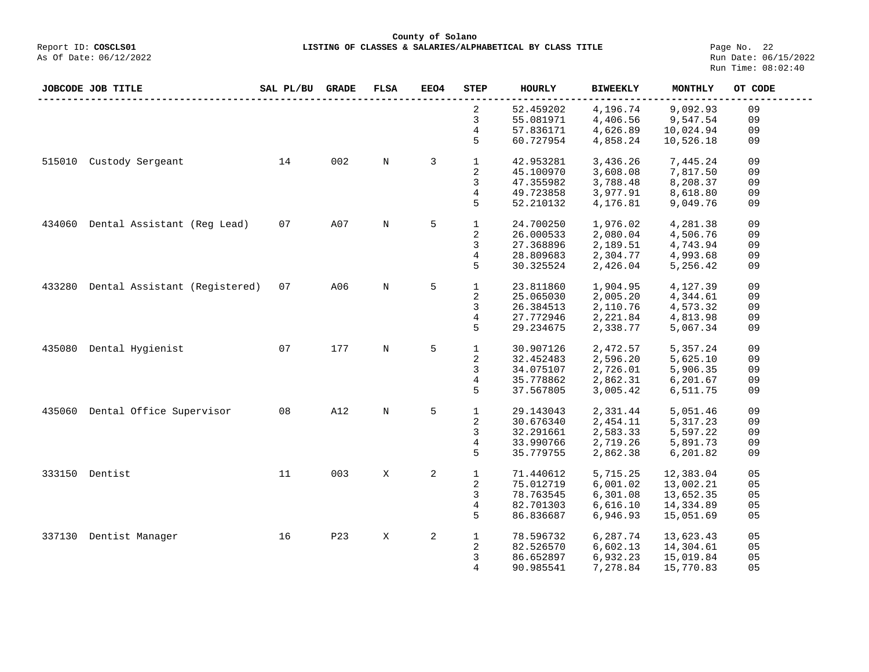**County of Solano**<br>Exercis LISTING OF CLASSES & SALARIES/ALPH COSCLS01 **LISTING OF CLASSES & SALARIES/ALPHABETICAL BY CLASS TITLE** Page No. 22<br>Run Date: 06/15/2022

As Of Date: 06/12/2022

|        | JOBCODE JOB TITLE             | SAL PL/BU | <b>GRADE</b> | <b>FLSA</b> | EEO4 | STEP         | HOURLY    | <b>BIWEEKLY</b> | <b>MONTHLY</b> | OT CODE |
|--------|-------------------------------|-----------|--------------|-------------|------|--------------|-----------|-----------------|----------------|---------|
|        |                               |           |              |             |      | 2            | 52.459202 | 4,196.74        | 9,092.93       | 09      |
|        |                               |           |              |             |      | 3            | 55.081971 | 4,406.56        | 9,547.54       | 09      |
|        |                               |           |              |             |      | 4            | 57.836171 | 4,626.89        | 10,024.94      | 09      |
|        |                               |           |              |             |      | 5            | 60.727954 | 4,858.24        | 10,526.18      | 09      |
| 515010 | Custody Sergeant              | 14        | 002          | N           | 3    | $\mathbf{1}$ | 42.953281 | 3,436.26        | 7,445.24       | 09      |
|        |                               |           |              |             |      | 2            | 45.100970 | 3,608.08        | 7,817.50       | 09      |
|        |                               |           |              |             |      | 3            | 47.355982 | 3,788.48        | 8,208.37       | 09      |
|        |                               |           |              |             |      | 4            | 49.723858 | 3,977.91        | 8,618.80       | 09      |
|        |                               |           |              |             |      | 5            | 52.210132 | 4,176.81        | 9,049.76       | 09      |
| 434060 | Dental Assistant (Reg Lead)   | 07        | A07          | N           | 5    | $\mathbf{1}$ | 24.700250 | 1,976.02        | 4,281.38       | 09      |
|        |                               |           |              |             |      |              |           |                 |                | 09      |
|        |                               |           |              |             |      | 2            | 26.000533 | 2,080.04        | 4,506.76       |         |
|        |                               |           |              |             |      | 3            | 27.368896 | 2,189.51        | 4,743.94       | 09      |
|        |                               |           |              |             |      | 4            | 28.809683 | 2,304.77        | 4,993.68       | 09      |
|        |                               |           |              |             |      | 5            | 30.325524 | 2,426.04        | 5,256.42       | 09      |
| 433280 | Dental Assistant (Registered) | 07        | A06          | $\mathbf N$ | 5    | $\mathbf{1}$ | 23.811860 | 1,904.95        | 4,127.39       | 09      |
|        |                               |           |              |             |      | 2            | 25.065030 | 2,005.20        | 4,344.61       | 09      |
|        |                               |           |              |             |      | 3            | 26.384513 | 2,110.76        | 4,573.32       | 09      |
|        |                               |           |              |             |      | 4            | 27.772946 |                 |                | 09      |
|        |                               |           |              |             |      |              |           | 2,221.84        | 4,813.98       |         |
|        |                               |           |              |             |      | 5            | 29.234675 | 2,338.77        | 5,067.34       | 09      |
| 435080 | Dental Hygienist              | 07        | 177          | $\mathbf N$ | 5    | $\mathbf{1}$ | 30.907126 | 2,472.57        | 5,357.24       | 09      |
|        |                               |           |              |             |      | 2            | 32.452483 | 2,596.20        | 5,625.10       | 09      |
|        |                               |           |              |             |      | 3            | 34.075107 | 2,726.01        | 5,906.35       | 09      |
|        |                               |           |              |             |      | 4            | 35.778862 | 2,862.31        | 6,201.67       | 09      |
|        |                               |           |              |             |      | 5            | 37.567805 | 3,005.42        | 6,511.75       | 09      |
|        |                               |           |              |             |      |              |           |                 |                |         |
| 435060 | Dental Office Supervisor      | 08        | A12          | N           | 5    | $\mathbf{1}$ | 29.143043 | 2,331.44        | 5,051.46       | 09      |
|        |                               |           |              |             |      | 2            | 30.676340 | 2,454.11        | 5, 317.23      | 09      |
|        |                               |           |              |             |      | 3            | 32.291661 | 2,583.33        | 5,597.22       | 09      |
|        |                               |           |              |             |      | 4            | 33.990766 | 2,719.26        | 5,891.73       | 09      |
|        |                               |           |              |             |      | 5            | 35.779755 | 2,862.38        | 6,201.82       | 09      |
|        |                               |           |              |             |      |              |           |                 |                |         |
|        | 333150 Dentist                | 11        | 003          | X           | 2    | $\mathbf{1}$ | 71.440612 | 5,715.25        | 12,383.04      | 05      |
|        |                               |           |              |             |      | 2            | 75.012719 | 6,001.02        | 13,002.21      | 05      |
|        |                               |           |              |             |      | 3            | 78.763545 | 6, 301.08       | 13,652.35      | 05      |
|        |                               |           |              |             |      | 4            | 82.701303 | 6,616.10        | 14,334.89      | 05      |
|        |                               |           |              |             |      | 5            | 86.836687 | 6,946.93        | 15,051.69      | 05      |
| 337130 | Dentist Manager               | 16        | <b>P23</b>   | X           | 2    | $\mathbf 1$  | 78.596732 | 6,287.74        | 13,623.43      | 05      |
|        |                               |           |              |             |      | 2            | 82.526570 | 6,602.13        | 14,304.61      | 05      |
|        |                               |           |              |             |      | 3            | 86.652897 | 6,932.23        | 15,019.84      | 05      |
|        |                               |           |              |             |      | 4            | 90.985541 | 7,278.84        | 15,770.83      | 05      |
|        |                               |           |              |             |      |              |           |                 |                |         |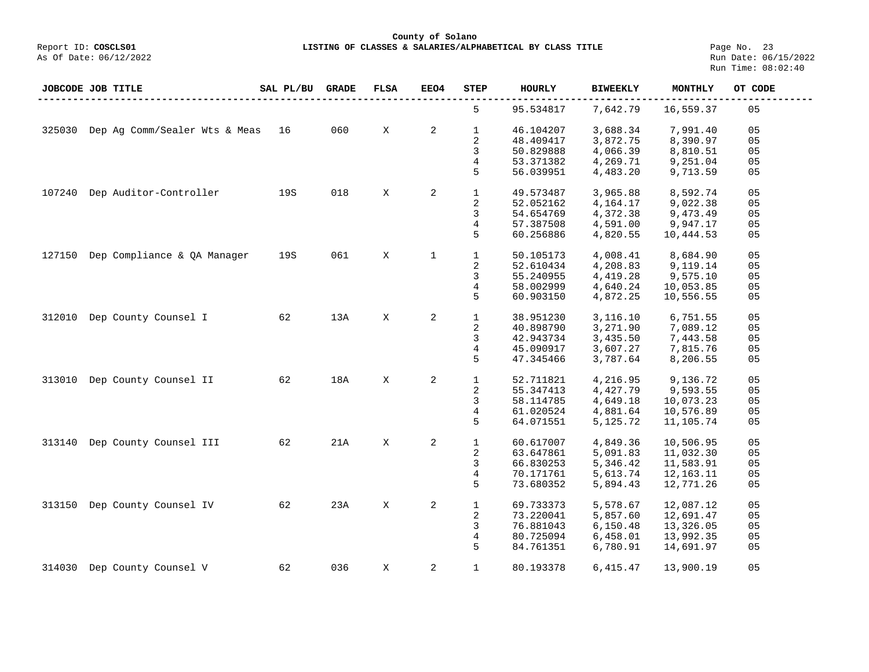As Of Date: 06/12/2022 Run Date: 06/15/2022 Run Time: 08:02:40

|        | JOBCODE JOB TITLE                    | SAL PL/BU | <b>GRADE</b> | <b>FLSA</b> | EEO4         | STEP         | <b>HOURLY</b> | <b>BIWEEKLY</b> | MONTHLY   | OT CODE        |
|--------|--------------------------------------|-----------|--------------|-------------|--------------|--------------|---------------|-----------------|-----------|----------------|
|        |                                      |           |              |             |              | 5            | 95.534817     | 7,642.79        | 16,559.37 | 05             |
|        | 325030 Dep Ag Comm/Sealer Wts & Meas | 16        | 060          | X           | 2            | $\mathbf{1}$ | 46.104207     | 3,688.34        | 7,991.40  | 05             |
|        |                                      |           |              |             |              | 2            | 48.409417     | 3,872.75        | 8,390.97  | 05             |
|        |                                      |           |              |             |              | 3            | 50.829888     | 4,066.39        | 8,810.51  | 05             |
|        |                                      |           |              |             |              | 4            | 53.371382     | 4,269.71        | 9,251.04  | 05             |
|        |                                      |           |              |             |              | 5            | 56.039951     | 4,483.20        | 9,713.59  | 05             |
|        |                                      |           |              |             |              |              |               |                 |           |                |
| 107240 | Dep Auditor-Controller               | 19S       | 018          | X           | 2            | $\mathbf{1}$ | 49.573487     | 3,965.88        | 8,592.74  | 05             |
|        |                                      |           |              |             |              | 2            | 52.052162     | 4,164.17        | 9,022.38  | 05             |
|        |                                      |           |              |             |              | 3            | 54.654769     | 4,372.38        | 9,473.49  | 05             |
|        |                                      |           |              |             |              | 4            | 57.387508     | 4,591.00        | 9,947.17  | 05             |
|        |                                      |           |              |             |              | 5            | 60.256886     | 4,820.55        | 10,444.53 | 05             |
|        |                                      |           |              |             |              |              |               |                 |           |                |
| 127150 | Dep Compliance & OA Manager          | 19S       | 061          | X           | $\mathbf{1}$ | $\mathbf{1}$ | 50.105173     | 4,008.41        | 8,684.90  | 05             |
|        |                                      |           |              |             |              | 2            | 52.610434     | 4,208.83        | 9,119.14  | 05             |
|        |                                      |           |              |             |              | 3            | 55.240955     | 4,419.28        | 9,575.10  | 05             |
|        |                                      |           |              |             |              | 4            | 58.002999     | 4,640.24        | 10,053.85 | 05             |
|        |                                      |           |              |             |              | 5            | 60.903150     | 4,872.25        | 10,556.55 | 05             |
|        |                                      |           |              |             |              |              |               |                 |           |                |
| 312010 | Dep County Counsel I                 | 62        | 13A          | X           | 2            | $\mathbf 1$  | 38.951230     | 3,116.10        | 6,751.55  | 05             |
|        |                                      |           |              |             |              | 2            | 40.898790     | 3,271.90        | 7,089.12  | 05             |
|        |                                      |           |              |             |              | 3            | 42.943734     | 3,435.50        | 7,443.58  | 05             |
|        |                                      |           |              |             |              | 4            | 45.090917     | 3,607.27        | 7,815.76  | 05             |
|        |                                      |           |              |             |              | 5            | 47.345466     | 3,787.64        | 8,206.55  | 05             |
|        |                                      |           |              |             |              |              |               |                 |           |                |
| 313010 | Dep County Counsel II                | 62        | 18A          | $\mathbf X$ | 2            | $\mathbf{1}$ | 52.711821     | 4,216.95        | 9,136.72  | 05             |
|        |                                      |           |              |             |              | 2            | 55.347413     | 4,427.79        | 9,593.55  | 05             |
|        |                                      |           |              |             |              | 3            | 58.114785     | 4,649.18        | 10,073.23 | 05             |
|        |                                      |           |              |             |              | 4            | 61.020524     | 4,881.64        | 10,576.89 | 05             |
|        |                                      |           |              |             |              | 5            | 64.071551     | 5,125.72        | 11,105.74 | 05             |
|        |                                      |           |              |             |              |              |               |                 |           |                |
| 313140 | Dep County Counsel III               | 62        | 21A          | X           | 2            | $\mathbf{1}$ | 60.617007     | 4,849.36        | 10,506.95 | 05             |
|        |                                      |           |              |             |              | 2            | 63.647861     | 5,091.83        | 11,032.30 | 05             |
|        |                                      |           |              |             |              | 3            | 66.830253     | 5,346.42        | 11,583.91 | 05             |
|        |                                      |           |              |             |              | 4            | 70.171761     | 5,613.74        | 12,163.11 | 05             |
|        |                                      |           |              |             |              | 5            | 73.680352     | 5,894.43        | 12,771.26 | 05             |
|        |                                      |           |              |             |              |              |               |                 |           |                |
| 313150 | Dep County Counsel IV                | 62        | 23A          | X           | 2            | $\mathbf{1}$ | 69.733373     | 5,578.67        | 12,087.12 | 05             |
|        |                                      |           |              |             |              | 2            | 73.220041     | 5,857.60        | 12,691.47 | 05             |
|        |                                      |           |              |             |              | 3            | 76.881043     | 6,150.48        | 13,326.05 | 0 <sub>5</sub> |
|        |                                      |           |              |             |              | 4            | 80.725094     | 6,458.01        | 13,992.35 | 0 <sub>5</sub> |
|        |                                      |           |              |             |              | 5            | 84.761351     | 6,780.91        | 14,691.97 | 05             |
| 314030 | Dep County Counsel V                 | 62        | 036          | X           | 2            | $\mathbf{1}$ | 80.193378     | 6,415.47        | 13,900.19 | 05             |
|        |                                      |           |              |             |              |              |               |                 |           |                |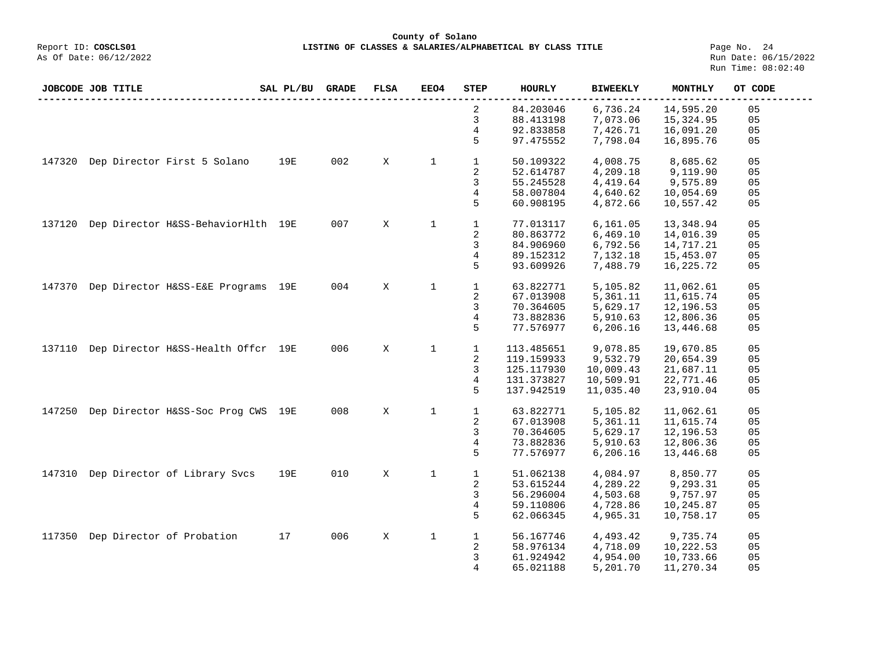**County of Solano**<br>Exercis LISTING OF CLASSES & SALARIES/ALPH COSCLS01 **LISTING OF CLASSES & SALARIES/ALPHABETICAL BY CLASS TITLE** Page No. 24<br>Run Date: 06/15/2022

|        | JOBCODE JOB TITLE |                                    | SAL PL/BU | <b>GRADE</b> | <b>FLSA</b> | EEO4        | <b>STEP</b>    | <b>HOURLY</b> | <b>BIWEEKLY</b> | MONTHLY   | OT CODE |
|--------|-------------------|------------------------------------|-----------|--------------|-------------|-------------|----------------|---------------|-----------------|-----------|---------|
|        |                   |                                    |           |              |             |             | 2              | 84.203046     | 6,736.24        | 14,595.20 | 05      |
|        |                   |                                    |           |              |             |             | 3              | 88.413198     | 7,073.06        | 15,324.95 | 05      |
|        |                   |                                    |           |              |             |             | 4              | 92.833858     | 7,426.71        | 16,091.20 | 05      |
|        |                   |                                    |           |              |             |             | 5              | 97.475552     | 7,798.04        | 16,895.76 | 05      |
| 147320 |                   | Dep Director First 5 Solano        | 19E       | 002          | X           | $\mathbf 1$ | $\mathbf{1}$   | 50.109322     | 4,008.75        | 8,685.62  | 05      |
|        |                   |                                    |           |              |             |             | 2              | 52.614787     | 4,209.18        | 9,119.90  | 05      |
|        |                   |                                    |           |              |             |             | 3              | 55.245528     | 4,419.64        | 9,575.89  | 05      |
|        |                   |                                    |           |              |             |             |                |               |                 |           |         |
|        |                   |                                    |           |              |             |             | $\overline{4}$ | 58.007804     | 4,640.62        | 10,054.69 | 05      |
|        |                   |                                    |           |              |             |             | 5              | 60.908195     | 4,872.66        | 10,557.42 | 05      |
| 137120 |                   | Dep Director H&SS-BehaviorHlth 19E |           | 007          | X           | $\mathbf 1$ | $\mathbf{1}$   | 77.013117     | 6,161.05        | 13,348.94 | 05      |
|        |                   |                                    |           |              |             |             | 2              | 80.863772     | 6,469.10        | 14,016.39 | 05      |
|        |                   |                                    |           |              |             |             | 3              | 84.906960     | 6,792.56        | 14,717.21 | 05      |
|        |                   |                                    |           |              |             |             | 4              | 89.152312     | 7,132.18        | 15,453.07 | 05      |
|        |                   |                                    |           |              |             |             | 5              | 93.609926     | 7,488.79        | 16,225.72 | 05      |
| 147370 |                   | Dep Director H&SS-E&E Programs 19E |           | 004          | X           | $\mathbf 1$ | $\mathbf{1}$   | 63.822771     | 5,105.82        | 11,062.61 | 05      |
|        |                   |                                    |           |              |             |             | 2              | 67.013908     | 5,361.11        | 11,615.74 | 05      |
|        |                   |                                    |           |              |             |             |                |               |                 |           |         |
|        |                   |                                    |           |              |             |             | 3              | 70.364605     | 5,629.17        | 12,196.53 | 05      |
|        |                   |                                    |           |              |             |             | 4              | 73.882836     | 5,910.63        | 12,806.36 | 05      |
|        |                   |                                    |           |              |             |             | 5              | 77.576977     | 6,206.16        | 13,446.68 | 05      |
| 137110 |                   | Dep Director H&SS-Health Offcr 19E |           | 006          | X           | $\mathbf 1$ | $\mathbf{1}$   | 113.485651    | 9,078.85        | 19,670.85 | 05      |
|        |                   |                                    |           |              |             |             | 2              | 119.159933    | 9,532.79        | 20,654.39 | 05      |
|        |                   |                                    |           |              |             |             | 3              | 125.117930    | 10,009.43       | 21,687.11 | 05      |
|        |                   |                                    |           |              |             |             | 4              | 131.373827    | 10,509.91       | 22,771.46 | 05      |
|        |                   |                                    |           |              |             |             | 5              | 137.942519    | 11,035.40       | 23,910.04 | 05      |
| 147250 |                   | Dep Director H&SS-Soc Prog CWS 19E |           | 008          | X           | $\mathbf 1$ | $\mathbf 1$    | 63.822771     | 5,105.82        | 11,062.61 | 05      |
|        |                   |                                    |           |              |             |             | 2              | 67.013908     | 5,361.11        | 11,615.74 | 05      |
|        |                   |                                    |           |              |             |             | 3              | 70.364605     | 5,629.17        | 12,196.53 | 05      |
|        |                   |                                    |           |              |             |             | $\overline{4}$ | 73.882836     | 5,910.63        | 12,806.36 | 05      |
|        |                   |                                    |           |              |             |             | 5              | 77.576977     | 6, 206.16       | 13,446.68 | 05      |
|        |                   |                                    |           |              |             |             |                |               |                 |           |         |
| 147310 |                   | Dep Director of Library Svcs       | 19E       | 010          | X           | $\mathbf 1$ | $\mathbf{1}$   | 51.062138     | 4,084.97        | 8,850.77  | 05      |
|        |                   |                                    |           |              |             |             | 2              | 53.615244     | 4,289.22        | 9,293.31  | 05      |
|        |                   |                                    |           |              |             |             | 3              | 56.296004     | 4,503.68        | 9,757.97  | 05      |
|        |                   |                                    |           |              |             |             | 4              | 59.110806     | 4,728.86        | 10,245.87 | 05      |
|        |                   |                                    |           |              |             |             | 5              | 62.066345     | 4,965.31        | 10,758.17 | 05      |
| 117350 |                   | Dep Director of Probation          | 17        | 006          | Χ           | $\mathbf 1$ | $\mathbf{1}$   | 56.167746     | 4,493.42        | 9,735.74  | 05      |
|        |                   |                                    |           |              |             |             | 2              | 58.976134     | 4,718.09        | 10,222.53 | 05      |
|        |                   |                                    |           |              |             |             | 3              | 61.924942     | 4,954.00        | 10,733.66 | 05      |
|        |                   |                                    |           |              |             |             | 4              | 65.021188     |                 |           | 05      |
|        |                   |                                    |           |              |             |             |                |               | 5,201.70        | 11,270.34 |         |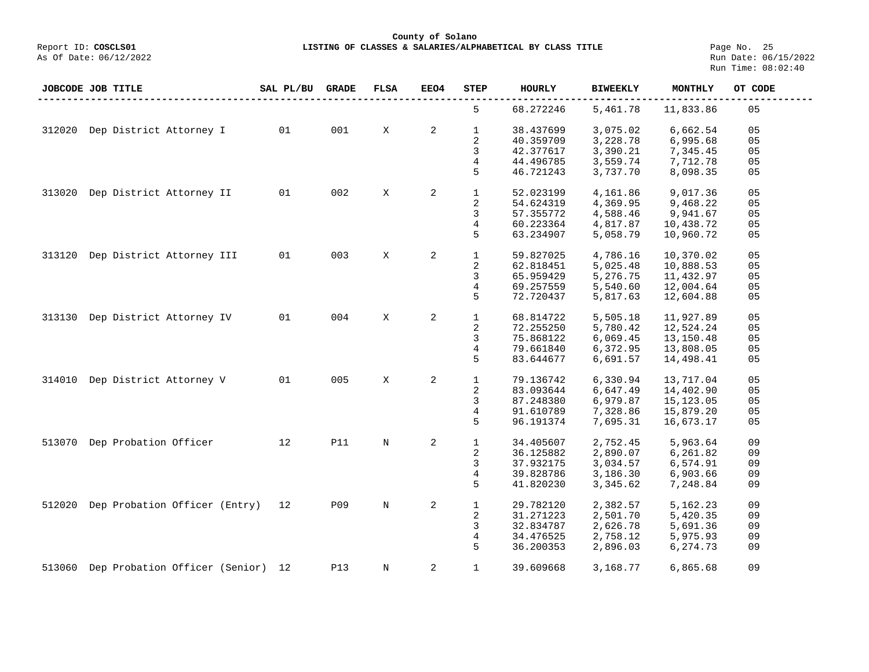**County of Solano**

**LISTING OF CLASSES & SALARIES/ALPHABETICAL BY CLASS TITLE** Page No. 25<br>Run Date: 06/15/2022 Run Time: 08:02:40

|        | JOBCODE JOB TITLE                 | SAL PL/BU | <b>GRADE</b> | <b>FLSA</b> | EEO4 | STEP                    | <b>HOURLY</b> | <b>BIWEEKLY</b> | MONTHLY    | OT CODE |
|--------|-----------------------------------|-----------|--------------|-------------|------|-------------------------|---------------|-----------------|------------|---------|
|        |                                   |           |              |             |      | 5                       | 68.272246     | 5,461.78        | 11,833.86  | 05      |
| 312020 | Dep District Attorney I           | 01        | 001          | X           | 2    | $\mathbf{1}$            | 38.437699     | 3,075.02        | 6,662.54   | 05      |
|        |                                   |           |              |             |      | 2                       | 40.359709     | 3,228.78        | 6,995.68   | 05      |
|        |                                   |           |              |             |      | 3                       | 42.377617     | 3,390.21        | 7,345.45   | 05      |
|        |                                   |           |              |             |      | 4                       | 44.496785     | 3,559.74        | 7,712.78   | 05      |
|        |                                   |           |              |             |      | 5                       | 46.721243     | 3,737.70        | 8,098.35   | 05      |
| 313020 | Dep District Attorney II          | 01        | 002          | Χ           | 2    | $\mathbf{1}$            | 52.023199     | 4,161.86        | 9,017.36   | 05      |
|        |                                   |           |              |             |      |                         |               |                 |            |         |
|        |                                   |           |              |             |      | 2                       | 54.624319     | 4,369.95        | 9,468.22   | 05      |
|        |                                   |           |              |             |      | 3                       | 57.355772     | 4,588.46        | 9,941.67   | 05      |
|        |                                   |           |              |             |      | 4                       | 60.223364     | 4,817.87        | 10,438.72  | 05      |
|        |                                   |           |              |             |      | 5                       | 63.234907     | 5,058.79        | 10,960.72  | 05      |
| 313120 | Dep District Attorney III         | 01        | 003          | X           | 2    | $\mathbf{1}$            | 59.827025     | 4,786.16        | 10,370.02  | 05      |
|        |                                   |           |              |             |      | 2                       | 62.818451     | 5,025.48        | 10,888.53  | 05      |
|        |                                   |           |              |             |      | 3                       | 65.959429     | 5,276.75        | 11,432.97  | 05      |
|        |                                   |           |              |             |      | 4                       | 69.257559     | 5,540.60        | 12,004.64  | 05      |
|        |                                   |           |              |             |      |                         |               |                 |            |         |
|        |                                   |           |              |             |      | 5                       | 72.720437     | 5,817.63        | 12,604.88  | 05      |
| 313130 | Dep District Attorney IV          | 01        | 004          | X           | 2    | $\mathbf 1$             | 68.814722     | 5,505.18        | 11,927.89  | 05      |
|        |                                   |           |              |             |      | 2                       | 72.255250     | 5,780.42        | 12,524.24  | 05      |
|        |                                   |           |              |             |      | 3                       | 75.868122     | 6,069.45        | 13,150.48  | 05      |
|        |                                   |           |              |             |      | 4                       | 79.661840     | 6,372.95        | 13,808.05  | 05      |
|        |                                   |           |              |             |      | 5                       | 83.644677     | 6,691.57        | 14,498.41  | 05      |
|        |                                   |           |              |             |      |                         |               |                 |            |         |
| 314010 | Dep District Attorney V           | 01        | 005          | X           | 2    | $\mathbf{1}$            | 79.136742     | 6,330.94        | 13,717.04  | 05      |
|        |                                   |           |              |             |      | 2                       | 83.093644     | 6,647.49        | 14,402.90  | 05      |
|        |                                   |           |              |             |      | 3                       | 87.248380     | 6,979.87        | 15, 123.05 | 05      |
|        |                                   |           |              |             |      | 4                       | 91.610789     | 7,328.86        | 15,879.20  | 05      |
|        |                                   |           |              |             |      | 5                       | 96.191374     | 7,695.31        | 16,673.17  | 05      |
| 513070 | Dep Probation Officer             | 12        | <b>P11</b>   | $_{\rm N}$  | 2    | $\mathbf{1}$            | 34.405607     | 2,752.45        | 5,963.64   | 09      |
|        |                                   |           |              |             |      | $\overline{\mathbf{c}}$ | 36.125882     | 2,890.07        | 6,261.82   | 09      |
|        |                                   |           |              |             |      | 3                       | 37.932175     | 3,034.57        | 6,574.91   | 09      |
|        |                                   |           |              |             |      |                         |               |                 |            |         |
|        |                                   |           |              |             |      | 4                       | 39.828786     | 3,186.30        | 6,903.66   | 09      |
|        |                                   |           |              |             |      | 5                       | 41.820230     | 3,345.62        | 7,248.84   | 09      |
| 512020 | Dep Probation Officer (Entry)     | 12        | P09          | $_{\rm N}$  | 2    | $\mathbf{1}$            | 29.782120     | 2,382.57        | 5,162.23   | 09      |
|        |                                   |           |              |             |      | 2                       | 31.271223     | 2,501.70        | 5,420.35   | 09      |
|        |                                   |           |              |             |      | 3                       | 32.834787     | 2,626.78        | 5,691.36   | 09      |
|        |                                   |           |              |             |      | 4                       | 34.476525     | 2,758.12        | 5,975.93   | 09      |
|        |                                   |           |              |             |      | 5                       | 36.200353     | 2,896.03        | 6,274.73   | 09      |
| 513060 | Dep Probation Officer (Senior) 12 |           | <b>P13</b>   | $_{\rm N}$  | 2    | $\mathbf 1$             | 39.609668     | 3,168.77        | 6,865.68   | 09      |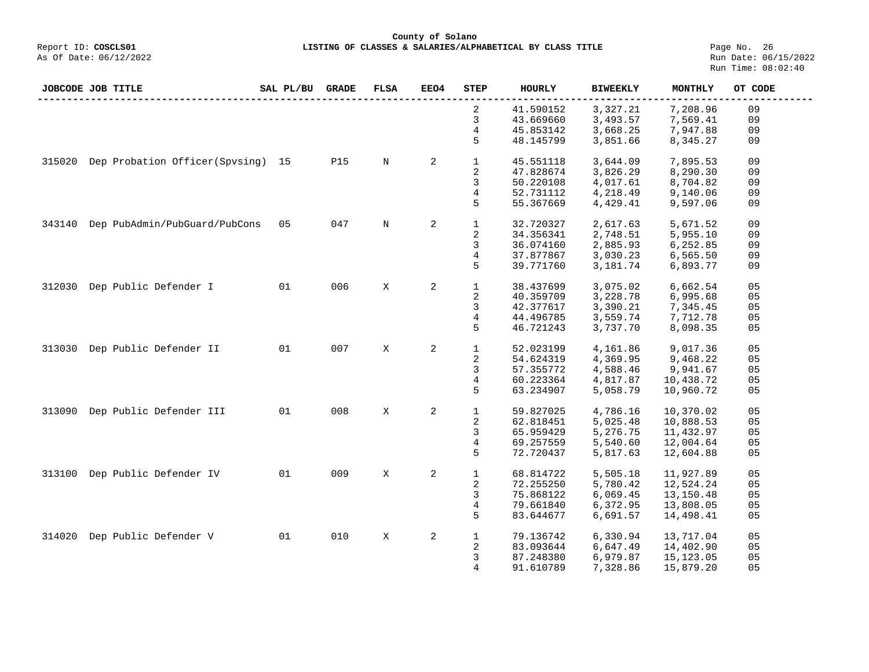## **County of Solano**<br>Exercis LISTING OF CLASSES & SALARIES/ALPH COSCLS01 **LISTING OF CLASSES & SALARIES/ALPHABETICAL BY CLASS TITLE Page No. 26**<br>Run Date: 06/15/2022

| JOBCODE JOB TITLE |                                   | SAL PL/BU | <b>GRADE</b> | FLSA        | <b>EEO4</b> | <b>STEP</b>             | <b>HOURLY</b> | <b>BIWEEKLY</b> | MONTHLY    | OT CODE        |
|-------------------|-----------------------------------|-----------|--------------|-------------|-------------|-------------------------|---------------|-----------------|------------|----------------|
|                   |                                   |           |              |             |             | 2                       | 41.590152     | 3,327.21        | 7,208.96   | 09             |
|                   |                                   |           |              |             |             | 3                       | 43.669660     | 3,493.57        | 7,569.41   | 09             |
|                   |                                   |           |              |             |             | 4                       | 45.853142     | 3,668.25        | 7,947.88   | 09             |
|                   |                                   |           |              |             |             | 5                       | 48.145799     | 3,851.66        | 8,345.27   | 09             |
| 315020            | Dep Probation Officer(Spvsing) 15 |           | <b>P15</b>   | N           | 2           | $\mathbf{1}$            | 45.551118     | 3,644.09        | 7,895.53   | 09             |
|                   |                                   |           |              |             |             | 2                       | 47.828674     | 3,826.29        | 8,290.30   | 09             |
|                   |                                   |           |              |             |             | 3                       | 50.220108     | 4,017.61        | 8,704.82   | 09             |
|                   |                                   |           |              |             |             | 4                       | 52.731112     | 4,218.49        | 9,140.06   | 09             |
|                   |                                   |           |              |             |             | 5                       | 55.367669     | 4,429.41        | 9,597.06   | 09             |
|                   |                                   |           |              |             |             |                         |               |                 |            |                |
| 343140            | Dep PubAdmin/PubGuard/PubCons     | 05        | 047          | $\mathbb N$ | 2           | $\mathbf{1}$            | 32.720327     | 2,617.63        | 5,671.52   | 09             |
|                   |                                   |           |              |             |             | $\sqrt{2}$              | 34.356341     | 2,748.51        | 5,955.10   | 09             |
|                   |                                   |           |              |             |             | 3                       | 36.074160     | 2,885.93        | 6,252.85   | 09             |
|                   |                                   |           |              |             |             | 4                       | 37.877867     | 3,030.23        | 6,565.50   | 09             |
|                   |                                   |           |              |             |             | 5                       | 39.771760     | 3,181.74        | 6,893.77   | 09             |
| 312030            | Dep Public Defender I             | 01        | 006          | X           | 2           | $\mathbf{1}$            | 38.437699     | 3,075.02        | 6,662.54   | 05             |
|                   |                                   |           |              |             |             | 2                       | 40.359709     | 3,228.78        | 6,995.68   | 05             |
|                   |                                   |           |              |             |             | 3                       | 42.377617     | 3,390.21        | 7,345.45   | 05             |
|                   |                                   |           |              |             |             | 4                       | 44.496785     | 3,559.74        | 7,712.78   | 05             |
|                   |                                   |           |              |             |             | 5                       |               |                 |            |                |
|                   |                                   |           |              |             |             |                         | 46.721243     | 3,737.70        | 8,098.35   | 05             |
| 313030            | Dep Public Defender II            | 01        | 007          | X           | 2           | $\mathbf{1}$            | 52.023199     | 4,161.86        | 9,017.36   | 05             |
|                   |                                   |           |              |             |             | $\overline{\mathbf{c}}$ | 54.624319     | 4,369.95        | 9,468.22   | 05             |
|                   |                                   |           |              |             |             | 3                       | 57.355772     | 4,588.46        | 9,941.67   | 05             |
|                   |                                   |           |              |             |             | 4                       | 60.223364     | 4,817.87        | 10,438.72  | 05             |
|                   |                                   |           |              |             |             | 5                       | 63.234907     | 5,058.79        | 10,960.72  | 05             |
|                   |                                   |           |              |             |             |                         |               |                 |            |                |
| 313090            | Dep Public Defender III           | 01        | 008          | X           | 2           | $\mathbf{1}$            | 59.827025     | 4,786.16        | 10,370.02  | 05             |
|                   |                                   |           |              |             |             | 2                       | 62.818451     | 5,025.48        | 10,888.53  | 05             |
|                   |                                   |           |              |             |             | 3                       | 65.959429     | 5,276.75        | 11,432.97  | 05             |
|                   |                                   |           |              |             |             | 4                       | 69.257559     | 5,540.60        | 12,004.64  | 05             |
|                   |                                   |           |              |             |             | 5                       | 72.720437     | 5,817.63        | 12,604.88  | 05             |
| 313100            | Dep Public Defender IV            | 01        | 009          | X           | 2           | $\mathbf{1}$            | 68.814722     | 5,505.18        | 11,927.89  | 05             |
|                   |                                   |           |              |             |             | 2                       | 72.255250     | 5,780.42        | 12,524.24  | 05             |
|                   |                                   |           |              |             |             | 3                       | 75.868122     | 6,069.45        | 13,150.48  | 05             |
|                   |                                   |           |              |             |             | $\overline{4}$          | 79.661840     | 6,372.95        | 13,808.05  | 0 <sub>5</sub> |
|                   |                                   |           |              |             |             |                         |               |                 |            |                |
|                   |                                   |           |              |             |             | 5                       | 83.644677     | 6,691.57        | 14,498.41  | 05             |
| 314020            | Dep Public Defender V             | 01        | 010          | X           | 2           | $\mathbf{1}$            | 79.136742     | 6,330.94        | 13,717.04  | 05             |
|                   |                                   |           |              |             |             | 2                       | 83.093644     | 6,647.49        | 14,402.90  | 05             |
|                   |                                   |           |              |             |             | 3                       | 87.248380     | 6,979.87        | 15, 123.05 | 05             |
|                   |                                   |           |              |             |             | 4                       | 91.610789     | 7,328.86        | 15,879.20  | 05             |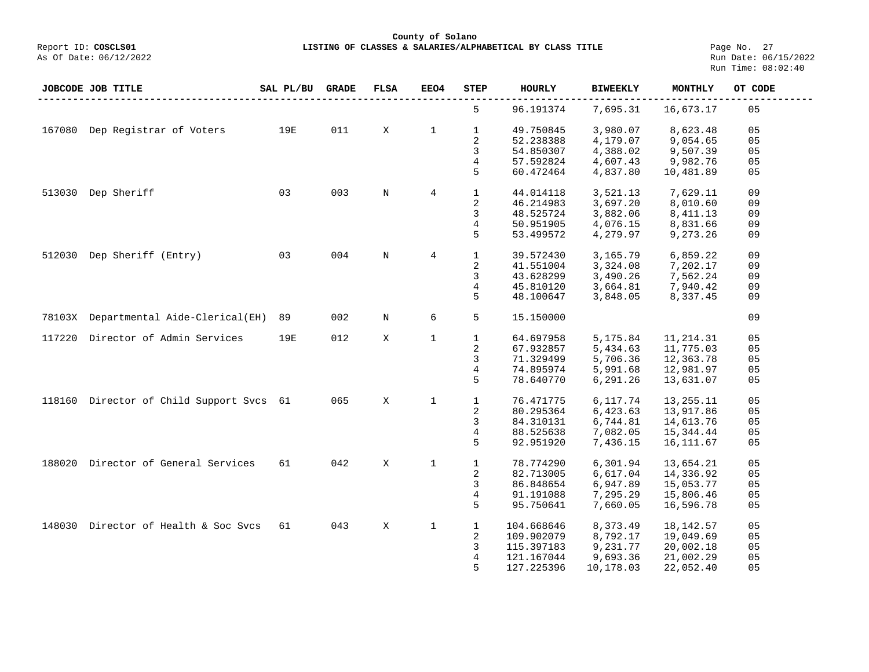**LISTING OF CLASSES & SALARIES/ALPHABETICAL BY CLASS TITLE** Page No. 27<br>Run Date: 06/15/2022 Run Time: 08:02:40

| 5<br>96.191374<br>7,695.31<br>16,673.17<br>05<br>19E<br>011<br>$\mathbf{1}$<br>$\mathbf{1}$<br>49.750845<br>167080<br>Dep Registrar of Voters<br>X<br>3,980.07<br>8,623.48<br>05<br>2<br>05<br>52.238388<br>9,054.65<br>4,179.07<br>3<br>4,388.02<br>54.850307<br>9,507.39<br>05<br>57.592824<br>4,607.43<br>9,982.76<br>4<br>05<br>5<br>60.472464<br>4,837.80<br>10,481.89<br>05<br>Dep Sheriff<br>03<br>003<br>$\overline{4}$<br>$\mathbf{1}$<br>09<br>513030<br>$\mathbf N$<br>44.014118<br>3,521.13<br>7,629.11<br>$\sqrt{2}$<br>3,697.20<br>46.214983<br>8,010.60<br>09<br>3<br>48.525724<br>3,882.06<br>09<br>8,411.13<br>50.951905<br>4,076.15<br>8,831.66<br>09<br>4<br>5<br>4,279.97<br>53.499572<br>9,273.26<br>09<br>004<br>$\mathbf{1}$<br>Dep Sheriff (Entry)<br>03<br>$\rm N$<br>$\overline{4}$<br>39.572430<br>3,165.79<br>6,859.22<br>09<br>512030<br>$\overline{\mathbf{c}}$<br>09<br>41.551004<br>3,324.08<br>7,202.17<br>3<br>43.628299<br>3,490.26<br>7,562.24<br>09<br>4<br>45.810120<br>3,664.81<br>7,940.42<br>09<br>5<br>48.100647<br>3,848.05<br>8,337.45<br>09<br>6<br>5<br>09<br>Departmental Aide-Clerical(EH)<br>89<br>002<br>$\mathbf N$<br>15.150000<br>78103X<br>$\mathbf{1}$<br>117220<br>Director of Admin Services<br>19E<br>012<br>X<br>$\mathbf 1$<br>64.697958<br>5,175.84<br>11, 214.31<br>05 | JOBCODE JOB TITLE | SAL PL/BU | <b>GRADE</b> | <b>FLSA</b> | EEO4 | <b>STEP</b> | <b>HOURLY</b> | <b>BIWEEKLY</b> | <b>MONTHLY</b> | OT CODE |
|--------------------------------------------------------------------------------------------------------------------------------------------------------------------------------------------------------------------------------------------------------------------------------------------------------------------------------------------------------------------------------------------------------------------------------------------------------------------------------------------------------------------------------------------------------------------------------------------------------------------------------------------------------------------------------------------------------------------------------------------------------------------------------------------------------------------------------------------------------------------------------------------------------------------------------------------------------------------------------------------------------------------------------------------------------------------------------------------------------------------------------------------------------------------------------------------------------------------------------------------------------------------------------------------------------------------------------------|-------------------|-----------|--------------|-------------|------|-------------|---------------|-----------------|----------------|---------|
|                                                                                                                                                                                                                                                                                                                                                                                                                                                                                                                                                                                                                                                                                                                                                                                                                                                                                                                                                                                                                                                                                                                                                                                                                                                                                                                                      |                   |           |              |             |      |             |               |                 |                |         |
|                                                                                                                                                                                                                                                                                                                                                                                                                                                                                                                                                                                                                                                                                                                                                                                                                                                                                                                                                                                                                                                                                                                                                                                                                                                                                                                                      |                   |           |              |             |      |             |               |                 |                |         |
|                                                                                                                                                                                                                                                                                                                                                                                                                                                                                                                                                                                                                                                                                                                                                                                                                                                                                                                                                                                                                                                                                                                                                                                                                                                                                                                                      |                   |           |              |             |      |             |               |                 |                |         |
|                                                                                                                                                                                                                                                                                                                                                                                                                                                                                                                                                                                                                                                                                                                                                                                                                                                                                                                                                                                                                                                                                                                                                                                                                                                                                                                                      |                   |           |              |             |      |             |               |                 |                |         |
|                                                                                                                                                                                                                                                                                                                                                                                                                                                                                                                                                                                                                                                                                                                                                                                                                                                                                                                                                                                                                                                                                                                                                                                                                                                                                                                                      |                   |           |              |             |      |             |               |                 |                |         |
|                                                                                                                                                                                                                                                                                                                                                                                                                                                                                                                                                                                                                                                                                                                                                                                                                                                                                                                                                                                                                                                                                                                                                                                                                                                                                                                                      |                   |           |              |             |      |             |               |                 |                |         |
|                                                                                                                                                                                                                                                                                                                                                                                                                                                                                                                                                                                                                                                                                                                                                                                                                                                                                                                                                                                                                                                                                                                                                                                                                                                                                                                                      |                   |           |              |             |      |             |               |                 |                |         |
|                                                                                                                                                                                                                                                                                                                                                                                                                                                                                                                                                                                                                                                                                                                                                                                                                                                                                                                                                                                                                                                                                                                                                                                                                                                                                                                                      |                   |           |              |             |      |             |               |                 |                |         |
|                                                                                                                                                                                                                                                                                                                                                                                                                                                                                                                                                                                                                                                                                                                                                                                                                                                                                                                                                                                                                                                                                                                                                                                                                                                                                                                                      |                   |           |              |             |      |             |               |                 |                |         |
|                                                                                                                                                                                                                                                                                                                                                                                                                                                                                                                                                                                                                                                                                                                                                                                                                                                                                                                                                                                                                                                                                                                                                                                                                                                                                                                                      |                   |           |              |             |      |             |               |                 |                |         |
|                                                                                                                                                                                                                                                                                                                                                                                                                                                                                                                                                                                                                                                                                                                                                                                                                                                                                                                                                                                                                                                                                                                                                                                                                                                                                                                                      |                   |           |              |             |      |             |               |                 |                |         |
|                                                                                                                                                                                                                                                                                                                                                                                                                                                                                                                                                                                                                                                                                                                                                                                                                                                                                                                                                                                                                                                                                                                                                                                                                                                                                                                                      |                   |           |              |             |      |             |               |                 |                |         |
|                                                                                                                                                                                                                                                                                                                                                                                                                                                                                                                                                                                                                                                                                                                                                                                                                                                                                                                                                                                                                                                                                                                                                                                                                                                                                                                                      |                   |           |              |             |      |             |               |                 |                |         |
|                                                                                                                                                                                                                                                                                                                                                                                                                                                                                                                                                                                                                                                                                                                                                                                                                                                                                                                                                                                                                                                                                                                                                                                                                                                                                                                                      |                   |           |              |             |      |             |               |                 |                |         |
|                                                                                                                                                                                                                                                                                                                                                                                                                                                                                                                                                                                                                                                                                                                                                                                                                                                                                                                                                                                                                                                                                                                                                                                                                                                                                                                                      |                   |           |              |             |      |             |               |                 |                |         |
|                                                                                                                                                                                                                                                                                                                                                                                                                                                                                                                                                                                                                                                                                                                                                                                                                                                                                                                                                                                                                                                                                                                                                                                                                                                                                                                                      |                   |           |              |             |      |             |               |                 |                |         |
|                                                                                                                                                                                                                                                                                                                                                                                                                                                                                                                                                                                                                                                                                                                                                                                                                                                                                                                                                                                                                                                                                                                                                                                                                                                                                                                                      |                   |           |              |             |      |             |               |                 |                |         |
|                                                                                                                                                                                                                                                                                                                                                                                                                                                                                                                                                                                                                                                                                                                                                                                                                                                                                                                                                                                                                                                                                                                                                                                                                                                                                                                                      |                   |           |              |             |      |             |               |                 |                |         |
|                                                                                                                                                                                                                                                                                                                                                                                                                                                                                                                                                                                                                                                                                                                                                                                                                                                                                                                                                                                                                                                                                                                                                                                                                                                                                                                                      |                   |           |              |             |      |             |               |                 |                |         |
|                                                                                                                                                                                                                                                                                                                                                                                                                                                                                                                                                                                                                                                                                                                                                                                                                                                                                                                                                                                                                                                                                                                                                                                                                                                                                                                                      |                   |           |              |             |      |             |               |                 |                |         |
|                                                                                                                                                                                                                                                                                                                                                                                                                                                                                                                                                                                                                                                                                                                                                                                                                                                                                                                                                                                                                                                                                                                                                                                                                                                                                                                                      |                   |           |              |             |      |             |               |                 |                |         |
|                                                                                                                                                                                                                                                                                                                                                                                                                                                                                                                                                                                                                                                                                                                                                                                                                                                                                                                                                                                                                                                                                                                                                                                                                                                                                                                                      |                   |           |              |             |      | 2           | 67.932857     | 5,434.63        | 11,775.03      | 05      |
| 3<br>71.329499<br>5,706.36<br>12,363.78<br>05                                                                                                                                                                                                                                                                                                                                                                                                                                                                                                                                                                                                                                                                                                                                                                                                                                                                                                                                                                                                                                                                                                                                                                                                                                                                                        |                   |           |              |             |      |             |               |                 |                |         |
| 4<br>74.895974<br>5,991.68<br>12,981.97<br>05                                                                                                                                                                                                                                                                                                                                                                                                                                                                                                                                                                                                                                                                                                                                                                                                                                                                                                                                                                                                                                                                                                                                                                                                                                                                                        |                   |           |              |             |      |             |               |                 |                |         |
| 5<br>6,291.26<br>78.640770<br>13,631.07<br>05                                                                                                                                                                                                                                                                                                                                                                                                                                                                                                                                                                                                                                                                                                                                                                                                                                                                                                                                                                                                                                                                                                                                                                                                                                                                                        |                   |           |              |             |      |             |               |                 |                |         |
| 065<br>X<br>05                                                                                                                                                                                                                                                                                                                                                                                                                                                                                                                                                                                                                                                                                                                                                                                                                                                                                                                                                                                                                                                                                                                                                                                                                                                                                                                       |                   |           |              |             |      |             |               |                 |                |         |
| $\mathbf{1}$<br>Director of Child Support Svcs 61<br>$\mathbf{1}$<br>118160<br>76.471775<br>6,117.74<br>13, 255. 11                                                                                                                                                                                                                                                                                                                                                                                                                                                                                                                                                                                                                                                                                                                                                                                                                                                                                                                                                                                                                                                                                                                                                                                                                  |                   |           |              |             |      |             |               |                 |                |         |
| 2<br>80.295364<br>6,423.63<br>13,917.86<br>05                                                                                                                                                                                                                                                                                                                                                                                                                                                                                                                                                                                                                                                                                                                                                                                                                                                                                                                                                                                                                                                                                                                                                                                                                                                                                        |                   |           |              |             |      |             |               |                 |                |         |
| 3<br>6,744.81<br>84.310131<br>14,613.76<br>05                                                                                                                                                                                                                                                                                                                                                                                                                                                                                                                                                                                                                                                                                                                                                                                                                                                                                                                                                                                                                                                                                                                                                                                                                                                                                        |                   |           |              |             |      |             |               |                 |                |         |
| $\overline{4}$<br>88.525638<br>7,082.05<br>15,344.44<br>05                                                                                                                                                                                                                                                                                                                                                                                                                                                                                                                                                                                                                                                                                                                                                                                                                                                                                                                                                                                                                                                                                                                                                                                                                                                                           |                   |           |              |             |      |             |               |                 |                |         |
| 5<br>92.951920<br>7,436.15<br>05<br>16, 111.67                                                                                                                                                                                                                                                                                                                                                                                                                                                                                                                                                                                                                                                                                                                                                                                                                                                                                                                                                                                                                                                                                                                                                                                                                                                                                       |                   |           |              |             |      |             |               |                 |                |         |
| Director of General Services<br>042<br>X<br>$\mathbf{1}$<br>05<br>188020<br>61<br>$\mathbf 1$<br>78.774290<br>6,301.94<br>13,654.21                                                                                                                                                                                                                                                                                                                                                                                                                                                                                                                                                                                                                                                                                                                                                                                                                                                                                                                                                                                                                                                                                                                                                                                                  |                   |           |              |             |      |             |               |                 |                |         |
| 2<br>6,617.04<br>05<br>82.713005<br>14,336.92                                                                                                                                                                                                                                                                                                                                                                                                                                                                                                                                                                                                                                                                                                                                                                                                                                                                                                                                                                                                                                                                                                                                                                                                                                                                                        |                   |           |              |             |      |             |               |                 |                |         |
| 3<br>86.848654<br>6,947.89<br>15,053.77<br>05                                                                                                                                                                                                                                                                                                                                                                                                                                                                                                                                                                                                                                                                                                                                                                                                                                                                                                                                                                                                                                                                                                                                                                                                                                                                                        |                   |           |              |             |      |             |               |                 |                |         |
| $\overline{4}$<br>05<br>91.191088<br>7,295.29<br>15,806.46                                                                                                                                                                                                                                                                                                                                                                                                                                                                                                                                                                                                                                                                                                                                                                                                                                                                                                                                                                                                                                                                                                                                                                                                                                                                           |                   |           |              |             |      |             |               |                 |                |         |
| 5<br>95.750641<br>7,660.05<br>16,596.78<br>05                                                                                                                                                                                                                                                                                                                                                                                                                                                                                                                                                                                                                                                                                                                                                                                                                                                                                                                                                                                                                                                                                                                                                                                                                                                                                        |                   |           |              |             |      |             |               |                 |                |         |
|                                                                                                                                                                                                                                                                                                                                                                                                                                                                                                                                                                                                                                                                                                                                                                                                                                                                                                                                                                                                                                                                                                                                                                                                                                                                                                                                      |                   |           |              |             |      |             |               |                 |                |         |
| Director of Health & Soc Svcs<br>61<br>043<br>X<br>$\mathbf{1}$<br>$\mathbf{1}$<br>8,373.49<br>18, 142. 57<br>05<br>148030<br>104.668646                                                                                                                                                                                                                                                                                                                                                                                                                                                                                                                                                                                                                                                                                                                                                                                                                                                                                                                                                                                                                                                                                                                                                                                             |                   |           |              |             |      |             |               |                 |                |         |
| 2<br>8,792.17<br>05<br>109.902079<br>19,049.69                                                                                                                                                                                                                                                                                                                                                                                                                                                                                                                                                                                                                                                                                                                                                                                                                                                                                                                                                                                                                                                                                                                                                                                                                                                                                       |                   |           |              |             |      |             |               |                 |                |         |
| 3<br>9,231.77<br>05<br>115.397183<br>20,002.18                                                                                                                                                                                                                                                                                                                                                                                                                                                                                                                                                                                                                                                                                                                                                                                                                                                                                                                                                                                                                                                                                                                                                                                                                                                                                       |                   |           |              |             |      |             |               |                 |                |         |
| $\overline{4}$<br>05<br>121.167044<br>9,693.36<br>21,002.29                                                                                                                                                                                                                                                                                                                                                                                                                                                                                                                                                                                                                                                                                                                                                                                                                                                                                                                                                                                                                                                                                                                                                                                                                                                                          |                   |           |              |             |      |             |               |                 |                |         |
| 5<br>05<br>127.225396<br>10,178.03<br>22,052.40                                                                                                                                                                                                                                                                                                                                                                                                                                                                                                                                                                                                                                                                                                                                                                                                                                                                                                                                                                                                                                                                                                                                                                                                                                                                                      |                   |           |              |             |      |             |               |                 |                |         |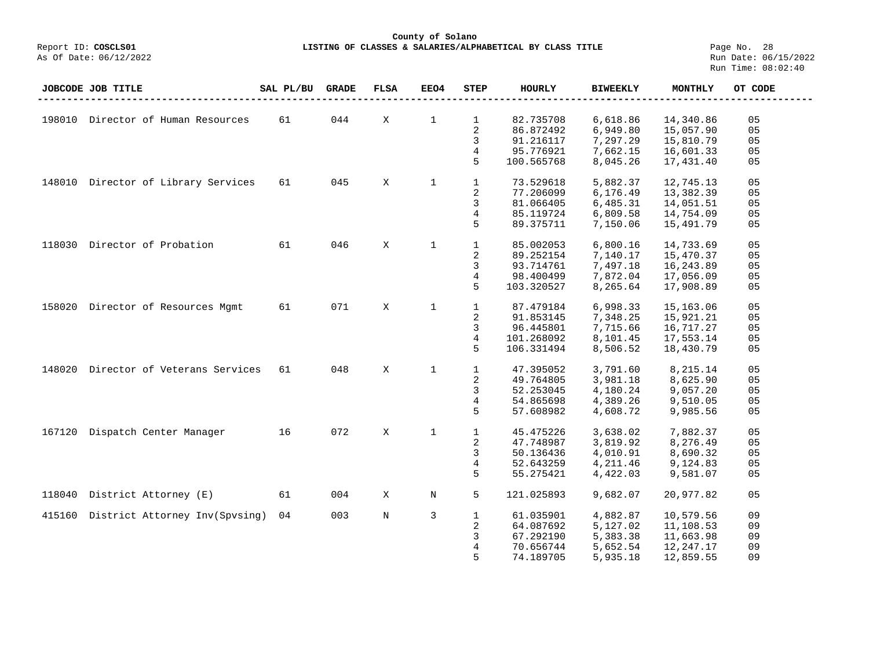#### **County of Solano**<br>Exercis LISTING OF CLASSES & SALARIES/ALPH (Report ID: COSCLS01 **LISTING OF CLASSES & SALARIES/ALPHABETICAL BY CLASS TITLE Page No. 28**<br>Run Date: 06/15/2022

|        | JOBCODE JOB TITLE                   | SAL PL/BU | <b>GRADE</b> | <b>FLSA</b> | EEO4         | <b>STEP</b>    | <b>HOURLY</b> | <b>BIWEEKLY</b> | <b>MONTHLY</b> | OT CODE |
|--------|-------------------------------------|-----------|--------------|-------------|--------------|----------------|---------------|-----------------|----------------|---------|
|        |                                     |           |              |             |              |                |               |                 |                |         |
| 198010 | Director of Human Resources         | 61        | 044          | X           | $\mathbf 1$  | $\mathbf{1}$   | 82.735708     | 6,618.86        | 14,340.86      | 05      |
|        |                                     |           |              |             |              | 2              | 86.872492     | 6,949.80        | 15,057.90      | 05      |
|        |                                     |           |              |             |              | 3              | 91.216117     | 7,297.29        | 15,810.79      | 05      |
|        |                                     |           |              |             |              | 4              | 95.776921     | 7,662.15        | 16,601.33      | 05      |
|        |                                     |           |              |             |              | 5              | 100.565768    | 8,045.26        | 17,431.40      | 05      |
|        | 148010 Director of Library Services | 61        | 045          | X           | $\mathbf{1}$ | $\mathbf{1}$   | 73.529618     | 5,882.37        | 12,745.13      | 05      |
|        |                                     |           |              |             |              | 2              | 77.206099     | 6,176.49        | 13,382.39      | 05      |
|        |                                     |           |              |             |              | 3              | 81.066405     | 6,485.31        | 14,051.51      | 05      |
|        |                                     |           |              |             |              | 4              | 85.119724     | 6,809.58        | 14,754.09      | 05      |
|        |                                     |           |              |             |              | 5              | 89.375711     | 7,150.06        | 15,491.79      | 05      |
| 118030 | Director of Probation               | 61        | 046          | X           | $\mathbf{1}$ | $\mathbf{1}$   | 85.002053     | 6,800.16        | 14,733.69      | 05      |
|        |                                     |           |              |             |              | 2              | 89.252154     | 7,140.17        | 15,470.37      | 05      |
|        |                                     |           |              |             |              | 3              | 93.714761     | 7,497.18        | 16,243.89      | 05      |
|        |                                     |           |              |             |              | 4              | 98.400499     | 7,872.04        | 17,056.09      | 05      |
|        |                                     |           |              |             |              | 5              | 103.320527    | 8,265.64        | 17,908.89      | 05      |
| 158020 | Director of Resources Mgmt          | 61        | 071          | X           | 1            | 1              | 87.479184     | 6,998.33        | 15,163.06      | 05      |
|        |                                     |           |              |             |              | 2              | 91.853145     | 7,348.25        | 15,921.21      | 05      |
|        |                                     |           |              |             |              | 3              | 96.445801     | 7,715.66        | 16,717.27      | 05      |
|        |                                     |           |              |             |              | $\overline{4}$ | 101.268092    | 8,101.45        | 17,553.14      | 05      |
|        |                                     |           |              |             |              | 5              | 106.331494    | 8,506.52        | 18,430.79      | 05      |
| 148020 | Director of Veterans Services       | 61        | 048          | X           | $\mathbf{1}$ | $\mathbf{1}$   | 47.395052     | 3,791.60        | 8,215.14       | 05      |
|        |                                     |           |              |             |              | 2              | 49.764805     | 3,981.18        | 8,625.90       | 05      |
|        |                                     |           |              |             |              | 3              | 52.253045     | 4,180.24        | 9,057.20       | 05      |
|        |                                     |           |              |             |              | 4              | 54.865698     | 4,389.26        | 9,510.05       | 05      |
|        |                                     |           |              |             |              | 5              | 57.608982     | 4,608.72        | 9,985.56       | 05      |
| 167120 | Dispatch Center Manager             | 16        | 072          | X           | $\mathbf 1$  | $\mathbf{1}$   | 45.475226     | 3,638.02        | 7,882.37       | 05      |
|        |                                     |           |              |             |              | 2              | 47.748987     | 3,819.92        | 8,276.49       | 05      |
|        |                                     |           |              |             |              | 3              | 50.136436     | 4,010.91        | 8,690.32       | 05      |
|        |                                     |           |              |             |              | 4              | 52.643259     | 4,211.46        | 9,124.83       | 05      |
|        |                                     |           |              |             |              | 5              | 55.275421     | 4,422.03        | 9,581.07       | 05      |
| 118040 | District Attorney (E)               | 61        | 004          | Χ           | N            | 5              | 121.025893    | 9,682.07        | 20,977.82      | 05      |
| 415160 | District Attorney Inv(Spvsing)      | 04        | 003          | $\rm N$     | 3            | $\mathbf{1}$   | 61.035901     | 4,882.87        | 10,579.56      | 09      |
|        |                                     |           |              |             |              | 2              | 64.087692     | 5,127.02        | 11,108.53      | 09      |
|        |                                     |           |              |             |              | 3              | 67.292190     | 5,383.38        | 11,663.98      | 09      |
|        |                                     |           |              |             |              | 4              | 70.656744     | 5,652.54        | 12,247.17      | 09      |
|        |                                     |           |              |             |              | 5              | 74.189705     | 5,935.18        | 12,859.55      | 09      |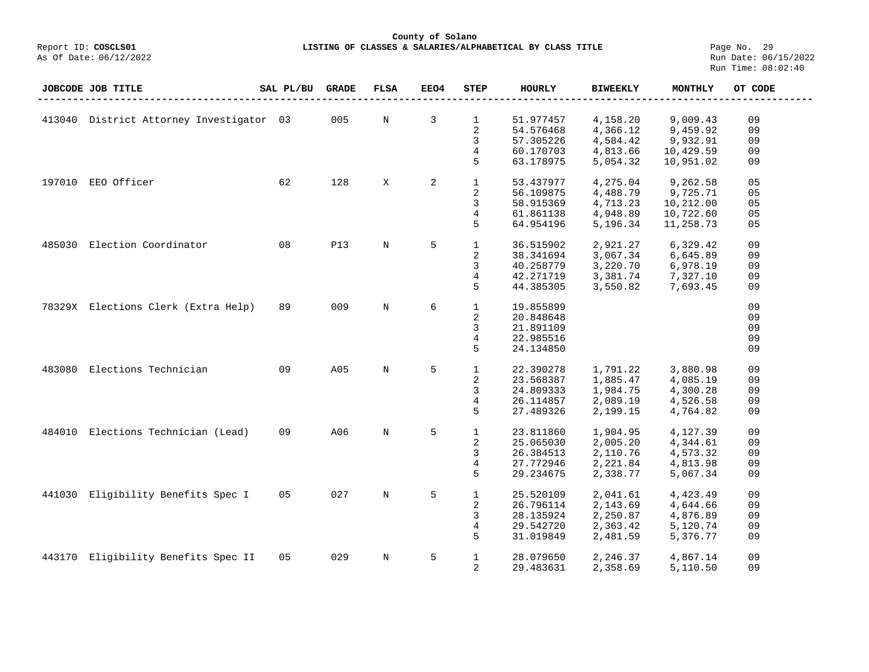## **County of Solano**<br>Exercis LISTING OF CLASSES & SALARIES/ALPH COSCLS01 **LISTING OF CLASSES & SALARIES/ALPHABETICAL BY CLASS TITLE** Page No. 29<br>Run Date: 06/15/2022

|        | <b>JOBCODE JOB TITLE</b>                 | SAL PL/BU | <b>GRADE</b> | <b>FLSA</b> | EEO4 | <b>STEP</b>  | HOURLY    | <b>BIWEEKLY</b> | <b>MONTHLY</b> | OT CODE |
|--------|------------------------------------------|-----------|--------------|-------------|------|--------------|-----------|-----------------|----------------|---------|
|        |                                          |           |              |             |      |              |           |                 |                |         |
|        | 413040 District Attorney Investigator 03 |           | 005          | N           | 3    | 1            | 51.977457 | 4,158.20        | 9,009.43       | 09      |
|        |                                          |           |              |             |      | 2            | 54.576468 | 4,366.12        | 9,459.92       | 09      |
|        |                                          |           |              |             |      | 3            | 57.305226 | 4,584.42        | 9,932.91       | 09      |
|        |                                          |           |              |             |      | 4            | 60.170703 | 4,813.66        | 10,429.59      | 09      |
|        |                                          |           |              |             |      | 5            | 63.178975 | 5,054.32        | 10,951.02      | 09      |
|        |                                          |           |              |             |      |              |           |                 |                |         |
| 197010 | EEO Officer                              | 62        | 128          | X           | 2    | $\mathbf{1}$ | 53.437977 | 4,275.04        | 9,262.58       | 05      |
|        |                                          |           |              |             |      | 2            | 56.109875 | 4,488.79        | 9,725.71       | 05      |
|        |                                          |           |              |             |      | 3            | 58.915369 | 4,713.23        | 10,212.00      | 05      |
|        |                                          |           |              |             |      | 4            | 61.861138 | 4,948.89        | 10,722.60      | 05      |
|        |                                          |           |              |             |      | 5            | 64.954196 | 5,196.34        | 11,258.73      | 05      |
| 485030 | Election Coordinator                     | 08        | <b>P13</b>   | $\rm N$     | 5    | $\mathbf 1$  | 36.515902 | 2,921.27        |                | 09      |
|        |                                          |           |              |             |      |              |           |                 | 6,329.42       |         |
|        |                                          |           |              |             |      | 2            | 38.341694 | 3,067.34        | 6,645.89       | 09      |
|        |                                          |           |              |             |      | 3            | 40.258779 | 3,220.70        | 6,978.19       | 09      |
|        |                                          |           |              |             |      | 4            | 42.271719 | 3,381.74        | 7,327.10       | 09      |
|        |                                          |           |              |             |      | 5            | 44.385305 | 3,550.82        | 7,693.45       | 09      |
|        | 78329X Elections Clerk (Extra Help)      | 89        | 009          | $\rm N$     | 6    | $\mathbf{1}$ | 19.855899 |                 |                | 09      |
|        |                                          |           |              |             |      | 2            | 20.848648 |                 |                | 09      |
|        |                                          |           |              |             |      | 3            | 21.891109 |                 |                | 09      |
|        |                                          |           |              |             |      | 4            | 22.985516 |                 |                | 09      |
|        |                                          |           |              |             |      | 5            | 24.134850 |                 |                | 09      |
|        |                                          |           |              |             |      |              |           |                 |                |         |
| 483080 | Elections Technician                     | 09        | A05          | $\rm N$     | 5    | $\mathbf{1}$ | 22.390278 | 1,791.22        | 3,880.98       | 09      |
|        |                                          |           |              |             |      | 2            | 23.568387 | 1,885.47        | 4,085.19       | 09      |
|        |                                          |           |              |             |      | 3            | 24.809333 | 1,984.75        | 4,300.28       | 09      |
|        |                                          |           |              |             |      | 4            | 26.114857 | 2,089.19        | 4,526.58       | 09      |
|        |                                          |           |              |             |      | 5            | 27.489326 | 2,199.15        | 4,764.82       | 09      |
|        |                                          |           |              |             |      |              |           |                 |                |         |
| 484010 | Elections Technician (Lead)              | 09        | A06          | $\mathbf N$ | 5    | $\mathbf{1}$ | 23.811860 | 1,904.95        | 4,127.39       | 09      |
|        |                                          |           |              |             |      | 2            | 25.065030 | 2,005.20        | 4,344.61       | 09      |
|        |                                          |           |              |             |      | 3            | 26.384513 | 2,110.76        | 4,573.32       | 09      |
|        |                                          |           |              |             |      | 4            | 27.772946 | 2,221.84        | 4,813.98       | 09      |
|        |                                          |           |              |             |      | 5            | 29.234675 | 2,338.77        | 5,067.34       | 09      |
| 441030 | Eligibility Benefits Spec I              | 05        | 027          | $\mathbf N$ | 5    | $\mathbf{1}$ | 25.520109 | 2,041.61        | 4,423.49       | 09      |
|        |                                          |           |              |             |      | 2            | 26.796114 | 2,143.69        | 4,644.66       | 09      |
|        |                                          |           |              |             |      | 3            | 28.135924 | 2,250.87        | 4,876.89       | 09      |
|        |                                          |           |              |             |      | 4            | 29.542720 | 2,363.42        | 5,120.74       | 09      |
|        |                                          |           |              |             |      | 5            | 31.019849 | 2,481.59        | 5,376.77       | 09      |
|        |                                          |           |              |             |      |              |           |                 |                |         |
| 443170 | Eligibility Benefits Spec II             | 05        | 029          | $\mathbb N$ | 5    | $\mathbf{1}$ | 28.079650 | 2,246.37        | 4,867.14       | 09      |
|        |                                          |           |              |             |      | 2            | 29.483631 | 2,358.69        | 5,110.50       | 09      |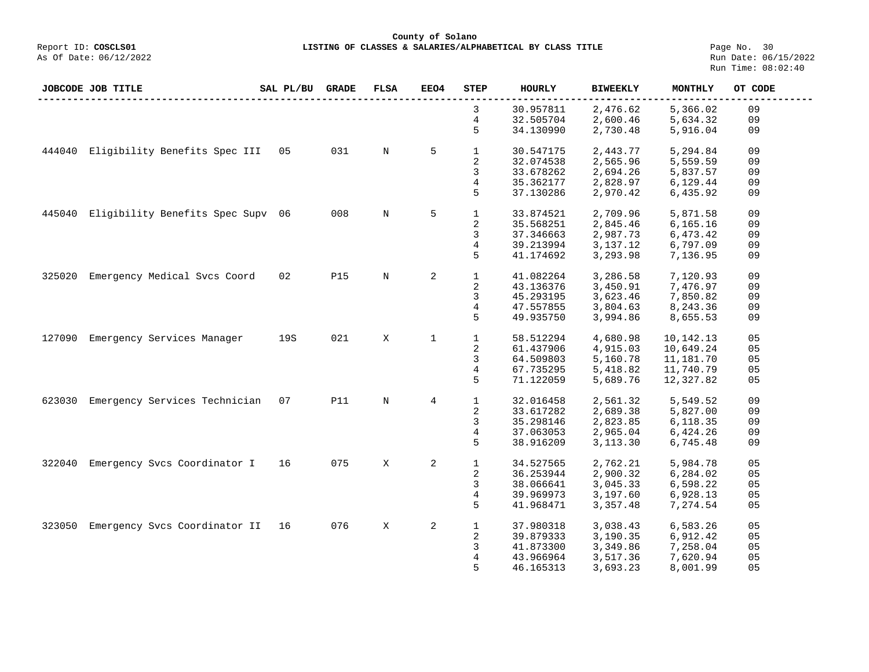**County of Solano**<br>Exercis LISTING OF CLASSES & SALARIES/ALPH COSCLS01 **LISTING OF CLASSES & SALARIES/ALPHABETICAL BY CLASS TITLE** Page No. 30<br>Run Date: 06/15/2022

|        | JOBCODE JOB TITLE                 | SAL PL/BU | <b>GRADE</b> | <b>FLSA</b> | EEO4           | <b>STEP</b>    | <b>HOURLY</b> | <b>BIWEEKLY</b> | MONTHLY   | OT CODE |
|--------|-----------------------------------|-----------|--------------|-------------|----------------|----------------|---------------|-----------------|-----------|---------|
|        |                                   |           |              |             |                | 3              | 30.957811     | 2,476.62        | 5,366.02  | 09      |
|        |                                   |           |              |             |                | 4              | 32.505704     | 2,600.46        | 5,634.32  | 09      |
|        |                                   |           |              |             |                | 5              | 34.130990     | 2,730.48        | 5,916.04  | 09      |
| 444040 | Eligibility Benefits Spec III     | 05        | 031          | N           | 5              | $\mathbf{1}$   | 30.547175     | 2,443.77        | 5,294.84  | 09      |
|        |                                   |           |              |             |                | 2              | 32.074538     | 2,565.96        | 5,559.59  | 09      |
|        |                                   |           |              |             |                | 3              | 33.678262     | 2,694.26        | 5,837.57  | 09      |
|        |                                   |           |              |             |                | 4              | 35.362177     | 2,828.97        | 6,129.44  | 09      |
|        |                                   |           |              |             |                | 5              | 37.130286     | 2,970.42        | 6,435.92  | 09      |
| 445040 | Eligibility Benefits Spec Supv 06 |           | 008          | N           | 5              | $\mathbf{1}$   | 33.874521     | 2,709.96        | 5,871.58  | 09      |
|        |                                   |           |              |             |                | 2              | 35.568251     | 2,845.46        | 6,165.16  | 09      |
|        |                                   |           |              |             |                | 3              | 37.346663     | 2,987.73        | 6,473.42  | 09      |
|        |                                   |           |              |             |                | 4              | 39.213994     | 3,137.12        | 6,797.09  | 09      |
|        |                                   |           |              |             |                | 5              | 41.174692     | 3,293.98        | 7,136.95  | 09      |
| 325020 | Emergency Medical Svcs Coord      | 02        | <b>P15</b>   | N           | 2              | $\mathbf{1}$   | 41.082264     | 3,286.58        | 7,120.93  | 09      |
|        |                                   |           |              |             |                | 2              | 43.136376     | 3,450.91        | 7,476.97  | 09      |
|        |                                   |           |              |             |                | 3              | 45.293195     | 3,623.46        | 7,850.82  | 09      |
|        |                                   |           |              |             |                | 4              | 47.557855     | 3,804.63        | 8,243.36  | 09      |
|        |                                   |           |              |             |                | 5              | 49.935750     | 3,994.86        | 8,655.53  | 09      |
|        |                                   |           |              |             |                |                |               |                 |           |         |
| 127090 | Emergency Services Manager        | 19S       | 021          | X           | 1              | $\mathbf 1$    | 58.512294     | 4,680.98        | 10,142.13 | 05      |
|        |                                   |           |              |             |                | 2              | 61.437906     | 4,915.03        | 10,649.24 | 05      |
|        |                                   |           |              |             |                | 3              | 64.509803     | 5,160.78        | 11,181.70 | 05      |
|        |                                   |           |              |             |                | $\overline{4}$ | 67.735295     | 5,418.82        | 11,740.79 | 05      |
|        |                                   |           |              |             |                | 5              | 71.122059     | 5,689.76        | 12,327.82 | 05      |
| 623030 | Emergency Services Technician     | 07        | <b>P11</b>   | N           | $\overline{4}$ | $\mathbf{1}$   | 32.016458     | 2,561.32        | 5,549.52  | 09      |
|        |                                   |           |              |             |                | 2              | 33.617282     | 2,689.38        | 5,827.00  | 09      |
|        |                                   |           |              |             |                | 3              | 35.298146     | 2,823.85        | 6,118.35  | 09      |
|        |                                   |           |              |             |                | 4              | 37.063053     | 2,965.04        | 6,424.26  | 09      |
|        |                                   |           |              |             |                | 5              | 38.916209     | 3, 113. 30      | 6,745.48  | 09      |
| 322040 | Emergency Svcs Coordinator I      | 16        | 075          | Χ           | 2              | $\mathbf{1}$   | 34.527565     | 2,762.21        | 5,984.78  | 05      |
|        |                                   |           |              |             |                | 2              | 36.253944     | 2,900.32        | 6,284.02  | 05      |
|        |                                   |           |              |             |                | 3              | 38.066641     | 3,045.33        | 6,598.22  | 05      |
|        |                                   |           |              |             |                | 4              | 39.969973     | 3,197.60        | 6,928.13  | 05      |
|        |                                   |           |              |             |                | 5              | 41.968471     | 3,357.48        | 7,274.54  | 05      |
|        |                                   |           |              |             |                |                |               |                 |           |         |
| 323050 | Emergency Svcs Coordinator II     | 16        | 076          | X           | 2              | $\mathbf{1}$   | 37.980318     | 3,038.43        | 6,583.26  | 05      |
|        |                                   |           |              |             |                | 2              | 39.879333     | 3,190.35        | 6,912.42  | 05      |
|        |                                   |           |              |             |                | 3              | 41.873300     | 3,349.86        | 7,258.04  | 05      |
|        |                                   |           |              |             |                | 4              | 43.966964     | 3,517.36        | 7,620.94  | 05      |
|        |                                   |           |              |             |                | 5              | 46.165313     | 3,693.23        | 8,001.99  | 05      |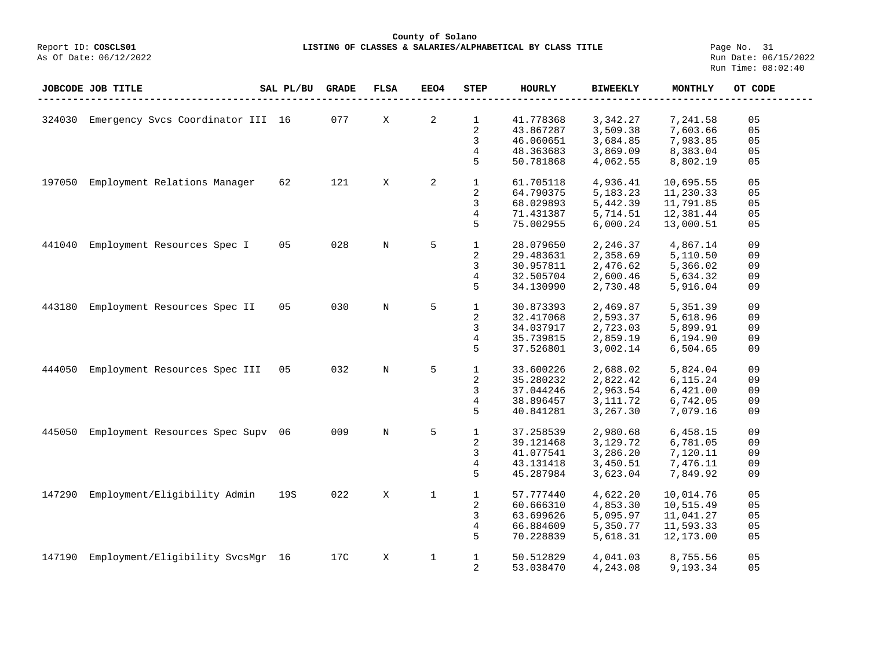# **County of Solano** LISTING OF CLASSES & SALARIES/ALPHABETICAL BY CLASS TITLE **Page No. 31**<br>Run Date: 06/15/2022

|        | JOBCODE JOB TITLE                 | SAL PL/BU | <b>GRADE</b> | <b>FLSA</b> | EEO4         | <b>STEP</b>    | <b>HOURLY</b> | <b>BIWEEKLY</b> | <b>MONTHLY</b> | OT CODE |
|--------|-----------------------------------|-----------|--------------|-------------|--------------|----------------|---------------|-----------------|----------------|---------|
|        |                                   |           |              |             |              |                |               |                 |                |         |
| 324030 | Emergency Svcs Coordinator III 16 |           | 077          | X           | 2            | $\mathbf{1}$   | 41.778368     | 3,342.27        | 7,241.58       | 05      |
|        |                                   |           |              |             |              | $\sqrt{2}$     | 43.867287     | 3,509.38        | 7,603.66       | 05      |
|        |                                   |           |              |             |              | 3              | 46.060651     | 3,684.85        | 7,983.85       | 05      |
|        |                                   |           |              |             |              | 4              | 48.363683     | 3,869.09        | 8,383.04       | 05      |
|        |                                   |           |              |             |              | 5              | 50.781868     | 4,062.55        | 8,802.19       | 05      |
| 197050 | Employment Relations Manager      | 62        | 121          | X           | 2            | $\mathbf{1}$   | 61.705118     | 4,936.41        | 10,695.55      | 05      |
|        |                                   |           |              |             |              | 2              | 64.790375     | 5, 183. 23      | 11,230.33      | 05      |
|        |                                   |           |              |             |              | 3              | 68.029893     | 5,442.39        | 11,791.85      | 05      |
|        |                                   |           |              |             |              | 4              | 71.431387     | 5,714.51        | 12,381.44      | 05      |
|        |                                   |           |              |             |              | 5              | 75.002955     | 6,000.24        | 13,000.51      | 05      |
| 441040 | Employment Resources Spec I       | 05        | 028          | N           | 5            | $\mathbf{1}$   | 28.079650     | 2,246.37        | 4,867.14       | 09      |
|        |                                   |           |              |             |              | $\sqrt{2}$     | 29.483631     | 2,358.69        | 5,110.50       | 09      |
|        |                                   |           |              |             |              | 3              | 30.957811     | 2,476.62        | 5,366.02       | 09      |
|        |                                   |           |              |             |              | 4              | 32.505704     | 2,600.46        | 5,634.32       | 09      |
|        |                                   |           |              |             |              | 5              | 34.130990     | 2,730.48        | 5,916.04       | 09      |
|        |                                   |           |              |             |              |                |               |                 |                |         |
| 443180 | Employment Resources Spec II      | 05        | 030          | $\mathbf N$ | 5            | $\mathbf{1}$   | 30.873393     | 2,469.87        | 5,351.39       | 09      |
|        |                                   |           |              |             |              | $\overline{2}$ | 32.417068     | 2,593.37        | 5,618.96       | 09      |
|        |                                   |           |              |             |              | 3              | 34.037917     | 2,723.03        | 5,899.91       | 09      |
|        |                                   |           |              |             |              | 4              | 35.739815     | 2,859.19        | 6,194.90       | 09      |
|        |                                   |           |              |             |              | 5              | 37.526801     | 3,002.14        | 6,504.65       | 09      |
| 444050 | Employment Resources Spec III     | 05        | 032          | N           | 5            | $\mathbf{1}$   | 33.600226     | 2,688.02        | 5,824.04       | 09      |
|        |                                   |           |              |             |              | $\sqrt{2}$     | 35.280232     | 2,822.42        | 6,115.24       | 09      |
|        |                                   |           |              |             |              |                |               |                 |                |         |
|        |                                   |           |              |             |              | 3              | 37.044246     | 2,963.54        | 6,421.00       | 09      |
|        |                                   |           |              |             |              | 4              | 38.896457     | 3, 111.72       | 6,742.05       | 09      |
|        |                                   |           |              |             |              | 5              | 40.841281     | 3,267.30        | 7,079.16       | 09      |
| 445050 | Employment Resources Spec Supv    | 06        | 009          | $\mathbf N$ | 5            | $\mathbf{1}$   | 37.258539     | 2,980.68        | 6,458.15       | 09      |
|        |                                   |           |              |             |              | $\sqrt{2}$     | 39.121468     | 3,129.72        | 6,781.05       | 09      |
|        |                                   |           |              |             |              | 3              | 41.077541     | 3,286.20        | 7,120.11       | 09      |
|        |                                   |           |              |             |              | 4              | 43.131418     | 3,450.51        | 7,476.11       | 09      |
|        |                                   |           |              |             |              | 5              | 45.287984     | 3,623.04        | 7,849.92       | 09      |
| 147290 | Employment/Eligibility Admin      | 19S       | 022          | X           | $\mathbf{1}$ | $\mathbf{1}$   | 57.777440     | 4,622.20        | 10,014.76      | 05      |
|        |                                   |           |              |             |              | $\sqrt{2}$     | 60.666310     | 4,853.30        | 10,515.49      | 05      |
|        |                                   |           |              |             |              | 3              | 63.699626     | 5,095.97        | 11,041.27      | 05      |
|        |                                   |           |              |             |              | 4              | 66.884609     | 5,350.77        | 11,593.33      | 05      |
|        |                                   |           |              |             |              | 5              | 70.228839     | 5,618.31        | 12,173.00      | 05      |
|        |                                   |           |              |             |              |                |               |                 |                |         |
| 147190 | Employment/Eligibility SvcsMgr 16 |           | 17C          | X           | 1            | $\mathbf{1}$   | 50.512829     | 4,041.03        | 8,755.56       | 05      |
|        |                                   |           |              |             |              | 2              | 53.038470     | 4,243.08        | 9,193.34       | 05      |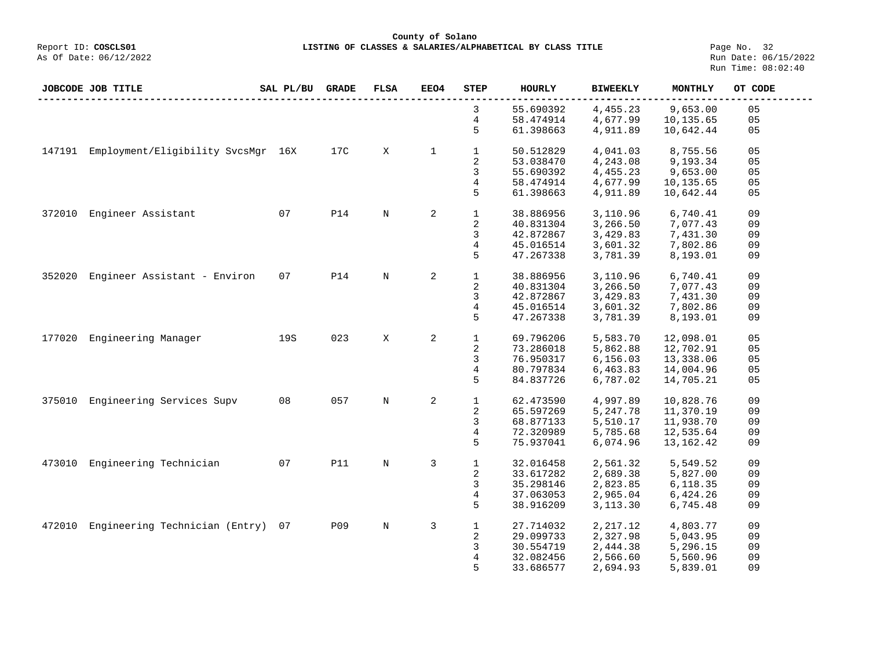**County of Solano**<br>Exercis LISTING OF CLASSES & SALARIES/ALPH COSCLS01 **LISTING OF CLASSES & SALARIES/ALPHABETICAL BY CLASS TITLE** Page No. 32<br>Run Date: 06/15/2022

|        | JOBCODE JOB TITLE                  | SAL PL/BU | <b>GRADE</b> | <b>FLSA</b> | EEO4        | <b>STEP</b>             | <b>HOURLY</b> | <b>BIWEEKLY</b> | <b>MONTHLY</b> | OT CODE        |
|--------|------------------------------------|-----------|--------------|-------------|-------------|-------------------------|---------------|-----------------|----------------|----------------|
|        |                                    |           |              |             |             | 3                       | 55.690392     | 4,455.23        | 9,653.00       | 05             |
|        |                                    |           |              |             |             | 4                       | 58.474914     | 4,677.99        | 10,135.65      | 05             |
|        |                                    |           |              |             |             | 5                       | 61.398663     | 4,911.89        | 10,642.44      | 05             |
| 147191 | Employment/Eligibility SvcsMgr 16X |           | 17C          | X           | $\mathbf 1$ | $\mathbf{1}$            | 50.512829     | 4,041.03        | 8,755.56       | 05             |
|        |                                    |           |              |             |             | 2                       | 53.038470     | 4,243.08        | 9,193.34       | 05             |
|        |                                    |           |              |             |             | 3                       | 55.690392     | 4,455.23        | 9,653.00       | 05             |
|        |                                    |           |              |             |             | 4                       | 58.474914     | 4,677.99        | 10,135.65      | 05             |
|        |                                    |           |              |             |             | 5                       | 61.398663     | 4,911.89        | 10,642.44      | 05             |
| 372010 | Engineer Assistant                 | 07        | <b>P14</b>   | $\mathbb N$ | 2           | $\mathbf{1}$            | 38.886956     | 3,110.96        | 6,740.41       | 09             |
|        |                                    |           |              |             |             | 2                       | 40.831304     | 3,266.50        | 7,077.43       | 09             |
|        |                                    |           |              |             |             | 3                       | 42.872867     | 3,429.83        | 7,431.30       | 09             |
|        |                                    |           |              |             |             | $\overline{4}$          | 45.016514     | 3,601.32        | 7,802.86       | 09             |
|        |                                    |           |              |             |             | 5                       | 47.267338     | 3,781.39        | 8,193.01       | 09             |
| 352020 | Engineer Assistant - Environ       | 07        | <b>P14</b>   | $\rm N$     | 2           | $\mathbf{1}$            | 38.886956     | 3,110.96        | 6,740.41       | 09             |
|        |                                    |           |              |             |             | 2                       | 40.831304     | 3,266.50        | 7,077.43       | 09             |
|        |                                    |           |              |             |             | 3                       | 42.872867     | 3,429.83        | 7,431.30       | 09             |
|        |                                    |           |              |             |             | $\overline{4}$          | 45.016514     | 3,601.32        | 7,802.86       | 09             |
|        |                                    |           |              |             |             | 5                       | 47.267338     | 3,781.39        | 8,193.01       | 09             |
| 177020 | Engineering Manager                | 19S       | 023          | X           | 2           | $\mathbf{1}$            | 69.796206     | 5,583.70        | 12,098.01      | 05             |
|        |                                    |           |              |             |             | $\overline{a}$          | 73.286018     | 5,862.88        | 12,702.91      | 0 <sub>5</sub> |
|        |                                    |           |              |             |             | 3                       | 76.950317     | 6,156.03        | 13,338.06      | 05             |
|        |                                    |           |              |             |             | 4                       | 80.797834     | 6,463.83        | 14,004.96      | 05             |
|        |                                    |           |              |             |             | 5                       | 84.837726     | 6,787.02        | 14,705.21      | 05             |
| 375010 | Engineering Services Supv          | 08        | 057          | $\rm N$     | 2           | $1\,$                   | 62.473590     | 4,997.89        | 10,828.76      | 09             |
|        |                                    |           |              |             |             | 2                       | 65.597269     | 5,247.78        | 11,370.19      | 09             |
|        |                                    |           |              |             |             | 3                       | 68.877133     | 5,510.17        | 11,938.70      | 09             |
|        |                                    |           |              |             |             | 4                       | 72.320989     | 5,785.68        | 12,535.64      | 09             |
|        |                                    |           |              |             |             | 5                       | 75.937041     | 6,074.96        | 13, 162. 42    | 09             |
| 473010 | Engineering Technician             | 07        | <b>P11</b>   | N           | 3           | $\mathbf{1}$            | 32.016458     | 2,561.32        | 5,549.52       | 09             |
|        |                                    |           |              |             |             | $\overline{\mathbf{c}}$ | 33.617282     | 2,689.38        | 5,827.00       | 09             |
|        |                                    |           |              |             |             | 3                       | 35.298146     | 2,823.85        | 6,118.35       | 09             |
|        |                                    |           |              |             |             | 4                       | 37.063053     | 2,965.04        | 6,424.26       | 09             |
|        |                                    |           |              |             |             | 5                       | 38.916209     | 3,113.30        | 6,745.48       | 09             |
| 472010 | Engineering Technician (Entry)     | 07        | <b>P09</b>   | $\mathbb N$ | 3           | $\mathbf{1}$            | 27.714032     | 2,217.12        | 4,803.77       | 09             |
|        |                                    |           |              |             |             | 2                       | 29.099733     | 2,327.98        | 5,043.95       | 09             |
|        |                                    |           |              |             |             | 3                       | 30.554719     | 2,444.38        | 5,296.15       | 09             |
|        |                                    |           |              |             |             | 4                       | 32.082456     | 2,566.60        | 5,560.96       | 09             |
|        |                                    |           |              |             |             | 5                       | 33.686577     | 2,694.93        | 5,839.01       | 09             |
|        |                                    |           |              |             |             |                         |               |                 |                |                |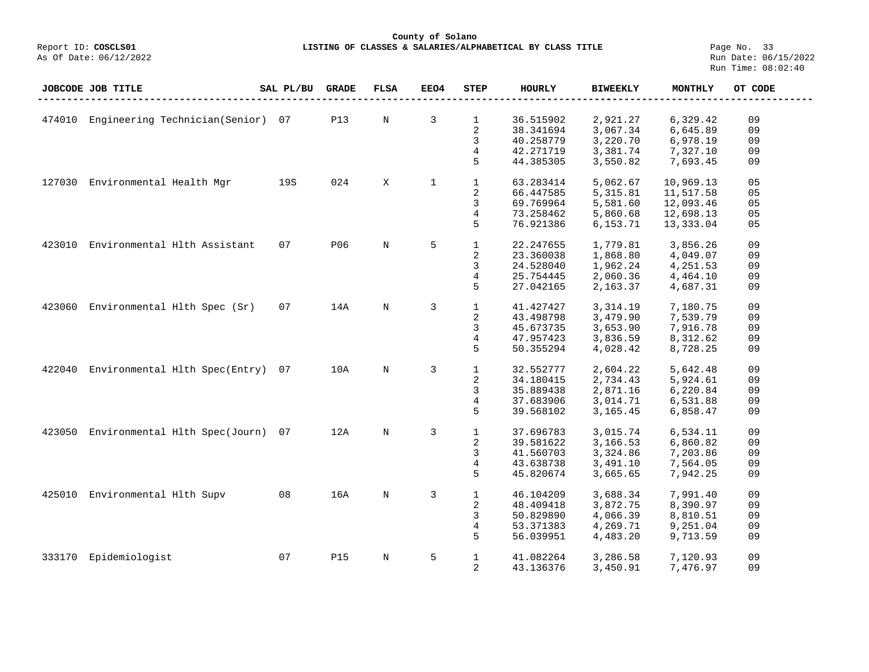## **County of Solano**<br>Exercis LISTING OF CLASSES & SALARIES/ALPH COSCLS01 **LISTING OF CLASSES & SALARIES/ALPHABETICAL BY CLASS TITLE** Page No. 33<br>Run Date: 06/15/2022

| Engineering Technician(Senior)<br>3<br>07<br><b>P13</b><br>$\mathbf 1$<br>36.515902<br>2,921.27<br>474010<br>N<br>6,329.42<br>09<br>2<br>3,067.34<br>38.341694<br>6,645.89<br>09<br>3<br>40.258779<br>3,220.70<br>09<br>6,978.19<br>4<br>42.271719<br>3,381.74<br>7,327.10<br>09<br>5<br>44.385305<br>3,550.82<br>09<br>7,693.45<br>19S<br>024<br>$\mathbf{1}$<br>05<br>127030<br>Environmental Health Mgr<br>X<br>1<br>5,062.67<br>10,969.13<br>63.283414<br>2<br>05<br>66.447585<br>5, 315.81<br>11,517.58<br>3<br>69.769964<br>5,581.60<br>12,093.46<br>05<br>4<br>0 <sub>5</sub><br>73.258462<br>5,860.68<br>12,698.13<br>5<br>76.921386<br>6,153.71<br>13,333.04<br>05<br>Environmental H1th Assistant<br>07<br>P06<br>$\mathbb N$<br>5<br>$\mathbf{1}$<br>09<br>423010<br>22.247655<br>1,779.81<br>3,856.26<br>2<br>23.360038<br>1,868.80<br>09<br>4,049.07<br>3<br>24.528040<br>1,962.24<br>4,251.53<br>09<br>4<br>25.754445<br>2,060.36<br>4,464.10<br>09<br>5<br>27.042165<br>2,163.37<br>4,687.31<br>09<br>$\mathbf{1}$<br>Environmental Hlth Spec (Sr)<br>07<br>14A<br>$\mathbb N$<br>3<br>41.427427<br>09<br>423060<br>3,314.19<br>7,180.75<br>2<br>43.498798<br>3,479.90<br>09<br>7,539.79<br>3<br>3,653.90<br>45.673735<br>7,916.78<br>09<br>4<br>47.957423<br>3,836.59<br>09<br>8,312.62<br>5<br>50.355294<br>4,028.42<br>8,728.25<br>09<br>3<br>$\mathbf{1}$<br>Environmental H1th Spec(Entry)<br>10A<br>$\rm N$<br>32.552777<br>2,604.22<br>5,642.48<br>09<br>422040<br>07<br>2<br>34.180415<br>2,734.43<br>09<br>5,924.61<br>3<br>2,871.16<br>35.889438<br>6,220.84<br>09<br>4<br>3,014.71<br>37.683906<br>6,531.88<br>09<br>5<br>39.568102<br>3,165.45<br>6,858.47<br>09<br>Environmental Hlth Spec(Journ)<br>12A<br>$\mathbf{1}$<br>09<br>423050<br>07<br>$\mathbf N$<br>3<br>37.696783<br>3,015.74<br>6,534.11<br>2<br>3,166.53<br>09<br>39.581622<br>6,860.82<br>3<br>3,324.86<br>41.560703<br>7,203.86<br>09<br>4<br>43.638738<br>3,491.10<br>7,564.05<br>09<br>5<br>3,665.65<br>45.820674<br>7,942.25<br>09<br>Environmental Hlth Supv<br>08<br>16A<br>$\mathbf N$<br>3<br>$\mathbf{1}$<br>46.104209<br>09<br>425010<br>3,688.34<br>7,991.40<br>2<br>48.409418<br>3,872.75<br>8,390.97<br>09<br>3<br>4,066.39<br>50.829890<br>8,810.51<br>09<br>4<br>53.371383<br>4,269.71<br>9,251.04<br>09<br>5<br>56.039951<br>4,483.20<br>09<br>9,713.59<br>Epidemiologist<br>09<br>07<br><b>P15</b><br>$\mathbb N$<br>$\mathbf{1}$<br>333170<br>5<br>41.082264<br>3,286.58<br>7,120.93<br>2<br>09<br>43.136376<br>3,450.91<br>7,476.97 | <b>JOBCODE JOB TITLE</b> | SAL PL/BU | <b>GRADE</b> | <b>FLSA</b> | EEO4 | <b>STEP</b> | HOURLY | <b>BIWEEKLY</b> | <b>MONTHLY</b> | OT CODE |
|-----------------------------------------------------------------------------------------------------------------------------------------------------------------------------------------------------------------------------------------------------------------------------------------------------------------------------------------------------------------------------------------------------------------------------------------------------------------------------------------------------------------------------------------------------------------------------------------------------------------------------------------------------------------------------------------------------------------------------------------------------------------------------------------------------------------------------------------------------------------------------------------------------------------------------------------------------------------------------------------------------------------------------------------------------------------------------------------------------------------------------------------------------------------------------------------------------------------------------------------------------------------------------------------------------------------------------------------------------------------------------------------------------------------------------------------------------------------------------------------------------------------------------------------------------------------------------------------------------------------------------------------------------------------------------------------------------------------------------------------------------------------------------------------------------------------------------------------------------------------------------------------------------------------------------------------------------------------------------------------------------------------------------------------------------------------------------------------------------------------------------------------------------------------------------------------------------------------------------------------------------------------------------------------------------------------------------------------------------------------------------------------------------------------------------------------------------------------------------------------------------------------------------------------------------|--------------------------|-----------|--------------|-------------|------|-------------|--------|-----------------|----------------|---------|
|                                                                                                                                                                                                                                                                                                                                                                                                                                                                                                                                                                                                                                                                                                                                                                                                                                                                                                                                                                                                                                                                                                                                                                                                                                                                                                                                                                                                                                                                                                                                                                                                                                                                                                                                                                                                                                                                                                                                                                                                                                                                                                                                                                                                                                                                                                                                                                                                                                                                                                                                                     |                          |           |              |             |      |             |        |                 |                |         |
|                                                                                                                                                                                                                                                                                                                                                                                                                                                                                                                                                                                                                                                                                                                                                                                                                                                                                                                                                                                                                                                                                                                                                                                                                                                                                                                                                                                                                                                                                                                                                                                                                                                                                                                                                                                                                                                                                                                                                                                                                                                                                                                                                                                                                                                                                                                                                                                                                                                                                                                                                     |                          |           |              |             |      |             |        |                 |                |         |
|                                                                                                                                                                                                                                                                                                                                                                                                                                                                                                                                                                                                                                                                                                                                                                                                                                                                                                                                                                                                                                                                                                                                                                                                                                                                                                                                                                                                                                                                                                                                                                                                                                                                                                                                                                                                                                                                                                                                                                                                                                                                                                                                                                                                                                                                                                                                                                                                                                                                                                                                                     |                          |           |              |             |      |             |        |                 |                |         |
|                                                                                                                                                                                                                                                                                                                                                                                                                                                                                                                                                                                                                                                                                                                                                                                                                                                                                                                                                                                                                                                                                                                                                                                                                                                                                                                                                                                                                                                                                                                                                                                                                                                                                                                                                                                                                                                                                                                                                                                                                                                                                                                                                                                                                                                                                                                                                                                                                                                                                                                                                     |                          |           |              |             |      |             |        |                 |                |         |
|                                                                                                                                                                                                                                                                                                                                                                                                                                                                                                                                                                                                                                                                                                                                                                                                                                                                                                                                                                                                                                                                                                                                                                                                                                                                                                                                                                                                                                                                                                                                                                                                                                                                                                                                                                                                                                                                                                                                                                                                                                                                                                                                                                                                                                                                                                                                                                                                                                                                                                                                                     |                          |           |              |             |      |             |        |                 |                |         |
|                                                                                                                                                                                                                                                                                                                                                                                                                                                                                                                                                                                                                                                                                                                                                                                                                                                                                                                                                                                                                                                                                                                                                                                                                                                                                                                                                                                                                                                                                                                                                                                                                                                                                                                                                                                                                                                                                                                                                                                                                                                                                                                                                                                                                                                                                                                                                                                                                                                                                                                                                     |                          |           |              |             |      |             |        |                 |                |         |
|                                                                                                                                                                                                                                                                                                                                                                                                                                                                                                                                                                                                                                                                                                                                                                                                                                                                                                                                                                                                                                                                                                                                                                                                                                                                                                                                                                                                                                                                                                                                                                                                                                                                                                                                                                                                                                                                                                                                                                                                                                                                                                                                                                                                                                                                                                                                                                                                                                                                                                                                                     |                          |           |              |             |      |             |        |                 |                |         |
|                                                                                                                                                                                                                                                                                                                                                                                                                                                                                                                                                                                                                                                                                                                                                                                                                                                                                                                                                                                                                                                                                                                                                                                                                                                                                                                                                                                                                                                                                                                                                                                                                                                                                                                                                                                                                                                                                                                                                                                                                                                                                                                                                                                                                                                                                                                                                                                                                                                                                                                                                     |                          |           |              |             |      |             |        |                 |                |         |
|                                                                                                                                                                                                                                                                                                                                                                                                                                                                                                                                                                                                                                                                                                                                                                                                                                                                                                                                                                                                                                                                                                                                                                                                                                                                                                                                                                                                                                                                                                                                                                                                                                                                                                                                                                                                                                                                                                                                                                                                                                                                                                                                                                                                                                                                                                                                                                                                                                                                                                                                                     |                          |           |              |             |      |             |        |                 |                |         |
|                                                                                                                                                                                                                                                                                                                                                                                                                                                                                                                                                                                                                                                                                                                                                                                                                                                                                                                                                                                                                                                                                                                                                                                                                                                                                                                                                                                                                                                                                                                                                                                                                                                                                                                                                                                                                                                                                                                                                                                                                                                                                                                                                                                                                                                                                                                                                                                                                                                                                                                                                     |                          |           |              |             |      |             |        |                 |                |         |
|                                                                                                                                                                                                                                                                                                                                                                                                                                                                                                                                                                                                                                                                                                                                                                                                                                                                                                                                                                                                                                                                                                                                                                                                                                                                                                                                                                                                                                                                                                                                                                                                                                                                                                                                                                                                                                                                                                                                                                                                                                                                                                                                                                                                                                                                                                                                                                                                                                                                                                                                                     |                          |           |              |             |      |             |        |                 |                |         |
|                                                                                                                                                                                                                                                                                                                                                                                                                                                                                                                                                                                                                                                                                                                                                                                                                                                                                                                                                                                                                                                                                                                                                                                                                                                                                                                                                                                                                                                                                                                                                                                                                                                                                                                                                                                                                                                                                                                                                                                                                                                                                                                                                                                                                                                                                                                                                                                                                                                                                                                                                     |                          |           |              |             |      |             |        |                 |                |         |
|                                                                                                                                                                                                                                                                                                                                                                                                                                                                                                                                                                                                                                                                                                                                                                                                                                                                                                                                                                                                                                                                                                                                                                                                                                                                                                                                                                                                                                                                                                                                                                                                                                                                                                                                                                                                                                                                                                                                                                                                                                                                                                                                                                                                                                                                                                                                                                                                                                                                                                                                                     |                          |           |              |             |      |             |        |                 |                |         |
|                                                                                                                                                                                                                                                                                                                                                                                                                                                                                                                                                                                                                                                                                                                                                                                                                                                                                                                                                                                                                                                                                                                                                                                                                                                                                                                                                                                                                                                                                                                                                                                                                                                                                                                                                                                                                                                                                                                                                                                                                                                                                                                                                                                                                                                                                                                                                                                                                                                                                                                                                     |                          |           |              |             |      |             |        |                 |                |         |
|                                                                                                                                                                                                                                                                                                                                                                                                                                                                                                                                                                                                                                                                                                                                                                                                                                                                                                                                                                                                                                                                                                                                                                                                                                                                                                                                                                                                                                                                                                                                                                                                                                                                                                                                                                                                                                                                                                                                                                                                                                                                                                                                                                                                                                                                                                                                                                                                                                                                                                                                                     |                          |           |              |             |      |             |        |                 |                |         |
|                                                                                                                                                                                                                                                                                                                                                                                                                                                                                                                                                                                                                                                                                                                                                                                                                                                                                                                                                                                                                                                                                                                                                                                                                                                                                                                                                                                                                                                                                                                                                                                                                                                                                                                                                                                                                                                                                                                                                                                                                                                                                                                                                                                                                                                                                                                                                                                                                                                                                                                                                     |                          |           |              |             |      |             |        |                 |                |         |
|                                                                                                                                                                                                                                                                                                                                                                                                                                                                                                                                                                                                                                                                                                                                                                                                                                                                                                                                                                                                                                                                                                                                                                                                                                                                                                                                                                                                                                                                                                                                                                                                                                                                                                                                                                                                                                                                                                                                                                                                                                                                                                                                                                                                                                                                                                                                                                                                                                                                                                                                                     |                          |           |              |             |      |             |        |                 |                |         |
|                                                                                                                                                                                                                                                                                                                                                                                                                                                                                                                                                                                                                                                                                                                                                                                                                                                                                                                                                                                                                                                                                                                                                                                                                                                                                                                                                                                                                                                                                                                                                                                                                                                                                                                                                                                                                                                                                                                                                                                                                                                                                                                                                                                                                                                                                                                                                                                                                                                                                                                                                     |                          |           |              |             |      |             |        |                 |                |         |
|                                                                                                                                                                                                                                                                                                                                                                                                                                                                                                                                                                                                                                                                                                                                                                                                                                                                                                                                                                                                                                                                                                                                                                                                                                                                                                                                                                                                                                                                                                                                                                                                                                                                                                                                                                                                                                                                                                                                                                                                                                                                                                                                                                                                                                                                                                                                                                                                                                                                                                                                                     |                          |           |              |             |      |             |        |                 |                |         |
|                                                                                                                                                                                                                                                                                                                                                                                                                                                                                                                                                                                                                                                                                                                                                                                                                                                                                                                                                                                                                                                                                                                                                                                                                                                                                                                                                                                                                                                                                                                                                                                                                                                                                                                                                                                                                                                                                                                                                                                                                                                                                                                                                                                                                                                                                                                                                                                                                                                                                                                                                     |                          |           |              |             |      |             |        |                 |                |         |
|                                                                                                                                                                                                                                                                                                                                                                                                                                                                                                                                                                                                                                                                                                                                                                                                                                                                                                                                                                                                                                                                                                                                                                                                                                                                                                                                                                                                                                                                                                                                                                                                                                                                                                                                                                                                                                                                                                                                                                                                                                                                                                                                                                                                                                                                                                                                                                                                                                                                                                                                                     |                          |           |              |             |      |             |        |                 |                |         |
|                                                                                                                                                                                                                                                                                                                                                                                                                                                                                                                                                                                                                                                                                                                                                                                                                                                                                                                                                                                                                                                                                                                                                                                                                                                                                                                                                                                                                                                                                                                                                                                                                                                                                                                                                                                                                                                                                                                                                                                                                                                                                                                                                                                                                                                                                                                                                                                                                                                                                                                                                     |                          |           |              |             |      |             |        |                 |                |         |
|                                                                                                                                                                                                                                                                                                                                                                                                                                                                                                                                                                                                                                                                                                                                                                                                                                                                                                                                                                                                                                                                                                                                                                                                                                                                                                                                                                                                                                                                                                                                                                                                                                                                                                                                                                                                                                                                                                                                                                                                                                                                                                                                                                                                                                                                                                                                                                                                                                                                                                                                                     |                          |           |              |             |      |             |        |                 |                |         |
|                                                                                                                                                                                                                                                                                                                                                                                                                                                                                                                                                                                                                                                                                                                                                                                                                                                                                                                                                                                                                                                                                                                                                                                                                                                                                                                                                                                                                                                                                                                                                                                                                                                                                                                                                                                                                                                                                                                                                                                                                                                                                                                                                                                                                                                                                                                                                                                                                                                                                                                                                     |                          |           |              |             |      |             |        |                 |                |         |
|                                                                                                                                                                                                                                                                                                                                                                                                                                                                                                                                                                                                                                                                                                                                                                                                                                                                                                                                                                                                                                                                                                                                                                                                                                                                                                                                                                                                                                                                                                                                                                                                                                                                                                                                                                                                                                                                                                                                                                                                                                                                                                                                                                                                                                                                                                                                                                                                                                                                                                                                                     |                          |           |              |             |      |             |        |                 |                |         |
|                                                                                                                                                                                                                                                                                                                                                                                                                                                                                                                                                                                                                                                                                                                                                                                                                                                                                                                                                                                                                                                                                                                                                                                                                                                                                                                                                                                                                                                                                                                                                                                                                                                                                                                                                                                                                                                                                                                                                                                                                                                                                                                                                                                                                                                                                                                                                                                                                                                                                                                                                     |                          |           |              |             |      |             |        |                 |                |         |
|                                                                                                                                                                                                                                                                                                                                                                                                                                                                                                                                                                                                                                                                                                                                                                                                                                                                                                                                                                                                                                                                                                                                                                                                                                                                                                                                                                                                                                                                                                                                                                                                                                                                                                                                                                                                                                                                                                                                                                                                                                                                                                                                                                                                                                                                                                                                                                                                                                                                                                                                                     |                          |           |              |             |      |             |        |                 |                |         |
|                                                                                                                                                                                                                                                                                                                                                                                                                                                                                                                                                                                                                                                                                                                                                                                                                                                                                                                                                                                                                                                                                                                                                                                                                                                                                                                                                                                                                                                                                                                                                                                                                                                                                                                                                                                                                                                                                                                                                                                                                                                                                                                                                                                                                                                                                                                                                                                                                                                                                                                                                     |                          |           |              |             |      |             |        |                 |                |         |
|                                                                                                                                                                                                                                                                                                                                                                                                                                                                                                                                                                                                                                                                                                                                                                                                                                                                                                                                                                                                                                                                                                                                                                                                                                                                                                                                                                                                                                                                                                                                                                                                                                                                                                                                                                                                                                                                                                                                                                                                                                                                                                                                                                                                                                                                                                                                                                                                                                                                                                                                                     |                          |           |              |             |      |             |        |                 |                |         |
|                                                                                                                                                                                                                                                                                                                                                                                                                                                                                                                                                                                                                                                                                                                                                                                                                                                                                                                                                                                                                                                                                                                                                                                                                                                                                                                                                                                                                                                                                                                                                                                                                                                                                                                                                                                                                                                                                                                                                                                                                                                                                                                                                                                                                                                                                                                                                                                                                                                                                                                                                     |                          |           |              |             |      |             |        |                 |                |         |
|                                                                                                                                                                                                                                                                                                                                                                                                                                                                                                                                                                                                                                                                                                                                                                                                                                                                                                                                                                                                                                                                                                                                                                                                                                                                                                                                                                                                                                                                                                                                                                                                                                                                                                                                                                                                                                                                                                                                                                                                                                                                                                                                                                                                                                                                                                                                                                                                                                                                                                                                                     |                          |           |              |             |      |             |        |                 |                |         |
|                                                                                                                                                                                                                                                                                                                                                                                                                                                                                                                                                                                                                                                                                                                                                                                                                                                                                                                                                                                                                                                                                                                                                                                                                                                                                                                                                                                                                                                                                                                                                                                                                                                                                                                                                                                                                                                                                                                                                                                                                                                                                                                                                                                                                                                                                                                                                                                                                                                                                                                                                     |                          |           |              |             |      |             |        |                 |                |         |
|                                                                                                                                                                                                                                                                                                                                                                                                                                                                                                                                                                                                                                                                                                                                                                                                                                                                                                                                                                                                                                                                                                                                                                                                                                                                                                                                                                                                                                                                                                                                                                                                                                                                                                                                                                                                                                                                                                                                                                                                                                                                                                                                                                                                                                                                                                                                                                                                                                                                                                                                                     |                          |           |              |             |      |             |        |                 |                |         |
|                                                                                                                                                                                                                                                                                                                                                                                                                                                                                                                                                                                                                                                                                                                                                                                                                                                                                                                                                                                                                                                                                                                                                                                                                                                                                                                                                                                                                                                                                                                                                                                                                                                                                                                                                                                                                                                                                                                                                                                                                                                                                                                                                                                                                                                                                                                                                                                                                                                                                                                                                     |                          |           |              |             |      |             |        |                 |                |         |
|                                                                                                                                                                                                                                                                                                                                                                                                                                                                                                                                                                                                                                                                                                                                                                                                                                                                                                                                                                                                                                                                                                                                                                                                                                                                                                                                                                                                                                                                                                                                                                                                                                                                                                                                                                                                                                                                                                                                                                                                                                                                                                                                                                                                                                                                                                                                                                                                                                                                                                                                                     |                          |           |              |             |      |             |        |                 |                |         |
|                                                                                                                                                                                                                                                                                                                                                                                                                                                                                                                                                                                                                                                                                                                                                                                                                                                                                                                                                                                                                                                                                                                                                                                                                                                                                                                                                                                                                                                                                                                                                                                                                                                                                                                                                                                                                                                                                                                                                                                                                                                                                                                                                                                                                                                                                                                                                                                                                                                                                                                                                     |                          |           |              |             |      |             |        |                 |                |         |
|                                                                                                                                                                                                                                                                                                                                                                                                                                                                                                                                                                                                                                                                                                                                                                                                                                                                                                                                                                                                                                                                                                                                                                                                                                                                                                                                                                                                                                                                                                                                                                                                                                                                                                                                                                                                                                                                                                                                                                                                                                                                                                                                                                                                                                                                                                                                                                                                                                                                                                                                                     |                          |           |              |             |      |             |        |                 |                |         |
|                                                                                                                                                                                                                                                                                                                                                                                                                                                                                                                                                                                                                                                                                                                                                                                                                                                                                                                                                                                                                                                                                                                                                                                                                                                                                                                                                                                                                                                                                                                                                                                                                                                                                                                                                                                                                                                                                                                                                                                                                                                                                                                                                                                                                                                                                                                                                                                                                                                                                                                                                     |                          |           |              |             |      |             |        |                 |                |         |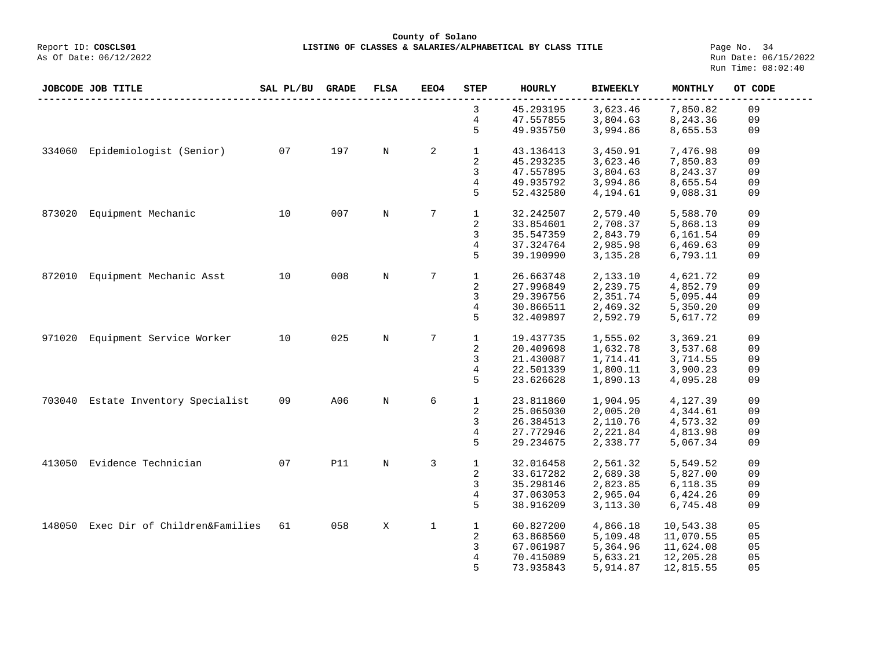#### **County of Solano**<br>Exercis LISTING OF CLASSES & SALARIES/ALPH (Report ID: COSCLS01 **LISTING OF CLASSES & SALARIES/ALPHABETICAL BY CLASS TITLE** Page No. 34<br>Run Date: 06/15/2022

|        | JOBCODE JOB TITLE             | SAL PL/BU | <b>GRADE</b> | FLSA        | <b>EEO4</b> | <b>STEP</b>  | <b>HOURLY</b> | <b>BIWEEKLY</b> | MONTHLY   | OT CODE |
|--------|-------------------------------|-----------|--------------|-------------|-------------|--------------|---------------|-----------------|-----------|---------|
|        |                               |           |              |             |             | 3            | 45.293195     | 3,623.46        | 7,850.82  | 09      |
|        |                               |           |              |             |             | 4            | 47.557855     | 3,804.63        | 8,243.36  | 09      |
|        |                               |           |              |             |             | 5            | 49.935750     | 3,994.86        | 8,655.53  | 09      |
| 334060 | Epidemiologist (Senior)       | 07        | 197          | $\mathbb N$ | 2           | $\mathbf{1}$ | 43.136413     | 3,450.91        | 7,476.98  | 09      |
|        |                               |           |              |             |             | 2            | 45.293235     | 3,623.46        | 7,850.83  | 09      |
|        |                               |           |              |             |             | 3            | 47.557895     | 3,804.63        | 8,243.37  | 09      |
|        |                               |           |              |             |             | 4            | 49.935792     | 3,994.86        | 8,655.54  | 09      |
|        |                               |           |              |             |             | 5            | 52.432580     | 4,194.61        | 9,088.31  | 09      |
| 873020 | Equipment Mechanic            | 10        | 007          | $\mathbb N$ | 7           | $\mathbf{1}$ | 32.242507     | 2,579.40        | 5,588.70  | 09      |
|        |                               |           |              |             |             | 2            | 33.854601     | 2,708.37        | 5,868.13  | 09      |
|        |                               |           |              |             |             | 3            | 35.547359     | 2,843.79        | 6,161.54  | 09      |
|        |                               |           |              |             |             | 4            | 37.324764     | 2,985.98        | 6,469.63  | 09      |
|        |                               |           |              |             |             | 5            | 39.190990     | 3,135.28        |           |         |
|        |                               |           |              |             |             |              |               |                 | 6,793.11  | 09      |
| 872010 | Equipment Mechanic Asst       | 10        | 008          | $\mathbb N$ | 7           | $\mathbf{1}$ | 26.663748     | 2,133.10        | 4,621.72  | 09      |
|        |                               |           |              |             |             | 2            | 27.996849     | 2,239.75        | 4,852.79  | 09      |
|        |                               |           |              |             |             | 3            | 29.396756     | 2,351.74        | 5,095.44  | 09      |
|        |                               |           |              |             |             | 4            | 30.866511     | 2,469.32        | 5,350.20  | 09      |
|        |                               |           |              |             |             | 5            | 32.409897     | 2,592.79        | 5,617.72  | 09      |
|        |                               |           |              |             |             |              |               |                 |           |         |
| 971020 | Equipment Service Worker      | 10        | 025          | $\mathbb N$ | 7           | $\mathbf{1}$ | 19.437735     | 1,555.02        | 3,369.21  | 09      |
|        |                               |           |              |             |             | 2            | 20.409698     | 1,632.78        | 3,537.68  | 09      |
|        |                               |           |              |             |             | 3            | 21.430087     | 1,714.41        | 3,714.55  | 09      |
|        |                               |           |              |             |             | 4            | 22.501339     | 1,800.11        | 3,900.23  | 09      |
|        |                               |           |              |             |             | 5            | 23.626628     | 1,890.13        | 4,095.28  | 09      |
| 703040 | Estate Inventory Specialist   | 09        | A06          | N           | 6           | $\mathbf{1}$ | 23.811860     | 1,904.95        | 4,127.39  | 09      |
|        |                               |           |              |             |             | 2            | 25.065030     | 2,005.20        | 4,344.61  | 09      |
|        |                               |           |              |             |             | 3            | 26.384513     | 2,110.76        | 4,573.32  | 09      |
|        |                               |           |              |             |             | 4            | 27.772946     | 2,221.84        | 4,813.98  | 09      |
|        |                               |           |              |             |             | 5            | 29.234675     | 2,338.77        | 5,067.34  | 09      |
| 413050 | Evidence Technician           | 07        | P11          | N           | 3           | $\mathbf{1}$ | 32.016458     | 2,561.32        | 5,549.52  | 09      |
|        |                               |           |              |             |             | 2            | 33.617282     | 2,689.38        | 5,827.00  | 09      |
|        |                               |           |              |             |             | 3            | 35.298146     | 2,823.85        | 6,118.35  | 09      |
|        |                               |           |              |             |             |              |               |                 |           |         |
|        |                               |           |              |             |             | 4            | 37.063053     | 2,965.04        | 6,424.26  | 09      |
|        |                               |           |              |             |             | 5            | 38.916209     | 3,113.30        | 6,745.48  | 09      |
| 148050 | Exec Dir of Children&Families | 61        | 058          | X           | $\mathbf 1$ | $\mathbf{1}$ | 60.827200     | 4,866.18        | 10,543.38 | 05      |
|        |                               |           |              |             |             | 2            | 63.868560     | 5,109.48        | 11,070.55 | 05      |
|        |                               |           |              |             |             | 3            | 67.061987     | 5,364.96        | 11,624.08 | 05      |
|        |                               |           |              |             |             | 4            | 70.415089     | 5,633.21        | 12,205.28 | 05      |
|        |                               |           |              |             |             | 5            | 73.935843     | 5,914.87        | 12,815.55 | 05      |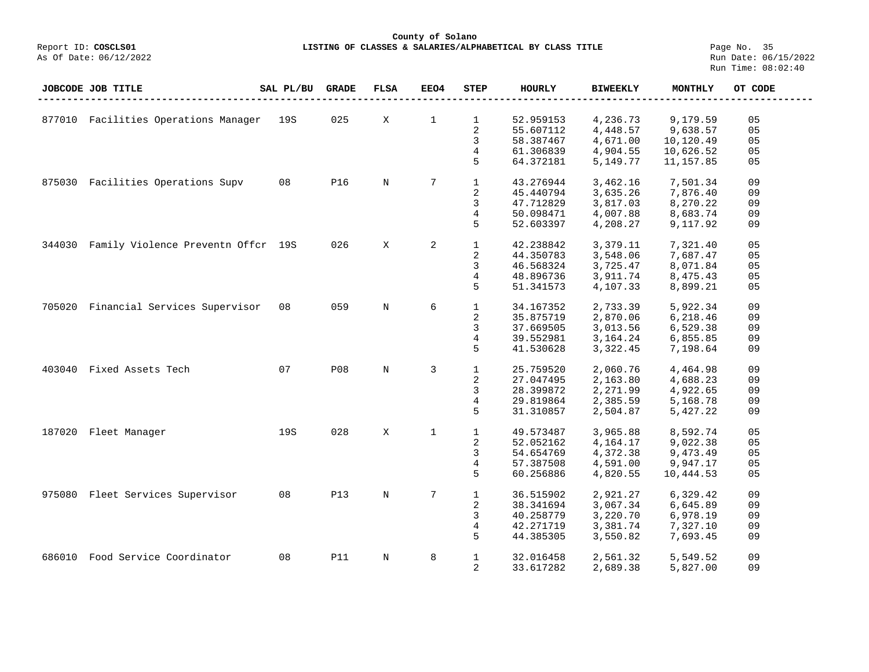## **County of Solano**<br>Exercis LISTING OF CLASSES & SALARIES/ALPH COSCLS01 **LISTING OF CLASSES & SALARIES/ALPHABETICAL BY CLASS TITLE** Page No. 35<br>Run Date: 06/15/2022

|        | JOBCODE JOB TITLE                    | SAL PL/BU | <b>GRADE</b> | $_{\rm FLSA}$ | <b>EEO4</b>    | <b>STEP</b>    | HOURLY    | <b>BIWEEKLY</b> | MONTHLY    | OT CODE |
|--------|--------------------------------------|-----------|--------------|---------------|----------------|----------------|-----------|-----------------|------------|---------|
|        |                                      |           |              |               |                |                |           |                 |            |         |
|        | 877010 Facilities Operations Manager | 19S       | 025          | Χ             | $\mathbf 1$    | 1              | 52.959153 | 4,236.73        | 9,179.59   | 05      |
|        |                                      |           |              |               |                | 2              | 55.607112 | 4,448.57        | 9,638.57   | 05      |
|        |                                      |           |              |               |                | 3              | 58.387467 | 4,671.00        | 10,120.49  | 05      |
|        |                                      |           |              |               |                | $\overline{4}$ | 61.306839 | 4,904.55        | 10,626.52  | 05      |
|        |                                      |           |              |               |                | 5              | 64.372181 | 5,149.77        | 11, 157.85 | 05      |
| 875030 | Facilities Operations Supv           | 08        | <b>P16</b>   | $_{\rm N}$    | 7              | $\mathbf{1}$   | 43.276944 | 3,462.16        | 7,501.34   | 09      |
|        |                                      |           |              |               |                | 2              | 45.440794 | 3,635.26        | 7,876.40   | 09      |
|        |                                      |           |              |               |                | 3              | 47.712829 | 3,817.03        | 8,270.22   | 09      |
|        |                                      |           |              |               |                | 4              | 50.098471 | 4,007.88        | 8,683.74   | 09      |
|        |                                      |           |              |               |                | 5              | 52.603397 | 4,208.27        | 9,117.92   | 09      |
| 344030 | Family Violence Preventn Offcr 19S   |           | 026          | X             | 2              | $\mathbf{1}$   | 42.238842 | 3,379.11        | 7,321.40   | 05      |
|        |                                      |           |              |               |                | 2              | 44.350783 | 3,548.06        | 7,687.47   | 05      |
|        |                                      |           |              |               |                | 3              | 46.568324 | 3,725.47        | 8,071.84   | 05      |
|        |                                      |           |              |               |                | 4              | 48.896736 | 3,911.74        | 8,475.43   | 05      |
|        |                                      |           |              |               |                | 5              | 51.341573 | 4,107.33        | 8,899.21   | 05      |
| 705020 | Financial Services Supervisor        | 08        | 059          | $\mathbf N$   | 6              | $\mathbf{1}$   | 34.167352 | 2,733.39        | 5,922.34   | 09      |
|        |                                      |           |              |               |                | $\overline{2}$ | 35.875719 | 2,870.06        | 6,218.46   | 09      |
|        |                                      |           |              |               |                | 3              | 37.669505 | 3,013.56        | 6,529.38   | 09      |
|        |                                      |           |              |               |                | 4              | 39.552981 | 3, 164. 24      | 6,855.85   | 09      |
|        |                                      |           |              |               |                | 5              | 41.530628 | 3,322.45        | 7,198.64   | 09      |
| 403040 | Fixed Assets Tech                    | 07        | <b>P08</b>   | $_{\rm N}$    | $\overline{3}$ | $\mathbf{1}$   | 25.759520 | 2,060.76        | 4,464.98   | 09      |
|        |                                      |           |              |               |                | $\sqrt{2}$     | 27.047495 | 2,163.80        | 4,688.23   | 09      |
|        |                                      |           |              |               |                | 3              | 28.399872 | 2,271.99        | 4,922.65   | 09      |
|        |                                      |           |              |               |                | 4              | 29.819864 | 2,385.59        | 5,168.78   | 09      |
|        |                                      |           |              |               |                | 5              | 31.310857 | 2,504.87        | 5,427.22   | 09      |
| 187020 | Fleet Manager                        | 19S       | 028          | X             | $\mathbf{1}$   | $\mathbf{1}$   | 49.573487 | 3,965.88        | 8,592.74   | 05      |
|        |                                      |           |              |               |                | 2              | 52.052162 | 4,164.17        | 9,022.38   | 05      |
|        |                                      |           |              |               |                | 3              | 54.654769 | 4,372.38        | 9,473.49   | 05      |
|        |                                      |           |              |               |                | 4              | 57.387508 | 4,591.00        | 9,947.17   | 05      |
|        |                                      |           |              |               |                | 5              | 60.256886 | 4,820.55        | 10,444.53  | 05      |
| 975080 | Fleet Services Supervisor            | 08        | <b>P13</b>   | $_{\rm N}$    | 7              | $\mathbf{1}$   | 36.515902 | 2,921.27        | 6,329.42   | 09      |
|        |                                      |           |              |               |                | $\overline{2}$ | 38.341694 | 3,067.34        | 6,645.89   | 09      |
|        |                                      |           |              |               |                | 3              | 40.258779 | 3,220.70        | 6,978.19   | 09      |
|        |                                      |           |              |               |                | 4              | 42.271719 | 3,381.74        | 7,327.10   | 09      |
|        |                                      |           |              |               |                | 5              | 44.385305 | 3,550.82        | 7,693.45   | 09      |
| 686010 | Food Service Coordinator             | 08        | <b>P11</b>   | $\mathbf N$   | 8              | $\mathbf{1}$   | 32.016458 | 2,561.32        | 5,549.52   | 09      |
|        |                                      |           |              |               |                | 2              | 33.617282 | 2,689.38        | 5,827.00   | 09      |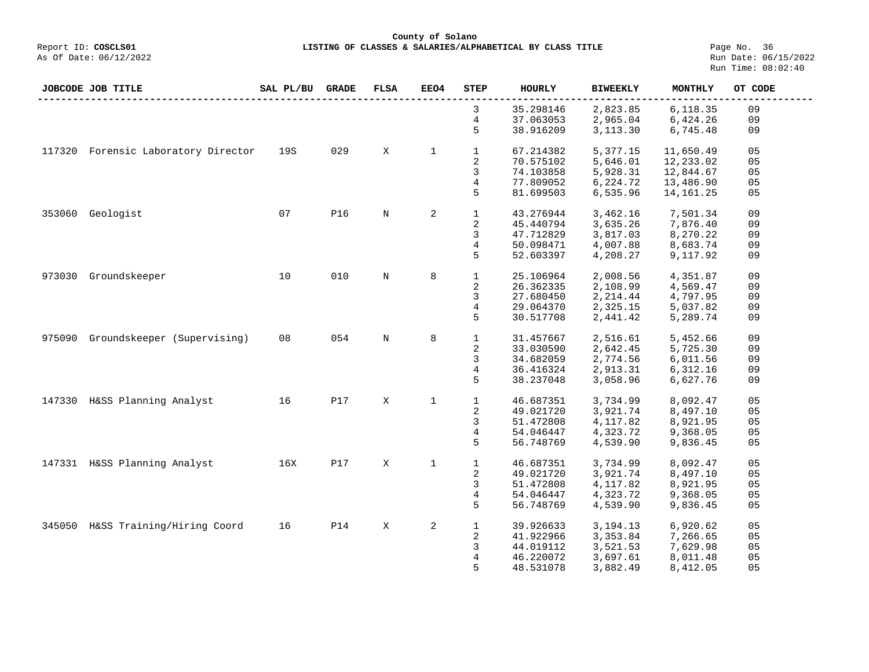**County of Solano**<br>Exercis LISTING OF CLASSES & SALARIES/ALPH (Report ID: COSCLS01 **LISTING OF CLASSES & SALARIES/ALPHABETICAL BY CLASS TITLE** Page No. 36<br>Run Date: 06/15/2022

|        | JOBCODE JOB TITLE            | SAL PL/BU | <b>GRADE</b> | <b>FLSA</b> | EEO4         | <b>STEP</b>    | <b>HOURLY</b> | <b>BIWEEKLY</b> | <b>MONTHLY</b> | OT CODE        |
|--------|------------------------------|-----------|--------------|-------------|--------------|----------------|---------------|-----------------|----------------|----------------|
|        |                              |           |              |             |              | 3              | 35.298146     | 2,823.85        | 6,118.35       | 09             |
|        |                              |           |              |             |              | 4              | 37.063053     | 2,965.04        | 6,424.26       | 09             |
|        |                              |           |              |             |              | 5              | 38.916209     | 3,113.30        | 6,745.48       | 09             |
| 117320 | Forensic Laboratory Director | 19S       | 029          | X           | $\mathbf{1}$ | $\mathbf{1}$   | 67.214382     | 5,377.15        | 11,650.49      | 05             |
|        |                              |           |              |             |              | 2              | 70.575102     | 5,646.01        | 12,233.02      | 05             |
|        |                              |           |              |             |              | 3              | 74.103858     | 5,928.31        | 12,844.67      | 05             |
|        |                              |           |              |             |              | 4              | 77.809052     | 6,224.72        | 13,486.90      | 05             |
|        |                              |           |              |             |              | 5              | 81.699503     | 6,535.96        | 14, 161. 25    | 05             |
| 353060 | Geologist                    | 07        | <b>P16</b>   | N           | 2            | $\mathbf{1}$   | 43.276944     | 3,462.16        | 7,501.34       | 09             |
|        |                              |           |              |             |              | $\overline{2}$ | 45.440794     | 3,635.26        | 7,876.40       | 09             |
|        |                              |           |              |             |              | 3              | 47.712829     | 3,817.03        | 8,270.22       | 09             |
|        |                              |           |              |             |              | 4              | 50.098471     | 4,007.88        | 8,683.74       | 09             |
|        |                              |           |              |             |              | 5              | 52.603397     | 4,208.27        | 9,117.92       | 09             |
| 973030 | Groundskeeper                | 10        | 010          | N           | 8            | $\mathbf{1}$   | 25.106964     | 2,008.56        | 4,351.87       | 09             |
|        |                              |           |              |             |              | 2              | 26.362335     | 2,108.99        | 4,569.47       | 09             |
|        |                              |           |              |             |              | 3              | 27.680450     | 2, 214.44       | 4,797.95       | 09             |
|        |                              |           |              |             |              | 4              | 29.064370     | 2,325.15        | 5,037.82       | 09             |
|        |                              |           |              |             |              | 5              | 30.517708     | 2,441.42        | 5,289.74       | 09             |
| 975090 | Groundskeeper (Supervising)  | 08        | 054          | N           | 8            | $\mathbf{1}$   | 31.457667     | 2,516.61        | 5,452.66       | 09             |
|        |                              |           |              |             |              | $\overline{2}$ | 33.030590     | 2,642.45        | 5,725.30       | 09             |
|        |                              |           |              |             |              | 3              | 34.682059     | 2,774.56        | 6,011.56       | 09             |
|        |                              |           |              |             |              | 4              | 36.416324     | 2,913.31        | 6,312.16       | 09             |
|        |                              |           |              |             |              | 5              | 38.237048     | 3,058.96        | 6,627.76       | 09             |
| 147330 | H&SS Planning Analyst        | 16        | <b>P17</b>   | X           | $\mathbf{1}$ | $\mathbf{1}$   | 46.687351     | 3,734.99        | 8,092.47       | 05             |
|        |                              |           |              |             |              | 2              | 49.021720     | 3,921.74        | 8,497.10       | 0 <sub>5</sub> |
|        |                              |           |              |             |              | 3              | 51.472808     | 4,117.82        | 8,921.95       | 05             |
|        |                              |           |              |             |              | 4              | 54.046447     | 4,323.72        | 9,368.05       | 05             |
|        |                              |           |              |             |              | 5              | 56.748769     | 4,539.90        | 9,836.45       | 05             |
|        | 147331 H&SS Planning Analyst | 16X       | <b>P17</b>   | X           | $\mathbf 1$  | $\mathbf{1}$   | 46.687351     | 3,734.99        | 8,092.47       | 05             |
|        |                              |           |              |             |              | 2              | 49.021720     | 3,921.74        | 8,497.10       | 05             |
|        |                              |           |              |             |              | 3              | 51.472808     | 4,117.82        | 8,921.95       | 05             |
|        |                              |           |              |             |              | $\overline{4}$ | 54.046447     | 4,323.72        | 9,368.05       | 05             |
|        |                              |           |              |             |              | 5              | 56.748769     | 4,539.90        | 9,836.45       | 05             |
| 345050 | H&SS Training/Hiring Coord   | 16        | <b>P14</b>   | X           | 2            | $\mathbf{1}$   | 39.926633     | 3, 194. 13      | 6,920.62       | 05             |
|        |                              |           |              |             |              | 2              | 41.922966     | 3,353.84        | 7,266.65       | 05             |
|        |                              |           |              |             |              | 3              | 44.019112     | 3,521.53        | 7,629.98       | 05             |
|        |                              |           |              |             |              | 4              | 46.220072     | 3,697.61        | 8,011.48       | 05             |
|        |                              |           |              |             |              | 5              | 48.531078     | 3,882.49        | 8,412.05       | 05             |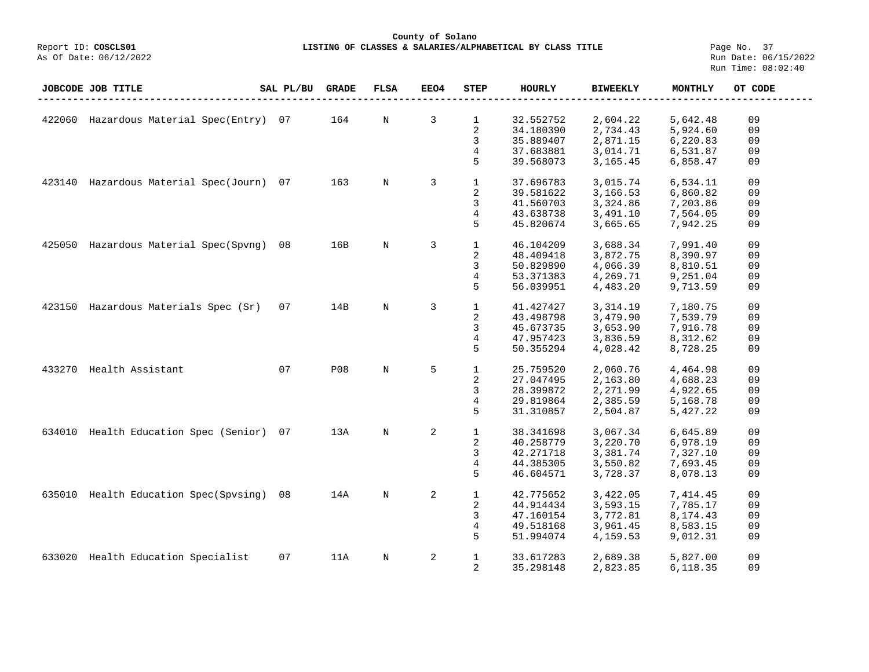## **County of Solano**<br>Exercis LISTING OF CLASSES & SALARIES/ALPH COSCLS01 **LISTING OF CLASSES & SALARIES/ALPHABETICAL BY CLASS TITLE** Page No. 37<br>Run Date: 06/15/2022

As Of Date: 06/12/2022

|        | JOBCODE JOB TITLE              | SAL PL/BU | <b>GRADE</b> | <b>FLSA</b> | EEO4 | STEP         | HOURLY    | <b>BIWEEKLY</b> | MONTHLY  | OT CODE |
|--------|--------------------------------|-----------|--------------|-------------|------|--------------|-----------|-----------------|----------|---------|
|        |                                |           |              |             |      |              |           |                 |          |         |
| 422060 | Hazardous Material Spec(Entry) | 07        | 164          | N           | 3    | $\mathbf{1}$ | 32.552752 | 2,604.22        | 5,642.48 | 09      |
|        |                                |           |              |             |      | 2            | 34.180390 | 2,734.43        | 5,924.60 | 09      |
|        |                                |           |              |             |      | 3            | 35.889407 | 2,871.15        | 6,220.83 | 09      |
|        |                                |           |              |             |      | 4            | 37.683881 | 3,014.71        | 6,531.87 | 09      |
|        |                                |           |              |             |      | 5            | 39.568073 | 3,165.45        | 6,858.47 | 09      |
| 423140 | Hazardous Material Spec(Journ) | 07        | 163          | $_{\rm N}$  | 3    | $\mathbf{1}$ | 37.696783 | 3,015.74        | 6,534.11 | 09      |
|        |                                |           |              |             |      | 2            | 39.581622 | 3,166.53        | 6,860.82 | 09      |
|        |                                |           |              |             |      | 3            | 41.560703 | 3,324.86        | 7,203.86 | 09      |
|        |                                |           |              |             |      | 4            | 43.638738 | 3,491.10        | 7,564.05 | 09      |
|        |                                |           |              |             |      | 5            | 45.820674 | 3,665.65        | 7,942.25 | 09      |
|        |                                |           |              |             |      |              |           |                 |          |         |
| 425050 | Hazardous Material Spec(Spvng) | 08        | 16B          | $\mathbf N$ | 3    | $1\,$        | 46.104209 | 3,688.34        | 7,991.40 | 09      |
|        |                                |           |              |             |      | 2            | 48.409418 | 3,872.75        | 8,390.97 | 09      |
|        |                                |           |              |             |      | 3            | 50.829890 | 4,066.39        | 8,810.51 | 09      |
|        |                                |           |              |             |      | 4            | 53.371383 | 4,269.71        | 9,251.04 | 09      |
|        |                                |           |              |             |      | 5            | 56.039951 | 4,483.20        | 9,713.59 | 09      |
| 423150 | Hazardous Materials Spec (Sr)  | 07        | 14B          | N           | 3    | $\mathbf{1}$ | 41.427427 | 3,314.19        | 7,180.75 | 09      |
|        |                                |           |              |             |      | 2            | 43.498798 | 3,479.90        | 7,539.79 | 09      |
|        |                                |           |              |             |      | 3            | 45.673735 | 3,653.90        | 7,916.78 | 09      |
|        |                                |           |              |             |      | 4            | 47.957423 | 3,836.59        | 8,312.62 | 09      |
|        |                                |           |              |             |      | 5            | 50.355294 | 4,028.42        | 8,728.25 | 09      |
|        |                                |           |              |             |      |              |           |                 |          |         |
| 433270 | Health Assistant               | 07        | <b>P08</b>   | $\mathbf N$ | 5    | $\mathbf{1}$ | 25.759520 | 2,060.76        | 4,464.98 | 09      |
|        |                                |           |              |             |      | 2            | 27.047495 | 2,163.80        | 4,688.23 | 09      |
|        |                                |           |              |             |      | 3            | 28.399872 | 2,271.99        | 4,922.65 | 09      |
|        |                                |           |              |             |      | 4            | 29.819864 | 2,385.59        | 5,168.78 | 09      |
|        |                                |           |              |             |      | 5            | 31.310857 | 2,504.87        | 5,427.22 | 09      |
| 634010 | Health Education Spec (Senior) | 07        | 13A          | $_{\rm N}$  | 2    | $\mathbf 1$  | 38.341698 |                 | 6,645.89 | 09      |
|        |                                |           |              |             |      |              |           | 3,067.34        |          |         |
|        |                                |           |              |             |      | 2            | 40.258779 | 3,220.70        | 6,978.19 | 09      |
|        |                                |           |              |             |      | 3            | 42.271718 | 3,381.74        | 7,327.10 | 09      |
|        |                                |           |              |             |      | 4            | 44.385305 | 3,550.82        | 7,693.45 | 09      |
|        |                                |           |              |             |      | 5            | 46.604571 | 3,728.37        | 8,078.13 | 09      |
| 635010 | Health Education Spec(Spvsing) | 08        | 14A          | $_{\rm N}$  | 2    | $\mathbf{1}$ | 42.775652 | 3,422.05        | 7,414.45 | 09      |
|        |                                |           |              |             |      | 2            | 44.914434 | 3,593.15        | 7,785.17 | 09      |
|        |                                |           |              |             |      | 3            | 47.160154 | 3,772.81        | 8,174.43 | 09      |
|        |                                |           |              |             |      | 4            | 49.518168 | 3,961.45        | 8,583.15 | 09      |
|        |                                |           |              |             |      | 5            | 51.994074 | 4,159.53        | 9,012.31 | 09      |
| 633020 | Health Education Specialist    | 07        | 11A          | N           | 2    | $\mathbf{1}$ | 33.617283 | 2,689.38        | 5,827.00 | 09      |
|        |                                |           |              |             |      | 2            | 35.298148 | 2,823.85        | 6,118.35 | 09      |
|        |                                |           |              |             |      |              |           |                 |          |         |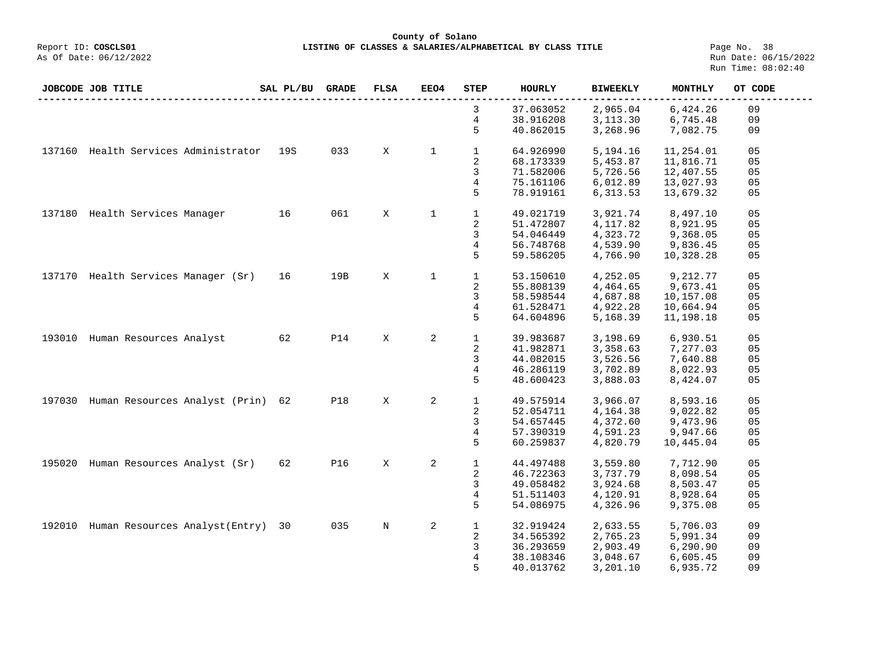**County of Solano**<br>Exercis LISTING OF CLASSES & SALARIES/ALPH COSCLS01 **LISTING OF CLASSES & SALARIES/ALPHABETICAL BY CLASS TITLE** Page No. 38<br>Run Date: 06/15/2022

|        | JOBCODE JOB TITLE                   | SAL PL/BU | <b>GRADE</b> | <b>FLSA</b> | EEO4         | <b>STEP</b>  | <b>HOURLY</b> | <b>BIWEEKLY</b> | MONTHLY   | OT CODE |
|--------|-------------------------------------|-----------|--------------|-------------|--------------|--------------|---------------|-----------------|-----------|---------|
|        |                                     |           |              |             |              | 3            | 37.063052     | 2,965.04        | 6,424.26  | 09      |
|        |                                     |           |              |             |              | 4            | 38.916208     | 3,113.30        | 6,745.48  | 09      |
|        |                                     |           |              |             |              | 5            | 40.862015     | 3,268.96        | 7,082.75  | 09      |
| 137160 | Health Services Administrator       | 19S       | 033          | X           | $\mathbf{1}$ | $\mathbf{1}$ | 64.926990     | 5,194.16        | 11,254.01 | 05      |
|        |                                     |           |              |             |              | 2            | 68.173339     | 5,453.87        | 11,816.71 | 05      |
|        |                                     |           |              |             |              | 3            | 71.582006     | 5,726.56        | 12,407.55 | 05      |
|        |                                     |           |              |             |              | 4            | 75.161106     | 6,012.89        | 13,027.93 | 05      |
|        |                                     |           |              |             |              | 5            | 78.919161     | 6,313.53        | 13,679.32 | 05      |
| 137180 | Health Services Manager             | 16        | 061          | X           | $\mathbf 1$  | $\mathbf{1}$ | 49.021719     | 3,921.74        | 8,497.10  | 05      |
|        |                                     |           |              |             |              | 2            | 51.472807     | 4,117.82        | 8,921.95  | 05      |
|        |                                     |           |              |             |              | 3            | 54.046449     | 4,323.72        | 9,368.05  | 05      |
|        |                                     |           |              |             |              | 4            | 56.748768     | 4,539.90        | 9,836.45  | 05      |
|        |                                     |           |              |             |              | 5            | 59.586205     | 4,766.90        | 10,328.28 | 05      |
|        | 137170 Health Services Manager (Sr) | 16        | 19B          | X           | $\mathbf 1$  | $\mathbf{1}$ | 53.150610     | 4,252.05        | 9,212.77  | 05      |
|        |                                     |           |              |             |              | 2            | 55.808139     | 4,464.65        | 9,673.41  | 05      |
|        |                                     |           |              |             |              | 3            | 58.598544     | 4,687.88        | 10,157.08 | 05      |
|        |                                     |           |              |             |              | 4            | 61.528471     | 4,922.28        | 10,664.94 | 05      |
|        |                                     |           |              |             |              | 5            |               | 5,168.39        |           |         |
|        |                                     |           |              |             |              |              | 64.604896     |                 | 11,198.18 | 05      |
| 193010 | Human Resources Analyst             | 62        | <b>P14</b>   | X           | 2            | $\mathbf{1}$ | 39.983687     | 3,198.69        | 6,930.51  | 05      |
|        |                                     |           |              |             |              | 2            | 41.982871     | 3,358.63        | 7,277.03  | 05      |
|        |                                     |           |              |             |              | 3            | 44.082015     | 3,526.56        | 7,640.88  | 05      |
|        |                                     |           |              |             |              | 4            | 46.286119     | 3,702.89        | 8,022.93  | 05      |
|        |                                     |           |              |             |              | 5            | 48.600423     | 3,888.03        | 8,424.07  | 05      |
| 197030 | Human Resources Analyst (Prin)      | 62        | <b>P18</b>   | X           | 2            | $\mathbf 1$  | 49.575914     | 3,966.07        | 8,593.16  | 05      |
|        |                                     |           |              |             |              | 2            | 52.054711     | 4,164.38        | 9,022.82  | 05      |
|        |                                     |           |              |             |              | 3            | 54.657445     | 4,372.60        | 9,473.96  | 05      |
|        |                                     |           |              |             |              | 4            | 57.390319     | 4,591.23        | 9,947.66  | 05      |
|        |                                     |           |              |             |              | 5            | 60.259837     | 4,820.79        | 10,445.04 | 05      |
| 195020 | Human Resources Analyst (Sr)        | 62        | <b>P16</b>   | X           | 2            | $\mathbf 1$  | 44.497488     | 3,559.80        | 7,712.90  | 05      |
|        |                                     |           |              |             |              | 2            | 46.722363     | 3,737.79        | 8,098.54  | 05      |
|        |                                     |           |              |             |              | 3            | 49.058482     | 3,924.68        | 8,503.47  | 05      |
|        |                                     |           |              |             |              | 4            | 51.511403     | 4,120.91        | 8,928.64  | 05      |
|        |                                     |           |              |             |              |              |               |                 |           |         |
|        |                                     |           |              |             |              | 5            | 54.086975     | 4,326.96        | 9,375.08  | 05      |
| 192010 | Human Resources Analyst (Entry)     | 30        | 035          | $_{\rm N}$  | 2            | $\mathbf{1}$ | 32.919424     | 2,633.55        | 5,706.03  | 09      |
|        |                                     |           |              |             |              | 2            | 34.565392     | 2,765.23        | 5,991.34  | 09      |
|        |                                     |           |              |             |              | 3            | 36.293659     | 2,903.49        | 6,290.90  | 09      |
|        |                                     |           |              |             |              | 4            | 38.108346     | 3,048.67        | 6,605.45  | 09      |
|        |                                     |           |              |             |              | 5            | 40.013762     | 3,201.10        | 6,935.72  | 09      |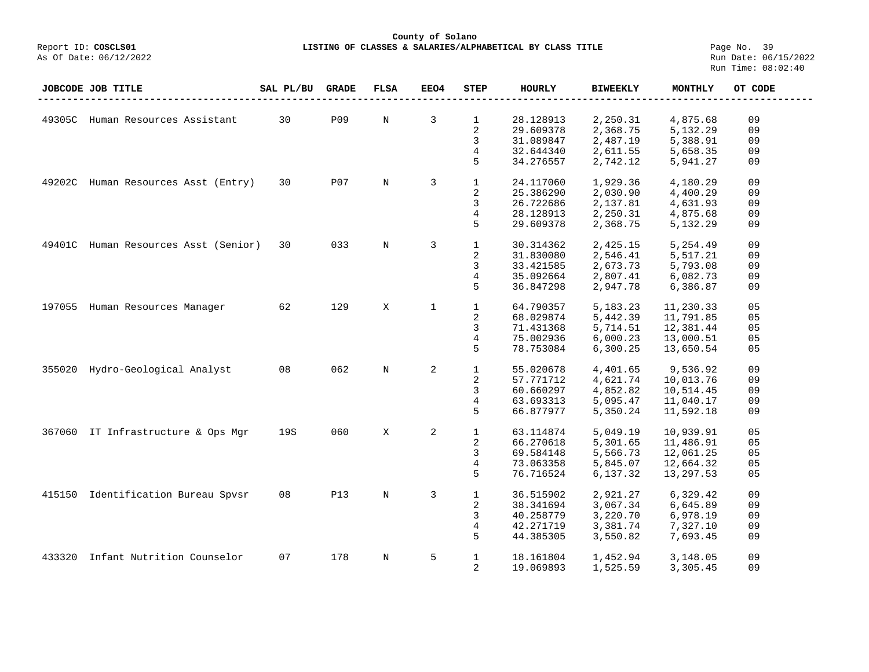## **County of Solano LISTING OF CLASSES & SALARIES/ALPHABETICAL BY CLASS TITLE** Page No. 39<br>Run Date: 06/15/2022

|        | JOBCODE JOB TITLE             | SAL PL/BU | <b>GRADE</b> | <b>FLSA</b> | EEO4           | <b>STEP</b>    | <b>HOURLY</b> | <b>BIWEEKLY</b> | <b>MONTHLY</b> | OT CODE |
|--------|-------------------------------|-----------|--------------|-------------|----------------|----------------|---------------|-----------------|----------------|---------|
|        |                               |           |              |             |                |                |               |                 |                |         |
| 49305C | Human Resources Assistant     | 30        | <b>P09</b>   | N           | $\overline{3}$ | $\mathbf{1}$   | 28.128913     | 2,250.31        | 4,875.68       | 09      |
|        |                               |           |              |             |                | $\overline{2}$ | 29.609378     | 2,368.75        | 5,132.29       | 09      |
|        |                               |           |              |             |                | 3              | 31.089847     | 2,487.19        | 5,388.91       | 09      |
|        |                               |           |              |             |                | 4              | 32.644340     | 2,611.55        | 5,658.35       | 09      |
|        |                               |           |              |             |                | 5              | 34.276557     | 2,742.12        | 5,941.27       | 09      |
|        |                               |           |              |             |                |                |               |                 |                |         |
| 49202C | Human Resources Asst (Entry)  | 30        | P07          | N           | 3              | $\mathbf{1}$   | 24.117060     | 1,929.36        | 4,180.29       | 09      |
|        |                               |           |              |             |                | $\overline{2}$ | 25.386290     | 2,030.90        | 4,400.29       | 09      |
|        |                               |           |              |             |                | 3              | 26.722686     | 2,137.81        | 4,631.93       | 09      |
|        |                               |           |              |             |                | 4              | 28.128913     | 2,250.31        | 4,875.68       | 09      |
|        |                               |           |              |             |                | 5              | 29.609378     | 2,368.75        | 5,132.29       | 09      |
|        |                               |           |              |             |                |                |               |                 |                |         |
| 49401C | Human Resources Asst (Senior) | 30        | 033          | N           | 3              | $\mathbf{1}$   | 30.314362     | 2,425.15        | 5,254.49       | 09      |
|        |                               |           |              |             |                | 2              | 31.830080     | 2,546.41        | 5,517.21       | 09      |
|        |                               |           |              |             |                | 3              | 33.421585     | 2,673.73        | 5,793.08       | 09      |
|        |                               |           |              |             |                | 4              | 35.092664     | 2,807.41        | 6,082.73       | 09      |
|        |                               |           |              |             |                | 5              | 36.847298     | 2,947.78        | 6,386.87       | 09      |
|        |                               |           |              |             |                |                |               |                 |                |         |
| 197055 | Human Resources Manager       | 62        | 129          | X           | $\mathbf{1}$   | $\mathbf{1}$   | 64.790357     | 5, 183. 23      | 11,230.33      | 05      |
|        |                               |           |              |             |                | $\overline{2}$ | 68.029874     | 5,442.39        | 11,791.85      | 05      |
|        |                               |           |              |             |                | 3              | 71.431368     | 5,714.51        | 12,381.44      | 05      |
|        |                               |           |              |             |                | $\overline{4}$ | 75.002936     | 6,000.23        | 13,000.51      | 05      |
|        |                               |           |              |             |                | 5              | 78.753084     | 6,300.25        | 13,650.54      | 05      |
|        |                               |           |              |             |                |                |               |                 |                |         |
| 355020 | Hydro-Geological Analyst      | 08        | 062          | $\mathbb N$ | 2              | $1\,$          | 55.020678     | 4,401.65        | 9,536.92       | 09      |
|        |                               |           |              |             |                | 2              | 57.771712     | 4,621.74        | 10,013.76      | 09      |
|        |                               |           |              |             |                | 3              | 60.660297     | 4,852.82        | 10,514.45      | 09      |
|        |                               |           |              |             |                | $\overline{4}$ | 63.693313     | 5,095.47        | 11,040.17      | 09      |
|        |                               |           |              |             |                | 5              | 66.877977     | 5,350.24        | 11,592.18      | 09      |
|        |                               |           |              |             |                |                |               |                 |                |         |
| 367060 | IT Infrastructure & Ops Mgr   | 19S       | 060          | X           | 2              | $\mathbf{1}$   | 63.114874     | 5,049.19        | 10,939.91      | 05      |
|        |                               |           |              |             |                | 2              | 66.270618     | 5,301.65        | 11,486.91      | 05      |
|        |                               |           |              |             |                | 3              | 69.584148     | 5,566.73        | 12,061.25      | 05      |
|        |                               |           |              |             |                | 4              | 73.063358     | 5,845.07        | 12,664.32      | 05      |
|        |                               |           |              |             |                | 5              | 76.716524     | 6,137.32        | 13,297.53      | 05      |
|        |                               |           |              |             |                |                |               |                 |                |         |
| 415150 | Identification Bureau Spvsr   | 08        | <b>P13</b>   | $\mathbb N$ | 3              | $\mathbf{1}$   | 36.515902     | 2,921.27        | 6,329.42       | 09      |
|        |                               |           |              |             |                | 2              | 38.341694     | 3,067.34        | 6,645.89       | 09      |
|        |                               |           |              |             |                | 3              | 40.258779     | 3,220.70        | 6,978.19       | 09      |
|        |                               |           |              |             |                | 4              | 42.271719     | 3,381.74        | 7,327.10       | 09      |
|        |                               |           |              |             |                | 5              | 44.385305     | 3,550.82        | 7,693.45       | 09      |
|        |                               |           |              |             |                |                |               |                 |                |         |
| 433320 | Infant Nutrition Counselor    | 07        | 178          | $\rm N$     | 5              | $\mathbf{1}$   | 18.161804     | 1,452.94        | 3,148.05       | 09      |
|        |                               |           |              |             |                | 2              | 19.069893     | 1,525.59        | 3,305.45       | 09      |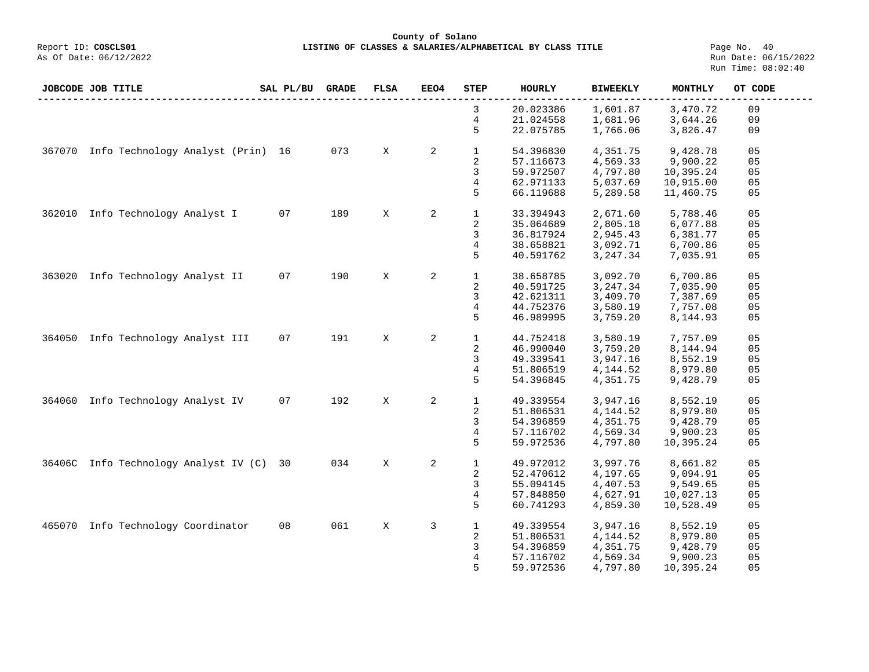**County of Solano LISTING OF CLASSES & SALARIES/ALPHABETICAL BY CLASS TITLE** Page No. 40<br>Run Date: 06/15/2022

|        | JOBCODE JOB TITLE                 | SAL PL/BU | <b>GRADE</b> | <b>FLSA</b> | <b>EEO4</b>    | STEP         | <b>HOURLY</b> | <b>BIWEEKLY</b> | MONTHLY   | OT CODE        |
|--------|-----------------------------------|-----------|--------------|-------------|----------------|--------------|---------------|-----------------|-----------|----------------|
|        |                                   |           |              |             |                | 3            | 20.023386     | 1,601.87        | 3,470.72  | 09             |
|        |                                   |           |              |             |                | 4            | 21.024558     | 1,681.96        | 3,644.26  | 09             |
|        |                                   |           |              |             |                | 5            | 22.075785     | 1,766.06        | 3,826.47  | 09             |
| 367070 | Info Technology Analyst (Prin) 16 |           | 073          | X           | $\overline{a}$ | $\mathbf 1$  | 54.396830     | 4,351.75        | 9,428.78  | 05             |
|        |                                   |           |              |             |                | 2            | 57.116673     | 4,569.33        | 9,900.22  | 05             |
|        |                                   |           |              |             |                | 3            | 59.972507     | 4,797.80        | 10,395.24 | 05             |
|        |                                   |           |              |             |                | 4            | 62.971133     | 5,037.69        | 10,915.00 | 05             |
|        |                                   |           |              |             |                | 5            | 66.119688     | 5,289.58        | 11,460.75 | 05             |
| 362010 | Info Technology Analyst I         | 07        | 189          | X           | 2              | $\mathbf 1$  | 33.394943     | 2,671.60        | 5,788.46  | 05             |
|        |                                   |           |              |             |                | 2            | 35.064689     | 2,805.18        | 6,077.88  | 05             |
|        |                                   |           |              |             |                | 3            | 36.817924     | 2,945.43        | 6,381.77  | 05             |
|        |                                   |           |              |             |                | 4            | 38.658821     | 3,092.71        | 6,700.86  | 05             |
|        |                                   |           |              |             |                | 5            | 40.591762     | 3, 247.34       | 7,035.91  | 05             |
|        |                                   |           |              |             |                |              |               |                 |           |                |
| 363020 | Info Technology Analyst II        | 07        | 190          | X           | 2              | $\mathbf{1}$ | 38.658785     | 3,092.70        | 6,700.86  | 05             |
|        |                                   |           |              |             |                | 2            | 40.591725     | 3,247.34        | 7,035.90  | 05             |
|        |                                   |           |              |             |                | 3            | 42.621311     | 3,409.70        | 7,387.69  | 05             |
|        |                                   |           |              |             |                | 4            | 44.752376     | 3,580.19        | 7,757.08  | 05             |
|        |                                   |           |              |             |                | 5            | 46.989995     | 3,759.20        | 8,144.93  | 05             |
|        |                                   |           |              |             |                |              |               |                 |           |                |
| 364050 | Info Technology Analyst III       | 07        | 191          | X           | 2              | $\mathbf{1}$ | 44.752418     | 3,580.19        | 7,757.09  | 05             |
|        |                                   |           |              |             |                | 2            | 46.990040     | 3,759.20        | 8,144.94  | 05             |
|        |                                   |           |              |             |                | 3            | 49.339541     | 3,947.16        | 8,552.19  | 05             |
|        |                                   |           |              |             |                | 4            | 51.806519     | 4,144.52        | 8,979.80  | 05             |
|        |                                   |           |              |             |                | 5            | 54.396845     | 4,351.75        | 9,428.79  | 05             |
| 364060 | Info Technology Analyst IV        | 07        | 192          | X           | 2              | $\mathbf 1$  | 49.339554     | 3,947.16        | 8,552.19  | 05             |
|        |                                   |           |              |             |                | 2            | 51.806531     | 4,144.52        | 8,979.80  | 05             |
|        |                                   |           |              |             |                | 3            | 54.396859     | 4,351.75        | 9,428.79  | 05             |
|        |                                   |           |              |             |                | 4            | 57.116702     | 4,569.34        | 9,900.23  | 0 <sub>5</sub> |
|        |                                   |           |              |             |                | 5            | 59.972536     | 4,797.80        | 10,395.24 | 05             |
| 36406C | Info Technology Analyst IV (C)    | 30        | 034          | X           | 2              | $\mathbf 1$  | 49.972012     | 3,997.76        | 8,661.82  | 05             |
|        |                                   |           |              |             |                | 2            | 52.470612     | 4,197.65        | 9,094.91  | 05             |
|        |                                   |           |              |             |                | 3            | 55.094145     | 4,407.53        | 9,549.65  | 05             |
|        |                                   |           |              |             |                | 4            | 57.848850     | 4,627.91        | 10,027.13 | 05             |
|        |                                   |           |              |             |                | 5            | 60.741293     | 4,859.30        | 10,528.49 |                |
|        |                                   |           |              |             |                |              |               |                 |           | 05             |
| 465070 | Info Technology Coordinator       | 08        | 061          | X           | 3              | 1            | 49.339554     | 3,947.16        | 8,552.19  | 05             |
|        |                                   |           |              |             |                | 2            | 51.806531     | 4,144.52        | 8,979.80  | 05             |
|        |                                   |           |              |             |                | 3            | 54.396859     | 4,351.75        | 9,428.79  | 05             |
|        |                                   |           |              |             |                | 4            | 57.116702     | 4,569.34        | 9,900.23  | 05             |
|        |                                   |           |              |             |                | 5            | 59.972536     | 4,797.80        | 10,395.24 | 05             |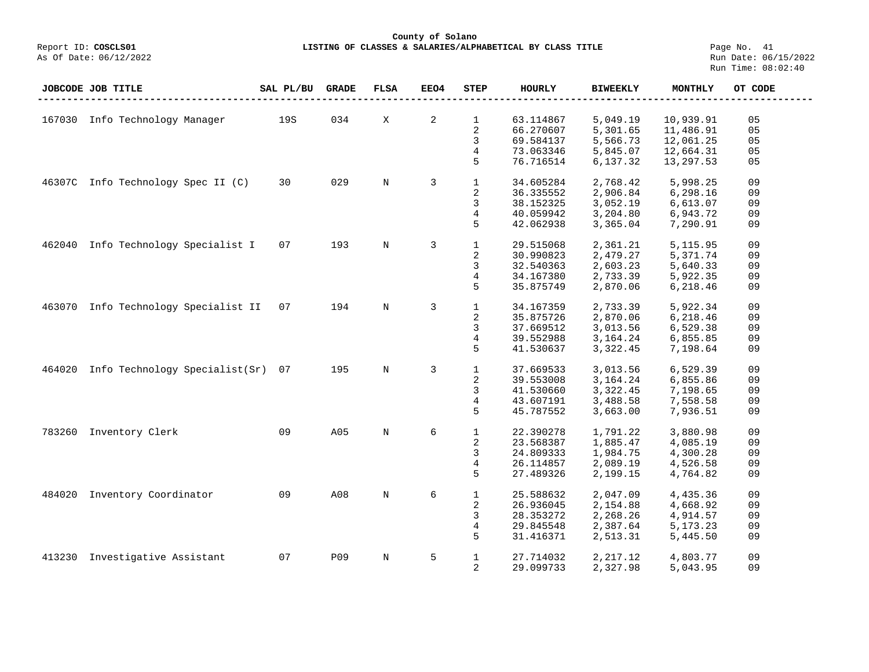# **County of Solano LISTING OF CLASSES & SALARIES/ALPHABETICAL BY CLASS TITLE** Page No. 41<br>Run Date: 06/15/2022

|        | JOBCODE JOB TITLE              | SAL PL/BU | <b>GRADE</b> | <b>FLSA</b> | EEO4           | <b>STEP</b>  | <b>HOURLY</b> | <b>BIWEEKLY</b> | <b>MONTHLY</b> | OT CODE |
|--------|--------------------------------|-----------|--------------|-------------|----------------|--------------|---------------|-----------------|----------------|---------|
|        |                                |           |              |             |                |              |               |                 |                |         |
| 167030 | Info Technology Manager        | 19S       | 034          | X           | 2              | $\mathbf{1}$ | 63.114867     | 5,049.19        | 10,939.91      | 05      |
|        |                                |           |              |             |                | 2            | 66.270607     | 5,301.65        | 11,486.91      | 05      |
|        |                                |           |              |             |                | 3            | 69.584137     | 5,566.73        | 12,061.25      | 05      |
|        |                                |           |              |             |                | 4            | 73.063346     | 5,845.07        | 12,664.31      | 05      |
|        |                                |           |              |             |                | 5            | 76.716514     | 6,137.32        | 13,297.53      | 05      |
|        |                                |           |              |             |                |              |               |                 |                |         |
| 46307C | Info Technology Spec II (C)    | 30        | 029          | $\mathbf N$ | 3              | $\mathbf{1}$ | 34.605284     | 2,768.42        | 5,998.25       | 09      |
|        |                                |           |              |             |                | 2            | 36.335552     | 2,906.84        | 6, 298.16      | 09      |
|        |                                |           |              |             |                | 3            | 38.152325     | 3,052.19        | 6,613.07       | 09      |
|        |                                |           |              |             |                | 4            | 40.059942     | 3,204.80        | 6,943.72       | 09      |
|        |                                |           |              |             |                | 5            | 42.062938     | 3,365.04        | 7,290.91       | 09      |
|        |                                |           |              |             |                |              |               |                 |                |         |
| 462040 | Info Technology Specialist I   | 07        | 193          | $\mathbf N$ | $\overline{3}$ | $\mathbf{1}$ | 29.515068     | 2,361.21        | 5,115.95       | 09      |
|        |                                |           |              |             |                | 2            | 30.990823     | 2,479.27        | 5,371.74       | 09      |
|        |                                |           |              |             |                | 3            | 32.540363     | 2,603.23        | 5,640.33       | 09      |
|        |                                |           |              |             |                | 4            | 34.167380     | 2,733.39        | 5,922.35       | 09      |
|        |                                |           |              |             |                | 5            | 35.875749     | 2,870.06        | 6,218.46       | 09      |
|        |                                |           |              |             |                |              |               |                 |                |         |
| 463070 | Info Technology Specialist II  | 07        | 194          | $\mathbf N$ | 3              | $\mathbf{1}$ | 34.167359     | 2,733.39        | 5,922.34       | 09      |
|        |                                |           |              |             |                | 2            | 35.875726     | 2,870.06        | 6,218.46       | 09      |
|        |                                |           |              |             |                | 3            | 37.669512     | 3,013.56        | 6,529.38       | 09      |
|        |                                |           |              |             |                | 4            | 39.552988     | 3,164.24        | 6,855.85       | 09      |
|        |                                |           |              |             |                | 5            | 41.530637     | 3,322.45        | 7,198.64       | 09      |
| 464020 | Info Technology Specialist(Sr) | 07        | 195          | $\rm N$     | 3              | $\mathbf{1}$ | 37.669533     | 3,013.56        | 6,529.39       | 09      |
|        |                                |           |              |             |                | 2            | 39.553008     | 3, 164. 24      | 6,855.86       | 09      |
|        |                                |           |              |             |                | 3            | 41.530660     | 3,322.45        | 7,198.65       | 09      |
|        |                                |           |              |             |                | 4            | 43.607191     | 3,488.58        | 7,558.58       | 09      |
|        |                                |           |              |             |                | 5            | 45.787552     | 3,663.00        | 7,936.51       | 09      |
|        |                                |           |              |             |                |              |               |                 |                |         |
| 783260 | Inventory Clerk                | 09        | A05          | $\mathbf N$ | 6              | $\mathbf{1}$ | 22.390278     | 1,791.22        | 3,880.98       | 09      |
|        |                                |           |              |             |                | 2            | 23.568387     | 1,885.47        | 4,085.19       | 09      |
|        |                                |           |              |             |                | 3            | 24.809333     | 1,984.75        | 4,300.28       | 09      |
|        |                                |           |              |             |                | 4            | 26.114857     | 2,089.19        | 4,526.58       | 09      |
|        |                                |           |              |             |                | 5            | 27.489326     | 2,199.15        | 4,764.82       | 09      |
|        |                                |           |              |             |                |              |               |                 |                |         |
| 484020 | Inventory Coordinator          | 09        | A08          | $\mathbf N$ | 6              | $\mathbf{1}$ | 25.588632     | 2,047.09        | 4,435.36       | 09      |
|        |                                |           |              |             |                | 2            | 26.936045     | 2,154.88        | 4,668.92       | 09      |
|        |                                |           |              |             |                | 3            | 28.353272     | 2,268.26        | 4,914.57       | 09      |
|        |                                |           |              |             |                | 4            | 29.845548     | 2,387.64        | 5,173.23       | 09      |
|        |                                |           |              |             |                | 5            | 31.416371     | 2,513.31        | 5,445.50       | 09      |
|        |                                |           |              |             |                |              |               |                 |                | 09      |
| 413230 | Investigative Assistant        | 07        | <b>P09</b>   | $\mathbb N$ | 5              | $\mathbf{1}$ | 27.714032     | 2,217.12        | 4,803.77       |         |
|        |                                |           |              |             |                | 2            | 29.099733     | 2,327.98        | 5,043.95       | 09      |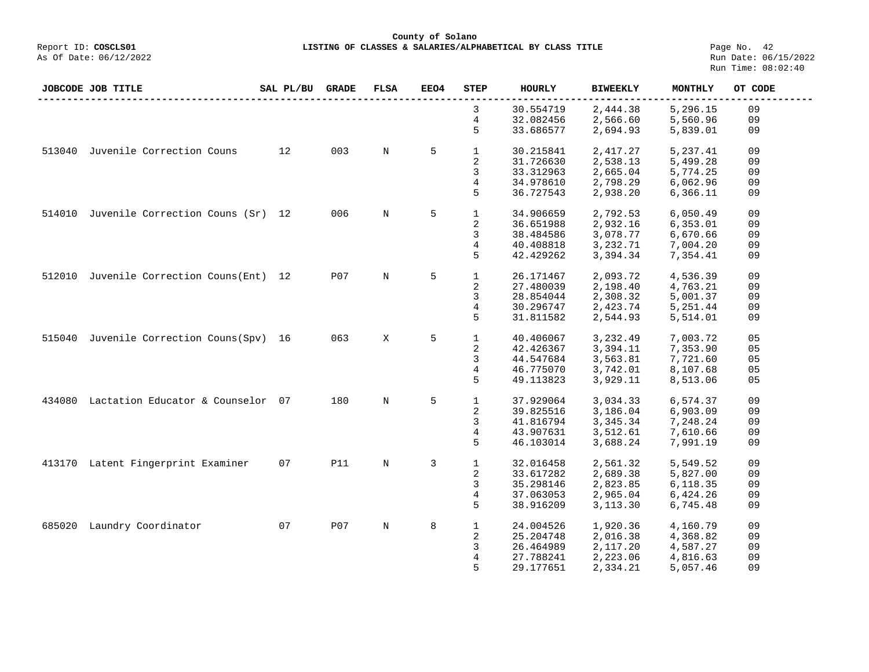**County of Solano LISTING OF CLASSES & SALARIES/ALPHABETICAL BY CLASS TITLE** Page No. 42<br>Run Date: 06/15/2022

| 3<br>30.554719<br>2,444.38<br>5,296.15<br>09<br>4<br>32.082456<br>09<br>2,566.60<br>5,560.96<br>5<br>33.686577<br>2,694.93<br>5,839.01<br>09<br>Juvenile Correction Couns<br>003<br>5<br>12<br>$\mathbf 1$<br>09<br>513040<br>N<br>30.215841<br>2,417.27<br>5,237.41<br>2<br>31.726630<br>2,538.13<br>5,499.28<br>09<br>3<br>33.312963<br>2,665.04<br>5,774.25<br>09<br>4<br>2,798.29<br>34.978610<br>6,062.96<br>09<br>5<br>36.727543<br>2,938.20<br>6,366.11<br>09<br>Juvenile Correction Couns (Sr) 12<br>5<br>006<br>$\overline{N}$<br>$\mathbf 1$<br>34.906659<br>2,792.53<br>6,050.49<br>09<br>514010<br>2<br>36.651988<br>2,932.16<br>6,353.01<br>09<br>3<br>3,078.77<br>38.484586<br>6,670.66<br>09<br>4<br>40.408818<br>3,232.71<br>7,004.20<br>09<br>5<br>42.429262<br>3,394.34<br>7,354.41<br>09<br>5<br>Juvenile Correction Couns(Ent) 12<br>P07<br>$\mathbf{1}$<br>09<br>512010<br>$_{\rm N}$<br>26.171467<br>2,093.72<br>4,536.39<br>2<br>27.480039<br>2,198.40<br>4,763.21<br>09<br>3<br>2,308.32<br>5,001.37<br>28.854044<br>09<br>4<br>30.296747<br>2,423.74<br>5,251.44<br>09<br>5<br>31.811582<br>2,544.93<br>5,514.01<br>09<br>Juvenile Correction Couns(Spv) 16<br>063<br>5<br>$\mathbf{1}$<br>05<br>515040<br>X<br>40.406067<br>3,232.49<br>7,003.72<br>2<br>3,394.11<br>7,353.90<br>05<br>42.426367<br>3<br>44.547684<br>3,563.81<br>7,721.60<br>05<br>4<br>3,742.01<br>05<br>46.775070<br>8,107.68<br>3,929.11<br>5<br>49.113823<br>8,513.06<br>05<br>5<br>Lactation Educator & Counselor 07<br>180<br>$\mathbf 1$<br>N<br>37.929064<br>3,034.33<br>6,574.37<br>09<br>434080<br>2<br>39.825516<br>3,186.04<br>6,903.09<br>09<br>3<br>3,345.34<br>41.816794<br>7,248.24<br>09<br>43.907631<br>3,512.61<br>7,610.66<br>4<br>09<br>5<br>46.103014<br>3,688.24<br>7,991.19<br>09<br>413170 Latent Fingerprint Examiner<br>07<br><b>P11</b><br>$\mathbf 1$<br>09<br>$\mathbf N$<br>3<br>32.016458<br>2,561.32<br>5,549.52<br>2<br>2,689.38<br>5,827.00<br>09<br>33.617282<br>3<br>35.298146<br>2,823.85<br>6,118.35<br>09<br>4<br>37.063053<br>2,965.04<br>6,424.26<br>09<br>5<br>38.916209<br>3,113.30<br>6,745.48<br>09<br>Laundry Coordinator<br>07<br>P07<br>8<br>N<br>1<br>24.004526<br>1,920.36<br>4,160.79<br>09<br>685020<br>2<br>25.204748<br>2,016.38<br>09<br>4,368.82<br>3<br>26.464989<br>2,117.20<br>4,587.27<br>09<br>09<br>27.788241<br>2,223.06<br>4,816.63<br>4<br>09<br>5<br>29.177651<br>2,334.21<br>5,057.46 | JOBCODE JOB TITLE | SAL PL/BU | <b>GRADE</b> | <b>FLSA</b> | <b>EEO4</b> | STEP | <b>HOURLY</b> | <b>BIWEEKLY</b> | MONTHLY | OT CODE |
|------------------------------------------------------------------------------------------------------------------------------------------------------------------------------------------------------------------------------------------------------------------------------------------------------------------------------------------------------------------------------------------------------------------------------------------------------------------------------------------------------------------------------------------------------------------------------------------------------------------------------------------------------------------------------------------------------------------------------------------------------------------------------------------------------------------------------------------------------------------------------------------------------------------------------------------------------------------------------------------------------------------------------------------------------------------------------------------------------------------------------------------------------------------------------------------------------------------------------------------------------------------------------------------------------------------------------------------------------------------------------------------------------------------------------------------------------------------------------------------------------------------------------------------------------------------------------------------------------------------------------------------------------------------------------------------------------------------------------------------------------------------------------------------------------------------------------------------------------------------------------------------------------------------------------------------------------------------------------------------------------------------------------------------------------------------------------------------------------------------------------------------------------------------------------------------------------------------------------------------------------------------------------------------------------------------------------------------------------------------------------------------------------------------------------------------------------|-------------------|-----------|--------------|-------------|-------------|------|---------------|-----------------|---------|---------|
|                                                                                                                                                                                                                                                                                                                                                                                                                                                                                                                                                                                                                                                                                                                                                                                                                                                                                                                                                                                                                                                                                                                                                                                                                                                                                                                                                                                                                                                                                                                                                                                                                                                                                                                                                                                                                                                                                                                                                                                                                                                                                                                                                                                                                                                                                                                                                                                                                                                      |                   |           |              |             |             |      |               |                 |         |         |
|                                                                                                                                                                                                                                                                                                                                                                                                                                                                                                                                                                                                                                                                                                                                                                                                                                                                                                                                                                                                                                                                                                                                                                                                                                                                                                                                                                                                                                                                                                                                                                                                                                                                                                                                                                                                                                                                                                                                                                                                                                                                                                                                                                                                                                                                                                                                                                                                                                                      |                   |           |              |             |             |      |               |                 |         |         |
|                                                                                                                                                                                                                                                                                                                                                                                                                                                                                                                                                                                                                                                                                                                                                                                                                                                                                                                                                                                                                                                                                                                                                                                                                                                                                                                                                                                                                                                                                                                                                                                                                                                                                                                                                                                                                                                                                                                                                                                                                                                                                                                                                                                                                                                                                                                                                                                                                                                      |                   |           |              |             |             |      |               |                 |         |         |
|                                                                                                                                                                                                                                                                                                                                                                                                                                                                                                                                                                                                                                                                                                                                                                                                                                                                                                                                                                                                                                                                                                                                                                                                                                                                                                                                                                                                                                                                                                                                                                                                                                                                                                                                                                                                                                                                                                                                                                                                                                                                                                                                                                                                                                                                                                                                                                                                                                                      |                   |           |              |             |             |      |               |                 |         |         |
|                                                                                                                                                                                                                                                                                                                                                                                                                                                                                                                                                                                                                                                                                                                                                                                                                                                                                                                                                                                                                                                                                                                                                                                                                                                                                                                                                                                                                                                                                                                                                                                                                                                                                                                                                                                                                                                                                                                                                                                                                                                                                                                                                                                                                                                                                                                                                                                                                                                      |                   |           |              |             |             |      |               |                 |         |         |
|                                                                                                                                                                                                                                                                                                                                                                                                                                                                                                                                                                                                                                                                                                                                                                                                                                                                                                                                                                                                                                                                                                                                                                                                                                                                                                                                                                                                                                                                                                                                                                                                                                                                                                                                                                                                                                                                                                                                                                                                                                                                                                                                                                                                                                                                                                                                                                                                                                                      |                   |           |              |             |             |      |               |                 |         |         |
|                                                                                                                                                                                                                                                                                                                                                                                                                                                                                                                                                                                                                                                                                                                                                                                                                                                                                                                                                                                                                                                                                                                                                                                                                                                                                                                                                                                                                                                                                                                                                                                                                                                                                                                                                                                                                                                                                                                                                                                                                                                                                                                                                                                                                                                                                                                                                                                                                                                      |                   |           |              |             |             |      |               |                 |         |         |
|                                                                                                                                                                                                                                                                                                                                                                                                                                                                                                                                                                                                                                                                                                                                                                                                                                                                                                                                                                                                                                                                                                                                                                                                                                                                                                                                                                                                                                                                                                                                                                                                                                                                                                                                                                                                                                                                                                                                                                                                                                                                                                                                                                                                                                                                                                                                                                                                                                                      |                   |           |              |             |             |      |               |                 |         |         |
|                                                                                                                                                                                                                                                                                                                                                                                                                                                                                                                                                                                                                                                                                                                                                                                                                                                                                                                                                                                                                                                                                                                                                                                                                                                                                                                                                                                                                                                                                                                                                                                                                                                                                                                                                                                                                                                                                                                                                                                                                                                                                                                                                                                                                                                                                                                                                                                                                                                      |                   |           |              |             |             |      |               |                 |         |         |
|                                                                                                                                                                                                                                                                                                                                                                                                                                                                                                                                                                                                                                                                                                                                                                                                                                                                                                                                                                                                                                                                                                                                                                                                                                                                                                                                                                                                                                                                                                                                                                                                                                                                                                                                                                                                                                                                                                                                                                                                                                                                                                                                                                                                                                                                                                                                                                                                                                                      |                   |           |              |             |             |      |               |                 |         |         |
|                                                                                                                                                                                                                                                                                                                                                                                                                                                                                                                                                                                                                                                                                                                                                                                                                                                                                                                                                                                                                                                                                                                                                                                                                                                                                                                                                                                                                                                                                                                                                                                                                                                                                                                                                                                                                                                                                                                                                                                                                                                                                                                                                                                                                                                                                                                                                                                                                                                      |                   |           |              |             |             |      |               |                 |         |         |
|                                                                                                                                                                                                                                                                                                                                                                                                                                                                                                                                                                                                                                                                                                                                                                                                                                                                                                                                                                                                                                                                                                                                                                                                                                                                                                                                                                                                                                                                                                                                                                                                                                                                                                                                                                                                                                                                                                                                                                                                                                                                                                                                                                                                                                                                                                                                                                                                                                                      |                   |           |              |             |             |      |               |                 |         |         |
|                                                                                                                                                                                                                                                                                                                                                                                                                                                                                                                                                                                                                                                                                                                                                                                                                                                                                                                                                                                                                                                                                                                                                                                                                                                                                                                                                                                                                                                                                                                                                                                                                                                                                                                                                                                                                                                                                                                                                                                                                                                                                                                                                                                                                                                                                                                                                                                                                                                      |                   |           |              |             |             |      |               |                 |         |         |
|                                                                                                                                                                                                                                                                                                                                                                                                                                                                                                                                                                                                                                                                                                                                                                                                                                                                                                                                                                                                                                                                                                                                                                                                                                                                                                                                                                                                                                                                                                                                                                                                                                                                                                                                                                                                                                                                                                                                                                                                                                                                                                                                                                                                                                                                                                                                                                                                                                                      |                   |           |              |             |             |      |               |                 |         |         |
|                                                                                                                                                                                                                                                                                                                                                                                                                                                                                                                                                                                                                                                                                                                                                                                                                                                                                                                                                                                                                                                                                                                                                                                                                                                                                                                                                                                                                                                                                                                                                                                                                                                                                                                                                                                                                                                                                                                                                                                                                                                                                                                                                                                                                                                                                                                                                                                                                                                      |                   |           |              |             |             |      |               |                 |         |         |
|                                                                                                                                                                                                                                                                                                                                                                                                                                                                                                                                                                                                                                                                                                                                                                                                                                                                                                                                                                                                                                                                                                                                                                                                                                                                                                                                                                                                                                                                                                                                                                                                                                                                                                                                                                                                                                                                                                                                                                                                                                                                                                                                                                                                                                                                                                                                                                                                                                                      |                   |           |              |             |             |      |               |                 |         |         |
|                                                                                                                                                                                                                                                                                                                                                                                                                                                                                                                                                                                                                                                                                                                                                                                                                                                                                                                                                                                                                                                                                                                                                                                                                                                                                                                                                                                                                                                                                                                                                                                                                                                                                                                                                                                                                                                                                                                                                                                                                                                                                                                                                                                                                                                                                                                                                                                                                                                      |                   |           |              |             |             |      |               |                 |         |         |
|                                                                                                                                                                                                                                                                                                                                                                                                                                                                                                                                                                                                                                                                                                                                                                                                                                                                                                                                                                                                                                                                                                                                                                                                                                                                                                                                                                                                                                                                                                                                                                                                                                                                                                                                                                                                                                                                                                                                                                                                                                                                                                                                                                                                                                                                                                                                                                                                                                                      |                   |           |              |             |             |      |               |                 |         |         |
|                                                                                                                                                                                                                                                                                                                                                                                                                                                                                                                                                                                                                                                                                                                                                                                                                                                                                                                                                                                                                                                                                                                                                                                                                                                                                                                                                                                                                                                                                                                                                                                                                                                                                                                                                                                                                                                                                                                                                                                                                                                                                                                                                                                                                                                                                                                                                                                                                                                      |                   |           |              |             |             |      |               |                 |         |         |
|                                                                                                                                                                                                                                                                                                                                                                                                                                                                                                                                                                                                                                                                                                                                                                                                                                                                                                                                                                                                                                                                                                                                                                                                                                                                                                                                                                                                                                                                                                                                                                                                                                                                                                                                                                                                                                                                                                                                                                                                                                                                                                                                                                                                                                                                                                                                                                                                                                                      |                   |           |              |             |             |      |               |                 |         |         |
|                                                                                                                                                                                                                                                                                                                                                                                                                                                                                                                                                                                                                                                                                                                                                                                                                                                                                                                                                                                                                                                                                                                                                                                                                                                                                                                                                                                                                                                                                                                                                                                                                                                                                                                                                                                                                                                                                                                                                                                                                                                                                                                                                                                                                                                                                                                                                                                                                                                      |                   |           |              |             |             |      |               |                 |         |         |
|                                                                                                                                                                                                                                                                                                                                                                                                                                                                                                                                                                                                                                                                                                                                                                                                                                                                                                                                                                                                                                                                                                                                                                                                                                                                                                                                                                                                                                                                                                                                                                                                                                                                                                                                                                                                                                                                                                                                                                                                                                                                                                                                                                                                                                                                                                                                                                                                                                                      |                   |           |              |             |             |      |               |                 |         |         |
|                                                                                                                                                                                                                                                                                                                                                                                                                                                                                                                                                                                                                                                                                                                                                                                                                                                                                                                                                                                                                                                                                                                                                                                                                                                                                                                                                                                                                                                                                                                                                                                                                                                                                                                                                                                                                                                                                                                                                                                                                                                                                                                                                                                                                                                                                                                                                                                                                                                      |                   |           |              |             |             |      |               |                 |         |         |
|                                                                                                                                                                                                                                                                                                                                                                                                                                                                                                                                                                                                                                                                                                                                                                                                                                                                                                                                                                                                                                                                                                                                                                                                                                                                                                                                                                                                                                                                                                                                                                                                                                                                                                                                                                                                                                                                                                                                                                                                                                                                                                                                                                                                                                                                                                                                                                                                                                                      |                   |           |              |             |             |      |               |                 |         |         |
|                                                                                                                                                                                                                                                                                                                                                                                                                                                                                                                                                                                                                                                                                                                                                                                                                                                                                                                                                                                                                                                                                                                                                                                                                                                                                                                                                                                                                                                                                                                                                                                                                                                                                                                                                                                                                                                                                                                                                                                                                                                                                                                                                                                                                                                                                                                                                                                                                                                      |                   |           |              |             |             |      |               |                 |         |         |
|                                                                                                                                                                                                                                                                                                                                                                                                                                                                                                                                                                                                                                                                                                                                                                                                                                                                                                                                                                                                                                                                                                                                                                                                                                                                                                                                                                                                                                                                                                                                                                                                                                                                                                                                                                                                                                                                                                                                                                                                                                                                                                                                                                                                                                                                                                                                                                                                                                                      |                   |           |              |             |             |      |               |                 |         |         |
|                                                                                                                                                                                                                                                                                                                                                                                                                                                                                                                                                                                                                                                                                                                                                                                                                                                                                                                                                                                                                                                                                                                                                                                                                                                                                                                                                                                                                                                                                                                                                                                                                                                                                                                                                                                                                                                                                                                                                                                                                                                                                                                                                                                                                                                                                                                                                                                                                                                      |                   |           |              |             |             |      |               |                 |         |         |
|                                                                                                                                                                                                                                                                                                                                                                                                                                                                                                                                                                                                                                                                                                                                                                                                                                                                                                                                                                                                                                                                                                                                                                                                                                                                                                                                                                                                                                                                                                                                                                                                                                                                                                                                                                                                                                                                                                                                                                                                                                                                                                                                                                                                                                                                                                                                                                                                                                                      |                   |           |              |             |             |      |               |                 |         |         |
|                                                                                                                                                                                                                                                                                                                                                                                                                                                                                                                                                                                                                                                                                                                                                                                                                                                                                                                                                                                                                                                                                                                                                                                                                                                                                                                                                                                                                                                                                                                                                                                                                                                                                                                                                                                                                                                                                                                                                                                                                                                                                                                                                                                                                                                                                                                                                                                                                                                      |                   |           |              |             |             |      |               |                 |         |         |
|                                                                                                                                                                                                                                                                                                                                                                                                                                                                                                                                                                                                                                                                                                                                                                                                                                                                                                                                                                                                                                                                                                                                                                                                                                                                                                                                                                                                                                                                                                                                                                                                                                                                                                                                                                                                                                                                                                                                                                                                                                                                                                                                                                                                                                                                                                                                                                                                                                                      |                   |           |              |             |             |      |               |                 |         |         |
|                                                                                                                                                                                                                                                                                                                                                                                                                                                                                                                                                                                                                                                                                                                                                                                                                                                                                                                                                                                                                                                                                                                                                                                                                                                                                                                                                                                                                                                                                                                                                                                                                                                                                                                                                                                                                                                                                                                                                                                                                                                                                                                                                                                                                                                                                                                                                                                                                                                      |                   |           |              |             |             |      |               |                 |         |         |
|                                                                                                                                                                                                                                                                                                                                                                                                                                                                                                                                                                                                                                                                                                                                                                                                                                                                                                                                                                                                                                                                                                                                                                                                                                                                                                                                                                                                                                                                                                                                                                                                                                                                                                                                                                                                                                                                                                                                                                                                                                                                                                                                                                                                                                                                                                                                                                                                                                                      |                   |           |              |             |             |      |               |                 |         |         |
|                                                                                                                                                                                                                                                                                                                                                                                                                                                                                                                                                                                                                                                                                                                                                                                                                                                                                                                                                                                                                                                                                                                                                                                                                                                                                                                                                                                                                                                                                                                                                                                                                                                                                                                                                                                                                                                                                                                                                                                                                                                                                                                                                                                                                                                                                                                                                                                                                                                      |                   |           |              |             |             |      |               |                 |         |         |
|                                                                                                                                                                                                                                                                                                                                                                                                                                                                                                                                                                                                                                                                                                                                                                                                                                                                                                                                                                                                                                                                                                                                                                                                                                                                                                                                                                                                                                                                                                                                                                                                                                                                                                                                                                                                                                                                                                                                                                                                                                                                                                                                                                                                                                                                                                                                                                                                                                                      |                   |           |              |             |             |      |               |                 |         |         |
|                                                                                                                                                                                                                                                                                                                                                                                                                                                                                                                                                                                                                                                                                                                                                                                                                                                                                                                                                                                                                                                                                                                                                                                                                                                                                                                                                                                                                                                                                                                                                                                                                                                                                                                                                                                                                                                                                                                                                                                                                                                                                                                                                                                                                                                                                                                                                                                                                                                      |                   |           |              |             |             |      |               |                 |         |         |
|                                                                                                                                                                                                                                                                                                                                                                                                                                                                                                                                                                                                                                                                                                                                                                                                                                                                                                                                                                                                                                                                                                                                                                                                                                                                                                                                                                                                                                                                                                                                                                                                                                                                                                                                                                                                                                                                                                                                                                                                                                                                                                                                                                                                                                                                                                                                                                                                                                                      |                   |           |              |             |             |      |               |                 |         |         |
|                                                                                                                                                                                                                                                                                                                                                                                                                                                                                                                                                                                                                                                                                                                                                                                                                                                                                                                                                                                                                                                                                                                                                                                                                                                                                                                                                                                                                                                                                                                                                                                                                                                                                                                                                                                                                                                                                                                                                                                                                                                                                                                                                                                                                                                                                                                                                                                                                                                      |                   |           |              |             |             |      |               |                 |         |         |
|                                                                                                                                                                                                                                                                                                                                                                                                                                                                                                                                                                                                                                                                                                                                                                                                                                                                                                                                                                                                                                                                                                                                                                                                                                                                                                                                                                                                                                                                                                                                                                                                                                                                                                                                                                                                                                                                                                                                                                                                                                                                                                                                                                                                                                                                                                                                                                                                                                                      |                   |           |              |             |             |      |               |                 |         |         |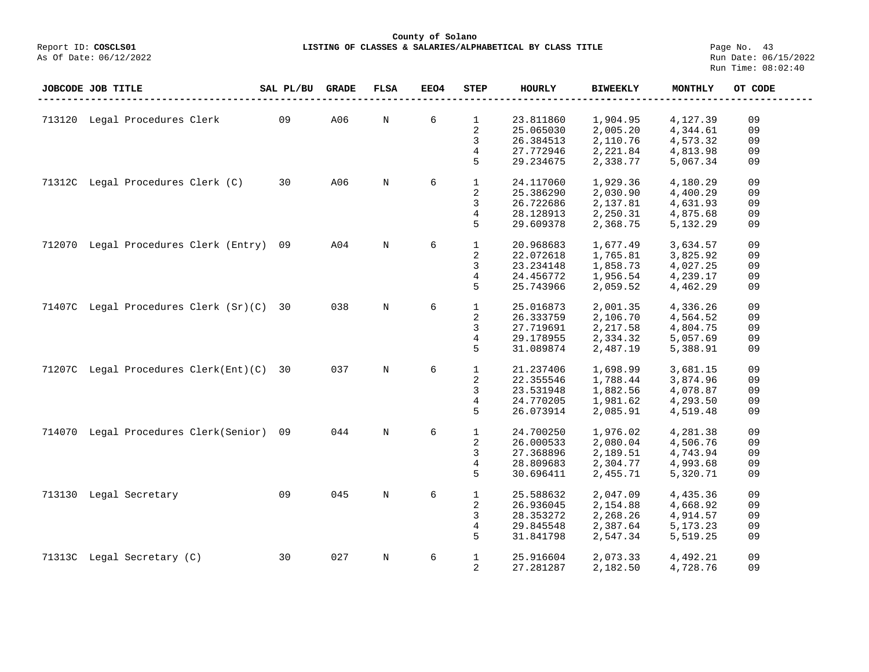**County of Solano LISTING OF CLASSES & SALARIES/ALPHABETICAL BY CLASS TITLE** Page No. 43<br>Run Date: 06/15/2022

Report ID: COSCLS01<br>As Of Date: 06/12/2022

|        | JOBCODE JOB TITLE                        | SAL PL/BU | <b>GRADE</b> | <b>FLSA</b> | EEO4 | <b>STEP</b>    | <b>HOURLY</b> | <b>BIWEEKLY</b> | <b>MONTHLY</b> | OT CODE |
|--------|------------------------------------------|-----------|--------------|-------------|------|----------------|---------------|-----------------|----------------|---------|
|        |                                          |           |              |             |      |                |               |                 |                |         |
|        | 713120 Legal Procedures Clerk            | 09        | A06          | $\mathbb N$ | 6    | $\mathbf{1}$   | 23.811860     | 1,904.95        | 4,127.39       | 09      |
|        |                                          |           |              |             |      | 2              | 25.065030     | 2,005.20        | 4,344.61       | 09      |
|        |                                          |           |              |             |      | 3              | 26.384513     | 2,110.76        | 4,573.32       | 09      |
|        |                                          |           |              |             |      | 4              | 27.772946     | 2,221.84        | 4,813.98       | 09      |
|        |                                          |           |              |             |      | 5              | 29.234675     | 2,338.77        | 5,067.34       | 09      |
|        |                                          |           |              |             |      |                |               |                 |                |         |
|        | 71312C Legal Procedures Clerk (C)        | 30        | A06          | $\mathbb N$ | 6    | $\mathbf{1}$   | 24.117060     | 1,929.36        | 4,180.29       | 09      |
|        |                                          |           |              |             |      | 2              | 25.386290     | 2,030.90        | 4,400.29       | 09      |
|        |                                          |           |              |             |      | 3              | 26.722686     | 2,137.81        | 4,631.93       | 09      |
|        |                                          |           |              |             |      | $\overline{4}$ | 28.128913     | 2,250.31        | 4,875.68       | 09      |
|        |                                          |           |              |             |      | 5              | 29.609378     | 2,368.75        | 5,132.29       | 09      |
|        |                                          |           |              |             |      |                |               |                 |                |         |
| 712070 | Legal Procedures Clerk (Entry)           | 09        | A04          | $\mathbb N$ | 6    | $\mathbf{1}$   | 20.968683     | 1,677.49        | 3,634.57       | 09      |
|        |                                          |           |              |             |      | 2              | 22.072618     | 1,765.81        | 3,825.92       | 09      |
|        |                                          |           |              |             |      | 3              | 23.234148     | 1,858.73        | 4,027.25       | 09      |
|        |                                          |           |              |             |      | 4              | 24.456772     | 1,956.54        | 4,239.17       | 09      |
|        |                                          |           |              |             |      | 5              | 25.743966     | 2,059.52        | 4,462.29       | 09      |
|        |                                          |           |              |             |      |                |               |                 |                |         |
|        | 71407C Legal Procedures Clerk (Sr)(C) 30 |           | 038          | $\mathbb N$ | 6    | $\mathbf{1}$   | 25.016873     | 2,001.35        | 4,336.26       | 09      |
|        |                                          |           |              |             |      | 2              | 26.333759     | 2,106.70        | 4,564.52       | 09      |
|        |                                          |           |              |             |      | 3              | 27.719691     | 2,217.58        | 4,804.75       | 09      |
|        |                                          |           |              |             |      | $\overline{4}$ | 29.178955     | 2,334.32        | 5,057.69       | 09      |
|        |                                          |           |              |             |      | 5              | 31.089874     | 2,487.19        | 5,388.91       | 09      |
|        |                                          |           |              |             |      |                |               |                 |                |         |
|        | 71207C Legal Procedures Clerk(Ent)(C) 30 |           | 037          | $\mathbb N$ | 6    | $\mathbf{1}$   | 21.237406     | 1,698.99        | 3,681.15       | 09      |
|        |                                          |           |              |             |      | 2              | 22.355546     | 1,788.44        | 3,874.96       | 09      |
|        |                                          |           |              |             |      | 3              | 23.531948     | 1,882.56        | 4,078.87       | 09      |
|        |                                          |           |              |             |      | $\overline{4}$ | 24.770205     | 1,981.62        | 4,293.50       | 09      |
|        |                                          |           |              |             |      | 5              | 26.073914     | 2,085.91        | 4,519.48       | 09      |
|        |                                          |           |              |             |      |                |               |                 |                |         |
|        | 714070 Legal Procedures Clerk(Senior)    | 09        | 044          | $\mathbb N$ | 6    | $\mathbf{1}$   | 24.700250     | 1,976.02        | 4,281.38       | 09      |
|        |                                          |           |              |             |      | 2              | 26.000533     | 2,080.04        | 4,506.76       | 09      |
|        |                                          |           |              |             |      | 3              | 27.368896     | 2,189.51        | 4,743.94       | 09      |
|        |                                          |           |              |             |      | 4              | 28.809683     | 2,304.77        | 4,993.68       | 09      |
|        |                                          |           |              |             |      | 5              | 30.696411     | 2,455.71        | 5,320.71       | 09      |
|        |                                          |           |              |             |      |                |               |                 |                |         |
|        | 713130 Legal Secretary                   | 09        | 045          | $\mathbb N$ | 6    | $\mathbf{1}$   | 25.588632     | 2,047.09        | 4,435.36       | 09      |
|        |                                          |           |              |             |      | 2              | 26.936045     | 2,154.88        | 4,668.92       | 09      |
|        |                                          |           |              |             |      | 3              | 28.353272     | 2,268.26        | 4,914.57       | 09      |
|        |                                          |           |              |             |      | 4              | 29.845548     | 2,387.64        | 5,173.23       | 09      |
|        |                                          |           |              |             |      | 5              | 31.841798     | 2,547.34        | 5,519.25       | 09      |
|        |                                          |           |              |             |      |                |               |                 |                |         |
|        | 71313C Legal Secretary (C)               | 30        | 027          | N           | 6    | $\mathbf{1}$   | 25.916604     | 2,073.33        | 4,492.21       | 09      |
|        |                                          |           |              |             |      | 2              | 27.281287     | 2,182.50        | 4,728.76       | 09      |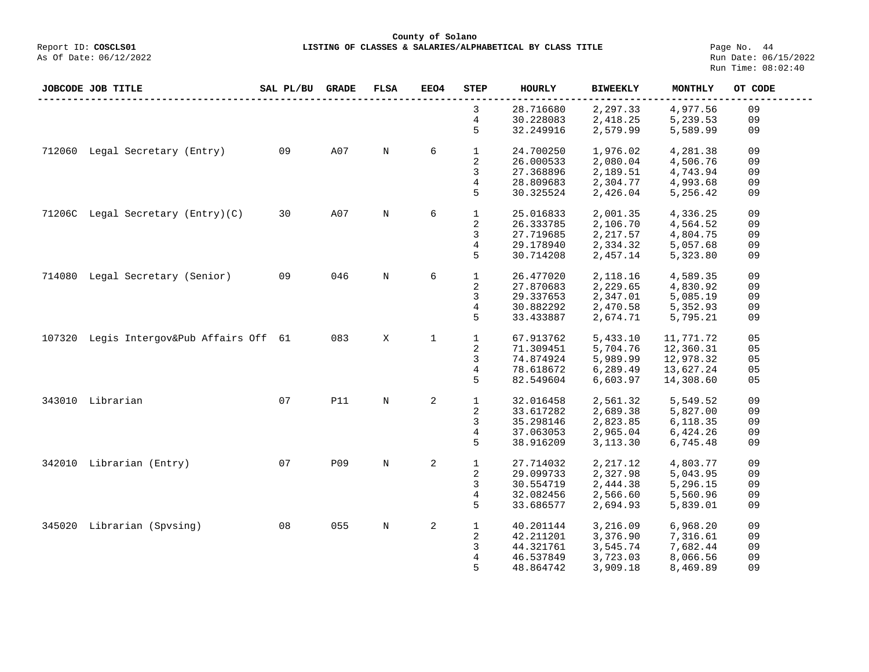**County of Solano**<br>Exercis LISTING OF CLASSES & SALARIES/ALPH (Report ID: COSCLS01 **LISTING OF CLASSES & SALARIES/ALPHABETICAL BY CLASS TITLE** Page No. 44<br>Run Date: 06/15/2022

|        | JOBCODE JOB TITLE                        | SAL PL/BU | <b>GRADE</b> | <b>FLSA</b> | <b>EEO4</b> | <b>STEP</b>  | <b>HOURLY</b> | <b>BIWEEKLY</b> | MONTHLY   | OT CODE |
|--------|------------------------------------------|-----------|--------------|-------------|-------------|--------------|---------------|-----------------|-----------|---------|
|        |                                          |           |              |             |             | 3            | 28.716680     | 2,297.33        | 4,977.56  | 09      |
|        |                                          |           |              |             |             | 4            | 30.228083     | 2,418.25        | 5,239.53  | 09      |
|        |                                          |           |              |             |             | 5            | 32.249916     | 2,579.99        | 5,589.99  | 09      |
|        |                                          |           |              |             |             |              |               |                 |           |         |
|        | 712060 Legal Secretary (Entry)           | 09        | A07          | N           | 6           | $\mathbf{1}$ | 24.700250     | 1,976.02        | 4,281.38  | 09      |
|        |                                          |           |              |             |             | 2            | 26.000533     | 2,080.04        | 4,506.76  | 09      |
|        |                                          |           |              |             |             | 3            | 27.368896     | 2,189.51        | 4,743.94  | 09      |
|        |                                          |           |              |             |             | 4            | 28.809683     | 2,304.77        | 4,993.68  | 09      |
|        |                                          |           |              |             |             | 5            | 30.325524     | 2,426.04        | 5,256.42  | 09      |
|        |                                          |           |              |             |             |              |               |                 |           |         |
|        | 71206C Legal Secretary (Entry) (C)       | 30        | A07          | N           | 6           | $\mathbf 1$  | 25.016833     | 2,001.35        | 4,336.25  | 09      |
|        |                                          |           |              |             |             | 2            | 26.333785     | 2,106.70        | 4,564.52  | 09      |
|        |                                          |           |              |             |             | 3            | 27.719685     | 2,217.57        | 4,804.75  | 09      |
|        |                                          |           |              |             |             | 4            | 29.178940     | 2,334.32        | 5,057.68  | 09      |
|        |                                          |           |              |             |             | 5            | 30.714208     | 2,457.14        | 5,323.80  | 09      |
|        |                                          |           |              |             |             |              |               |                 |           |         |
|        | 714080 Legal Secretary (Senior)          | 09        | 046          | N           | 6           | $\mathbf{1}$ | 26.477020     | 2,118.16        | 4,589.35  | 09      |
|        |                                          |           |              |             |             | 2            | 27.870683     | 2,229.65        | 4,830.92  | 09      |
|        |                                          |           |              |             |             | 3            | 29.337653     | 2,347.01        | 5,085.19  | 09      |
|        |                                          |           |              |             |             | 4            | 30.882292     | 2,470.58        | 5,352.93  | 09      |
|        |                                          |           |              |             |             | 5            | 33.433887     | 2,674.71        | 5,795.21  | 09      |
|        |                                          |           |              |             |             |              |               |                 |           |         |
|        | 107320 Legis Intergov&Pub Affairs Off 61 |           | 083          | X           | $\mathbf 1$ | $\mathbf{1}$ | 67.913762     | 5,433.10        | 11,771.72 | 05      |
|        |                                          |           |              |             |             | 2            | 71.309451     | 5,704.76        | 12,360.31 | 05      |
|        |                                          |           |              |             |             | 3            | 74.874924     | 5,989.99        | 12,978.32 | 05      |
|        |                                          |           |              |             |             | 4            | 78.618672     | 6,289.49        | 13,627.24 | 05      |
|        |                                          |           |              |             |             | 5            | 82.549604     | 6,603.97        | 14,308.60 | 05      |
|        |                                          |           |              |             |             |              |               |                 |           |         |
| 343010 | Librarian                                | 07        | <b>P11</b>   | N           | 2           | $\mathbf{1}$ | 32.016458     | 2,561.32        | 5,549.52  | 09      |
|        |                                          |           |              |             |             | 2            | 33.617282     | 2,689.38        | 5,827.00  | 09      |
|        |                                          |           |              |             |             | 3            | 35.298146     | 2,823.85        | 6,118.35  | 09      |
|        |                                          |           |              |             |             | 4            | 37.063053     | 2,965.04        | 6,424.26  | 09      |
|        |                                          |           |              |             |             | 5            | 38.916209     | 3,113.30        | 6,745.48  | 09      |
|        |                                          |           |              |             |             |              |               |                 |           |         |
| 342010 | Librarian (Entry)                        | 07        | P09          | N           | 2           | $\mathbf 1$  | 27.714032     | 2,217.12        | 4,803.77  | 09      |
|        |                                          |           |              |             |             | 2            | 29.099733     | 2,327.98        | 5,043.95  | 09      |
|        |                                          |           |              |             |             | 3            | 30.554719     | 2,444.38        | 5,296.15  | 09      |
|        |                                          |           |              |             |             | 4            | 32.082456     | 2,566.60        | 5,560.96  | 09      |
|        |                                          |           |              |             |             | 5            | 33.686577     | 2,694.93        | 5,839.01  | 09      |
|        |                                          |           |              |             |             |              |               |                 |           |         |
|        | 345020 Librarian (Spvsing)               | 08        | 055          | N           | 2           | $\mathbf{1}$ | 40.201144     | 3,216.09        | 6,968.20  | 09      |
|        |                                          |           |              |             |             | 2            | 42.211201     | 3,376.90        | 7,316.61  | 09      |
|        |                                          |           |              |             |             | 3            | 44.321761     | 3,545.74        | 7,682.44  | 09      |
|        |                                          |           |              |             |             | 4            | 46.537849     | 3,723.03        | 8,066.56  | 09      |
|        |                                          |           |              |             |             | 5            | 48.864742     | 3,909.18        | 8,469.89  | 09      |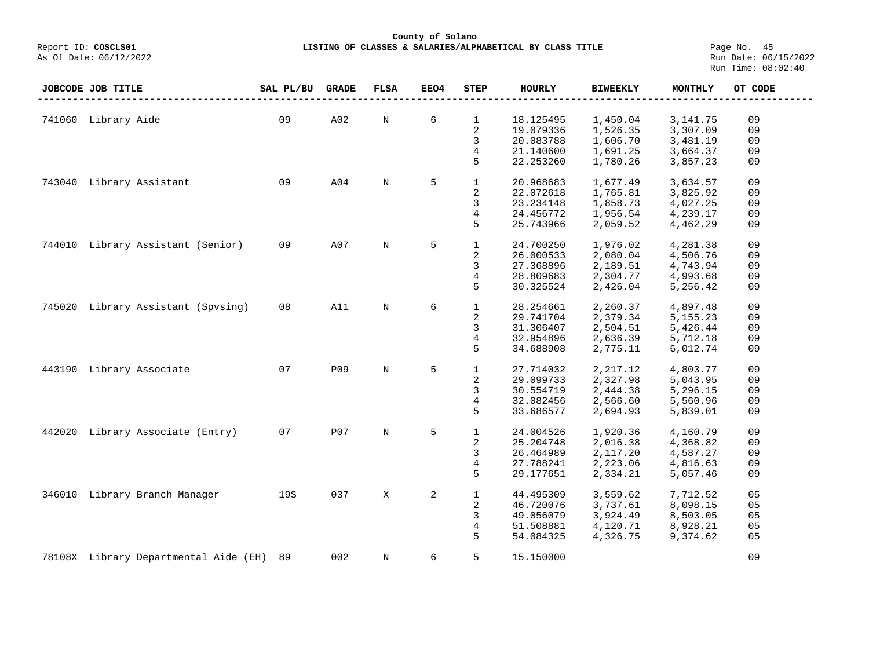|                        | County of Solano                                          |  |  |  |  |  |  |  |  |  |
|------------------------|-----------------------------------------------------------|--|--|--|--|--|--|--|--|--|
| Report ID: COSCLS01    | LISTING OF CLASSES & SALARIES/ALPHABETICAL BY CLASS TITLE |  |  |  |  |  |  |  |  |  |
| As Of Date: 06/12/2022 |                                                           |  |  |  |  |  |  |  |  |  |

Page No. 45<br>Run Date: 06/15/2022 Run Time: 08:02:40

|        | JOBCODE JOB TITLE                     | SAL PL/BU | <b>GRADE</b> | <b>FLSA</b> | <b>EEO4</b> | <b>STEP</b>    | <b>HOURLY</b> | <b>BIWEEKLY</b> | <b>MONTHLY</b> | OT CODE |  |
|--------|---------------------------------------|-----------|--------------|-------------|-------------|----------------|---------------|-----------------|----------------|---------|--|
|        |                                       |           |              |             |             |                |               |                 |                |         |  |
|        | 741060 Library Aide                   | 09        | A02          | $\mathbb N$ | 6           | $\mathbf{1}$   | 18.125495     | 1,450.04        | 3, 141. 75     | 09      |  |
|        |                                       |           |              |             |             | 2              | 19.079336     | 1,526.35        | 3,307.09       | 09      |  |
|        |                                       |           |              |             |             | 3              | 20.083788     | 1,606.70        | 3,481.19       | 09      |  |
|        |                                       |           |              |             |             | 4              | 21.140600     | 1,691.25        | 3,664.37       | 09      |  |
|        |                                       |           |              |             |             | 5              | 22.253260     | 1,780.26        | 3,857.23       | 09      |  |
|        |                                       |           |              |             |             |                |               |                 |                |         |  |
|        | 743040 Library Assistant              | 09        | A04          | N           | 5           | $\mathbf{1}$   | 20.968683     | 1,677.49        | 3,634.57       | 09      |  |
|        |                                       |           |              |             |             | 2              | 22.072618     | 1,765.81        | 3,825.92       | 09      |  |
|        |                                       |           |              |             |             | 3              | 23.234148     | 1,858.73        | 4,027.25       | 09      |  |
|        |                                       |           |              |             |             | 4              | 24.456772     | 1,956.54        | 4,239.17       | 09      |  |
|        |                                       |           |              |             |             | 5              | 25.743966     | 2,059.52        | 4,462.29       | 09      |  |
|        |                                       |           |              |             |             |                |               |                 |                |         |  |
| 744010 | Library Assistant (Senior)            | 09        | A07          | $\mathbb N$ | 5           | $\mathbf{1}$   | 24.700250     | 1,976.02        | 4,281.38       | 09      |  |
|        |                                       |           |              |             |             | 2              | 26.000533     | 2,080.04        | 4,506.76       | 09      |  |
|        |                                       |           |              |             |             | 3              | 27.368896     | 2,189.51        | 4,743.94       | 09      |  |
|        |                                       |           |              |             |             | $\overline{4}$ | 28.809683     | 2,304.77        | 4,993.68       | 09      |  |
|        |                                       |           |              |             |             | 5              | 30.325524     | 2,426.04        | 5,256.42       | 09      |  |
|        |                                       |           |              |             |             |                |               |                 |                |         |  |
| 745020 | Library Assistant (Spysing)           | 08        | A11          | $\mathbb N$ | 6           | $\mathbf{1}$   | 28.254661     | 2,260.37        | 4,897.48       | 09      |  |
|        |                                       |           |              |             |             | 2              | 29.741704     | 2,379.34        | 5, 155. 23     | 09      |  |
|        |                                       |           |              |             |             | 3              | 31.306407     | 2,504.51        | 5,426.44       | 09      |  |
|        |                                       |           |              |             |             | $\overline{4}$ | 32.954896     | 2,636.39        | 5,712.18       | 09      |  |
|        |                                       |           |              |             |             | 5              | 34.688908     | 2,775.11        | 6,012.74       | 09      |  |
|        |                                       |           |              |             |             |                |               |                 |                |         |  |
| 443190 | Library Associate                     | 07        | P09          | $\mathbf N$ | 5           | $\mathbf{1}$   | 27.714032     | 2, 217.12       | 4,803.77       | 09      |  |
|        |                                       |           |              |             |             | 2              | 29.099733     | 2,327.98        | 5,043.95       | 09      |  |
|        |                                       |           |              |             |             | 3              | 30.554719     | 2,444.38        | 5,296.15       | 09      |  |
|        |                                       |           |              |             |             | 4              | 32.082456     | 2,566.60        | 5,560.96       | 09      |  |
|        |                                       |           |              |             |             | 5              | 33.686577     | 2,694.93        | 5,839.01       | 09      |  |
|        |                                       |           |              |             |             |                |               |                 |                |         |  |
| 442020 | Library Associate (Entry)             | 07        | P07          | N           | 5           | $\mathbf{1}$   | 24.004526     | 1,920.36        | 4,160.79       | 09      |  |
|        |                                       |           |              |             |             | 2              | 25.204748     | 2,016.38        | 4,368.82       | 09      |  |
|        |                                       |           |              |             |             | 3              | 26.464989     | 2,117.20        | 4,587.27       | 09      |  |
|        |                                       |           |              |             |             | 4              | 27.788241     | 2,223.06        | 4,816.63       | 09      |  |
|        |                                       |           |              |             |             | 5              | 29.177651     | 2,334.21        | 5,057.46       | 09      |  |
|        |                                       |           | 037          |             |             |                |               |                 |                |         |  |
| 346010 | Library Branch Manager                | 19S       |              | X           | 2           | $\mathbf{1}$   | 44.495309     | 3,559.62        | 7,712.52       | 05      |  |
|        |                                       |           |              |             |             | 2              | 46.720076     | 3,737.61        | 8,098.15       | 05      |  |
|        |                                       |           |              |             |             | 3              | 49.056079     | 3,924.49        | 8,503.05       | 05      |  |
|        |                                       |           |              |             |             | 4              | 51.508881     | 4,120.71        | 8,928.21       | 05      |  |
|        |                                       |           |              |             |             | 5              | 54.084325     | 4,326.75        | 9,374.62       | 05      |  |
|        | 78108X Library Departmental Aide (EH) | 89        | 002          | N           | 6           | 5              | 15.150000     |                 |                | 09      |  |
|        |                                       |           |              |             |             |                |               |                 |                |         |  |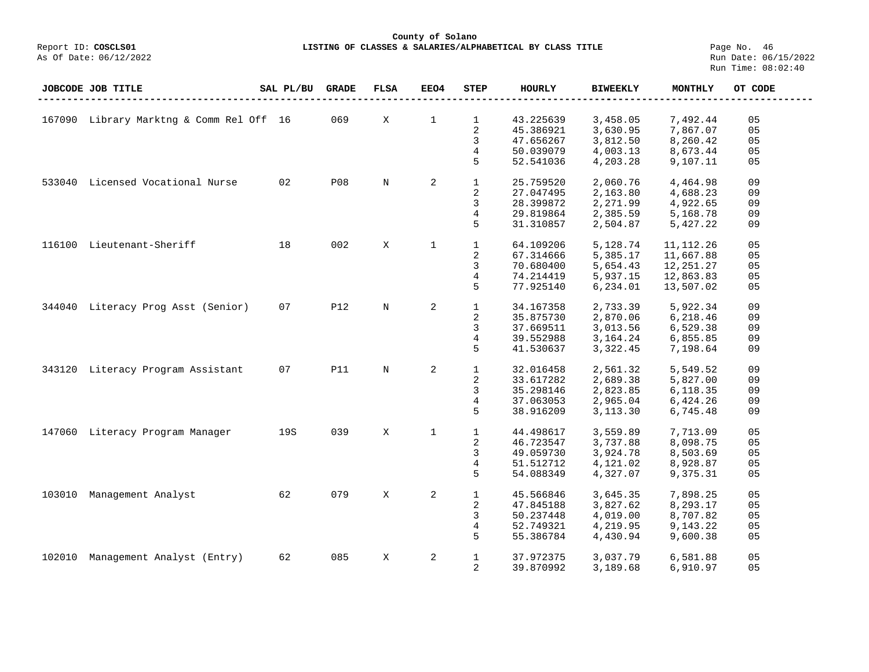## **County of Solano LISTING OF CLASSES & SALARIES/ALPHABETICAL BY CLASS TITLE** Page No. 46<br>Run Date: 06/15/2022

|        | JOBCODE JOB TITLE                        | SAL PL/BU | <b>GRADE</b> | FLSA        | <b>EEO4</b>  | <b>STEP</b>             | HOURLY    | <b>BIWEEKLY</b> | MONTHLY     | OT CODE |
|--------|------------------------------------------|-----------|--------------|-------------|--------------|-------------------------|-----------|-----------------|-------------|---------|
|        | 167090 Library Marktng & Comm Rel Off 16 |           | 069          | Χ           | $\mathbf 1$  | $\mathbf{1}$            | 43.225639 | 3,458.05        | 7,492.44    | 05      |
|        |                                          |           |              |             |              | $\overline{2}$          | 45.386921 | 3,630.95        | 7,867.07    | 05      |
|        |                                          |           |              |             |              | 3                       | 47.656267 | 3,812.50        | 8,260.42    | 05      |
|        |                                          |           |              |             |              | 4                       | 50.039079 | 4,003.13        | 8,673.44    | 05      |
|        |                                          |           |              |             |              | 5                       | 52.541036 | 4,203.28        | 9,107.11    | 05      |
|        | 533040 Licensed Vocational Nurse         | 02        | <b>P08</b>   | N           | 2            | $\mathbf{1}$            | 25.759520 | 2,060.76        | 4,464.98    | 09      |
|        |                                          |           |              |             |              | 2                       | 27.047495 | 2,163.80        | 4,688.23    | 09      |
|        |                                          |           |              |             |              | 3                       | 28.399872 | 2,271.99        | 4,922.65    | 09      |
|        |                                          |           |              |             |              | 4                       | 29.819864 | 2,385.59        | 5,168.78    | 09      |
|        |                                          |           |              |             |              | 5                       | 31.310857 | 2,504.87        | 5,427.22    | 09      |
| 116100 | Lieutenant-Sheriff                       | 18        | 002          | X           | $\mathbf{1}$ | $\mathbf{1}$            | 64.109206 | 5,128.74        | 11, 112. 26 | 05      |
|        |                                          |           |              |             |              | 2                       | 67.314666 | 5,385.17        | 11,667.88   | 05      |
|        |                                          |           |              |             |              | 3                       | 70.680400 | 5,654.43        | 12,251.27   | 05      |
|        |                                          |           |              |             |              | 4                       | 74.214419 | 5,937.15        | 12,863.83   | 05      |
|        |                                          |           |              |             |              | 5                       | 77.925140 | 6,234.01        | 13,507.02   | 05      |
| 344040 | Literacy Prog Asst (Senior)              | 07        | <b>P12</b>   | $\mathbf N$ | 2            | $\mathbf{1}$            | 34.167358 | 2,733.39        | 5,922.34    | 09      |
|        |                                          |           |              |             |              | $\overline{\mathbf{c}}$ | 35.875730 | 2,870.06        | 6,218.46    | 09      |
|        |                                          |           |              |             |              | 3                       | 37.669511 | 3,013.56        | 6,529.38    | 09      |
|        |                                          |           |              |             |              | $\overline{4}$          | 39.552988 | 3, 164. 24      | 6,855.85    | 09      |
|        |                                          |           |              |             |              | 5                       | 41.530637 | 3,322.45        | 7,198.64    | 09      |
|        | 343120 Literacy Program Assistant        | 07        | <b>P11</b>   | $\mathbb N$ | 2            | $\mathbf{1}$            | 32.016458 | 2,561.32        | 5,549.52    | 09      |
|        |                                          |           |              |             |              | 2                       | 33.617282 | 2,689.38        | 5,827.00    | 09      |
|        |                                          |           |              |             |              | 3                       | 35.298146 | 2,823.85        | 6,118.35    | 09      |
|        |                                          |           |              |             |              | $\overline{4}$          | 37.063053 | 2,965.04        | 6,424.26    | 09      |
|        |                                          |           |              |             |              | 5                       | 38.916209 | 3,113.30        | 6,745.48    | 09      |
|        | 147060 Literacy Program Manager          | 19S       | 039          | X           | $\mathbf 1$  | $\mathbf{1}$            | 44.498617 | 3,559.89        | 7,713.09    | 05      |
|        |                                          |           |              |             |              | 2                       | 46.723547 | 3,737.88        | 8,098.75    | 05      |
|        |                                          |           |              |             |              | 3                       | 49.059730 | 3,924.78        | 8,503.69    | 05      |
|        |                                          |           |              |             |              | 4                       | 51.512712 | 4,121.02        | 8,928.87    | 05      |
|        |                                          |           |              |             |              | 5                       | 54.088349 | 4,327.07        | 9,375.31    | 05      |
| 103010 | Management Analyst                       | 62        | 079          | X           | 2            | $\mathbf{1}$            | 45.566846 | 3,645.35        | 7,898.25    | 05      |
|        |                                          |           |              |             |              | $\overline{\mathbf{c}}$ | 47.845188 | 3,827.62        | 8,293.17    | 05      |
|        |                                          |           |              |             |              | 3                       | 50.237448 | 4,019.00        | 8,707.82    | 05      |
|        |                                          |           |              |             |              | 4                       | 52.749321 | 4,219.95        | 9,143.22    | 05      |
|        |                                          |           |              |             |              | 5                       | 55.386784 | 4,430.94        | 9,600.38    | 05      |
| 102010 | Management Analyst (Entry)               | 62        | 085          | X           | 2            | $\mathbf{1}$            | 37.972375 | 3,037.79        | 6,581.88    | 05      |
|        |                                          |           |              |             |              | 2                       | 39.870992 | 3,189.68        | 6,910.97    | 05      |
|        |                                          |           |              |             |              |                         |           |                 |             |         |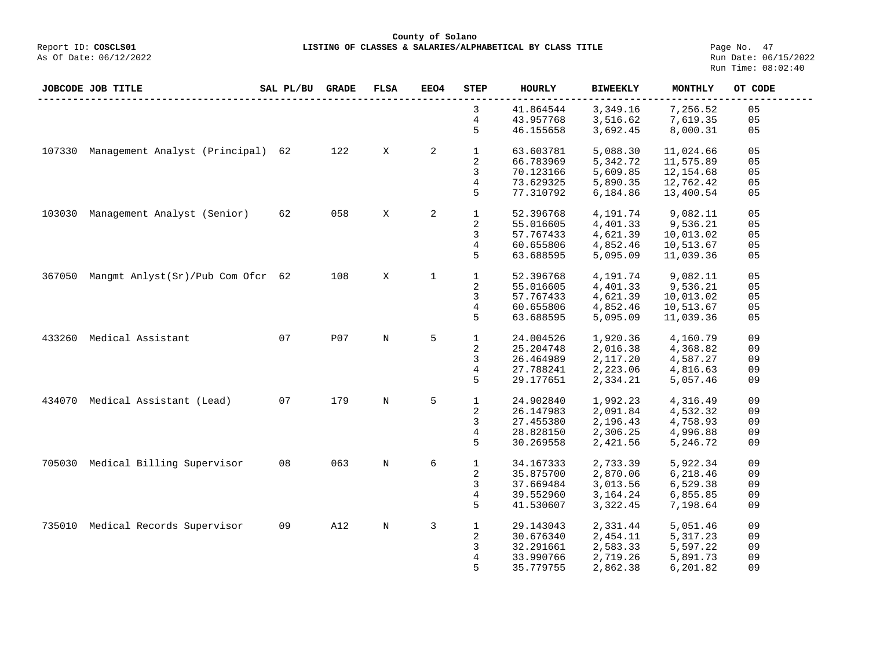**County of Solano**<br>Exercis LISTING OF CLASSES & SALARIES/ALPH COSCLS01 **LISTING OF CLASSES & SALARIES/ALPHABETICAL BY CLASS TITLE** Page No. 47<br>Run Date: 06/15/2022

| 3<br>41.864544<br>3,349.16<br>7,256.52<br>05<br>4<br>43.957768<br>3,516.62<br>7,619.35<br>05<br>5<br>46.155658<br>3,692.45<br>8,000.31<br>05<br>122<br>$\mathbf{2}$<br>$\mathbf{1}$<br>Management Analyst (Principal)<br>X<br>5,088.30<br>11,024.66<br>05<br>107330<br>62<br>63.603781<br>$\overline{\mathbf{c}}$<br>66.783969<br>05<br>5,342.72<br>11,575.89<br>3<br>70.123166<br>5,609.85<br>12,154.68<br>05<br>4<br>73.629325<br>5,890.35<br>12,762.42<br>05<br>77.310792<br>6,184.86<br>5<br>05<br>13,400.54<br>Management Analyst (Senior)<br>058<br>X<br>2<br>$\mathbf{1}$<br>9,082.11<br>05<br>103030<br>62<br>52.396768<br>4,191.74<br>2<br>4,401.33<br>9,536.21<br>05<br>55.016605<br>3<br>57.767433<br>4,621.39<br>10,013.02<br>05<br>4<br>60.655806<br>4,852.46<br>05<br>10,513.67<br>5,095.09<br>5<br>63.688595<br>11,039.36<br>05<br>$\mathbf 1$<br>$\mathbf{1}$<br>Mangmt Anlyst(Sr)/Pub Com Ofcr 62<br>108<br>X<br>52.396768<br>4,191.74<br>9,082.11<br>05<br>367050<br>2<br>55.016605<br>4,401.33<br>9,536.21<br>05<br>4,621.39<br>3<br>57.767433<br>10,013.02<br>05<br>4<br>60.655806<br>4,852.46<br>10,513.67<br>05<br>5<br>63.688595<br>5,095.09<br>05<br>11,039.36<br>Medical Assistant<br>07<br><b>P07</b><br>5<br>$\mathbf{1}$<br>N<br>24.004526<br>1,920.36<br>09<br>433260<br>4,160.79<br>2<br>25.204748<br>2,016.38<br>4,368.82<br>09<br>3<br>26.464989<br>2,117.20<br>4,587.27<br>09<br>4<br>2,223.06<br>27.788241<br>4,816.63<br>09<br>5<br>29.177651<br>2,334.21<br>5,057.46<br>09<br>07<br>179<br>5<br>$\mathbf{1}$<br>Medical Assistant (Lead)<br>N<br>09<br>434070<br>24.902840<br>1,992.23<br>4,316.49<br>2<br>09<br>26.147983<br>2,091.84<br>4,532.32<br>3<br>27.455380<br>2,196.43<br>09<br>4,758.93<br>4<br>28.828150<br>2,306.25<br>4,996.88<br>09<br>5<br>30.269558<br>2,421.56<br>5,246.72<br>09<br>Medical Billing Supervisor<br>08<br>063<br>6<br>$\mathbf 1$<br>2,733.39<br>5,922.34<br>09<br>705030<br>$\mathbf N$<br>34.167333<br>2<br>35.875700<br>2,870.06<br>6,218.46<br>09<br>3<br>37.669484<br>3,013.56<br>6,529.38<br>09<br>4<br>39.552960<br>3, 164. 24<br>09<br>6,855.85<br>5<br>41.530607<br>3,322.45<br>7,198.64<br>09<br>Medical Records Supervisor<br>A12<br>3<br>$\mathbf 1$<br>09<br>N<br>29.143043<br>2,331.44<br>5,051.46<br>09<br>735010<br>2<br>30.676340<br>2,454.11<br>09<br>5,317.23<br>3<br>32.291661<br>2,583.33<br>5,597.22<br>09<br>09<br>33.990766<br>2,719.26<br>5,891.73<br>4<br>5<br>09<br>35.779755 | JOBCODE JOB TITLE | SAL PL/BU | <b>GRADE</b> | <b>FLSA</b> | <b>EEO4</b> | <b>STEP</b> | <b>HOURLY</b> | <b>BIWEEKLY</b> | MONTHLY  | OT CODE |
|------------------------------------------------------------------------------------------------------------------------------------------------------------------------------------------------------------------------------------------------------------------------------------------------------------------------------------------------------------------------------------------------------------------------------------------------------------------------------------------------------------------------------------------------------------------------------------------------------------------------------------------------------------------------------------------------------------------------------------------------------------------------------------------------------------------------------------------------------------------------------------------------------------------------------------------------------------------------------------------------------------------------------------------------------------------------------------------------------------------------------------------------------------------------------------------------------------------------------------------------------------------------------------------------------------------------------------------------------------------------------------------------------------------------------------------------------------------------------------------------------------------------------------------------------------------------------------------------------------------------------------------------------------------------------------------------------------------------------------------------------------------------------------------------------------------------------------------------------------------------------------------------------------------------------------------------------------------------------------------------------------------------------------------------------------------------------------------------------------------------------------------------------------------------------------------------------------------------------------------------------------------------------------------------------------------------------------------------------------------------------------------------------------------------------------------------------------------------------|-------------------|-----------|--------------|-------------|-------------|-------------|---------------|-----------------|----------|---------|
|                                                                                                                                                                                                                                                                                                                                                                                                                                                                                                                                                                                                                                                                                                                                                                                                                                                                                                                                                                                                                                                                                                                                                                                                                                                                                                                                                                                                                                                                                                                                                                                                                                                                                                                                                                                                                                                                                                                                                                                                                                                                                                                                                                                                                                                                                                                                                                                                                                                                              |                   |           |              |             |             |             |               |                 |          |         |
|                                                                                                                                                                                                                                                                                                                                                                                                                                                                                                                                                                                                                                                                                                                                                                                                                                                                                                                                                                                                                                                                                                                                                                                                                                                                                                                                                                                                                                                                                                                                                                                                                                                                                                                                                                                                                                                                                                                                                                                                                                                                                                                                                                                                                                                                                                                                                                                                                                                                              |                   |           |              |             |             |             |               |                 |          |         |
|                                                                                                                                                                                                                                                                                                                                                                                                                                                                                                                                                                                                                                                                                                                                                                                                                                                                                                                                                                                                                                                                                                                                                                                                                                                                                                                                                                                                                                                                                                                                                                                                                                                                                                                                                                                                                                                                                                                                                                                                                                                                                                                                                                                                                                                                                                                                                                                                                                                                              |                   |           |              |             |             |             |               |                 |          |         |
|                                                                                                                                                                                                                                                                                                                                                                                                                                                                                                                                                                                                                                                                                                                                                                                                                                                                                                                                                                                                                                                                                                                                                                                                                                                                                                                                                                                                                                                                                                                                                                                                                                                                                                                                                                                                                                                                                                                                                                                                                                                                                                                                                                                                                                                                                                                                                                                                                                                                              |                   |           |              |             |             |             |               |                 |          |         |
|                                                                                                                                                                                                                                                                                                                                                                                                                                                                                                                                                                                                                                                                                                                                                                                                                                                                                                                                                                                                                                                                                                                                                                                                                                                                                                                                                                                                                                                                                                                                                                                                                                                                                                                                                                                                                                                                                                                                                                                                                                                                                                                                                                                                                                                                                                                                                                                                                                                                              |                   |           |              |             |             |             |               |                 |          |         |
|                                                                                                                                                                                                                                                                                                                                                                                                                                                                                                                                                                                                                                                                                                                                                                                                                                                                                                                                                                                                                                                                                                                                                                                                                                                                                                                                                                                                                                                                                                                                                                                                                                                                                                                                                                                                                                                                                                                                                                                                                                                                                                                                                                                                                                                                                                                                                                                                                                                                              |                   |           |              |             |             |             |               |                 |          |         |
|                                                                                                                                                                                                                                                                                                                                                                                                                                                                                                                                                                                                                                                                                                                                                                                                                                                                                                                                                                                                                                                                                                                                                                                                                                                                                                                                                                                                                                                                                                                                                                                                                                                                                                                                                                                                                                                                                                                                                                                                                                                                                                                                                                                                                                                                                                                                                                                                                                                                              |                   |           |              |             |             |             |               |                 |          |         |
|                                                                                                                                                                                                                                                                                                                                                                                                                                                                                                                                                                                                                                                                                                                                                                                                                                                                                                                                                                                                                                                                                                                                                                                                                                                                                                                                                                                                                                                                                                                                                                                                                                                                                                                                                                                                                                                                                                                                                                                                                                                                                                                                                                                                                                                                                                                                                                                                                                                                              |                   |           |              |             |             |             |               |                 |          |         |
|                                                                                                                                                                                                                                                                                                                                                                                                                                                                                                                                                                                                                                                                                                                                                                                                                                                                                                                                                                                                                                                                                                                                                                                                                                                                                                                                                                                                                                                                                                                                                                                                                                                                                                                                                                                                                                                                                                                                                                                                                                                                                                                                                                                                                                                                                                                                                                                                                                                                              |                   |           |              |             |             |             |               |                 |          |         |
|                                                                                                                                                                                                                                                                                                                                                                                                                                                                                                                                                                                                                                                                                                                                                                                                                                                                                                                                                                                                                                                                                                                                                                                                                                                                                                                                                                                                                                                                                                                                                                                                                                                                                                                                                                                                                                                                                                                                                                                                                                                                                                                                                                                                                                                                                                                                                                                                                                                                              |                   |           |              |             |             |             |               |                 |          |         |
|                                                                                                                                                                                                                                                                                                                                                                                                                                                                                                                                                                                                                                                                                                                                                                                                                                                                                                                                                                                                                                                                                                                                                                                                                                                                                                                                                                                                                                                                                                                                                                                                                                                                                                                                                                                                                                                                                                                                                                                                                                                                                                                                                                                                                                                                                                                                                                                                                                                                              |                   |           |              |             |             |             |               |                 |          |         |
|                                                                                                                                                                                                                                                                                                                                                                                                                                                                                                                                                                                                                                                                                                                                                                                                                                                                                                                                                                                                                                                                                                                                                                                                                                                                                                                                                                                                                                                                                                                                                                                                                                                                                                                                                                                                                                                                                                                                                                                                                                                                                                                                                                                                                                                                                                                                                                                                                                                                              |                   |           |              |             |             |             |               |                 |          |         |
|                                                                                                                                                                                                                                                                                                                                                                                                                                                                                                                                                                                                                                                                                                                                                                                                                                                                                                                                                                                                                                                                                                                                                                                                                                                                                                                                                                                                                                                                                                                                                                                                                                                                                                                                                                                                                                                                                                                                                                                                                                                                                                                                                                                                                                                                                                                                                                                                                                                                              |                   |           |              |             |             |             |               |                 |          |         |
|                                                                                                                                                                                                                                                                                                                                                                                                                                                                                                                                                                                                                                                                                                                                                                                                                                                                                                                                                                                                                                                                                                                                                                                                                                                                                                                                                                                                                                                                                                                                                                                                                                                                                                                                                                                                                                                                                                                                                                                                                                                                                                                                                                                                                                                                                                                                                                                                                                                                              |                   |           |              |             |             |             |               |                 |          |         |
|                                                                                                                                                                                                                                                                                                                                                                                                                                                                                                                                                                                                                                                                                                                                                                                                                                                                                                                                                                                                                                                                                                                                                                                                                                                                                                                                                                                                                                                                                                                                                                                                                                                                                                                                                                                                                                                                                                                                                                                                                                                                                                                                                                                                                                                                                                                                                                                                                                                                              |                   |           |              |             |             |             |               |                 |          |         |
|                                                                                                                                                                                                                                                                                                                                                                                                                                                                                                                                                                                                                                                                                                                                                                                                                                                                                                                                                                                                                                                                                                                                                                                                                                                                                                                                                                                                                                                                                                                                                                                                                                                                                                                                                                                                                                                                                                                                                                                                                                                                                                                                                                                                                                                                                                                                                                                                                                                                              |                   |           |              |             |             |             |               |                 |          |         |
|                                                                                                                                                                                                                                                                                                                                                                                                                                                                                                                                                                                                                                                                                                                                                                                                                                                                                                                                                                                                                                                                                                                                                                                                                                                                                                                                                                                                                                                                                                                                                                                                                                                                                                                                                                                                                                                                                                                                                                                                                                                                                                                                                                                                                                                                                                                                                                                                                                                                              |                   |           |              |             |             |             |               |                 |          |         |
|                                                                                                                                                                                                                                                                                                                                                                                                                                                                                                                                                                                                                                                                                                                                                                                                                                                                                                                                                                                                                                                                                                                                                                                                                                                                                                                                                                                                                                                                                                                                                                                                                                                                                                                                                                                                                                                                                                                                                                                                                                                                                                                                                                                                                                                                                                                                                                                                                                                                              |                   |           |              |             |             |             |               |                 |          |         |
|                                                                                                                                                                                                                                                                                                                                                                                                                                                                                                                                                                                                                                                                                                                                                                                                                                                                                                                                                                                                                                                                                                                                                                                                                                                                                                                                                                                                                                                                                                                                                                                                                                                                                                                                                                                                                                                                                                                                                                                                                                                                                                                                                                                                                                                                                                                                                                                                                                                                              |                   |           |              |             |             |             |               |                 |          |         |
|                                                                                                                                                                                                                                                                                                                                                                                                                                                                                                                                                                                                                                                                                                                                                                                                                                                                                                                                                                                                                                                                                                                                                                                                                                                                                                                                                                                                                                                                                                                                                                                                                                                                                                                                                                                                                                                                                                                                                                                                                                                                                                                                                                                                                                                                                                                                                                                                                                                                              |                   |           |              |             |             |             |               |                 |          |         |
|                                                                                                                                                                                                                                                                                                                                                                                                                                                                                                                                                                                                                                                                                                                                                                                                                                                                                                                                                                                                                                                                                                                                                                                                                                                                                                                                                                                                                                                                                                                                                                                                                                                                                                                                                                                                                                                                                                                                                                                                                                                                                                                                                                                                                                                                                                                                                                                                                                                                              |                   |           |              |             |             |             |               |                 |          |         |
|                                                                                                                                                                                                                                                                                                                                                                                                                                                                                                                                                                                                                                                                                                                                                                                                                                                                                                                                                                                                                                                                                                                                                                                                                                                                                                                                                                                                                                                                                                                                                                                                                                                                                                                                                                                                                                                                                                                                                                                                                                                                                                                                                                                                                                                                                                                                                                                                                                                                              |                   |           |              |             |             |             |               |                 |          |         |
|                                                                                                                                                                                                                                                                                                                                                                                                                                                                                                                                                                                                                                                                                                                                                                                                                                                                                                                                                                                                                                                                                                                                                                                                                                                                                                                                                                                                                                                                                                                                                                                                                                                                                                                                                                                                                                                                                                                                                                                                                                                                                                                                                                                                                                                                                                                                                                                                                                                                              |                   |           |              |             |             |             |               |                 |          |         |
|                                                                                                                                                                                                                                                                                                                                                                                                                                                                                                                                                                                                                                                                                                                                                                                                                                                                                                                                                                                                                                                                                                                                                                                                                                                                                                                                                                                                                                                                                                                                                                                                                                                                                                                                                                                                                                                                                                                                                                                                                                                                                                                                                                                                                                                                                                                                                                                                                                                                              |                   |           |              |             |             |             |               |                 |          |         |
|                                                                                                                                                                                                                                                                                                                                                                                                                                                                                                                                                                                                                                                                                                                                                                                                                                                                                                                                                                                                                                                                                                                                                                                                                                                                                                                                                                                                                                                                                                                                                                                                                                                                                                                                                                                                                                                                                                                                                                                                                                                                                                                                                                                                                                                                                                                                                                                                                                                                              |                   |           |              |             |             |             |               |                 |          |         |
|                                                                                                                                                                                                                                                                                                                                                                                                                                                                                                                                                                                                                                                                                                                                                                                                                                                                                                                                                                                                                                                                                                                                                                                                                                                                                                                                                                                                                                                                                                                                                                                                                                                                                                                                                                                                                                                                                                                                                                                                                                                                                                                                                                                                                                                                                                                                                                                                                                                                              |                   |           |              |             |             |             |               |                 |          |         |
|                                                                                                                                                                                                                                                                                                                                                                                                                                                                                                                                                                                                                                                                                                                                                                                                                                                                                                                                                                                                                                                                                                                                                                                                                                                                                                                                                                                                                                                                                                                                                                                                                                                                                                                                                                                                                                                                                                                                                                                                                                                                                                                                                                                                                                                                                                                                                                                                                                                                              |                   |           |              |             |             |             |               |                 |          |         |
|                                                                                                                                                                                                                                                                                                                                                                                                                                                                                                                                                                                                                                                                                                                                                                                                                                                                                                                                                                                                                                                                                                                                                                                                                                                                                                                                                                                                                                                                                                                                                                                                                                                                                                                                                                                                                                                                                                                                                                                                                                                                                                                                                                                                                                                                                                                                                                                                                                                                              |                   |           |              |             |             |             |               |                 |          |         |
|                                                                                                                                                                                                                                                                                                                                                                                                                                                                                                                                                                                                                                                                                                                                                                                                                                                                                                                                                                                                                                                                                                                                                                                                                                                                                                                                                                                                                                                                                                                                                                                                                                                                                                                                                                                                                                                                                                                                                                                                                                                                                                                                                                                                                                                                                                                                                                                                                                                                              |                   |           |              |             |             |             |               |                 |          |         |
|                                                                                                                                                                                                                                                                                                                                                                                                                                                                                                                                                                                                                                                                                                                                                                                                                                                                                                                                                                                                                                                                                                                                                                                                                                                                                                                                                                                                                                                                                                                                                                                                                                                                                                                                                                                                                                                                                                                                                                                                                                                                                                                                                                                                                                                                                                                                                                                                                                                                              |                   |           |              |             |             |             |               |                 |          |         |
|                                                                                                                                                                                                                                                                                                                                                                                                                                                                                                                                                                                                                                                                                                                                                                                                                                                                                                                                                                                                                                                                                                                                                                                                                                                                                                                                                                                                                                                                                                                                                                                                                                                                                                                                                                                                                                                                                                                                                                                                                                                                                                                                                                                                                                                                                                                                                                                                                                                                              |                   |           |              |             |             |             |               |                 |          |         |
|                                                                                                                                                                                                                                                                                                                                                                                                                                                                                                                                                                                                                                                                                                                                                                                                                                                                                                                                                                                                                                                                                                                                                                                                                                                                                                                                                                                                                                                                                                                                                                                                                                                                                                                                                                                                                                                                                                                                                                                                                                                                                                                                                                                                                                                                                                                                                                                                                                                                              |                   |           |              |             |             |             |               |                 |          |         |
|                                                                                                                                                                                                                                                                                                                                                                                                                                                                                                                                                                                                                                                                                                                                                                                                                                                                                                                                                                                                                                                                                                                                                                                                                                                                                                                                                                                                                                                                                                                                                                                                                                                                                                                                                                                                                                                                                                                                                                                                                                                                                                                                                                                                                                                                                                                                                                                                                                                                              |                   |           |              |             |             |             |               |                 |          |         |
|                                                                                                                                                                                                                                                                                                                                                                                                                                                                                                                                                                                                                                                                                                                                                                                                                                                                                                                                                                                                                                                                                                                                                                                                                                                                                                                                                                                                                                                                                                                                                                                                                                                                                                                                                                                                                                                                                                                                                                                                                                                                                                                                                                                                                                                                                                                                                                                                                                                                              |                   |           |              |             |             |             |               |                 |          |         |
|                                                                                                                                                                                                                                                                                                                                                                                                                                                                                                                                                                                                                                                                                                                                                                                                                                                                                                                                                                                                                                                                                                                                                                                                                                                                                                                                                                                                                                                                                                                                                                                                                                                                                                                                                                                                                                                                                                                                                                                                                                                                                                                                                                                                                                                                                                                                                                                                                                                                              |                   |           |              |             |             |             |               |                 |          |         |
|                                                                                                                                                                                                                                                                                                                                                                                                                                                                                                                                                                                                                                                                                                                                                                                                                                                                                                                                                                                                                                                                                                                                                                                                                                                                                                                                                                                                                                                                                                                                                                                                                                                                                                                                                                                                                                                                                                                                                                                                                                                                                                                                                                                                                                                                                                                                                                                                                                                                              |                   |           |              |             |             |             |               |                 |          |         |
|                                                                                                                                                                                                                                                                                                                                                                                                                                                                                                                                                                                                                                                                                                                                                                                                                                                                                                                                                                                                                                                                                                                                                                                                                                                                                                                                                                                                                                                                                                                                                                                                                                                                                                                                                                                                                                                                                                                                                                                                                                                                                                                                                                                                                                                                                                                                                                                                                                                                              |                   |           |              |             |             |             |               |                 |          |         |
|                                                                                                                                                                                                                                                                                                                                                                                                                                                                                                                                                                                                                                                                                                                                                                                                                                                                                                                                                                                                                                                                                                                                                                                                                                                                                                                                                                                                                                                                                                                                                                                                                                                                                                                                                                                                                                                                                                                                                                                                                                                                                                                                                                                                                                                                                                                                                                                                                                                                              |                   |           |              |             |             |             |               |                 |          |         |
|                                                                                                                                                                                                                                                                                                                                                                                                                                                                                                                                                                                                                                                                                                                                                                                                                                                                                                                                                                                                                                                                                                                                                                                                                                                                                                                                                                                                                                                                                                                                                                                                                                                                                                                                                                                                                                                                                                                                                                                                                                                                                                                                                                                                                                                                                                                                                                                                                                                                              |                   |           |              |             |             |             |               |                 |          |         |
|                                                                                                                                                                                                                                                                                                                                                                                                                                                                                                                                                                                                                                                                                                                                                                                                                                                                                                                                                                                                                                                                                                                                                                                                                                                                                                                                                                                                                                                                                                                                                                                                                                                                                                                                                                                                                                                                                                                                                                                                                                                                                                                                                                                                                                                                                                                                                                                                                                                                              |                   |           |              |             |             |             |               |                 |          |         |
|                                                                                                                                                                                                                                                                                                                                                                                                                                                                                                                                                                                                                                                                                                                                                                                                                                                                                                                                                                                                                                                                                                                                                                                                                                                                                                                                                                                                                                                                                                                                                                                                                                                                                                                                                                                                                                                                                                                                                                                                                                                                                                                                                                                                                                                                                                                                                                                                                                                                              |                   |           |              |             |             |             |               |                 |          |         |
|                                                                                                                                                                                                                                                                                                                                                                                                                                                                                                                                                                                                                                                                                                                                                                                                                                                                                                                                                                                                                                                                                                                                                                                                                                                                                                                                                                                                                                                                                                                                                                                                                                                                                                                                                                                                                                                                                                                                                                                                                                                                                                                                                                                                                                                                                                                                                                                                                                                                              |                   |           |              |             |             |             |               |                 |          |         |
|                                                                                                                                                                                                                                                                                                                                                                                                                                                                                                                                                                                                                                                                                                                                                                                                                                                                                                                                                                                                                                                                                                                                                                                                                                                                                                                                                                                                                                                                                                                                                                                                                                                                                                                                                                                                                                                                                                                                                                                                                                                                                                                                                                                                                                                                                                                                                                                                                                                                              |                   |           |              |             |             |             |               | 2,862.38        | 6,201.82 |         |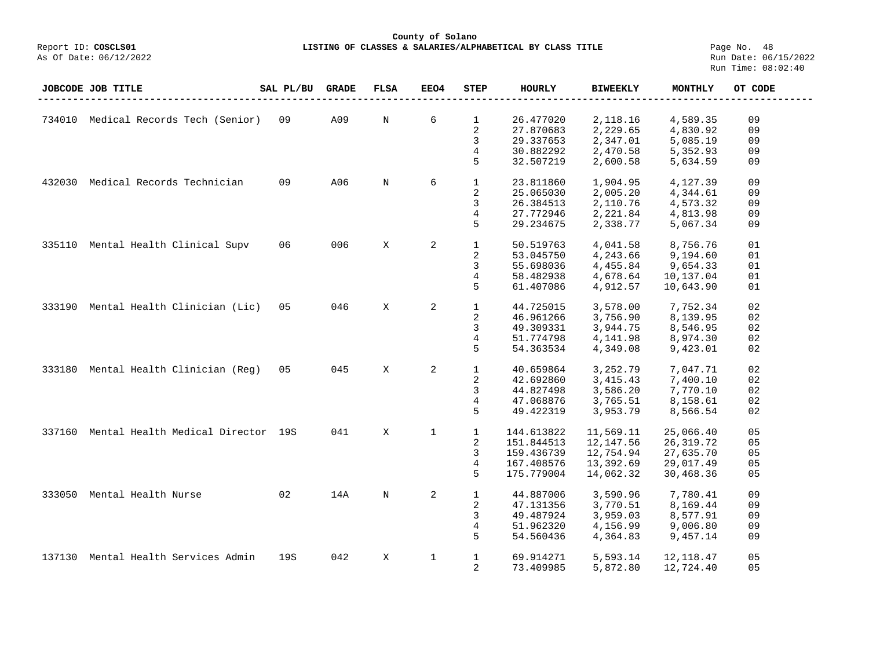## **County of Solano LISTING OF CLASSES & SALARIES/ALPHABETICAL BY CLASS TITLE** Page No. 48<br>Run Date: 06/15/2022

|        | JOBCODE JOB TITLE                  | SAL PL/BU | <b>GRADE</b> | <b>FLSA</b> | <b>EEO4</b>  | <b>STEP</b>  | HOURLY     | <b>BIWEEKLY</b> | MONTHLY    | OT CODE |
|--------|------------------------------------|-----------|--------------|-------------|--------------|--------------|------------|-----------------|------------|---------|
|        |                                    |           |              |             |              |              |            |                 |            |         |
| 734010 | Medical Records Tech (Senior)      | 09        | A09          | N           | 6            | 1            | 26.477020  | 2,118.16        | 4,589.35   | 09      |
|        |                                    |           |              |             |              | 2            | 27.870683  | 2,229.65        | 4,830.92   | 09      |
|        |                                    |           |              |             |              | 3            | 29.337653  | 2,347.01        | 5,085.19   | 09      |
|        |                                    |           |              |             |              | 4            | 30.882292  | 2,470.58        | 5,352.93   | 09      |
|        |                                    |           |              |             |              | 5            | 32.507219  | 2,600.58        | 5,634.59   | 09      |
| 432030 | Medical Records Technician         | 09        | A06          | $_{\rm N}$  | 6            | $\mathbf{1}$ | 23.811860  | 1,904.95        | 4,127.39   | 09      |
|        |                                    |           |              |             |              | 2            | 25.065030  | 2,005.20        | 4,344.61   | 09      |
|        |                                    |           |              |             |              | 3            | 26.384513  | 2,110.76        | 4,573.32   | 09      |
|        |                                    |           |              |             |              | 4            | 27.772946  | 2,221.84        | 4,813.98   | 09      |
|        |                                    |           |              |             |              | 5            | 29.234675  | 2,338.77        | 5,067.34   | 09      |
| 335110 | Mental Health Clinical Supv        | 06        | 006          | X           | 2            | $\mathbf{1}$ | 50.519763  | 4,041.58        | 8,756.76   | 01      |
|        |                                    |           |              |             |              | 2            | 53.045750  | 4,243.66        | 9,194.60   | 01      |
|        |                                    |           |              |             |              | 3            | 55.698036  | 4,455.84        | 9,654.33   | 01      |
|        |                                    |           |              |             |              | 4            | 58.482938  | 4,678.64        | 10,137.04  | 01      |
|        |                                    |           |              |             |              | 5            | 61.407086  | 4,912.57        | 10,643.90  | 01      |
| 333190 | Mental Health Clinician (Lic)      | 0.5       | 046          | X           | 2            | $\mathbf{1}$ | 44.725015  | 3,578.00        | 7,752.34   | 02      |
|        |                                    |           |              |             |              | 2            | 46.961266  | 3,756.90        | 8,139.95   | 02      |
|        |                                    |           |              |             |              | 3            | 49.309331  | 3,944.75        | 8,546.95   | 02      |
|        |                                    |           |              |             |              | 4            | 51.774798  | 4,141.98        | 8,974.30   | 02      |
|        |                                    |           |              |             |              | 5            | 54.363534  | 4,349.08        | 9,423.01   | 02      |
| 333180 | Mental Health Clinician (Reg)      | 0.5       | 045          | X           | 2            | $\mathbf{1}$ | 40.659864  | 3,252.79        | 7,047.71   | 02      |
|        |                                    |           |              |             |              | 2            | 42.692860  | 3, 415. 43      | 7,400.10   | 02      |
|        |                                    |           |              |             |              | 3            | 44.827498  | 3,586.20        | 7,770.10   | 02      |
|        |                                    |           |              |             |              | 4            | 47.068876  | 3,765.51        | 8,158.61   | 02      |
|        |                                    |           |              |             |              | 5            | 49.422319  | 3,953.79        | 8,566.54   | 02      |
| 337160 | Mental Health Medical Director 19S |           | 041          | X           | 1            | $\mathbf 1$  | 144.613822 | 11,569.11       | 25,066.40  | 05      |
|        |                                    |           |              |             |              | 2            | 151.844513 | 12,147.56       | 26,319.72  | 05      |
|        |                                    |           |              |             |              | 3            | 159.436739 | 12,754.94       | 27,635.70  | 05      |
|        |                                    |           |              |             |              | 4            | 167.408576 | 13,392.69       | 29,017.49  | 05      |
|        |                                    |           |              |             |              | 5            | 175.779004 | 14,062.32       | 30,468.36  | 05      |
| 333050 | Mental Health Nurse                | 02        | 14A          | $_{\rm N}$  | 2            | $\mathbf{1}$ | 44.887006  | 3,590.96        | 7,780.41   | 09      |
|        |                                    |           |              |             |              | 2            | 47.131356  | 3,770.51        | 8,169.44   | 09      |
|        |                                    |           |              |             |              | 3            | 49.487924  | 3,959.03        | 8,577.91   | 09      |
|        |                                    |           |              |             |              | 4            | 51.962320  | 4,156.99        | 9,006.80   | 09      |
|        |                                    |           |              |             |              | 5            | 54.560436  | 4,364.83        | 9,457.14   | 09      |
| 137130 | Mental Health Services Admin       | 19S       | 042          | X           | $\mathbf{1}$ | $\mathbf{1}$ | 69.914271  | 5,593.14        | 12, 118.47 | 05      |
|        |                                    |           |              |             |              | 2            | 73.409985  | 5,872.80        | 12,724.40  | 05      |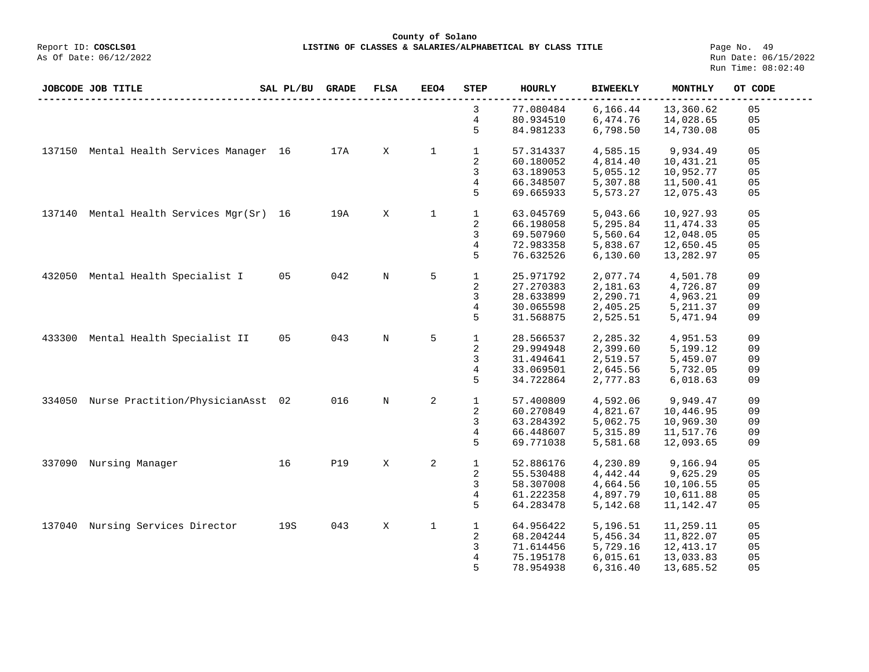**County of Solano**<br>Exercis LISTING OF CLASSES & SALARIES/ALPH COSCLS01 **LISTING OF CLASSES & SALARIES/ALPHABETICAL BY CLASS TITLE** Page No. 49<br>Run Date: 06/15/2022

|        | JOBCODE JOB TITLE                        | SAL PL/BU | <b>GRADE</b> | <b>FLSA</b> | <b>EEO4</b>  | <b>STEP</b>  | HOURLY    | <b>BIWEEKLY</b> | MONTHLY    | OT CODE        |
|--------|------------------------------------------|-----------|--------------|-------------|--------------|--------------|-----------|-----------------|------------|----------------|
|        |                                          |           |              |             |              | 3            | 77.080484 | 6,166.44        | 13,360.62  | 05             |
|        |                                          |           |              |             |              | 4            | 80.934510 | 6,474.76        | 14,028.65  | 05             |
|        |                                          |           |              |             |              | 5            | 84.981233 | 6,798.50        | 14,730.08  | 05             |
| 137150 | Mental Health Services Manager 16        |           | 17A          | X           | $\mathbf 1$  | $\mathbf 1$  | 57.314337 | 4,585.15        | 9,934.49   | 05             |
|        |                                          |           |              |             |              | 2            | 60.180052 | 4,814.40        | 10,431.21  | 05             |
|        |                                          |           |              |             |              | 3            | 63.189053 | 5,055.12        | 10,952.77  | 05             |
|        |                                          |           |              |             |              |              |           |                 |            |                |
|        |                                          |           |              |             |              | 4            | 66.348507 | 5,307.88        | 11,500.41  | 05             |
|        |                                          |           |              |             |              | 5            | 69.665933 | 5,573.27        | 12,075.43  | 05             |
|        | 137140 Mental Health Services Mgr(Sr) 16 |           | 19A          | X           | $\mathbf{1}$ | $\mathbf 1$  | 63.045769 | 5,043.66        | 10,927.93  | 05             |
|        |                                          |           |              |             |              | 2            | 66.198058 | 5,295.84        | 11, 474.33 | 05             |
|        |                                          |           |              |             |              | 3            | 69.507960 | 5,560.64        | 12,048.05  | 05             |
|        |                                          |           |              |             |              | 4            | 72.983358 | 5,838.67        | 12,650.45  | 05             |
|        |                                          |           |              |             |              | 5            | 76.632526 | 6,130.60        | 13,282.97  | 05             |
| 432050 | Mental Health Specialist I               | 05        | 042          | $_{\rm N}$  | 5            | $\mathbf{1}$ | 25.971792 | 2,077.74        | 4,501.78   | 09             |
|        |                                          |           |              |             |              | 2            | 27.270383 | 2,181.63        | 4,726.87   | 09             |
|        |                                          |           |              |             |              |              |           |                 |            |                |
|        |                                          |           |              |             |              | 3            | 28.633899 | 2,290.71        | 4,963.21   | 09             |
|        |                                          |           |              |             |              | 4            | 30.065598 | 2,405.25        | 5, 211.37  | 09             |
|        |                                          |           |              |             |              | 5            | 31.568875 | 2,525.51        | 5,471.94   | 09             |
| 433300 | Mental Health Specialist II              | 05        | 043          | N           | 5            | $\mathbf{1}$ | 28.566537 | 2,285.32        | 4,951.53   | 09             |
|        |                                          |           |              |             |              | 2            | 29.994948 | 2,399.60        | 5,199.12   | 09             |
|        |                                          |           |              |             |              | 3            | 31.494641 | 2,519.57        | 5,459.07   | 09             |
|        |                                          |           |              |             |              | 4            | 33.069501 | 2,645.56        | 5,732.05   | 09             |
|        |                                          |           |              |             |              | 5            | 34.722864 | 2,777.83        | 6,018.63   | 09             |
| 334050 | Nurse Practition/PhysicianAsst 02        |           | 016          | $_{\rm N}$  | $\mathbf{2}$ | $\mathbf 1$  | 57.400809 | 4,592.06        | 9,949.47   | 09             |
|        |                                          |           |              |             |              | 2            | 60.270849 | 4,821.67        | 10,446.95  | 09             |
|        |                                          |           |              |             |              | 3            | 63.284392 | 5,062.75        | 10,969.30  | 09             |
|        |                                          |           |              |             |              | 4            | 66.448607 | 5,315.89        | 11,517.76  | 09             |
|        |                                          |           |              |             |              | 5            | 69.771038 | 5,581.68        | 12,093.65  | 09             |
|        |                                          |           |              |             |              |              |           |                 |            |                |
| 337090 | Nursing Manager                          | 16        | <b>P19</b>   | X           | 2            | $\mathbf 1$  | 52.886176 | 4,230.89        | 9,166.94   | 05             |
|        |                                          |           |              |             |              | 2            | 55.530488 | 4,442.44        | 9,625.29   | 05             |
|        |                                          |           |              |             |              | 3            | 58.307008 | 4,664.56        | 10,106.55  | 05             |
|        |                                          |           |              |             |              | 4            | 61.222358 | 4,897.79        | 10,611.88  | 05             |
|        |                                          |           |              |             |              | 5            | 64.283478 | 5,142.68        | 11,142.47  | 05             |
| 137040 | Nursing Services Director                | 19S       | 043          | X           | $\mathbf{1}$ | $\mathbf 1$  | 64.956422 | 5,196.51        | 11,259.11  | 0 <sub>5</sub> |
|        |                                          |           |              |             |              | 2            | 68.204244 | 5,456.34        | 11,822.07  | 05             |
|        |                                          |           |              |             |              | 3            | 71.614456 | 5,729.16        | 12,413.17  | 05             |
|        |                                          |           |              |             |              | 4            | 75.195178 | 6,015.61        | 13,033.83  | 05             |
|        |                                          |           |              |             |              | 5            | 78.954938 | 6,316.40        | 13,685.52  | 05             |
|        |                                          |           |              |             |              |              |           |                 |            |                |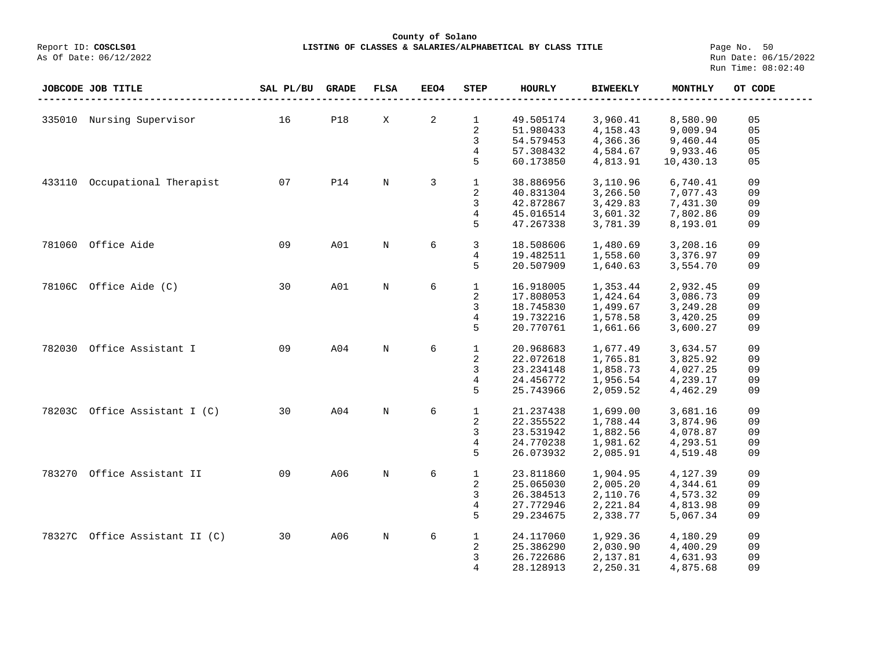## **County of Solano**<br>Exercis LISTING OF CLASSES & SALARIES/ALPH COSCLS01 **LISTING OF CLASSES & SALARIES/ALPHABETICAL BY CLASS TITLE Page No. 50**<br>Run Date: 06/15/2022

|        | JOBCODE JOB TITLE              | SAL PL/BU | <b>GRADE</b> | <b>FLSA</b> | EEO4 | <b>STEP</b>  | <b>HOURLY</b> | <b>BIWEEKLY</b> | <b>MONTHLY</b> | OT CODE |
|--------|--------------------------------|-----------|--------------|-------------|------|--------------|---------------|-----------------|----------------|---------|
|        |                                |           |              |             |      |              |               |                 |                |         |
|        | 335010 Nursing Supervisor      | 16        | <b>P18</b>   | X           | 2    | $\mathbf{1}$ | 49.505174     | 3,960.41        | 8,580.90       | 05      |
|        |                                |           |              |             |      | 2            | 51.980433     | 4,158.43        | 9,009.94       | 05      |
|        |                                |           |              |             |      | 3            | 54.579453     | 4,366.36        | 9,460.44       | 05      |
|        |                                |           |              |             |      | 4            | 57.308432     | 4,584.67        | 9,933.46       | 05      |
|        |                                |           |              |             |      | 5            | 60.173850     | 4,813.91        | 10,430.13      | 05      |
|        |                                |           |              |             |      |              |               |                 |                |         |
| 433110 | Occupational Therapist         | 07        | P14          | $\mathbf N$ | 3    | $\mathbf{1}$ | 38.886956     | 3,110.96        | 6,740.41       | 09      |
|        |                                |           |              |             |      | 2            | 40.831304     | 3,266.50        | 7,077.43       | 09      |
|        |                                |           |              |             |      | 3            | 42.872867     | 3,429.83        | 7,431.30       | 09      |
|        |                                |           |              |             |      | 4            | 45.016514     | 3,601.32        | 7,802.86       | 09      |
|        |                                |           |              |             |      | 5            | 47.267338     | 3,781.39        | 8,193.01       | 09      |
|        |                                |           |              |             |      |              |               |                 |                |         |
| 781060 | Office Aide                    | 09        | A01          | $\mathbf N$ | 6    | 3            | 18.508606     | 1,480.69        | 3,208.16       | 09      |
|        |                                |           |              |             |      | 4            | 19.482511     | 1,558.60        | 3,376.97       | 09      |
|        |                                |           |              |             |      | 5            | 20.507909     | 1,640.63        | 3,554.70       | 09      |
|        |                                |           |              |             |      |              |               |                 |                |         |
| 78106C | Office Aide (C)                | 30        | A01          | $\rm N$     | 6    | $\mathbf{1}$ | 16.918005     | 1,353.44        | 2,932.45       | 09      |
|        |                                |           |              |             |      | 2            | 17.808053     | 1,424.64        | 3,086.73       | 09      |
|        |                                |           |              |             |      | 3            | 18.745830     | 1,499.67        | 3,249.28       | 09      |
|        |                                |           |              |             |      | 4            | 19.732216     | 1,578.58        | 3,420.25       | 09      |
|        |                                |           |              |             |      | 5            | 20.770761     | 1,661.66        | 3,600.27       | 09      |
|        |                                |           |              |             |      |              |               |                 |                |         |
| 782030 | Office Assistant I             | 09        | A04          | $\mathbf N$ | 6    | $\mathbf{1}$ | 20.968683     | 1,677.49        | 3,634.57       | 09      |
|        |                                |           |              |             |      | 2            | 22.072618     | 1,765.81        | 3,825.92       | 09      |
|        |                                |           |              |             |      | 3            | 23.234148     | 1,858.73        | 4,027.25       | 09      |
|        |                                |           |              |             |      | 4            | 24.456772     | 1,956.54        | 4,239.17       | 09      |
|        |                                |           |              |             |      | 5            | 25.743966     | 2,059.52        | 4,462.29       | 09      |
|        |                                |           |              |             |      |              |               |                 |                |         |
| 78203C | Office Assistant I (C)         | 30        | A04          | $\rm N$     | 6    | $\mathbf{1}$ | 21.237438     | 1,699.00        | 3,681.16       | 09      |
|        |                                |           |              |             |      | 2            | 22.355522     | 1,788.44        | 3,874.96       | 09      |
|        |                                |           |              |             |      | 3            | 23.531942     | 1,882.56        | 4,078.87       | 09      |
|        |                                |           |              |             |      | 4            | 24.770238     | 1,981.62        | 4,293.51       | 09      |
|        |                                |           |              |             |      | 5            | 26.073932     | 2,085.91        | 4,519.48       | 09      |
|        |                                |           |              |             |      |              |               |                 |                |         |
| 783270 | Office Assistant II            | 09        | A06          | $\mathbf N$ | 6    | $\mathbf 1$  | 23.811860     | 1,904.95        | 4,127.39       | 09      |
|        |                                |           |              |             |      | 2            | 25.065030     | 2,005.20        | 4,344.61       | 09      |
|        |                                |           |              |             |      | 3            | 26.384513     | 2,110.76        | 4,573.32       | 09      |
|        |                                |           |              |             |      | 4            | 27.772946     | 2,221.84        | 4,813.98       | 09      |
|        |                                |           |              |             |      | 5            | 29.234675     | 2,338.77        | 5,067.34       | 09      |
|        |                                |           |              |             |      |              |               |                 |                |         |
|        | 78327C Office Assistant II (C) | 30        | A06          | $\rm N$     | 6    | $\mathbf{1}$ | 24.117060     | 1,929.36        | 4,180.29       | 09      |
|        |                                |           |              |             |      | 2            | 25.386290     | 2,030.90        | 4,400.29       | 09      |
|        |                                |           |              |             |      | 3            | 26.722686     | 2,137.81        | 4,631.93       | 09      |
|        |                                |           |              |             |      | 4            | 28.128913     | 2,250.31        | 4,875.68       | 09      |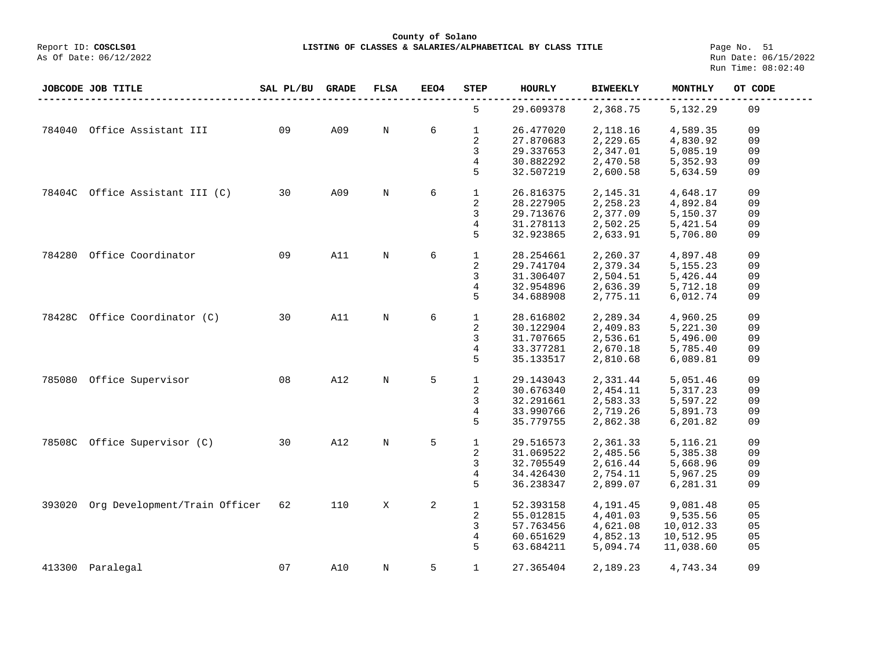**County of Solano**

LISTING OF CLASSES & SALARIES/ALPHABETICAL BY CLASS TITLE **Page No. 51**<br>Run Date: 06/15/2022 Run Time: 08:02:40

|        | JOBCODE JOB TITLE             | SAL PL/BU | <b>GRADE</b> | <b>FLSA</b> | EEO4 | <b>STEP</b>  | HOURLY    | <b>BIWEEKLY</b> | MONTHLY    | OT CODE |
|--------|-------------------------------|-----------|--------------|-------------|------|--------------|-----------|-----------------|------------|---------|
|        |                               |           |              |             |      | 5            | 29.609378 | 2,368.75        | 5,132.29   | 09      |
| 784040 | Office Assistant III          | 09        | A09          | N           | 6    | 1            | 26.477020 | 2,118.16        | 4,589.35   | 09      |
|        |                               |           |              |             |      | 2            | 27.870683 | 2,229.65        | 4,830.92   | 09      |
|        |                               |           |              |             |      | 3            | 29.337653 | 2,347.01        | 5,085.19   | 09      |
|        |                               |           |              |             |      | 4            | 30.882292 | 2,470.58        | 5,352.93   | 09      |
|        |                               |           |              |             |      | 5            | 32.507219 | 2,600.58        | 5,634.59   | 09      |
| 78404C | Office Assistant III (C)      | 30        | A09          | N           | 6    | $\mathbf{1}$ | 26.816375 | 2,145.31        | 4,648.17   | 09      |
|        |                               |           |              |             |      | 2            | 28.227905 | 2,258.23        | 4,892.84   | 09      |
|        |                               |           |              |             |      | 3            | 29.713676 | 2,377.09        | 5,150.37   | 09      |
|        |                               |           |              |             |      | 4            | 31.278113 | 2,502.25        | 5,421.54   | 09      |
|        |                               |           |              |             |      | 5            | 32.923865 | 2,633.91        | 5,706.80   | 09      |
| 784280 | Office Coordinator            | 09        | A11          | N           | 6    | $\mathbf{1}$ | 28.254661 | 2,260.37        | 4,897.48   | 09      |
|        |                               |           |              |             |      | 2            | 29.741704 | 2,379.34        | 5, 155. 23 | 09      |
|        |                               |           |              |             |      | 3            | 31.306407 | 2,504.51        | 5,426.44   | 09      |
|        |                               |           |              |             |      | 4            | 32.954896 | 2,636.39        | 5,712.18   | 09      |
|        |                               |           |              |             |      | 5            | 34.688908 | 2,775.11        | 6,012.74   | 09      |
| 78428C | Office Coordinator (C)        | 30        | A11          | N           | 6    | $\mathbf 1$  | 28.616802 | 2,289.34        | 4,960.25   | 09      |
|        |                               |           |              |             |      | 2            | 30.122904 | 2,409.83        | 5,221.30   | 09      |
|        |                               |           |              |             |      | 3            | 31.707665 | 2,536.61        | 5,496.00   | 09      |
|        |                               |           |              |             |      | 4            | 33.377281 | 2,670.18        | 5,785.40   | 09      |
|        |                               |           |              |             |      | 5            | 35.133517 | 2,810.68        | 6,089.81   | 09      |
| 785080 | Office Supervisor             | 08        | A12          | N           | 5    | $\mathbf{1}$ | 29.143043 | 2,331.44        | 5,051.46   | 09      |
|        |                               |           |              |             |      | 2            | 30.676340 | 2,454.11        | 5,317.23   | 09      |
|        |                               |           |              |             |      | 3            | 32.291661 | 2,583.33        | 5,597.22   | 09      |
|        |                               |           |              |             |      | 4            | 33.990766 | 2,719.26        | 5,891.73   | 09      |
|        |                               |           |              |             |      | 5            | 35.779755 | 2,862.38        | 6,201.82   | 09      |
| 78508C | Office Supervisor (C)         | 30        | A12          | N           | 5    | 1            | 29.516573 | 2,361.33        | 5,116.21   | 09      |
|        |                               |           |              |             |      | 2            | 31.069522 | 2,485.56        | 5,385.38   | 09      |
|        |                               |           |              |             |      | 3            | 32.705549 | 2,616.44        | 5,668.96   | 09      |
|        |                               |           |              |             |      | 4            | 34.426430 | 2,754.11        | 5,967.25   | 09      |
|        |                               |           |              |             |      | 5            | 36.238347 | 2,899.07        | 6,281.31   | 09      |
| 393020 | Org Development/Train Officer | 62        | 110          | X           | 2    | $\mathbf{1}$ | 52.393158 | 4,191.45        | 9,081.48   | 05      |
|        |                               |           |              |             |      | 2            | 55.012815 | 4,401.03        | 9,535.56   | 05      |
|        |                               |           |              |             |      | 3            | 57.763456 | 4,621.08        | 10,012.33  | 05      |
|        |                               |           |              |             |      | 4            | 60.651629 | 4,852.13        | 10,512.95  | 05      |
|        |                               |           |              |             |      | 5            | 63.684211 | 5,094.74        | 11,038.60  | 05      |
| 413300 | Paralegal                     | 07        | A10          | N           | 5    | $\mathbf{1}$ | 27.365404 | 2,189.23        | 4,743.34   | 09      |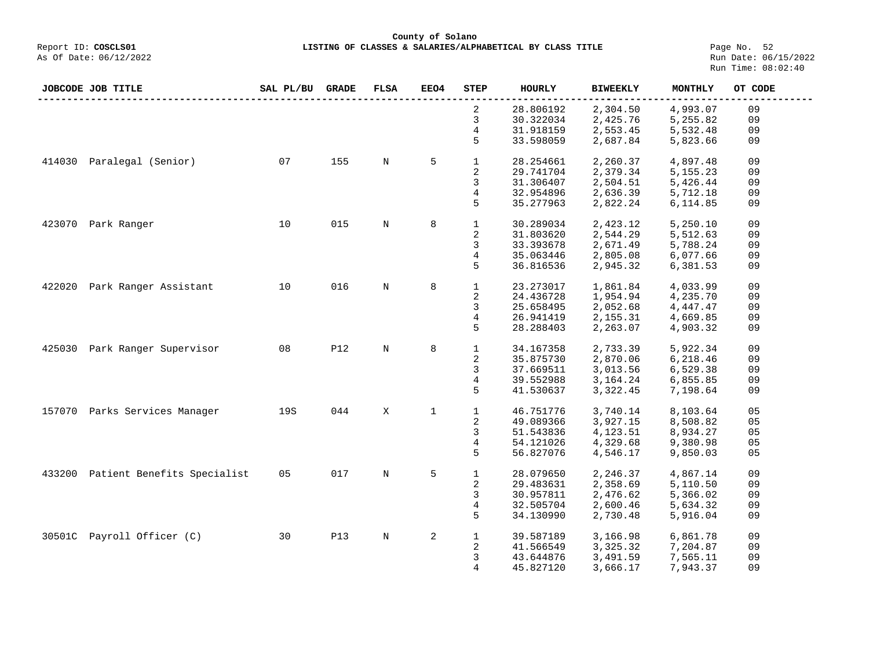**County of Solano**<br>Exercis LISTING OF CLASSES & SALARIES/ALPH COSCLS01 **LISTING OF CLASSES & SALARIES/ALPHABETICAL BY CLASS TITLE** Page No. 52<br>Run Date: 06/15/2022

As Of Date: 06/12/2022

|        | JOBCODE JOB TITLE                  | SAL PL/BU | <b>GRADE</b> | <b>FLSA</b> | EEO4        | STEP         | <b>HOURLY</b> | <b>BIWEEKLY</b> | <b>MONTHLY</b> | OT CODE |
|--------|------------------------------------|-----------|--------------|-------------|-------------|--------------|---------------|-----------------|----------------|---------|
|        |                                    |           |              |             |             | 2            | 28.806192     | 2,304.50        | 4,993.07       | 09      |
|        |                                    |           |              |             |             | 3            | 30.322034     | 2,425.76        | 5,255.82       | 09      |
|        |                                    |           |              |             |             | 4            | 31.918159     | 2,553.45        | 5,532.48       | 09      |
|        |                                    |           |              |             |             | 5            | 33.598059     | 2,687.84        | 5,823.66       | 09      |
| 414030 | Paralegal (Senior)                 | 07        | 155          | N           | 5           | $\mathbf 1$  | 28.254661     | 2,260.37        | 4,897.48       | 09      |
|        |                                    |           |              |             |             | 2            | 29.741704     | 2,379.34        | 5, 155. 23     | 09      |
|        |                                    |           |              |             |             | 3            | 31.306407     | 2,504.51        | 5,426.44       | 09      |
|        |                                    |           |              |             |             | 4            | 32.954896     | 2,636.39        | 5,712.18       | 09      |
|        |                                    |           |              |             |             | 5            | 35.277963     | 2,822.24        | 6,114.85       | 09      |
| 423070 | Park Ranger                        | 10        | 015          | N           | 8           | $\mathbf 1$  | 30.289034     | 2,423.12        | 5,250.10       | 09      |
|        |                                    |           |              |             |             | 2            | 31.803620     | 2,544.29        | 5,512.63       | 09      |
|        |                                    |           |              |             |             | $\mathsf{3}$ | 33.393678     | 2,671.49        | 5,788.24       | 09      |
|        |                                    |           |              |             |             | 4            | 35.063446     | 2,805.08        | 6,077.66       | 09      |
|        |                                    |           |              |             |             | 5            | 36.816536     | 2,945.32        | 6,381.53       | 09      |
| 422020 | Park Ranger Assistant              | 10        | 016          | N           | 8           | $\mathbf{1}$ | 23.273017     | 1,861.84        | 4,033.99       | 09      |
|        |                                    |           |              |             |             | 2            | 24.436728     | 1,954.94        | 4,235.70       | 09      |
|        |                                    |           |              |             |             | 3            | 25.658495     | 2,052.68        | 4,447.47       | 09      |
|        |                                    |           |              |             |             | 4            | 26.941419     | 2,155.31        | 4,669.85       | 09      |
|        |                                    |           |              |             |             | 5            | 28.288403     | 2,263.07        | 4,903.32       | 09      |
| 425030 | Park Ranger Supervisor             | 08        | <b>P12</b>   | $\mathbb N$ | 8           | $\mathbf 1$  | 34.167358     | 2,733.39        | 5,922.34       | 09      |
|        |                                    |           |              |             |             | 2            | 35.875730     | 2,870.06        | 6,218.46       | 09      |
|        |                                    |           |              |             |             | 3            | 37.669511     | 3,013.56        | 6,529.38       | 09      |
|        |                                    |           |              |             |             | 4            | 39.552988     | 3,164.24        | 6,855.85       | 09      |
|        |                                    |           |              |             |             | 5            | 41.530637     | 3,322.45        | 7,198.64       | 09      |
|        | 157070 Parks Services Manager      | 19S       | 044          | X           | $\mathbf 1$ | $\mathbf{1}$ | 46.751776     | 3,740.14        | 8,103.64       | 05      |
|        |                                    |           |              |             |             | 2            | 49.089366     | 3,927.15        | 8,508.82       | 05      |
|        |                                    |           |              |             |             | 3            | 51.543836     | 4,123.51        | 8,934.27       | 05      |
|        |                                    |           |              |             |             | 4            | 54.121026     | 4,329.68        | 9,380.98       | 05      |
|        |                                    |           |              |             |             | 5            | 56.827076     | 4,546.17        | 9,850.03       | 05      |
|        | 433200 Patient Benefits Specialist | 05        | 017          | $\mathbb N$ | 5           | $\mathbf{1}$ | 28.079650     | 2,246.37        | 4,867.14       | 09      |
|        |                                    |           |              |             |             | 2            | 29.483631     | 2,358.69        | 5,110.50       | 09      |
|        |                                    |           |              |             |             | 3            | 30.957811     | 2,476.62        | 5,366.02       | 09      |
|        |                                    |           |              |             |             | 4            | 32.505704     | 2,600.46        | 5,634.32       | 09      |
|        |                                    |           |              |             |             | 5            | 34.130990     | 2,730.48        | 5,916.04       | 09      |
|        | 30501C Payroll Officer (C)         | 30        | <b>P13</b>   | $\mathbb N$ | 2           | $\mathbf{1}$ | 39.587189     | 3,166.98        | 6,861.78       | 09      |
|        |                                    |           |              |             |             | 2            | 41.566549     | 3,325.32        | 7,204.87       | 09      |
|        |                                    |           |              |             |             | 3            | 43.644876     | 3,491.59        | 7,565.11       | 09      |
|        |                                    |           |              |             |             | 4            | 45.827120     | 3,666.17        | 7,943.37       | 09      |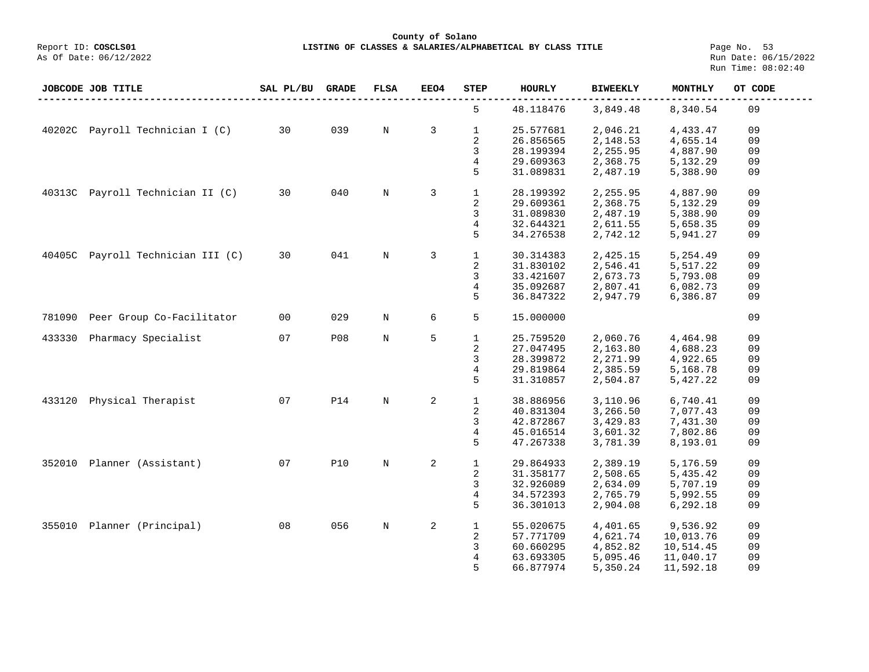**LISTING OF CLASSES & SALARIES/ALPHABETICAL BY CLASS TITLE** Page No. 53<br>Run Date: 06/15/2022 Run Time: 08:02:40

|        | JOBCODE JOB TITLE               | SAL PL/BU | <b>GRADE</b> | <b>FLSA</b>  | EEO4           | STEP         | <b>HOURLY</b> | <b>BIWEEKLY</b> | MONTHLY   | OT CODE |
|--------|---------------------------------|-----------|--------------|--------------|----------------|--------------|---------------|-----------------|-----------|---------|
|        |                                 |           |              |              |                | 5            | 48.118476     | 3,849.48        | 8,340.54  | 09      |
|        | 40202C Payroll Technician I (C) | 30        | 039          | $_{\rm N}$   | 3              | $\mathbf{1}$ | 25.577681     | 2,046.21        | 4,433.47  | 09      |
|        |                                 |           |              |              |                | $\sqrt{2}$   | 26.856565     | 2,148.53        | 4,655.14  | 09      |
|        |                                 |           |              |              |                | 3            | 28.199394     | 2,255.95        | 4,887.90  | 09      |
|        |                                 |           |              |              |                | 4            | 29.609363     | 2,368.75        | 5,132.29  | 09      |
|        |                                 |           |              |              |                | 5            | 31.089831     | 2,487.19        | 5,388.90  | 09      |
| 40313C | Payroll Technician II (C)       | 30        | 040          | $_{\rm N}$   | 3              | $\mathbf{1}$ | 28.199392     | 2,255.95        | 4,887.90  | 09      |
|        |                                 |           |              |              |                | 2            | 29.609361     | 2,368.75        | 5,132.29  | 09      |
|        |                                 |           |              |              |                | 3            | 31.089830     | 2,487.19        | 5,388.90  | 09      |
|        |                                 |           |              |              |                | 4            | 32.644321     | 2,611.55        | 5,658.35  | 09      |
|        |                                 |           |              |              |                | 5            | 34.276538     | 2,742.12        | 5,941.27  | 09      |
| 40405C | Payroll Technician III (C)      | 30        | 041          | $\mathbf N$  | 3              | $\mathbf{1}$ | 30.314383     | 2,425.15        | 5,254.49  | 09      |
|        |                                 |           |              |              |                | 2            | 31.830102     | 2,546.41        | 5,517.22  | 09      |
|        |                                 |           |              |              |                | 3            | 33.421607     | 2,673.73        | 5,793.08  | 09      |
|        |                                 |           |              |              |                | 4            | 35.092687     | 2,807.41        | 6,082.73  | 09      |
|        |                                 |           |              |              |                | 5            | 36.847322     | 2,947.79        | 6,386.87  | 09      |
| 781090 | Peer Group Co-Facilitator       | 00        | 029          | $\mathbf N$  | 6              | 5            | 15.000000     |                 |           | 09      |
| 433330 | Pharmacy Specialist             | 07        | <b>P08</b>   | $\, {\rm N}$ | 5              | $\mathbf{1}$ | 25.759520     | 2,060.76        | 4,464.98  | 09      |
|        |                                 |           |              |              |                | 2            | 27.047495     | 2,163.80        | 4,688.23  | 09      |
|        |                                 |           |              |              |                | 3            | 28.399872     | 2,271.99        | 4,922.65  | 09      |
|        |                                 |           |              |              |                | 4            | 29.819864     | 2,385.59        | 5,168.78  | 09      |
|        |                                 |           |              |              |                | 5            | 31.310857     | 2,504.87        | 5,427.22  | 09      |
| 433120 | Physical Therapist              | 07        | <b>P14</b>   | $\mathbf N$  | 2              | $\mathbf{1}$ | 38.886956     | 3,110.96        | 6,740.41  | 09      |
|        |                                 |           |              |              |                | 2            | 40.831304     | 3,266.50        | 7,077.43  | 09      |
|        |                                 |           |              |              |                | 3            | 42.872867     | 3,429.83        | 7,431.30  | 09      |
|        |                                 |           |              |              |                | 4            | 45.016514     | 3,601.32        | 7,802.86  | 09      |
|        |                                 |           |              |              |                | 5            | 47.267338     | 3,781.39        | 8,193.01  | 09      |
| 352010 | Planner (Assistant)             | 07        | <b>P10</b>   | $\mathbf N$  | 2              | $\mathbf{1}$ | 29.864933     | 2,389.19        | 5,176.59  | 09      |
|        |                                 |           |              |              |                | 2            | 31.358177     | 2,508.65        | 5,435.42  | 09      |
|        |                                 |           |              |              |                | 3            | 32.926089     | 2,634.09        | 5,707.19  | 09      |
|        |                                 |           |              |              |                | 4            | 34.572393     | 2,765.79        | 5,992.55  | 09      |
|        |                                 |           |              |              |                | 5            | 36.301013     | 2,904.08        | 6,292.18  | 09      |
|        | 355010 Planner (Principal)      | 08        | 056          | $\mathbf N$  | $\overline{a}$ | $\mathbf{1}$ | 55.020675     | 4,401.65        | 9,536.92  | 09      |
|        |                                 |           |              |              |                | 2            | 57.771709     | 4,621.74        | 10,013.76 | 09      |
|        |                                 |           |              |              |                | 3            | 60.660295     | 4,852.82        | 10,514.45 | 09      |
|        |                                 |           |              |              |                |              |               |                 |           | 09      |
|        |                                 |           |              |              |                | 4            | 63.693305     | 5,095.46        | 11,040.17 |         |
|        |                                 |           |              |              |                | 5            | 66.877974     | 5,350.24        | 11,592.18 | 09      |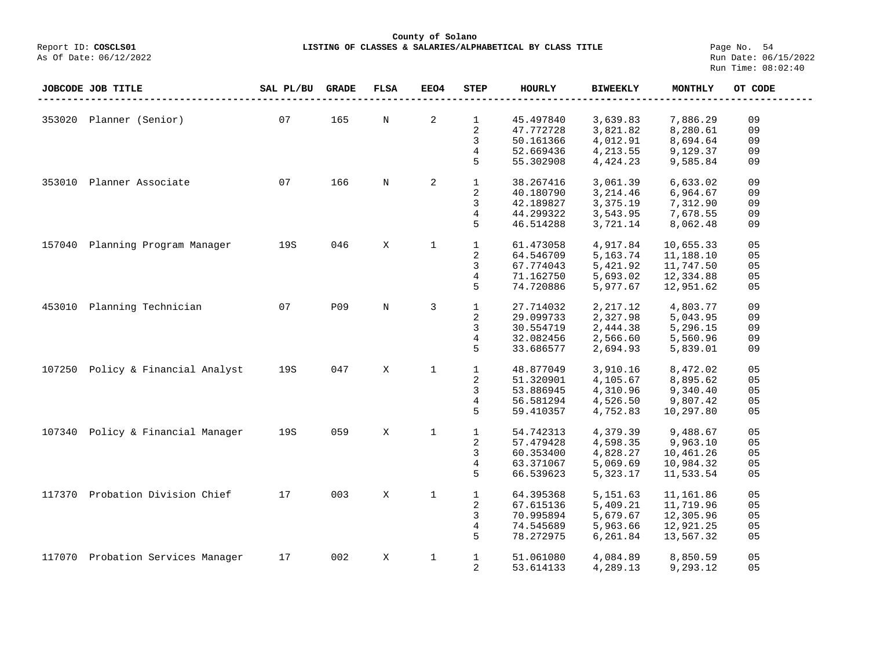**County of Solano**<br>Exercis LISTING OF CLASSES & SALARIES/ALPH COSCLS01 **LISTING OF CLASSES & SALARIES/ALPHABETICAL BY CLASS TITLE** Page No. 54<br>Run Date: 06/15/2022

As Of Date: 06/12/2022

|        | JOBCODE JOB TITLE          | SAL PL/BU | <b>GRADE</b> | <b>FLSA</b> | EEO4         | STEP         | HOURLY    | <b>BIWEEKLY</b> | MONTHLY   | OT CODE        |
|--------|----------------------------|-----------|--------------|-------------|--------------|--------------|-----------|-----------------|-----------|----------------|
|        |                            |           |              |             |              |              |           |                 |           |                |
| 353020 | Planner (Senior)           | 07        | 165          | $\mathbf N$ | 2            | $\mathbf{1}$ | 45.497840 | 3,639.83        | 7,886.29  | 09             |
|        |                            |           |              |             |              | 2            | 47.772728 | 3,821.82        | 8,280.61  | 09             |
|        |                            |           |              |             |              | 3            | 50.161366 | 4,012.91        | 8,694.64  | 09             |
|        |                            |           |              |             |              | 4            | 52.669436 | 4, 213.55       | 9,129.37  | 09             |
|        |                            |           |              |             |              | 5            | 55.302908 | 4,424.23        | 9,585.84  | 09             |
| 353010 | Planner Associate          | 07        | 166          | N           | 2            | $\mathbf{1}$ | 38.267416 | 3,061.39        | 6,633.02  | 09             |
|        |                            |           |              |             |              | 2            | 40.180790 | 3,214.46        | 6,964.67  | 09             |
|        |                            |           |              |             |              | 3            | 42.189827 | 3,375.19        | 7,312.90  | 09             |
|        |                            |           |              |             |              | 4            | 44.299322 | 3,543.95        | 7,678.55  | 09             |
|        |                            |           |              |             |              | 5            | 46.514288 | 3,721.14        | 8,062.48  | 09             |
|        |                            |           |              |             |              |              |           |                 |           |                |
| 157040 | Planning Program Manager   | 19S       | 046          | X           | $\mathbf{1}$ | $\mathbf{1}$ | 61.473058 | 4,917.84        | 10,655.33 | 0 <sub>5</sub> |
|        |                            |           |              |             |              | 2            | 64.546709 | 5,163.74        | 11,188.10 | 05             |
|        |                            |           |              |             |              | 3            | 67.774043 | 5,421.92        | 11,747.50 | 05             |
|        |                            |           |              |             |              | 4            | 71.162750 | 5,693.02        | 12,334.88 | 05             |
|        |                            |           |              |             |              | 5            | 74.720886 | 5,977.67        | 12,951.62 | 05             |
| 453010 | Planning Technician        | 07        | P09          | N           | 3            | $\mathbf{1}$ | 27.714032 | 2,217.12        | 4,803.77  | 09             |
|        |                            |           |              |             |              | 2            | 29.099733 | 2,327.98        | 5,043.95  | 09             |
|        |                            |           |              |             |              | 3            | 30.554719 | 2,444.38        | 5,296.15  | 09             |
|        |                            |           |              |             |              | 4            | 32.082456 | 2,566.60        | 5,560.96  | 09             |
|        |                            |           |              |             |              | 5            | 33.686577 | 2,694.93        | 5,839.01  | 09             |
|        |                            |           |              |             |              |              |           |                 |           |                |
| 107250 | Policy & Financial Analyst | 19S       | 047          | X           | $\mathbf{1}$ | $\mathbf{1}$ | 48.877049 | 3,910.16        | 8,472.02  | 05             |
|        |                            |           |              |             |              | 2            | 51.320901 | 4,105.67        | 8,895.62  | 05             |
|        |                            |           |              |             |              | 3            | 53.886945 | 4,310.96        | 9,340.40  | 05             |
|        |                            |           |              |             |              | 4            | 56.581294 | 4,526.50        | 9,807.42  | 05             |
|        |                            |           |              |             |              | 5            | 59.410357 | 4,752.83        | 10,297.80 | 05             |
| 107340 | Policy & Financial Manager | 19S       | 059          | X           | $\mathbf{1}$ | $\mathbf 1$  | 54.742313 | 4,379.39        | 9,488.67  | 05             |
|        |                            |           |              |             |              | 2            | 57.479428 | 4,598.35        | 9,963.10  | 05             |
|        |                            |           |              |             |              | 3            | 60.353400 | 4,828.27        | 10,461.26 | 05             |
|        |                            |           |              |             |              | 4            | 63.371067 | 5,069.69        | 10,984.32 | 05             |
|        |                            |           |              |             |              | 5            | 66.539623 | 5,323.17        | 11,533.54 | 05             |
|        |                            |           |              |             |              |              |           |                 |           |                |
| 117370 | Probation Division Chief   | 17        | 003          | X           | $\mathbf{1}$ | $\mathbf{1}$ | 64.395368 | 5, 151.63       | 11,161.86 | 05             |
|        |                            |           |              |             |              | 2            | 67.615136 | 5,409.21        | 11,719.96 | 05             |
|        |                            |           |              |             |              | 3            | 70.995894 | 5,679.67        | 12,305.96 | 05             |
|        |                            |           |              |             |              | 4            | 74.545689 | 5,963.66        | 12,921.25 | 05             |
|        |                            |           |              |             |              | 5            | 78.272975 | 6,261.84        | 13,567.32 | 05             |
|        |                            |           |              |             |              |              |           |                 |           |                |
| 117070 | Probation Services Manager | 17        | 002          | X           | $\mathbf 1$  | $\mathbf{1}$ | 51.061080 | 4,084.89        | 8,850.59  | 05             |
|        |                            |           |              |             |              | 2            | 53.614133 | 4,289.13        | 9,293.12  | 05             |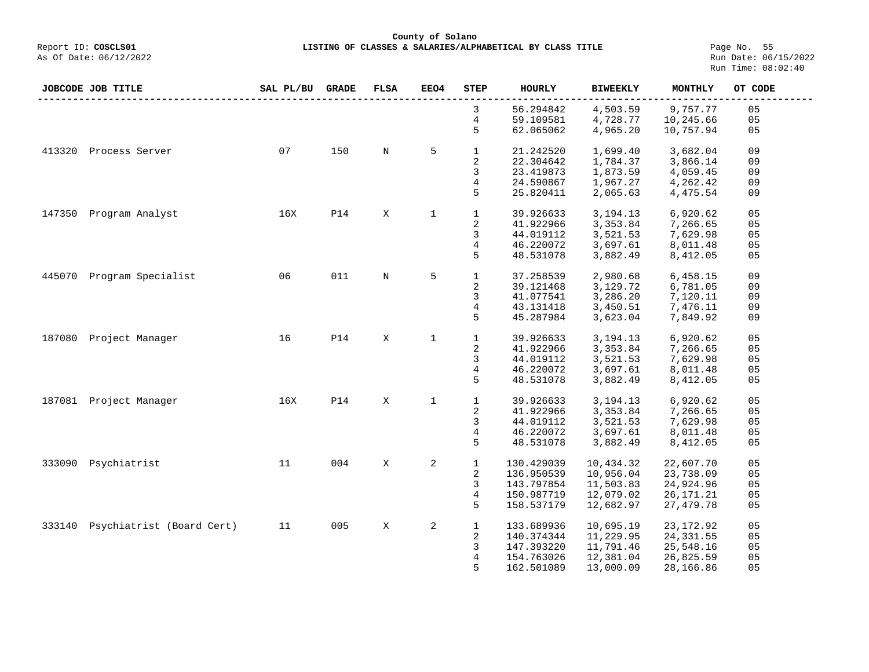**County of Solano**<br>Exercis LISTING OF CLASSES & SALARIES/ALPH COSCLS01 **LISTING OF CLASSES & SALARIES/ALPHABETICAL BY CLASS TITLE Page No. 55**<br>Run Date: 06/15/2022

As Of Date: 06/12/2022

|        | JOBCODE JOB TITLE         | SAL PL/BU | <b>GRADE</b> | FLSA | <b>EEO4</b>  | <b>STEP</b>             | <b>HOURLY</b> | <b>BIWEEKLY</b> | MONTHLY     | OT CODE |
|--------|---------------------------|-----------|--------------|------|--------------|-------------------------|---------------|-----------------|-------------|---------|
|        |                           |           |              |      |              | 3                       | 56.294842     | 4,503.59        | 9,757.77    | 05      |
|        |                           |           |              |      |              | 4                       | 59.109581     | 4,728.77        | 10,245.66   | 05      |
|        |                           |           |              |      |              | 5                       | 62.065062     | 4,965.20        | 10,757.94   | 05      |
| 413320 | Process Server            | 07        | 150          | N    | 5            | $\mathbf{1}$            | 21.242520     | 1,699.40        | 3,682.04    | 09      |
|        |                           |           |              |      |              | $\overline{\mathbf{c}}$ | 22.304642     | 1,784.37        | 3,866.14    | 09      |
|        |                           |           |              |      |              | 3                       | 23.419873     | 1,873.59        | 4,059.45    | 09      |
|        |                           |           |              |      |              | 4                       | 24.590867     | 1,967.27        | 4,262.42    | 09      |
|        |                           |           |              |      |              |                         |               |                 |             |         |
|        |                           |           |              |      |              | 5                       | 25.820411     | 2,065.63        | 4,475.54    | 09      |
| 147350 | Program Analyst           | 16X       | <b>P14</b>   | X    | $\mathbf{1}$ | $\mathbf{1}$            | 39.926633     | 3,194.13        | 6,920.62    | 05      |
|        |                           |           |              |      |              | $\overline{\mathbf{c}}$ | 41.922966     | 3,353.84        | 7,266.65    | 05      |
|        |                           |           |              |      |              | 3                       | 44.019112     | 3,521.53        | 7,629.98    | 05      |
|        |                           |           |              |      |              | 4                       | 46.220072     | 3,697.61        | 8,011.48    | 05      |
|        |                           |           |              |      |              | 5                       | 48.531078     | 3,882.49        | 8,412.05    | 05      |
| 445070 | Program Specialist        | 06        | 011          | N    | 5            | $\mathbf{1}$            | 37.258539     | 2,980.68        | 6,458.15    | 09      |
|        |                           |           |              |      |              |                         |               |                 |             |         |
|        |                           |           |              |      |              | 2                       | 39.121468     | 3,129.72        | 6,781.05    | 09      |
|        |                           |           |              |      |              | 3                       | 41.077541     | 3,286.20        | 7,120.11    | 09      |
|        |                           |           |              |      |              | 4                       | 43.131418     | 3,450.51        | 7,476.11    | 09      |
|        |                           |           |              |      |              | 5                       | 45.287984     | 3,623.04        | 7,849.92    | 09      |
| 187080 | Project Manager           | 16        | <b>P14</b>   | X    | $\mathbf 1$  | $\mathbf{1}$            | 39.926633     | 3,194.13        | 6,920.62    | 05      |
|        |                           |           |              |      |              | 2                       | 41.922966     | 3,353.84        | 7,266.65    | 05      |
|        |                           |           |              |      |              | $\mathsf 3$             | 44.019112     | 3,521.53        | 7,629.98    | 05      |
|        |                           |           |              |      |              | 4                       | 46.220072     | 3,697.61        | 8,011.48    | 05      |
|        |                           |           |              |      |              | 5                       | 48.531078     | 3,882.49        | 8,412.05    | 05      |
|        | 187081 Project Manager    | 16X       | <b>P14</b>   | X    | $\mathbf{1}$ | $\mathbf{1}$            | 39.926633     | 3,194.13        | 6,920.62    | 05      |
|        |                           |           |              |      |              | $\overline{a}$          | 41.922966     | 3,353.84        | 7,266.65    | 05      |
|        |                           |           |              |      |              |                         |               |                 |             | 05      |
|        |                           |           |              |      |              | 3                       | 44.019112     | 3,521.53        | 7,629.98    |         |
|        |                           |           |              |      |              | 4                       | 46.220072     | 3,697.61        | 8,011.48    | 05      |
|        |                           |           |              |      |              | 5                       | 48.531078     | 3,882.49        | 8,412.05    | 05      |
| 333090 | Psychiatrist              | 11        | 004          | X    | 2            | $\mathbf{1}$            | 130.429039    | 10,434.32       | 22,607.70   | 05      |
|        |                           |           |              |      |              | 2                       | 136.950539    | 10,956.04       | 23,738.09   | 05      |
|        |                           |           |              |      |              | 3                       | 143.797854    | 11,503.83       | 24,924.96   | 05      |
|        |                           |           |              |      |              | $\overline{4}$          | 150.987719    | 12,079.02       | 26, 171. 21 | 05      |
|        |                           |           |              |      |              | 5                       | 158.537179    | 12,682.97       | 27,479.78   | 05      |
| 333140 | Psychiatrist (Board Cert) | 11        | 005          | X    | 2            | $\mathbf{1}$            | 133.689936    | 10,695.19       | 23, 172.92  | 05      |
|        |                           |           |              |      |              | 2                       | 140.374344    | 11,229.95       | 24, 331.55  | 05      |
|        |                           |           |              |      |              |                         |               |                 |             |         |
|        |                           |           |              |      |              | 3                       | 147.393220    | 11,791.46       | 25,548.16   | 05      |
|        |                           |           |              |      |              | 4                       | 154.763026    | 12,381.04       | 26,825.59   | 05      |
|        |                           |           |              |      |              | 5                       | 162.501089    | 13,000.09       | 28,166.86   | 05      |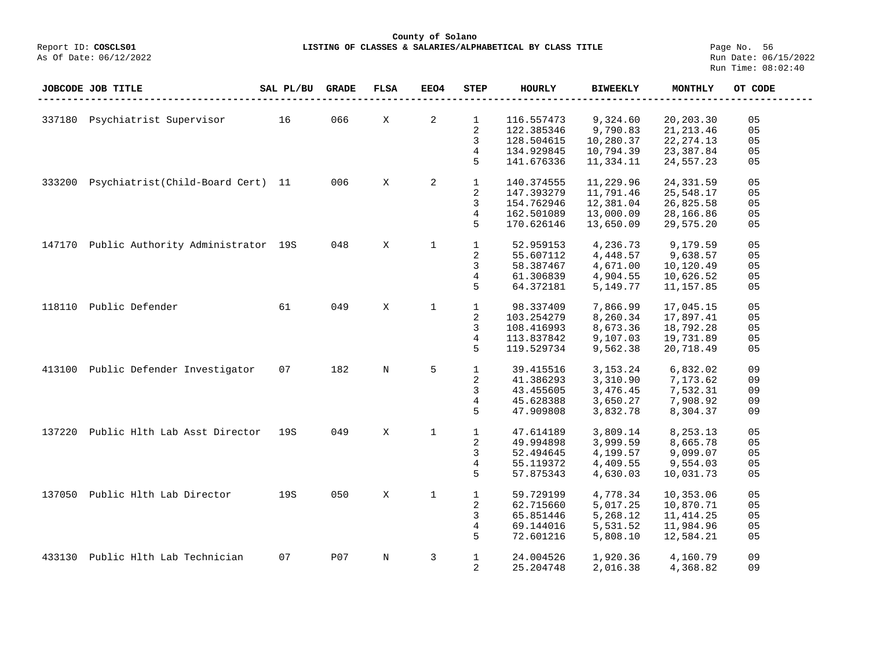**County of Solano**<br>Exercis LISTING OF CLASSES & SALARIES/ALPH COSCLS01 **LISTING OF CLASSES & SALARIES/ALPHABETICAL BY CLASS TITLE** Page No. 56<br>Run Date: 06/15/2022

|        | <b>JOBCODE JOB TITLE</b>           | SAL PL/BU | <b>GRADE</b> | <b>FLSA</b> | EEO4         | <b>STEP</b>    | <b>HOURLY</b> | <b>BIWEEKLY</b> | MONTHLY    | OT CODE        |
|--------|------------------------------------|-----------|--------------|-------------|--------------|----------------|---------------|-----------------|------------|----------------|
|        |                                    |           |              |             |              |                |               |                 |            |                |
| 337180 | Psychiatrist Supervisor            | 16        | 066          | X           | 2            | $\mathbf{1}$   | 116.557473    | 9,324.60        | 20,203.30  | 05             |
|        |                                    |           |              |             |              | 2              | 122.385346    | 9,790.83        | 21, 213.46 | 0 <sub>5</sub> |
|        |                                    |           |              |             |              | 3              | 128.504615    | 10,280.37       | 22, 274.13 | 05             |
|        |                                    |           |              |             |              | 4              | 134.929845    | 10,794.39       | 23,387.84  | 05             |
|        |                                    |           |              |             |              | 5              | 141.676336    | 11,334.11       | 24,557.23  | 05             |
| 333200 | Psychiatrist(Child-Board Cert) 11  |           | 006          | X           | 2            | $\mathbf{1}$   | 140.374555    | 11,229.96       | 24,331.59  | 05             |
|        |                                    |           |              |             |              | 2              | 147.393279    | 11,791.46       | 25,548.17  | 05             |
|        |                                    |           |              |             |              | 3              | 154.762946    | 12,381.04       | 26,825.58  | 05             |
|        |                                    |           |              |             |              | 4              | 162.501089    | 13,000.09       | 28,166.86  | 05             |
|        |                                    |           |              |             |              | 5              | 170.626146    | 13,650.09       | 29,575.20  | 05             |
| 147170 | Public Authority Administrator 19S |           | 048          | X           | $\mathbf 1$  | $\mathbf{1}$   | 52.959153     | 4,236.73        | 9,179.59   | 05             |
|        |                                    |           |              |             |              | 2              | 55.607112     | 4,448.57        | 9,638.57   | 05             |
|        |                                    |           |              |             |              | 3              | 58.387467     | 4,671.00        | 10,120.49  | 05             |
|        |                                    |           |              |             |              | 4              | 61.306839     | 4,904.55        | 10,626.52  | 05             |
|        |                                    |           |              |             |              | 5              | 64.372181     | 5,149.77        | 11,157.85  | 05             |
| 118110 | Public Defender                    | 61        | 049          | X           | $\mathbf{1}$ | $\mathbf{1}$   | 98.337409     | 7,866.99        | 17,045.15  | 05             |
|        |                                    |           |              |             |              | 2              | 103.254279    | 8,260.34        | 17,897.41  | 05             |
|        |                                    |           |              |             |              | 3              | 108.416993    | 8,673.36        | 18,792.28  | 05             |
|        |                                    |           |              |             |              | 4              | 113.837842    | 9,107.03        | 19,731.89  | 05             |
|        |                                    |           |              |             |              | 5              | 119.529734    | 9,562.38        | 20,718.49  | 05             |
| 413100 | Public Defender Investigator       | 07        | 182          | $\mathbf N$ | 5            | $\mathbf{1}$   | 39.415516     | 3, 153. 24      | 6,832.02   | 09             |
|        |                                    |           |              |             |              | 2              | 41.386293     | 3,310.90        | 7,173.62   | 09             |
|        |                                    |           |              |             |              | 3              | 43.455605     | 3,476.45        | 7,532.31   | 09             |
|        |                                    |           |              |             |              | 4              | 45.628388     | 3,650.27        | 7,908.92   | 09             |
|        |                                    |           |              |             |              | 5              | 47.909808     | 3,832.78        | 8,304.37   | 09             |
| 137220 | Public Hlth Lab Asst Director      | 19S       | 049          | X           | $\mathbf{1}$ | $\mathbf{1}$   | 47.614189     | 3,809.14        | 8,253.13   | 05             |
|        |                                    |           |              |             |              | 2              | 49.994898     | 3,999.59        | 8,665.78   | 05             |
|        |                                    |           |              |             |              | 3              | 52.494645     | 4,199.57        | 9,099.07   | 05             |
|        |                                    |           |              |             |              | 4              | 55.119372     | 4,409.55        | 9,554.03   | 05             |
|        |                                    |           |              |             |              | 5              | 57.875343     | 4,630.03        | 10,031.73  | 05             |
| 137050 | Public Hlth Lab Director           | 19S       | 050          | X           | $\mathbf{1}$ | $\mathbf{1}$   | 59.729199     | 4,778.34        | 10,353.06  | 05             |
|        |                                    |           |              |             |              | 2              | 62.715660     | 5,017.25        | 10,870.71  | 05             |
|        |                                    |           |              |             |              | 3              | 65.851446     | 5,268.12        | 11, 414.25 | 05             |
|        |                                    |           |              |             |              | 4              | 69.144016     | 5,531.52        | 11,984.96  | 05             |
|        |                                    |           |              |             |              | 5              | 72.601216     | 5,808.10        | 12,584.21  | 05             |
| 433130 | Public Hlth Lab Technician         | 07        | P07          | $\mathbf N$ | 3            | $\mathbf{1}$   | 24.004526     | 1,920.36        | 4,160.79   | 09             |
|        |                                    |           |              |             |              | $\overline{2}$ | 25.204748     | 2,016.38        | 4,368.82   | 09             |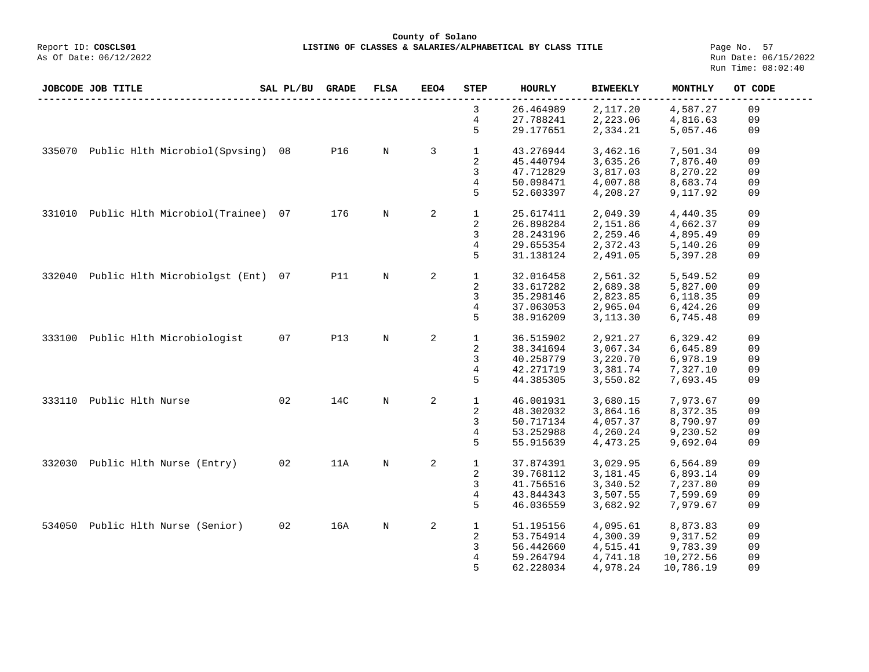## **County of Solano**<br>Exercis LISTING OF CLASSES & SALARIES/ALPH COSCLS01 Report ID: **COSCLS01 LISTING OF CLASSES & SALARIES/ALPHABETICAL BY CLASS TITLE**<br>As Of Date: 06/12/2022

Page No. 57<br>Run Date: 06/15/2022 Run Time: 08:02:40

|        | JOBCODE JOB TITLE                     | SAL PL/BU | <b>GRADE</b> | <b>FLSA</b> | EEO4 | STEP           | <b>HOURLY</b> | <b>BIWEEKLY</b> | MONTHLY   | OT CODE |
|--------|---------------------------------------|-----------|--------------|-------------|------|----------------|---------------|-----------------|-----------|---------|
|        |                                       |           |              |             |      | 3              | 26.464989     | 2,117.20        | 4,587.27  | 09      |
|        |                                       |           |              |             |      | 4              | 27.788241     | 2,223.06        | 4,816.63  | 09      |
|        |                                       |           |              |             |      | 5              | 29.177651     | 2,334.21        | 5,057.46  | 09      |
| 335070 | Public Hlth Microbiol(Spvsing)        | 08        | <b>P16</b>   | N           | 3    | $\mathbf{1}$   | 43.276944     | 3,462.16        | 7,501.34  | 09      |
|        |                                       |           |              |             |      | $\sqrt{2}$     | 45.440794     | 3,635.26        | 7,876.40  | 09      |
|        |                                       |           |              |             |      | 3              | 47.712829     | 3,817.03        | 8,270.22  | 09      |
|        |                                       |           |              |             |      | 4              | 50.098471     | 4,007.88        | 8,683.74  | 09      |
|        |                                       |           |              |             |      | 5              | 52.603397     | 4,208.27        | 9,117.92  | 09      |
| 331010 | Public Hlth Microbiol(Trainee)        | 07        | 176          | N           | 2    | $\mathbf 1$    | 25.617411     | 2,049.39        | 4,440.35  | 09      |
|        |                                       |           |              |             |      | 2              | 26.898284     | 2,151.86        | 4,662.37  | 09      |
|        |                                       |           |              |             |      | 3              | 28.243196     | 2,259.46        | 4,895.49  | 09      |
|        |                                       |           |              |             |      |                |               |                 |           |         |
|        |                                       |           |              |             |      | 4              | 29.655354     | 2,372.43        | 5,140.26  | 09      |
|        |                                       |           |              |             |      | 5              | 31.138124     | 2,491.05        | 5,397.28  | 09      |
|        | 332040 Public Hlth Microbiolgst (Ent) | 07        | <b>P11</b>   | N           | 2    | $\mathbf{1}$   | 32.016458     | 2,561.32        | 5,549.52  | 09      |
|        |                                       |           |              |             |      | 2              | 33.617282     | 2,689.38        | 5,827.00  | 09      |
|        |                                       |           |              |             |      | 3              | 35.298146     | 2,823.85        | 6,118.35  | 09      |
|        |                                       |           |              |             |      |                |               |                 |           |         |
|        |                                       |           |              |             |      | 4              | 37.063053     | 2,965.04        | 6,424.26  | 09      |
|        |                                       |           |              |             |      | 5              | 38.916209     | 3,113.30        | 6,745.48  | 09      |
| 333100 | Public Hlth Microbiologist            | 07        | <b>P13</b>   | N           | 2    | 1              | 36.515902     | 2,921.27        | 6,329.42  | 09      |
|        |                                       |           |              |             |      | 2              | 38.341694     | 3,067.34        | 6,645.89  | 09      |
|        |                                       |           |              |             |      | 3              | 40.258779     | 3,220.70        | 6,978.19  | 09      |
|        |                                       |           |              |             |      | 4              | 42.271719     | 3,381.74        | 7,327.10  | 09      |
|        |                                       |           |              |             |      | 5              | 44.385305     | 3,550.82        | 7,693.45  | 09      |
| 333110 | Public Hlth Nurse                     | 02        | 14C          | N           | 2    | $\mathbf{1}$   | 46.001931     | 3,680.15        | 7,973.67  | 09      |
|        |                                       |           |              |             |      | 2              | 48.302032     | 3,864.16        | 8,372.35  | 09      |
|        |                                       |           |              |             |      | 3              | 50.717134     | 4,057.37        | 8,790.97  | 09      |
|        |                                       |           |              |             |      | 4              | 53.252988     | 4,260.24        | 9,230.52  | 09      |
|        |                                       |           |              |             |      | 5              | 55.915639     | 4,473.25        | 9,692.04  | 09      |
|        |                                       |           |              |             |      |                |               |                 |           |         |
| 332030 | Public Hlth Nurse (Entry)             | 02        | 11A          | N           | 2    | $\mathbf{1}$   | 37.874391     | 3,029.95        | 6,564.89  | 09      |
|        |                                       |           |              |             |      | 2              | 39.768112     | 3,181.45        | 6,893.14  | 09      |
|        |                                       |           |              |             |      | 3              | 41.756516     | 3,340.52        | 7,237.80  | 09      |
|        |                                       |           |              |             |      | $\overline{4}$ | 43.844343     | 3,507.55        | 7,599.69  | 09      |
|        |                                       |           |              |             |      | 5              | 46.036559     | 3,682.92        | 7,979.67  | 09      |
| 534050 | Public Hlth Nurse (Senior)            | 02        | 16A          | N           | 2    | $\mathbf{1}$   | 51.195156     | 4,095.61        | 8,873.83  | 09      |
|        |                                       |           |              |             |      | 2              | 53.754914     | 4,300.39        | 9,317.52  | 09      |
|        |                                       |           |              |             |      | 3              | 56.442660     | 4,515.41        | 9,783.39  | 09      |
|        |                                       |           |              |             |      | 4              | 59.264794     | 4,741.18        | 10,272.56 | 09      |
|        |                                       |           |              |             |      | 5              | 62.228034     | 4,978.24        | 10,786.19 | 09      |
|        |                                       |           |              |             |      |                |               |                 |           |         |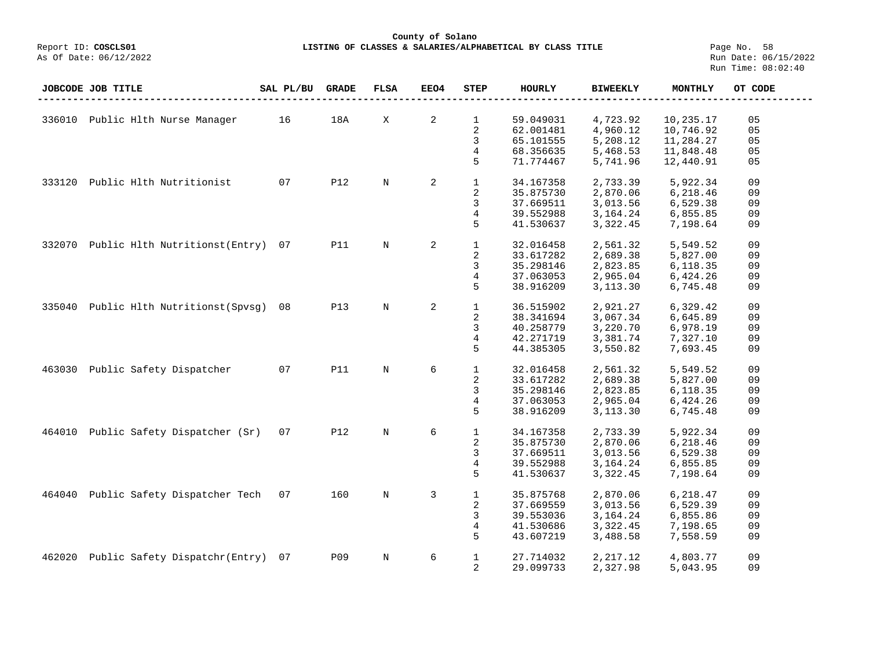## **County of Solano**<br>Exercis LISTING OF CLASSES & SALARIES/ALPH COSCLS01 **LISTING OF CLASSES & SALARIES/ALPHABETICAL BY CLASS TITLE** Page No. 58<br>Run Date: 06/15/2022

|        | <b>JOBCODE JOB TITLE</b>        | SAL PL/BU | <b>GRADE</b> | <b>FLSA</b> | EEO4 | <b>STEP</b>    | HOURLY    | <b>BIWEEKLY</b> | MONTHLY   | OT CODE |
|--------|---------------------------------|-----------|--------------|-------------|------|----------------|-----------|-----------------|-----------|---------|
|        |                                 |           |              |             |      |                |           |                 |           |         |
| 336010 | Public Hlth Nurse Manager       | 16        | 18A          | X           | 2    | $\mathbf 1$    | 59.049031 | 4,723.92        | 10,235.17 | 05      |
|        |                                 |           |              |             |      | 2              | 62.001481 | 4,960.12        | 10,746.92 | 05      |
|        |                                 |           |              |             |      | 3              | 65.101555 | 5,208.12        | 11,284.27 | 05      |
|        |                                 |           |              |             |      | 4              | 68.356635 | 5,468.53        | 11,848.48 | 05      |
|        |                                 |           |              |             |      | 5              | 71.774467 | 5,741.96        | 12,440.91 | 05      |
| 333120 | Public Hlth Nutritionist        | 07        | <b>P12</b>   | $\mathbf N$ | 2    | $\mathbf{1}$   | 34.167358 | 2,733.39        | 5,922.34  | 09      |
|        |                                 |           |              |             |      | 2              | 35.875730 | 2,870.06        | 6,218.46  | 09      |
|        |                                 |           |              |             |      | 3              | 37.669511 | 3,013.56        | 6,529.38  | 09      |
|        |                                 |           |              |             |      | 4              | 39.552988 | 3, 164. 24      | 6,855.85  | 09      |
|        |                                 |           |              |             |      | 5              | 41.530637 | 3,322.45        | 7,198.64  | 09      |
|        |                                 |           |              |             |      |                |           |                 |           |         |
| 332070 | Public Hlth Nutritionst(Entry)  | 07        | <b>P11</b>   | $\rm N$     | 2    | $\mathbf{1}$   | 32.016458 | 2,561.32        | 5,549.52  | 09      |
|        |                                 |           |              |             |      | 2              | 33.617282 | 2,689.38        | 5,827.00  | 09      |
|        |                                 |           |              |             |      | 3              | 35.298146 | 2,823.85        | 6,118.35  | 09      |
|        |                                 |           |              |             |      | 4              | 37.063053 | 2,965.04        | 6,424.26  | 09      |
|        |                                 |           |              |             |      | 5              | 38.916209 | 3,113.30        | 6,745.48  | 09      |
|        |                                 |           |              |             |      |                |           |                 |           |         |
| 335040 | Public Hlth Nutritionst (Spysq) | 08        | <b>P13</b>   | $\mathbf N$ | 2    | $\mathbf{1}$   | 36.515902 | 2,921.27        | 6,329.42  | 09      |
|        |                                 |           |              |             |      | 2              | 38.341694 | 3,067.34        | 6,645.89  | 09      |
|        |                                 |           |              |             |      | 3              | 40.258779 | 3,220.70        | 6,978.19  | 09      |
|        |                                 |           |              |             |      | 4              | 42.271719 | 3,381.74        | 7,327.10  | 09      |
|        |                                 |           |              |             |      | 5              | 44.385305 | 3,550.82        | 7,693.45  | 09      |
|        |                                 |           |              |             |      |                |           |                 |           |         |
| 463030 | Public Safety Dispatcher        | 07        | <b>P11</b>   | $\rm N$     | 6    | $\mathbf{1}$   | 32.016458 | 2,561.32        | 5,549.52  | 09      |
|        |                                 |           |              |             |      | 2              | 33.617282 | 2,689.38        | 5,827.00  | 09      |
|        |                                 |           |              |             |      | 3              | 35.298146 | 2,823.85        | 6,118.35  | 09      |
|        |                                 |           |              |             |      | 4              | 37.063053 | 2,965.04        | 6,424.26  | 09      |
|        |                                 |           |              |             |      | 5              | 38.916209 | 3,113.30        | 6,745.48  | 09      |
|        |                                 |           |              |             |      |                |           |                 |           |         |
| 464010 | Public Safety Dispatcher (Sr)   | 07        | <b>P12</b>   | $\mathbf N$ | 6    | $\mathbf{1}$   | 34.167358 | 2,733.39        | 5,922.34  | 09      |
|        |                                 |           |              |             |      | 2              | 35.875730 | 2,870.06        | 6,218.46  | 09      |
|        |                                 |           |              |             |      | 3              | 37.669511 | 3,013.56        | 6,529.38  | 09      |
|        |                                 |           |              |             |      | 4              | 39.552988 | 3,164.24        | 6,855.85  | 09      |
|        |                                 |           |              |             |      | 5              | 41.530637 | 3,322.45        | 7,198.64  | 09      |
| 464040 | Public Safety Dispatcher Tech   | 07        | 160          | $\mathbf N$ | 3    | $\mathbf{1}$   | 35.875768 | 2,870.06        | 6,218.47  | 09      |
|        |                                 |           |              |             |      | 2              | 37.669559 | 3,013.56        | 6,529.39  | 09      |
|        |                                 |           |              |             |      | 3              | 39.553036 | 3,164.24        | 6,855.86  | 09      |
|        |                                 |           |              |             |      | 4              | 41.530686 | 3,322.45        | 7,198.65  | 09      |
|        |                                 |           |              |             |      | 5              | 43.607219 | 3,488.58        | 7,558.59  | 09      |
|        |                                 |           |              |             |      |                |           |                 |           |         |
| 462020 | Public Safety Dispatchr(Entry)  | 07        | <b>P09</b>   | $\mathbf N$ | 6    | $\mathbf 1$    | 27.714032 | 2, 217.12       | 4,803.77  | 09      |
|        |                                 |           |              |             |      | $\overline{2}$ | 29.099733 | 2,327.98        | 5,043.95  | 09      |
|        |                                 |           |              |             |      |                |           |                 |           |         |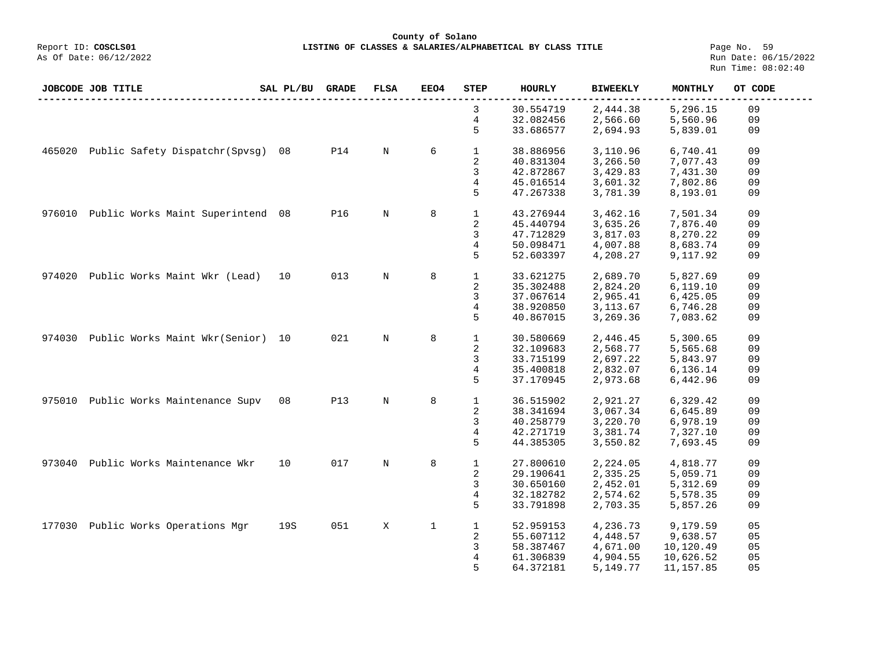**County of Solano LISTING OF CLASSES & SALARIES/ALPHABETICAL BY CLASS TITLE** Page No. 59<br>Run Date: 06/15/2022

|        | JOBCODE JOB TITLE                 | SAL PL/BU | <b>GRADE</b> | <b>FLSA</b> | <b>EEO4</b> | <b>STEP</b>    | <b>HOURLY</b> | <b>BIWEEKLY</b> | MONTHLY    | OT CODE |
|--------|-----------------------------------|-----------|--------------|-------------|-------------|----------------|---------------|-----------------|------------|---------|
|        |                                   |           |              |             |             | 3              | 30.554719     | 2,444.38        | 5,296.15   | 09      |
|        |                                   |           |              |             |             | 4              | 32.082456     | 2,566.60        | 5,560.96   | 09      |
|        |                                   |           |              |             |             | 5              | 33.686577     | 2,694.93        | 5,839.01   | 09      |
| 465020 | Public Safety Dispatchr (Spvsg)   | 08        | <b>P14</b>   | $\mathbf N$ | 6           | $\mathbf{1}$   | 38.886956     | 3,110.96        | 6,740.41   | 09      |
|        |                                   |           |              |             |             |                |               |                 |            |         |
|        |                                   |           |              |             |             | $\sqrt{2}$     | 40.831304     | 3,266.50        | 7,077.43   | 09      |
|        |                                   |           |              |             |             | 3              | 42.872867     | 3,429.83        | 7,431.30   | 09      |
|        |                                   |           |              |             |             | 4              | 45.016514     | 3,601.32        | 7,802.86   | 09      |
|        |                                   |           |              |             |             | 5              | 47.267338     | 3,781.39        | 8,193.01   | 09      |
| 976010 | Public Works Maint Superintend 08 |           | P16          | N           | 8           | $\mathbf{1}$   | 43.276944     | 3,462.16        | 7,501.34   | 09      |
|        |                                   |           |              |             |             | 2              | 45.440794     | 3,635.26        | 7,876.40   | 09      |
|        |                                   |           |              |             |             | 3              | 47.712829     | 3,817.03        | 8,270.22   | 09      |
|        |                                   |           |              |             |             | $\overline{4}$ | 50.098471     | 4,007.88        | 8,683.74   | 09      |
|        |                                   |           |              |             |             | 5              | 52.603397     | 4,208.27        | 9,117.92   | 09      |
|        |                                   |           |              |             |             |                |               |                 |            |         |
| 974020 | Public Works Maint Wkr (Lead)     | 10        | 013          | N           | 8           | $\mathbf 1$    | 33.621275     | 2,689.70        | 5,827.69   | 09      |
|        |                                   |           |              |             |             | 2              | 35.302488     | 2,824.20        | 6,119.10   | 09      |
|        |                                   |           |              |             |             | 3              | 37.067614     | 2,965.41        | 6,425.05   | 09      |
|        |                                   |           |              |             |             | 4              | 38.920850     | 3, 113.67       | 6,746.28   | 09      |
|        |                                   |           |              |             |             | 5              | 40.867015     | 3,269.36        | 7,083.62   | 09      |
|        |                                   |           |              |             |             |                |               |                 |            |         |
| 974030 | Public Works Maint Wkr (Senior)   | 10        | 021          | N           | 8           | $\mathbf{1}$   | 30.580669     | 2,446.45        | 5,300.65   | 09      |
|        |                                   |           |              |             |             | 2              | 32.109683     | 2,568.77        | 5,565.68   | 09      |
|        |                                   |           |              |             |             | 3              | 33.715199     | 2,697.22        | 5,843.97   | 09      |
|        |                                   |           |              |             |             | 4              | 35.400818     | 2,832.07        | 6,136.14   | 09      |
|        |                                   |           |              |             |             | 5              | 37.170945     | 2,973.68        | 6,442.96   | 09      |
| 975010 | Public Works Maintenance Supv     | 08        | <b>P13</b>   | $\mathbf N$ | 8           | $\mathbf{1}$   | 36.515902     | 2,921.27        | 6,329.42   | 09      |
|        |                                   |           |              |             |             | 2              | 38.341694     | 3,067.34        | 6,645.89   | 09      |
|        |                                   |           |              |             |             | 3              |               |                 |            | 09      |
|        |                                   |           |              |             |             |                | 40.258779     | 3,220.70        | 6,978.19   |         |
|        |                                   |           |              |             |             | 4              | 42.271719     | 3,381.74        | 7,327.10   | 09      |
|        |                                   |           |              |             |             | 5              | 44.385305     | 3,550.82        | 7,693.45   | 09      |
| 973040 | Public Works Maintenance Wkr      | 10        | 017          | N           | 8           | $\mathbf{1}$   | 27.800610     | 2,224.05        | 4,818.77   | 09      |
|        |                                   |           |              |             |             | 2              | 29.190641     | 2,335.25        | 5,059.71   | 09      |
|        |                                   |           |              |             |             | 3              | 30.650160     | 2,452.01        | 5,312.69   | 09      |
|        |                                   |           |              |             |             | $\overline{4}$ | 32.182782     | 2,574.62        | 5,578.35   | 09      |
|        |                                   |           |              |             |             | 5              | 33.791898     | 2,703.35        | 5,857.26   | 09      |
|        |                                   |           |              |             |             |                |               |                 |            |         |
| 177030 | Public Works Operations Mgr       | 19S       | 051          | X           | $\mathbf 1$ | $\mathbf{1}$   | 52.959153     | 4,236.73        | 9,179.59   | 05      |
|        |                                   |           |              |             |             | 2              | 55.607112     | 4,448.57        | 9,638.57   | 05      |
|        |                                   |           |              |             |             | 3              | 58.387467     | 4,671.00        | 10,120.49  | 05      |
|        |                                   |           |              |             |             | 4              | 61.306839     | 4,904.55        | 10,626.52  | 05      |
|        |                                   |           |              |             |             | 5              | 64.372181     | 5,149.77        | 11, 157.85 | 05      |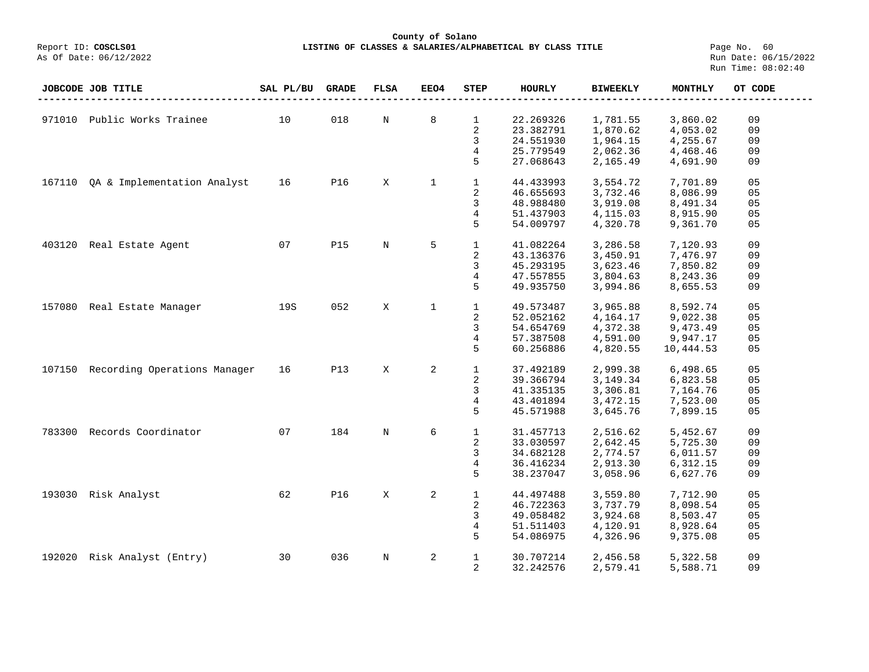## **County of Solano**<br>Exercis LISTING OF CLASSES & SALARIES/ALPH COSCLS01 **LISTING OF CLASSES & SALARIES/ALPHABETICAL BY CLASS TITLE** Page No. 60<br>Run Date: 06/15/2022

|        | JOBCODE JOB TITLE                   | SAL PL/BU | <b>GRADE</b> | <b>FLSA</b> | <b>EEO4</b>  | <b>STEP</b>    | HOURLY    | <b>BIWEEKLY</b> | MONTHLY   | OT CODE |
|--------|-------------------------------------|-----------|--------------|-------------|--------------|----------------|-----------|-----------------|-----------|---------|
|        |                                     |           |              |             |              |                |           |                 |           |         |
| 971010 | Public Works Trainee                | 10        | 018          | N           | 8            | $\mathbf{1}$   | 22.269326 | 1,781.55        | 3,860.02  | 09      |
|        |                                     |           |              |             |              | 2              | 23.382791 | 1,870.62        | 4,053.02  | 09      |
|        |                                     |           |              |             |              | 3              | 24.551930 | 1,964.15        | 4,255.67  | 09      |
|        |                                     |           |              |             |              | 4              | 25.779549 | 2,062.36        | 4,468.46  | 09      |
|        |                                     |           |              |             |              | 5              | 27.068643 | 2,165.49        | 4,691.90  | 09      |
|        |                                     |           |              |             |              |                |           |                 |           |         |
| 167110 | QA & Implementation Analyst         | 16        | <b>P16</b>   | X           | $\mathbf 1$  | $\mathbf{1}$   | 44.433993 | 3,554.72        | 7,701.89  | 05      |
|        |                                     |           |              |             |              | 2              | 46.655693 | 3,732.46        | 8,086.99  | 05      |
|        |                                     |           |              |             |              | 3              | 48.988480 | 3,919.08        | 8,491.34  | 05      |
|        |                                     |           |              |             |              | $\overline{4}$ | 51.437903 | 4,115.03        | 8,915.90  | 05      |
|        |                                     |           |              |             |              | 5              | 54.009797 | 4,320.78        | 9,361.70  | 05      |
|        |                                     |           |              |             |              |                |           |                 |           |         |
| 403120 | Real Estate Agent                   | 07        | <b>P15</b>   | $\mathbb N$ | 5            | $\mathbf{1}$   | 41.082264 | 3,286.58        | 7,120.93  | 09      |
|        |                                     |           |              |             |              | 2              | 43.136376 | 3,450.91        | 7,476.97  | 09      |
|        |                                     |           |              |             |              | 3              | 45.293195 | 3,623.46        | 7,850.82  | 09      |
|        |                                     |           |              |             |              | 4              | 47.557855 | 3,804.63        | 8,243.36  | 09      |
|        |                                     |           |              |             |              | 5              | 49.935750 | 3,994.86        | 8,655.53  | 09      |
|        |                                     |           |              |             |              |                |           |                 |           |         |
| 157080 | Real Estate Manager                 | 19S       | 052          | X           | $\mathbf{1}$ | $\mathbf{1}$   | 49.573487 | 3,965.88        | 8,592.74  | 05      |
|        |                                     |           |              |             |              | 2              | 52.052162 | 4,164.17        | 9,022.38  | 05      |
|        |                                     |           |              |             |              | 3              | 54.654769 | 4,372.38        | 9,473.49  | 05      |
|        |                                     |           |              |             |              | $\overline{4}$ | 57.387508 | 4,591.00        | 9,947.17  | 05      |
|        |                                     |           |              |             |              | 5              | 60.256886 | 4,820.55        | 10,444.53 | 05      |
|        |                                     |           |              |             |              |                |           |                 |           |         |
|        | 107150 Recording Operations Manager | 16        | <b>P13</b>   | X           | 2            | $\mathbf{1}$   | 37.492189 | 2,999.38        | 6,498.65  | 05      |
|        |                                     |           |              |             |              | 2              | 39.366794 | 3, 149. 34      | 6,823.58  | 05      |
|        |                                     |           |              |             |              | 3              | 41.335135 | 3,306.81        | 7,164.76  | 05      |
|        |                                     |           |              |             |              | $\overline{4}$ | 43.401894 | 3,472.15        | 7,523.00  | 05      |
|        |                                     |           |              |             |              | 5              | 45.571988 | 3,645.76        | 7,899.15  | 05      |
|        |                                     |           |              |             |              |                |           |                 |           |         |
| 783300 | Records Coordinator                 | 07        | 184          | $\mathbb N$ | 6            | $\mathbf{1}$   | 31.457713 | 2,516.62        | 5,452.67  | 09      |
|        |                                     |           |              |             |              | 2              | 33.030597 | 2,642.45        | 5,725.30  | 09      |
|        |                                     |           |              |             |              | 3              | 34.682128 | 2,774.57        | 6,011.57  | 09      |
|        |                                     |           |              |             |              | $\overline{4}$ | 36.416234 | 2,913.30        | 6,312.15  | 09      |
|        |                                     |           |              |             |              | 5              | 38.237047 | 3,058.96        | 6,627.76  | 09      |
|        |                                     |           |              |             |              |                |           |                 |           |         |
| 193030 | Risk Analyst                        | 62        | P16          | X           | 2            | $\mathbf{1}$   | 44.497488 | 3,559.80        | 7,712.90  | 05      |
|        |                                     |           |              |             |              | 2              | 46.722363 | 3,737.79        | 8,098.54  | 05      |
|        |                                     |           |              |             |              | 3              | 49.058482 | 3,924.68        | 8,503.47  | 05      |
|        |                                     |           |              |             |              | 4              | 51.511403 | 4,120.91        | 8,928.64  | 05      |
|        |                                     |           |              |             |              | 5              | 54.086975 | 4,326.96        | 9,375.08  | 05      |
|        |                                     |           |              |             |              |                |           |                 |           |         |
| 192020 | Risk Analyst (Entry)                | 30        | 036          | N           | 2            | $\mathbf 1$    | 30.707214 | 2,456.58        | 5,322.58  | 09      |
|        |                                     |           |              |             |              | 2              | 32.242576 | 2,579.41        | 5,588.71  | 09      |
|        |                                     |           |              |             |              |                |           |                 |           |         |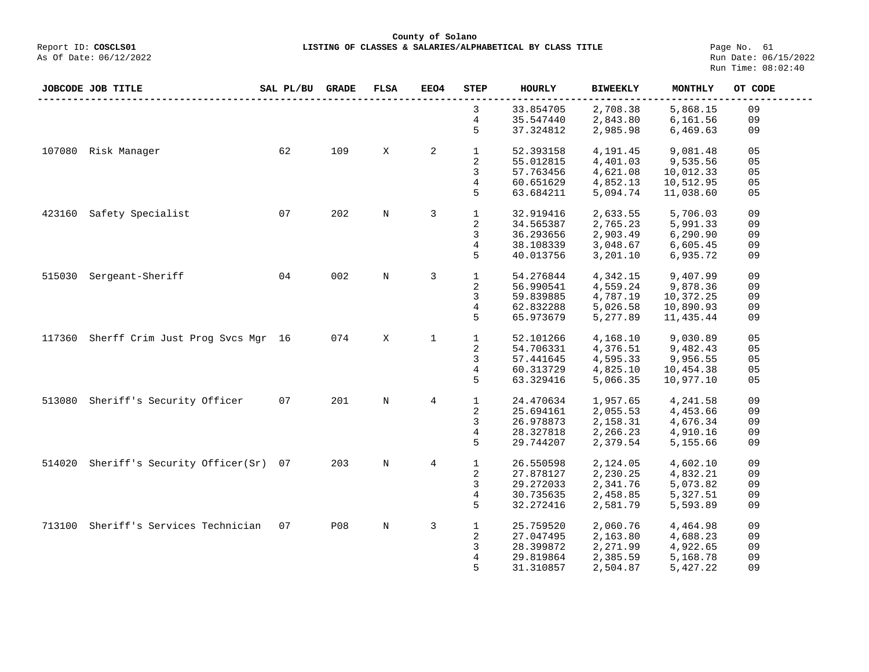**County of Solano**<br>Exercis LISTING OF CLASSES & SALARIES/ALPH COSCLS01 **LISTING OF CLASSES & SALARIES/ALPHABETICAL BY CLASS TITLE** Page No. 61<br>Run Date: 06/15/2022

As Of Date: 06/12/2022

|        | <b>JOBCODE JOB TITLE</b>          | SAL PL/BU | <b>GRADE</b> | <b>FLSA</b> | EEO4           | <b>STEP</b>  | <b>HOURLY</b> | <b>BIWEEKLY</b> | <b>MONTHLY</b> | OT CODE |
|--------|-----------------------------------|-----------|--------------|-------------|----------------|--------------|---------------|-----------------|----------------|---------|
|        |                                   |           |              |             |                | 3            | 33.854705     | 2,708.38        | 5,868.15       | 09      |
|        |                                   |           |              |             |                | 4            | 35.547440     | 2,843.80        | 6,161.56       | 09      |
|        |                                   |           |              |             |                | 5            | 37.324812     | 2,985.98        | 6,469.63       | 09      |
| 107080 | Risk Manager                      | 62        | 109          | X           | 2              | $\mathbf{1}$ | 52.393158     | 4,191.45        | 9,081.48       | 05      |
|        |                                   |           |              |             |                | 2            | 55.012815     | 4,401.03        | 9,535.56       | 05      |
|        |                                   |           |              |             |                | 3            | 57.763456     | 4,621.08        | 10,012.33      | 05      |
|        |                                   |           |              |             |                | 4            | 60.651629     | 4,852.13        | 10,512.95      | 05      |
|        |                                   |           |              |             |                | 5            | 63.684211     | 5,094.74        | 11,038.60      | 05      |
| 423160 | Safety Specialist                 | 07        | 202          | $\rm N$     | 3              | $\mathbf{1}$ | 32.919416     | 2,633.55        | 5,706.03       | 09      |
|        |                                   |           |              |             |                | 2            | 34.565387     | 2,765.23        | 5,991.33       | 09      |
|        |                                   |           |              |             |                | 3            | 36.293656     | 2,903.49        | 6, 290.90      | 09      |
|        |                                   |           |              |             |                | 4            | 38.108339     | 3,048.67        | 6,605.45       | 09      |
|        |                                   |           |              |             |                | 5            | 40.013756     | 3,201.10        | 6,935.72       | 09      |
| 515030 | Sergeant-Sheriff                  | 04        | 002          | $\mathbf N$ | 3              | $\mathbf{1}$ | 54.276844     | 4,342.15        | 9,407.99       | 09      |
|        |                                   |           |              |             |                | 2            | 56.990541     | 4,559.24        | 9,878.36       | 09      |
|        |                                   |           |              |             |                | 3            | 59.839885     | 4,787.19        | 10,372.25      | 09      |
|        |                                   |           |              |             |                | 4            | 62.832288     | 5,026.58        | 10,890.93      | 09      |
|        |                                   |           |              |             |                | 5            | 65.973679     | 5,277.89        | 11,435.44      | 09      |
| 117360 | Sherff Crim Just Prog Svcs Mgr 16 |           | 074          | X           | 1              | $\mathbf{1}$ | 52.101266     | 4,168.10        | 9,030.89       | 05      |
|        |                                   |           |              |             |                | 2            | 54.706331     | 4,376.51        | 9,482.43       | 05      |
|        |                                   |           |              |             |                | 3            | 57.441645     | 4,595.33        | 9,956.55       | 05      |
|        |                                   |           |              |             |                | 4            | 60.313729     | 4,825.10        | 10,454.38      | 05      |
|        |                                   |           |              |             |                | 5            | 63.329416     | 5,066.35        | 10,977.10      | 05      |
| 513080 | Sheriff's Security Officer        | 07        | 201          | $\mathbf N$ | $\overline{4}$ | $\mathbf{1}$ | 24.470634     | 1,957.65        | 4,241.58       | 09      |
|        |                                   |           |              |             |                | 2            | 25.694161     | 2,055.53        | 4,453.66       | 09      |
|        |                                   |           |              |             |                | 3            | 26.978873     | 2,158.31        | 4,676.34       | 09      |
|        |                                   |           |              |             |                | 4            | 28.327818     | 2,266.23        | 4,910.16       | 09      |
|        |                                   |           |              |             |                | 5            | 29.744207     | 2,379.54        | 5,155.66       | 09      |
| 514020 | Sheriff's Security Officer(Sr)    | 07        | 203          | $\rm N$     | 4              | 1            | 26.550598     | 2,124.05        | 4,602.10       | 09      |
|        |                                   |           |              |             |                | 2            | 27.878127     | 2,230.25        | 4,832.21       | 09      |
|        |                                   |           |              |             |                | 3            | 29.272033     | 2,341.76        | 5,073.82       | 09      |
|        |                                   |           |              |             |                | 4            | 30.735635     | 2,458.85        | 5,327.51       | 09      |
|        |                                   |           |              |             |                | 5            | 32.272416     | 2,581.79        | 5,593.89       | 09      |
| 713100 | Sheriff's Services Technician     | 07        | <b>P08</b>   | $\rm N$     | 3              | $\mathbf{1}$ | 25.759520     | 2,060.76        | 4,464.98       | 09      |
|        |                                   |           |              |             |                | 2            | 27.047495     | 2,163.80        | 4,688.23       | 09      |
|        |                                   |           |              |             |                | 3            | 28.399872     | 2,271.99        | 4,922.65       | 09      |
|        |                                   |           |              |             |                | 4            | 29.819864     | 2,385.59        | 5,168.78       | 09      |
|        |                                   |           |              |             |                | 5            | 31.310857     | 2,504.87        | 5,427.22       | 09      |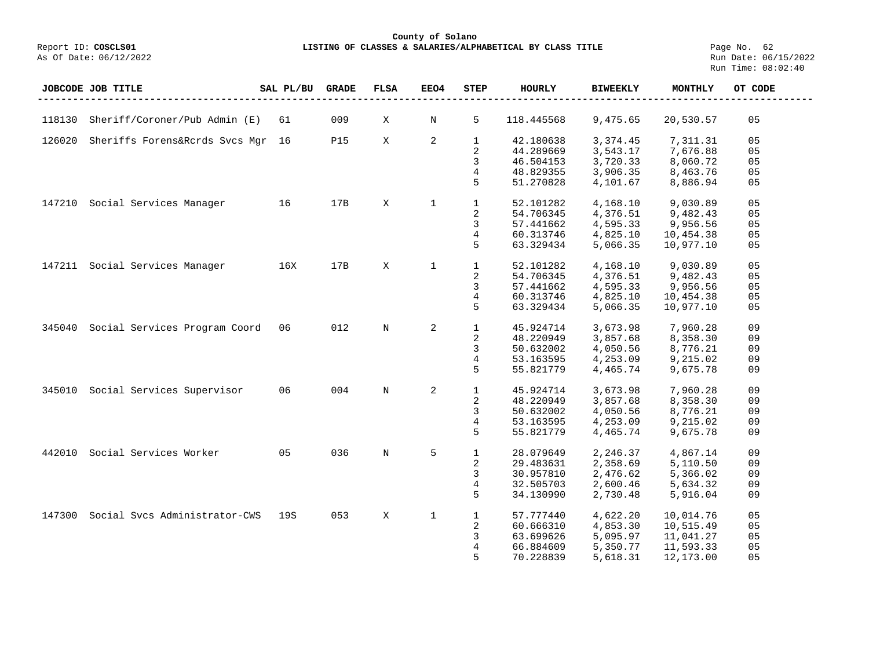**County of Solano**<br>Exercis LISTING OF CLASSES & SALARIES/ALPH COSCLS01 **LISTING OF CLASSES & SALARIES/ALPHABETICAL BY CLASS TITLE** Page No. 62<br>Run Date: 06/15/2022

|        | JOBCODE JOB TITLE              | SAL PL/BU | <b>GRADE</b> | <b>FLSA</b> | <b>EEO4</b>  | <b>STEP</b>    | <b>HOURLY</b> | <b>BIWEEKLY</b> | <b>MONTHLY</b> | OT CODE |
|--------|--------------------------------|-----------|--------------|-------------|--------------|----------------|---------------|-----------------|----------------|---------|
|        |                                |           |              |             |              |                |               |                 |                |         |
| 118130 | Sheriff/Coroner/Pub Admin (E)  | 61        | 009          | Χ           | $\rm N$      | 5              | 118.445568    | 9,475.65        | 20,530.57      | 05      |
| 126020 | Sheriffs Forens&Rcrds Svcs Mgr | 16        | <b>P15</b>   | X           | 2            | 1              | 42.180638     | 3,374.45        | 7,311.31       | 05      |
|        |                                |           |              |             |              | $\overline{2}$ | 44.289669     | 3,543.17        | 7,676.88       | 05      |
|        |                                |           |              |             |              | 3              | 46.504153     | 3,720.33        | 8,060.72       | 05      |
|        |                                |           |              |             |              | 4              | 48.829355     | 3,906.35        | 8,463.76       | 05      |
|        |                                |           |              |             |              | 5              | 51.270828     | 4,101.67        | 8,886.94       | 05      |
| 147210 | Social Services Manager        | 16        | 17B          | X           | $\mathbf{1}$ | $\mathbf{1}$   | 52.101282     | 4,168.10        | 9,030.89       | 05      |
|        |                                |           |              |             |              | 2              | 54.706345     | 4,376.51        | 9,482.43       | 05      |
|        |                                |           |              |             |              | 3              | 57.441662     | 4,595.33        | 9,956.56       | 05      |
|        |                                |           |              |             |              | 4              | 60.313746     | 4,825.10        | 10,454.38      | 05      |
|        |                                |           |              |             |              | 5              | 63.329434     | 5,066.35        | 10,977.10      | 05      |
| 147211 | Social Services Manager        | 16X       | 17B          | X           | $\mathbf 1$  | $\mathbf{1}$   | 52.101282     | 4,168.10        | 9,030.89       | 05      |
|        |                                |           |              |             |              | $\overline{2}$ | 54.706345     | 4,376.51        | 9,482.43       | 05      |
|        |                                |           |              |             |              | 3              | 57.441662     | 4,595.33        | 9,956.56       | 05      |
|        |                                |           |              |             |              | 4              | 60.313746     | 4,825.10        | 10,454.38      | 05      |
|        |                                |           |              |             |              | 5              | 63.329434     | 5,066.35        | 10,977.10      | 05      |
| 345040 | Social Services Program Coord  | 06        | 012          | $\mathbf N$ | 2            | $\mathbf{1}$   | 45.924714     | 3,673.98        | 7,960.28       | 09      |
|        |                                |           |              |             |              | $\sqrt{2}$     | 48.220949     | 3,857.68        | 8,358.30       | 09      |
|        |                                |           |              |             |              | 3              | 50.632002     | 4,050.56        | 8,776.21       | 09      |
|        |                                |           |              |             |              | 4              | 53.163595     | 4,253.09        | 9,215.02       | 09      |
|        |                                |           |              |             |              | 5              | 55.821779     | 4,465.74        | 9,675.78       | 09      |
| 345010 | Social Services Supervisor     | 06        | 004          | N           | 2            | 1              | 45.924714     | 3,673.98        | 7,960.28       | 09      |
|        |                                |           |              |             |              | $\overline{2}$ | 48.220949     | 3,857.68        | 8,358.30       | 09      |
|        |                                |           |              |             |              | 3              | 50.632002     | 4,050.56        | 8,776.21       | 09      |
|        |                                |           |              |             |              | 4              | 53.163595     | 4,253.09        | 9,215.02       | 09      |
|        |                                |           |              |             |              | 5              | 55.821779     | 4,465.74        | 9,675.78       | 09      |
| 442010 | Social Services Worker         | 05        | 036          | N           | 5            | $\mathbf{1}$   | 28.079649     | 2,246.37        | 4,867.14       | 09      |
|        |                                |           |              |             |              | $\sqrt{2}$     | 29.483631     | 2,358.69        | 5,110.50       | 09      |
|        |                                |           |              |             |              | 3              | 30.957810     | 2,476.62        | 5,366.02       | 09      |
|        |                                |           |              |             |              | 4              | 32.505703     | 2,600.46        | 5,634.32       | 09      |
|        |                                |           |              |             |              | 5              | 34.130990     | 2,730.48        | 5,916.04       | 09      |
| 147300 | Social Svcs Administrator-CWS  | 19S       | 053          | X           | $\mathbf 1$  | $\mathbf{1}$   | 57.777440     | 4,622.20        | 10,014.76      | 05      |
|        |                                |           |              |             |              | $\overline{2}$ | 60.666310     | 4,853.30        | 10,515.49      | 05      |
|        |                                |           |              |             |              | 3              | 63.699626     | 5,095.97        | 11,041.27      | 05      |
|        |                                |           |              |             |              | 4              | 66.884609     | 5,350.77        | 11,593.33      | 05      |
|        |                                |           |              |             |              | 5              | 70.228839     | 5,618.31        | 12,173.00      | 05      |
|        |                                |           |              |             |              |                |               |                 |                |         |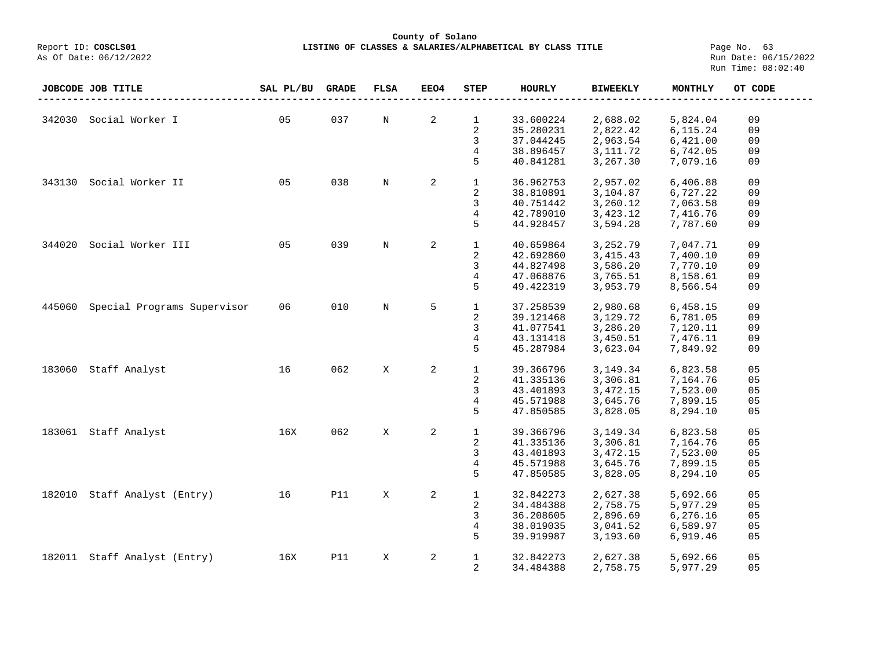## **County of Solano LISTING OF CLASSES & SALARIES/ALPHABETICAL BY CLASS TITLE** Page No. 63<br>Run Date: 06/15/2022

Report ID: COSCLS01<br>As Of Date: 06/12/2022

|        | JOBCODE JOB TITLE           | SAL PL/BU | <b>GRADE</b> | <b>FLSA</b> | <b>EEO4</b> | <b>STEP</b>    | <b>HOURLY</b> | <b>BIWEEKLY</b> | MONTHLY  | OT CODE |
|--------|-----------------------------|-----------|--------------|-------------|-------------|----------------|---------------|-----------------|----------|---------|
|        |                             |           |              |             |             |                |               |                 |          |         |
| 342030 | Social Worker I             | 05        | 037          | $\rm N$     | 2           | $\mathbf 1$    | 33.600224     | 2,688.02        | 5,824.04 | 09      |
|        |                             |           |              |             |             | 2              | 35.280231     | 2,822.42        | 6,115.24 | 09      |
|        |                             |           |              |             |             | 3              | 37.044245     | 2,963.54        | 6,421.00 | 09      |
|        |                             |           |              |             |             | 4              | 38.896457     | 3,111.72        | 6,742.05 | 09      |
|        |                             |           |              |             |             | 5              | 40.841281     | 3,267.30        | 7,079.16 | 09      |
|        |                             |           |              |             | 2           |                |               |                 |          |         |
| 343130 | Social Worker II            | 05        | 038          | N           |             | $\mathbf{1}$   | 36.962753     | 2,957.02        | 6,406.88 | 09      |
|        |                             |           |              |             |             | 2              | 38.810891     | 3,104.87        | 6,727.22 | 09      |
|        |                             |           |              |             |             | 3              | 40.751442     | 3,260.12        | 7,063.58 | 09      |
|        |                             |           |              |             |             | $\overline{4}$ | 42.789010     | 3,423.12        | 7,416.76 | 09      |
|        |                             |           |              |             |             | 5              | 44.928457     | 3,594.28        | 7,787.60 | 09      |
| 344020 | Social Worker III           | 05        | 039          | $\rm N$     | 2           | $\mathbf{1}$   | 40.659864     | 3,252.79        | 7,047.71 | 09      |
|        |                             |           |              |             |             | 2              | 42.692860     | 3, 415. 43      | 7,400.10 | 09      |
|        |                             |           |              |             |             | 3              | 44.827498     | 3,586.20        | 7,770.10 | 09      |
|        |                             |           |              |             |             | 4              | 47.068876     | 3,765.51        | 8,158.61 | 09      |
|        |                             |           |              |             |             | 5              | 49.422319     | 3,953.79        | 8,566.54 | 09      |
|        |                             |           |              |             |             |                |               |                 |          |         |
| 445060 | Special Programs Supervisor | 06        | 010          | N           | 5           | 1              | 37.258539     | 2,980.68        | 6,458.15 | 09      |
|        |                             |           |              |             |             | 2              | 39.121468     | 3,129.72        | 6,781.05 | 09      |
|        |                             |           |              |             |             | 3              | 41.077541     | 3,286.20        | 7,120.11 | 09      |
|        |                             |           |              |             |             | 4              | 43.131418     | 3,450.51        | 7,476.11 | 09      |
|        |                             |           |              |             |             | 5              | 45.287984     | 3,623.04        | 7,849.92 | 09      |
| 183060 | Staff Analyst               | 16        | 062          | X           | 2           | $\mathbf{1}$   | 39.366796     | 3,149.34        | 6,823.58 | 05      |
|        |                             |           |              |             |             | 2              | 41.335136     | 3,306.81        | 7,164.76 | 05      |
|        |                             |           |              |             |             | 3              | 43.401893     | 3, 472. 15      | 7,523.00 | 05      |
|        |                             |           |              |             |             | 4              | 45.571988     | 3,645.76        | 7,899.15 | 05      |
|        |                             |           |              |             |             | 5              | 47.850585     | 3,828.05        | 8,294.10 | 05      |
|        |                             | 16X       | 062          |             |             |                |               |                 |          |         |
|        | 183061 Staff Analyst        |           |              | X           | 2           | $\mathbf{1}$   | 39.366796     | 3,149.34        | 6,823.58 | 05      |
|        |                             |           |              |             |             | 2              | 41.335136     | 3,306.81        | 7,164.76 | 05      |
|        |                             |           |              |             |             | 3              | 43.401893     | 3,472.15        | 7,523.00 | 05      |
|        |                             |           |              |             |             | 4              | 45.571988     | 3,645.76        | 7,899.15 | 05      |
|        |                             |           |              |             |             | 5              | 47.850585     | 3,828.05        | 8,294.10 | 05      |
| 182010 | Staff Analyst (Entry)       | 16        | <b>P11</b>   | X           | 2           | $\mathbf{1}$   | 32.842273     | 2,627.38        | 5,692.66 | 05      |
|        |                             |           |              |             |             | 2              | 34.484388     | 2,758.75        | 5,977.29 | 05      |
|        |                             |           |              |             |             | 3              | 36.208605     | 2,896.69        | 6,276.16 | 05      |
|        |                             |           |              |             |             | 4              | 38.019035     | 3,041.52        | 6,589.97 | 05      |
|        |                             |           |              |             |             | 5              | 39.919987     | 3,193.60        | 6,919.46 | 05      |
|        |                             |           |              |             |             |                |               |                 |          |         |
| 182011 | Staff Analyst (Entry)       | 16X       | <b>P11</b>   | X           | 2           | $\mathbf{1}$   | 32.842273     | 2,627.38        | 5,692.66 | 05      |
|        |                             |           |              |             |             | 2              | 34.484388     | 2,758.75        | 5,977.29 | 05      |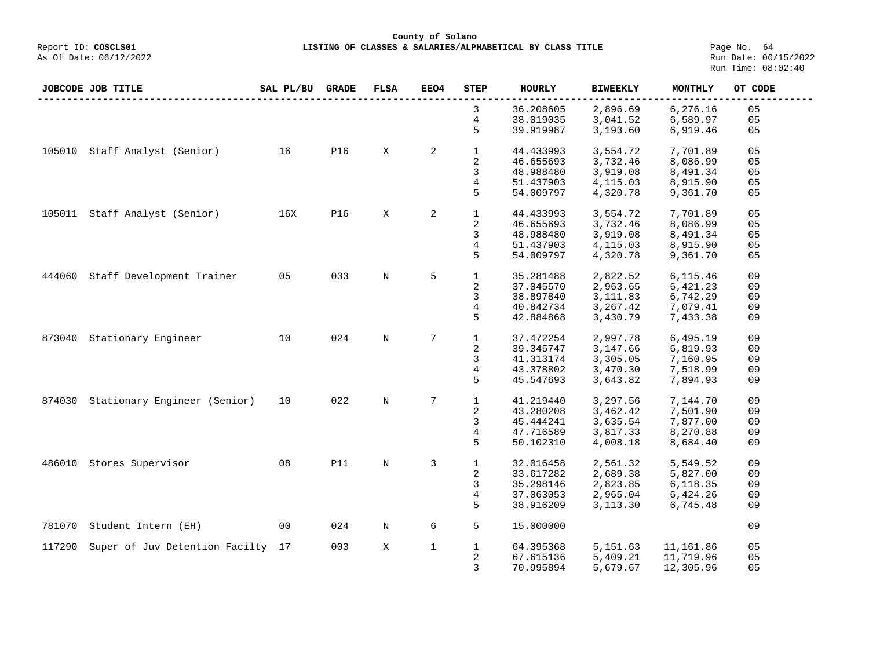## **County of Solano**<br>Exercis LISTING OF CLASSES & SALARIES/ALPH COSCLS01 **LISTING OF CLASSES & SALARIES/ALPHABETICAL BY CLASS TITLE** Page No. 64<br>Run Date: 06/15/2022

|        | JOBCODE JOB TITLE                 | SAL PL/BU | <b>GRADE</b> | <b>FLSA</b> | <b>EEO4</b>    | STEP         | <b>HOURLY</b> | <b>BIWEEKLY</b> | MONTHLY   | OT CODE |
|--------|-----------------------------------|-----------|--------------|-------------|----------------|--------------|---------------|-----------------|-----------|---------|
|        |                                   |           |              |             |                | 3            | 36.208605     | 2,896.69        | 6,276.16  | 05      |
|        |                                   |           |              |             |                | 4            | 38.019035     | 3,041.52        | 6,589.97  | 05      |
|        |                                   |           |              |             |                | 5            | 39.919987     | 3,193.60        | 6,919.46  | 05      |
| 105010 | Staff Analyst (Senior)            | 16        | <b>P16</b>   | X           | $\overline{a}$ | $\mathbf 1$  | 44.433993     | 3,554.72        | 7,701.89  | 05      |
|        |                                   |           |              |             |                | 2            | 46.655693     | 3,732.46        | 8,086.99  | 05      |
|        |                                   |           |              |             |                | 3            | 48.988480     | 3,919.08        | 8,491.34  | 05      |
|        |                                   |           |              |             |                | 4            | 51.437903     | 4,115.03        | 8,915.90  | 05      |
|        |                                   |           |              |             |                | 5            | 54.009797     | 4,320.78        | 9,361.70  | 05      |
|        | 105011 Staff Analyst (Senior)     | 16X       | <b>P16</b>   | X           | 2              | $\mathbf 1$  | 44.433993     | 3,554.72        | 7,701.89  | 05      |
|        |                                   |           |              |             |                | 2            | 46.655693     | 3,732.46        | 8,086.99  | 05      |
|        |                                   |           |              |             |                | 3            | 48.988480     | 3,919.08        | 8,491.34  | 05      |
|        |                                   |           |              |             |                | 4            | 51.437903     | 4,115.03        | 8,915.90  | 05      |
|        |                                   |           |              |             |                | 5            | 54.009797     | 4,320.78        | 9,361.70  | 05      |
| 444060 | Staff Development Trainer         | 05        | 033          | N           | 5              | $\mathbf{1}$ | 35.281488     | 2,822.52        | 6,115.46  | 09      |
|        |                                   |           |              |             |                | 2            | 37.045570     | 2,963.65        | 6,421.23  | 09      |
|        |                                   |           |              |             |                | 3            | 38.897840     | 3, 111.83       | 6,742.29  | 09      |
|        |                                   |           |              |             |                | 4            | 40.842734     | 3, 267.42       | 7,079.41  | 09      |
|        |                                   |           |              |             |                | 5            | 42.884868     | 3,430.79        | 7,433.38  | 09      |
| 873040 | Stationary Engineer               | 10        | 024          | N           | 7              | $\mathbf{1}$ | 37.472254     | 2,997.78        | 6,495.19  | 09      |
|        |                                   |           |              |             |                | 2            | 39.345747     | 3,147.66        | 6,819.93  | 09      |
|        |                                   |           |              |             |                | 3            | 41.313174     | 3,305.05        | 7,160.95  | 09      |
|        |                                   |           |              |             |                | 4            | 43.378802     | 3,470.30        | 7,518.99  | 09      |
|        |                                   |           |              |             |                | 5            | 45.547693     | 3,643.82        | 7,894.93  | 09      |
| 874030 | Stationary Engineer (Senior)      | 10        | 022          | N           | 7              | $\mathbf{1}$ | 41.219440     | 3,297.56        | 7,144.70  | 09      |
|        |                                   |           |              |             |                | 2            | 43.280208     | 3,462.42        | 7,501.90  | 09      |
|        |                                   |           |              |             |                | 3            | 45.444241     | 3,635.54        | 7,877.00  | 09      |
|        |                                   |           |              |             |                | 4            | 47.716589     | 3,817.33        | 8,270.88  | 09      |
|        |                                   |           |              |             |                | 5            | 50.102310     | 4,008.18        | 8,684.40  | 09      |
| 486010 | Stores Supervisor                 | 08        | <b>P11</b>   | N           | 3              | $\mathbf 1$  | 32.016458     | 2,561.32        | 5,549.52  | 09      |
|        |                                   |           |              |             |                | 2            | 33.617282     | 2,689.38        | 5,827.00  | 09      |
|        |                                   |           |              |             |                | 3            | 35.298146     | 2,823.85        | 6,118.35  | 09      |
|        |                                   |           |              |             |                | 4            | 37.063053     | 2,965.04        | 6,424.26  | 09      |
|        |                                   |           |              |             |                | 5            | 38.916209     | 3,113.30        | 6,745.48  | 09      |
| 781070 | Student Intern (EH)               | 00        | 024          | $\rm N$     | 6              | 5            | 15.000000     |                 |           | 09      |
| 117290 | Super of Juv Detention Facilty 17 |           | 003          | X           | $\mathbf{1}$   | $\mathbf{1}$ | 64.395368     | 5,151.63        | 11,161.86 | 05      |
|        |                                   |           |              |             |                | 2            | 67.615136     | 5,409.21        | 11,719.96 | 05      |
|        |                                   |           |              |             |                | 3            | 70.995894     | 5,679.67        | 12,305.96 | 05      |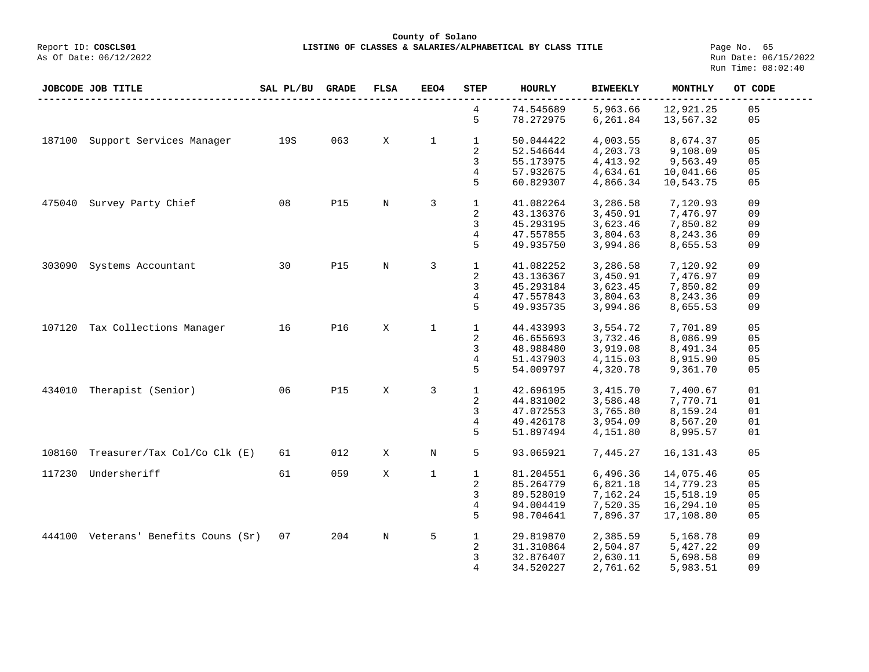**LISTING OF CLASSES & SALARIES/ALPHABETICAL BY CLASS TITLE Page No. 65**<br>Run Date: 06/15/2022 Run Time: 08:02:40

|        | <b>JOBCODE JOB TITLE</b>             | SAL PL/BU | GRADE      | <b>FLSA</b> | EEO4         | <b>STEP</b>  | <b>HOURLY</b> | <b>BIWEEKLY</b> | MONTHLY     | OT CODE |
|--------|--------------------------------------|-----------|------------|-------------|--------------|--------------|---------------|-----------------|-------------|---------|
|        |                                      |           |            |             |              | 4            | 74.545689     | 5,963.66        | 12,921.25   | 05      |
|        |                                      |           |            |             |              | 5            | 78.272975     | 6,261.84        | 13,567.32   | 05      |
| 187100 | Support Services Manager             | 19S       | 063        | X           | $\mathbf{1}$ | $\mathbf 1$  | 50.044422     | 4,003.55        | 8,674.37    | 05      |
|        |                                      |           |            |             |              | 2            | 52.546644     | 4,203.73        | 9,108.09    | 05      |
|        |                                      |           |            |             |              | 3            | 55.173975     | 4, 413.92       | 9,563.49    | 05      |
|        |                                      |           |            |             |              | 4            | 57.932675     | 4,634.61        | 10,041.66   | 05      |
|        |                                      |           |            |             |              | 5            | 60.829307     | 4,866.34        | 10,543.75   | 05      |
| 475040 | Survey Party Chief                   | 08        | <b>P15</b> | $\mathbf N$ | 3            | $\mathbf{1}$ | 41.082264     | 3,286.58        | 7,120.93    | 09      |
|        |                                      |           |            |             |              | 2            | 43.136376     | 3,450.91        | 7,476.97    | 09      |
|        |                                      |           |            |             |              | 3            | 45.293195     | 3,623.46        | 7,850.82    | 09      |
|        |                                      |           |            |             |              | 4            | 47.557855     | 3,804.63        | 8,243.36    | 09      |
|        |                                      |           |            |             |              |              |               |                 |             |         |
|        |                                      |           |            |             |              | 5            | 49.935750     | 3,994.86        | 8,655.53    | 09      |
| 303090 | Systems Accountant                   | 30        | <b>P15</b> | $\mathbf N$ | 3            | $\mathbf{1}$ | 41.082252     | 3,286.58        | 7,120.92    | 09      |
|        |                                      |           |            |             |              | 2            | 43.136367     | 3,450.91        | 7,476.97    | 09      |
|        |                                      |           |            |             |              | 3            | 45.293184     | 3,623.45        | 7,850.82    | 09      |
|        |                                      |           |            |             |              | 4            | 47.557843     | 3,804.63        | 8,243.36    | 09      |
|        |                                      |           |            |             |              | 5            | 49.935735     | 3,994.86        | 8,655.53    | 09      |
|        |                                      |           |            |             |              |              |               |                 |             |         |
|        | 107120 Tax Collections Manager       | 16        | P16        | X           | $\mathbf{1}$ | $\mathbf{1}$ | 44.433993     | 3,554.72        | 7,701.89    | 05      |
|        |                                      |           |            |             |              | 2            | 46.655693     | 3,732.46        | 8,086.99    | 05      |
|        |                                      |           |            |             |              | 3            | 48.988480     | 3,919.08        | 8,491.34    | 05      |
|        |                                      |           |            |             |              | 4            | 51.437903     | 4,115.03        | 8,915.90    | 05      |
|        |                                      |           |            |             |              | 5            | 54.009797     | 4,320.78        | 9,361.70    | 05      |
| 434010 | Therapist (Senior)                   | 06        | <b>P15</b> | X           | 3            | $\mathbf 1$  |               |                 |             | 01      |
|        |                                      |           |            |             |              |              | 42.696195     | 3, 415.70       | 7,400.67    |         |
|        |                                      |           |            |             |              | 2            | 44.831002     | 3,586.48        | 7,770.71    | 01      |
|        |                                      |           |            |             |              | 3            | 47.072553     | 3,765.80        | 8,159.24    | 01      |
|        |                                      |           |            |             |              | 4            | 49.426178     | 3,954.09        | 8,567.20    | 01      |
|        |                                      |           |            |             |              | 5            | 51.897494     | 4,151.80        | 8,995.57    | 01      |
| 108160 | Treasurer/Tax Col/Co Clk (E)         | 61        | 012        | X           | N            | 5            | 93.065921     | 7,445.27        | 16, 131. 43 | 05      |
| 117230 | Undersheriff                         | 61        | 059        | X           | $\mathbf{1}$ | $\mathbf{1}$ | 81.204551     | 6,496.36        | 14,075.46   | 05      |
|        |                                      |           |            |             |              | 2            | 85.264779     | 6,821.18        | 14,779.23   | 05      |
|        |                                      |           |            |             |              | 3            | 89.528019     | 7,162.24        | 15,518.19   | 05      |
|        |                                      |           |            |             |              | 4            | 94.004419     | 7,520.35        | 16,294.10   | 05      |
|        |                                      |           |            |             |              | 5            | 98.704641     | 7,896.37        | 17,108.80   | 05      |
|        |                                      |           |            |             |              |              |               |                 |             |         |
|        | 444100 Veterans' Benefits Couns (Sr) | 07        | 204        | N           | 5            | $\mathbf 1$  | 29.819870     | 2,385.59        | 5,168.78    | 09      |
|        |                                      |           |            |             |              | 2            | 31.310864     | 2,504.87        | 5,427.22    | 09      |
|        |                                      |           |            |             |              | 3            | 32.876407     | 2,630.11        | 5,698.58    | 09      |
|        |                                      |           |            |             |              | 4            | 34.520227     | 2,761.62        | 5,983.51    | 09      |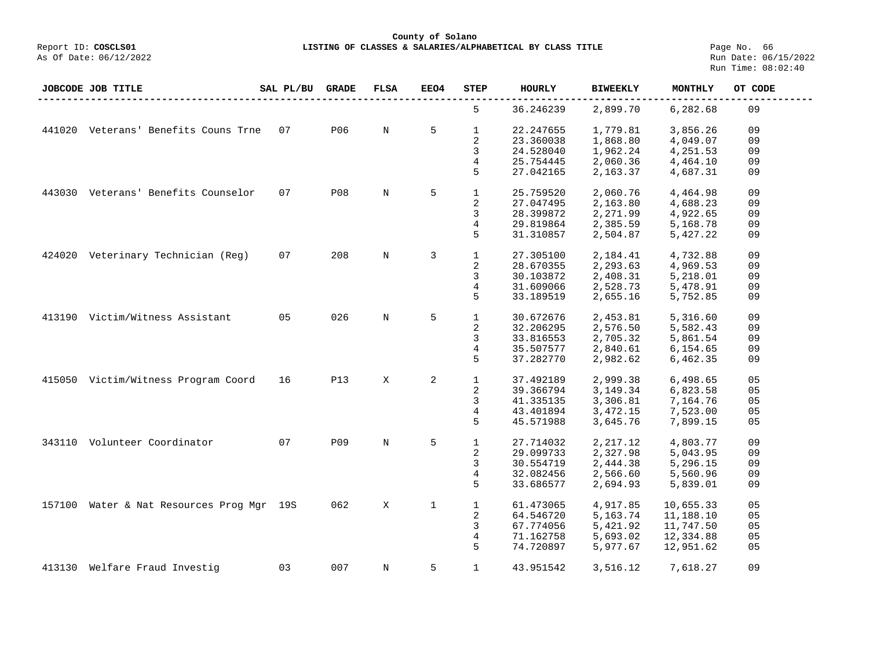**County of Solano**

**LISTING OF CLASSES & SALARIES/ALPHABETICAL BY CLASS TITLE** Page No. 66<br>Run Date: 06/15/2022 Run Time: 08:02:40

|        | JOBCODE JOB TITLE                         | SAL PL/BU | GRADE      | FLSA        | EEO4         | <b>STEP</b>  | <b>HOURLY</b> | <b>BIWEEKLY</b> | MONTHLY   | OT CODE |
|--------|-------------------------------------------|-----------|------------|-------------|--------------|--------------|---------------|-----------------|-----------|---------|
|        |                                           |           |            |             |              | 5            | 36.246239     | 2,899.70        | 6,282.68  | 09      |
|        | 441020 Veterans' Benefits Couns Trne      | 07        | P06        | N           | 5            | $\mathbf{1}$ | 22.247655     | 1,779.81        | 3,856.26  | 09      |
|        |                                           |           |            |             |              | 2            | 23.360038     | 1,868.80        | 4,049.07  | 09      |
|        |                                           |           |            |             |              | 3            | 24.528040     | 1,962.24        | 4,251.53  | 09      |
|        |                                           |           |            |             |              | 4            | 25.754445     | 2,060.36        | 4,464.10  | 09      |
|        |                                           |           |            |             |              | 5            | 27.042165     | 2,163.37        | 4,687.31  | 09      |
|        |                                           |           |            |             |              |              |               |                 |           |         |
|        | 443030 Veterans' Benefits Counselor       | 07        | <b>P08</b> | N           | 5            | $\mathbf{1}$ | 25.759520     | 2,060.76        | 4,464.98  | 09      |
|        |                                           |           |            |             |              | 2            | 27.047495     | 2,163.80        | 4,688.23  | 09      |
|        |                                           |           |            |             |              | 3            | 28.399872     | 2,271.99        | 4,922.65  | 09      |
|        |                                           |           |            |             |              | 4            | 29.819864     | 2,385.59        | 5,168.78  | 09      |
|        |                                           |           |            |             |              | 5            | 31.310857     | 2,504.87        | 5,427.22  | 09      |
|        |                                           |           |            |             |              |              |               |                 |           |         |
| 424020 | Veterinary Technician (Reg)               | 07        | 208        | $\mathbf N$ | 3            | $\mathbf{1}$ | 27.305100     | 2,184.41        | 4,732.88  | 09      |
|        |                                           |           |            |             |              | 2            | 28.670355     | 2,293.63        | 4,969.53  | 09      |
|        |                                           |           |            |             |              | 3            | 30.103872     | 2,408.31        | 5,218.01  | 09      |
|        |                                           |           |            |             |              | 4            | 31.609066     | 2,528.73        | 5,478.91  | 09      |
|        |                                           |           |            |             |              | 5            | 33.189519     | 2,655.16        | 5,752.85  | 09      |
|        |                                           |           |            |             |              |              |               |                 |           |         |
| 413190 | Victim/Witness Assistant                  | 05        | 026        | $\mathbf N$ | 5            | $\mathbf{1}$ | 30.672676     | 2,453.81        | 5,316.60  | 09      |
|        |                                           |           |            |             |              | 2            | 32.206295     | 2,576.50        | 5,582.43  | 09      |
|        |                                           |           |            |             |              | 3            | 33.816553     | 2,705.32        | 5,861.54  | 09      |
|        |                                           |           |            |             |              | 4            | 35.507577     | 2,840.61        | 6,154.65  | 09      |
|        |                                           |           |            |             |              | 5            | 37.282770     | 2,982.62        | 6,462.35  | 09      |
|        |                                           |           |            |             |              |              |               |                 |           |         |
|        | 415050 Victim/Witness Program Coord       | 16        | <b>P13</b> | X           | 2            | $\mathbf 1$  | 37.492189     | 2,999.38        | 6,498.65  | 05      |
|        |                                           |           |            |             |              | 2            | 39.366794     | 3, 149. 34      | 6,823.58  | 05      |
|        |                                           |           |            |             |              | 3            | 41.335135     | 3,306.81        | 7,164.76  | 05      |
|        |                                           |           |            |             |              | 4            | 43.401894     | 3,472.15        | 7,523.00  | 05      |
|        |                                           |           |            |             |              | 5            | 45.571988     | 3,645.76        | 7,899.15  | 05      |
|        |                                           |           |            |             |              |              |               |                 |           |         |
|        | 343110 Volunteer Coordinator              | 07        | P09        | N           | 5            | $\mathbf{1}$ | 27.714032     | 2,217.12        | 4,803.77  | 09      |
|        |                                           |           |            |             |              | 2            | 29.099733     | 2,327.98        | 5,043.95  | 09      |
|        |                                           |           |            |             |              | 3            | 30.554719     | 2,444.38        | 5,296.15  | 09      |
|        |                                           |           |            |             |              | 4            | 32.082456     | 2,566.60        | 5,560.96  | 09      |
|        |                                           |           |            |             |              | 5            | 33.686577     | 2,694.93        | 5,839.01  | 09      |
|        |                                           |           |            |             |              |              |               |                 |           |         |
|        | 157100 Water & Nat Resources Prog Mgr 19S |           | 062        | X           | $\mathbf{1}$ | $\mathbf{1}$ | 61.473065     | 4,917.85        | 10,655.33 | 05      |
|        |                                           |           |            |             |              | 2            | 64.546720     | 5,163.74        | 11,188.10 | 05      |
|        |                                           |           |            |             |              | 3            | 67.774056     | 5,421.92        | 11,747.50 | 05      |
|        |                                           |           |            |             |              | 4            | 71.162758     | 5,693.02        | 12,334.88 | 05      |
|        |                                           |           |            |             |              | 5            |               | 5,977.67        |           | 05      |
|        |                                           |           |            |             |              |              | 74.720897     |                 | 12,951.62 |         |
|        | 413130 Welfare Fraud Investig             | 03        | 007        | N           | 5            | $\mathbf{1}$ | 43.951542     | 3,516.12        | 7,618.27  | 09      |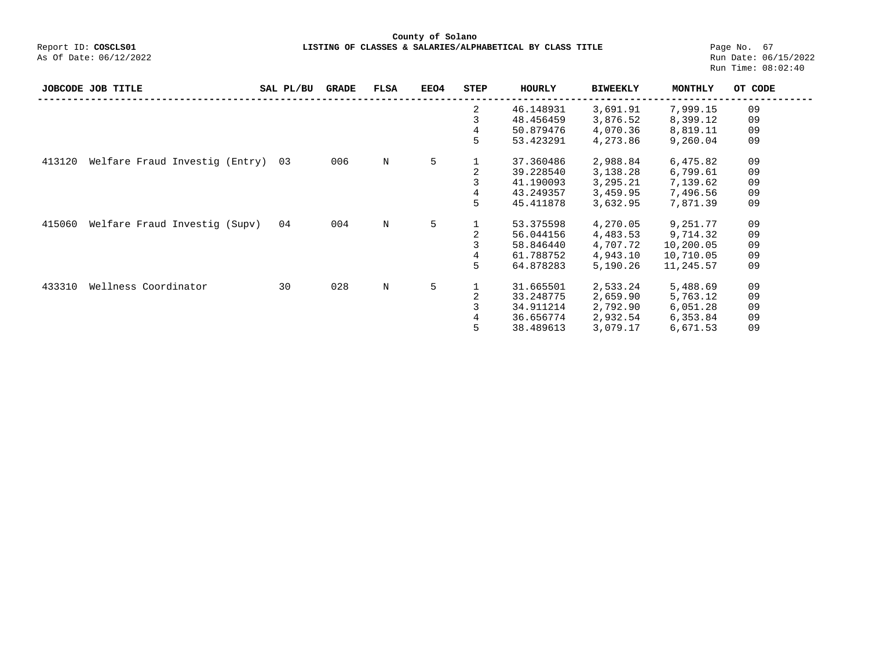**County of Solano**<br>Exercis LISTING OF CLASSES & SALARIES/ALPH COSCLS01 **LISTING OF CLASSES & SALARIES/ALPHABETICAL BY CLASS TITLE** Page No. 67<br>Run Date: 06/15/2022

|        | JOBCODE JOB TITLE              | SAL PL/BU | <b>GRADE</b> | <b>FLSA</b> | <b>EEO4</b> | STEP           | HOURLY    | <b>BIWEEKLY</b> | MONTHLY   | OT CODE |
|--------|--------------------------------|-----------|--------------|-------------|-------------|----------------|-----------|-----------------|-----------|---------|
|        |                                |           |              |             |             | 2              | 46.148931 | 3,691.91        | 7,999.15  | 09      |
|        |                                |           |              |             |             | 3              | 48.456459 | 3,876.52        | 8,399.12  | 09      |
|        |                                |           |              |             |             | 4              | 50.879476 | 4,070.36        | 8,819.11  | 09      |
|        |                                |           |              |             |             | 5              | 53.423291 | 4,273.86        | 9,260.04  | 09      |
| 413120 | Welfare Fraud Investig (Entry) | 03        | 006          | N           | 5           |                | 37.360486 | 2,988.84        | 6,475.82  | 09      |
|        |                                |           |              |             |             | 2              | 39.228540 | 3,138.28        | 6,799.61  | 09      |
|        |                                |           |              |             |             | 3              | 41.190093 | 3,295.21        | 7,139.62  | 09      |
|        |                                |           |              |             |             | 4              | 43.249357 | 3,459.95        | 7,496.56  | 09      |
|        |                                |           |              |             |             | 5              | 45.411878 | 3,632.95        | 7,871.39  | 09      |
| 415060 | Welfare Fraud Investig (Supv)  | 04        | 004          | N           | 5           |                | 53.375598 | 4,270.05        | 9,251.77  | 09      |
|        |                                |           |              |             |             |                | 56.044156 | 4,483.53        | 9,714.32  | 09      |
|        |                                |           |              |             |             | 3              | 58.846440 | 4,707.72        | 10,200.05 | 09      |
|        |                                |           |              |             |             | 4              | 61.788752 | 4,943.10        | 10,710.05 | 09      |
|        |                                |           |              |             |             | 5              | 64.878283 | 5,190.26        | 11,245.57 | 09      |
| 433310 | Wellness Coordinator           | 30        | 028          | N           | 5           | 1              | 31.665501 | 2,533.24        | 5,488.69  | 09      |
|        |                                |           |              |             |             |                | 33.248775 | 2,659.90        | 5,763.12  | 09      |
|        |                                |           |              |             |             |                | 34.911214 | 2,792.90        | 6,051.28  | 09      |
|        |                                |           |              |             |             | $\overline{4}$ | 36.656774 | 2,932.54        | 6,353.84  | 09      |
|        |                                |           |              |             |             | 5              | 38.489613 | 3,079.17        | 6,671.53  | 09      |